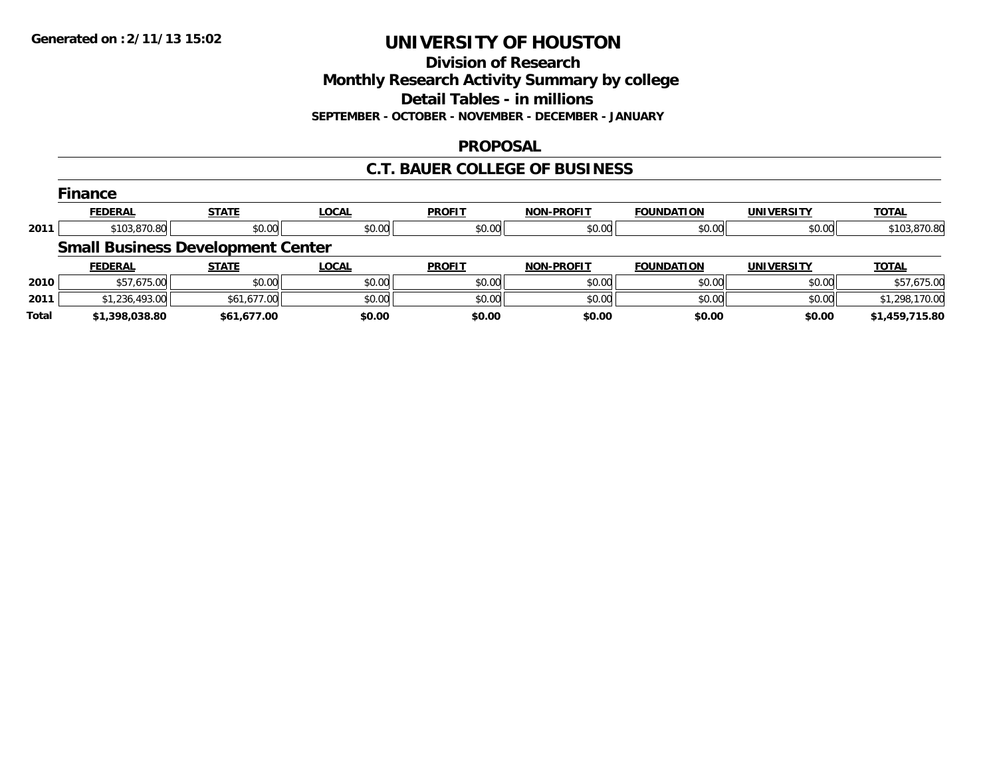**Division of Research**

**Monthly Research Activity Summary by college**

**Detail Tables - in millions**

**SEPTEMBER - OCTOBER - NOVEMBER - DECEMBER - JANUARY**

### **PROPOSAL**

# **C.T. BAUER COLLEGE OF BUSINESS**

|      | <b>Finance</b>                           |              |              |               |                   |                   |                   |                |  |  |  |
|------|------------------------------------------|--------------|--------------|---------------|-------------------|-------------------|-------------------|----------------|--|--|--|
|      | <b>FEDERAL</b>                           | <b>STATE</b> | <b>LOCAL</b> | <b>PROFIT</b> | NON-PROFIT        | <b>FOUNDATION</b> | <b>UNIVERSITY</b> | <b>TOTAL</b>   |  |  |  |
| 2011 | \$103,870.80                             | \$0.00       | \$0.00       | \$0.00        | \$0.00            | \$0.00            | \$0.00            | \$103,870.80   |  |  |  |
|      | <b>Small Business Development Center</b> |              |              |               |                   |                   |                   |                |  |  |  |
|      |                                          |              |              |               |                   |                   |                   |                |  |  |  |
|      | <b>FEDERAL</b>                           | <b>STATE</b> | <b>LOCAL</b> | <b>PROFIT</b> | <b>NON-PROFIT</b> | <b>FOUNDATION</b> | <b>UNIVERSITY</b> | <b>TOTAL</b>   |  |  |  |
| 2010 | \$57,675.00                              | \$0.00       | \$0.00       | \$0.00        | \$0.00            | \$0.00            | \$0.00            | \$57,675.00    |  |  |  |
| 2011 | \$1,236,493.00                           | \$61,677.00  | \$0.00       | \$0.00        | \$0.00            | \$0.00            | \$0.00            | \$1,298,170.00 |  |  |  |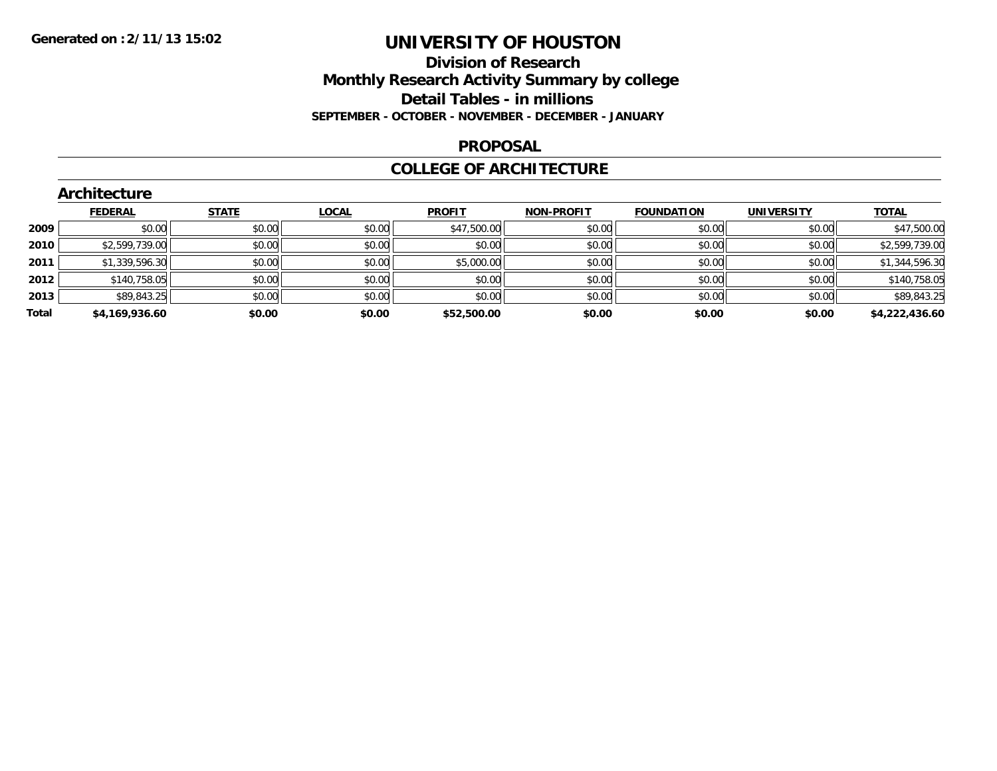### **Division of Research Monthly Research Activity Summary by college Detail Tables - in millions SEPTEMBER - OCTOBER - NOVEMBER - DECEMBER - JANUARY**

#### **PROPOSAL**

### **COLLEGE OF ARCHITECTURE**

|       | Architecture   |              |              |               |                   |                   |                   |                |  |  |  |
|-------|----------------|--------------|--------------|---------------|-------------------|-------------------|-------------------|----------------|--|--|--|
|       | <b>FEDERAL</b> | <b>STATE</b> | <b>LOCAL</b> | <b>PROFIT</b> | <b>NON-PROFIT</b> | <b>FOUNDATION</b> | <b>UNIVERSITY</b> | <b>TOTAL</b>   |  |  |  |
| 2009  | \$0.00         | \$0.00       | \$0.00       | \$47,500.00   | \$0.00            | \$0.00            | \$0.00            | \$47,500.00    |  |  |  |
| 2010  | \$2,599,739.00 | \$0.00       | \$0.00       | \$0.00        | \$0.00            | \$0.00            | \$0.00            | \$2,599,739.00 |  |  |  |
| 2011  | \$1,339,596.30 | \$0.00       | \$0.00       | \$5,000.00    | \$0.00            | \$0.00            | \$0.00            | \$1,344,596.30 |  |  |  |
| 2012  | \$140,758.05   | \$0.00       | \$0.00       | \$0.00        | \$0.00            | \$0.00            | \$0.00            | \$140,758.05   |  |  |  |
| 2013  | \$89,843.25    | \$0.00       | \$0.00       | \$0.00        | \$0.00            | \$0.00            | \$0.00            | \$89,843.25    |  |  |  |
| Total | \$4,169,936.60 | \$0.00       | \$0.00       | \$52,500.00   | \$0.00            | \$0.00            | \$0.00            | \$4,222,436.60 |  |  |  |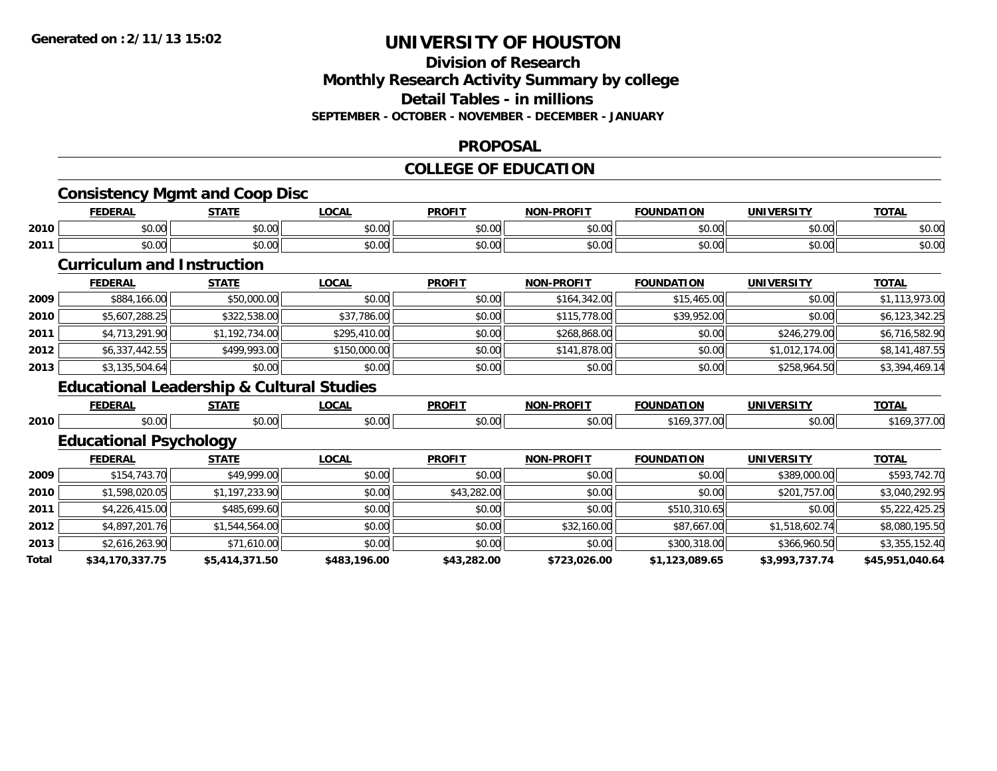### **Division of Research Monthly Research Activity Summary by college Detail Tables - in millions SEPTEMBER - OCTOBER - NOVEMBER - DECEMBER - JANUARY**

#### **PROPOSAL**

#### **COLLEGE OF EDUCATION**

|       |                                   | <b>Consistency Mgmt and Coop Disc</b>                |              |               |                   |                   |                   |                 |
|-------|-----------------------------------|------------------------------------------------------|--------------|---------------|-------------------|-------------------|-------------------|-----------------|
|       | <b>FEDERAL</b>                    | <b>STATE</b>                                         | <b>LOCAL</b> | <b>PROFIT</b> | <b>NON-PROFIT</b> | <b>FOUNDATION</b> | <b>UNIVERSITY</b> | <b>TOTAL</b>    |
| 2010  | \$0.00                            | \$0.00                                               | \$0.00       | \$0.00        | \$0.00            | \$0.00            | \$0.00            | \$0.00          |
| 2011  | \$0.00                            | \$0.00                                               | \$0.00       | \$0.00        | \$0.00            | \$0.00            | \$0.00            | \$0.00          |
|       | <b>Curriculum and Instruction</b> |                                                      |              |               |                   |                   |                   |                 |
|       | <b>FEDERAL</b>                    | <b>STATE</b>                                         | <b>LOCAL</b> | <b>PROFIT</b> | <b>NON-PROFIT</b> | <b>FOUNDATION</b> | <b>UNIVERSITY</b> | <b>TOTAL</b>    |
| 2009  | \$884,166.00                      | \$50,000.00                                          | \$0.00       | \$0.00        | \$164,342.00      | \$15,465.00       | \$0.00            | \$1,113,973.00  |
| 2010  | \$5,607,288.25                    | \$322,538.00                                         | \$37,786.00  | \$0.00        | \$115,778.00      | \$39,952.00       | \$0.00            | \$6,123,342.25  |
| 2011  | \$4,713,291.90                    | \$1,192,734.00                                       | \$295,410.00 | \$0.00        | \$268,868.00      | \$0.00            | \$246,279.00      | \$6,716,582.90  |
| 2012  | \$6,337,442.55                    | \$499,993.00                                         | \$150,000.00 | \$0.00        | \$141,878.00      | \$0.00            | \$1,012,174.00    | \$8,141,487.55  |
| 2013  | \$3,135,504.64                    | \$0.00                                               | \$0.00       | \$0.00        | \$0.00            | \$0.00            | \$258,964.50      | \$3,394,469.14  |
|       |                                   | <b>Educational Leadership &amp; Cultural Studies</b> |              |               |                   |                   |                   |                 |
|       | <b>FEDERAL</b>                    | <b>STATE</b>                                         | <b>LOCAL</b> | <b>PROFIT</b> | <b>NON-PROFIT</b> | <b>FOUNDATION</b> | <b>UNIVERSITY</b> | <b>TOTAL</b>    |
| 2010  | \$0.00                            | \$0.00                                               | \$0.00       | \$0.00        | \$0.00            | \$169,377.00      | \$0.00            | \$169,377.00    |
|       | <b>Educational Psychology</b>     |                                                      |              |               |                   |                   |                   |                 |
|       | <b>FEDERAL</b>                    | <b>STATE</b>                                         | <b>LOCAL</b> | <b>PROFIT</b> | <b>NON-PROFIT</b> | <b>FOUNDATION</b> | <b>UNIVERSITY</b> | <b>TOTAL</b>    |
| 2009  | \$154,743.70                      | \$49,999.00                                          | \$0.00       | \$0.00        | \$0.00            | \$0.00            | \$389,000.00      | \$593,742.70    |
| 2010  | \$1,598,020.05                    | \$1,197,233.90                                       | \$0.00       | \$43,282.00   | \$0.00            | \$0.00            | \$201,757.00      | \$3,040,292.95  |
| 2011  | \$4,226,415.00                    | \$485,699.60                                         | \$0.00       | \$0.00        | \$0.00            | \$510,310.65      | \$0.00            | \$5,222,425.25  |
| 2012  | \$4,897,201.76                    | \$1,544,564.00                                       | \$0.00       | \$0.00        | \$32,160.00       | \$87,667.00       | \$1,518,602.74    | \$8,080,195.50  |
| 2013  | \$2,616,263.90                    | \$71,610.00                                          | \$0.00       | \$0.00        | \$0.00            | \$300,318.00      | \$366,960.50      | \$3,355,152.40  |
| Total | \$34,170,337.75                   | \$5,414,371.50                                       | \$483,196.00 | \$43,282.00   | \$723,026.00      | \$1,123,089.65    | \$3,993,737.74    | \$45,951,040.64 |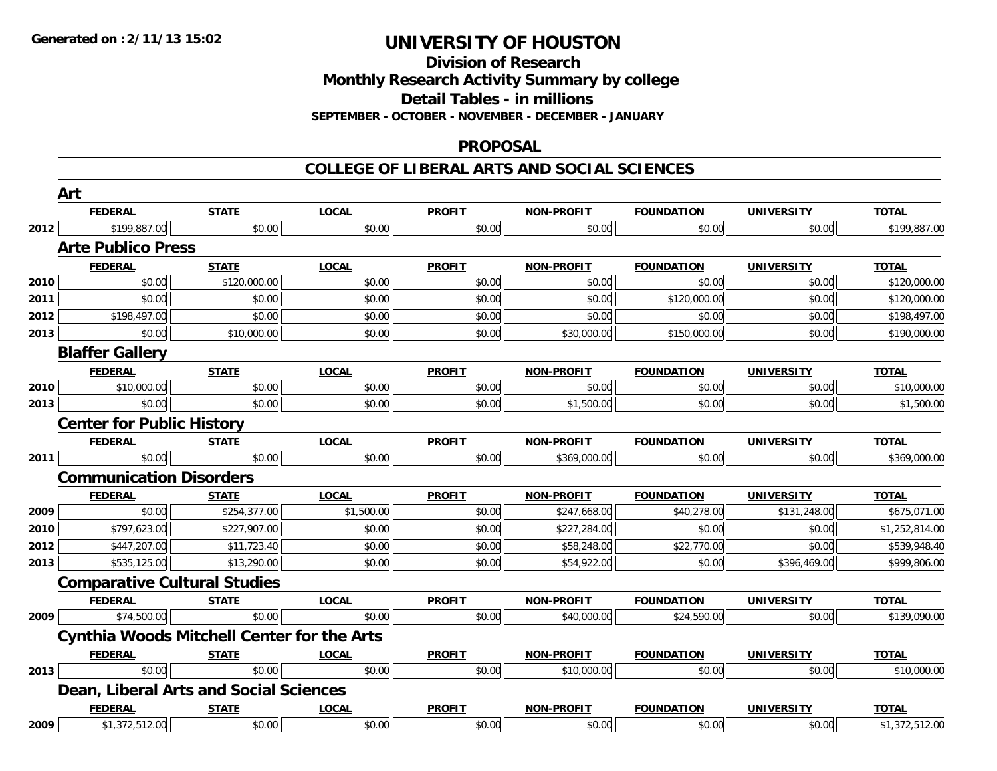**Division of Research**

**Monthly Research Activity Summary by college**

**Detail Tables - in millions**

**SEPTEMBER - OCTOBER - NOVEMBER - DECEMBER - JANUARY**

#### **PROPOSAL**

**COLLEGE OF LIBERAL ARTS AND SOCIAL SCIENCES**

|      | Art                                               |              |              |               |                   |                   |                   |                |  |  |
|------|---------------------------------------------------|--------------|--------------|---------------|-------------------|-------------------|-------------------|----------------|--|--|
|      | <b>FEDERAL</b>                                    | <b>STATE</b> | <b>LOCAL</b> | <b>PROFIT</b> | <b>NON-PROFIT</b> | <b>FOUNDATION</b> | <b>UNIVERSITY</b> | <b>TOTAL</b>   |  |  |
| 2012 | \$199,887.00                                      | \$0.00       | \$0.00       | \$0.00        | \$0.00            | \$0.00            | \$0.00            | \$199,887.00   |  |  |
|      | <b>Arte Publico Press</b>                         |              |              |               |                   |                   |                   |                |  |  |
|      | <b>FEDERAL</b>                                    | <b>STATE</b> | <b>LOCAL</b> | <b>PROFIT</b> | <b>NON-PROFIT</b> | <b>FOUNDATION</b> | <b>UNIVERSITY</b> | <b>TOTAL</b>   |  |  |
| 2010 | \$0.00                                            | \$120,000.00 | \$0.00       | \$0.00        | \$0.00            | \$0.00            | \$0.00            | \$120,000.00   |  |  |
| 2011 | \$0.00                                            | \$0.00       | \$0.00       | \$0.00        | \$0.00            | \$120,000.00      | \$0.00            | \$120,000.00   |  |  |
| 2012 | \$198,497.00                                      | \$0.00       | \$0.00       | \$0.00        | \$0.00            | \$0.00            | \$0.00            | \$198,497.00   |  |  |
| 2013 | \$0.00                                            | \$10,000.00  | \$0.00       | \$0.00        | \$30,000.00       | \$150,000.00      | \$0.00            | \$190,000.00   |  |  |
|      | <b>Blaffer Gallery</b>                            |              |              |               |                   |                   |                   |                |  |  |
|      | <b>FEDERAL</b>                                    | <b>STATE</b> | <b>LOCAL</b> | <b>PROFIT</b> | <b>NON-PROFIT</b> | <b>FOUNDATION</b> | <b>UNIVERSITY</b> | <b>TOTAL</b>   |  |  |
| 2010 | \$10,000.00                                       | \$0.00       | \$0.00       | \$0.00        | \$0.00            | \$0.00            | \$0.00            | \$10,000.00    |  |  |
| 2013 | \$0.00                                            | \$0.00       | \$0.00       | \$0.00        | \$1,500.00        | \$0.00            | \$0.00            | \$1,500.00     |  |  |
|      | <b>Center for Public History</b>                  |              |              |               |                   |                   |                   |                |  |  |
|      | <b>FEDERAL</b>                                    | <b>STATE</b> | <b>LOCAL</b> | <b>PROFIT</b> | NON-PROFIT        | <b>FOUNDATION</b> | <b>UNIVERSITY</b> | <b>TOTAL</b>   |  |  |
| 2011 | \$0.00                                            | \$0.00       | \$0.00       | \$0.00        | \$369,000.00      | \$0.00            | \$0.00            | \$369,000.00   |  |  |
|      | <b>Communication Disorders</b>                    |              |              |               |                   |                   |                   |                |  |  |
|      | <b>FEDERAL</b>                                    | <b>STATE</b> | <b>LOCAL</b> | <b>PROFIT</b> | <b>NON-PROFIT</b> | <b>FOUNDATION</b> | <b>UNIVERSITY</b> | <b>TOTAL</b>   |  |  |
| 2009 | \$0.00                                            | \$254,377.00 | \$1,500.00   | \$0.00        | \$247,668.00      | \$40,278.00       | \$131,248.00      | \$675,071.00   |  |  |
| 2010 | \$797,623.00                                      | \$227,907.00 | \$0.00       | \$0.00        | \$227,284.00      | \$0.00            | \$0.00            | \$1,252,814.00 |  |  |
| 2012 | \$447,207.00                                      | \$11,723.40  | \$0.00       | \$0.00        | \$58,248.00       | \$22,770.00       | \$0.00            | \$539,948.40   |  |  |
| 2013 | \$535,125.00                                      | \$13,290.00  | \$0.00       | \$0.00        | \$54,922.00       | \$0.00            | \$396,469.00      | \$999,806.00   |  |  |
|      | <b>Comparative Cultural Studies</b>               |              |              |               |                   |                   |                   |                |  |  |
|      | <b>FEDERAL</b>                                    | <b>STATE</b> | <b>LOCAL</b> | <b>PROFIT</b> | <b>NON-PROFIT</b> | <b>FOUNDATION</b> | <b>UNIVERSITY</b> | <b>TOTAL</b>   |  |  |
| 2009 | \$74,500.00                                       | \$0.00       | \$0.00       | \$0.00        | \$40,000.00       | \$24,590.00       | \$0.00            | \$139,090.00   |  |  |
|      | <b>Cynthia Woods Mitchell Center for the Arts</b> |              |              |               |                   |                   |                   |                |  |  |
|      | <b>FEDERAL</b>                                    | <b>STATE</b> | <b>LOCAL</b> | <b>PROFIT</b> | <b>NON-PROFIT</b> | <b>FOUNDATION</b> | <b>UNIVERSITY</b> | <b>TOTAL</b>   |  |  |
| 2013 | \$0.00                                            | \$0.00       | \$0.00       | \$0.00        | \$10,000.00       | \$0.00            | \$0.00            | \$10,000.00    |  |  |
|      | Dean, Liberal Arts and Social Sciences            |              |              |               |                   |                   |                   |                |  |  |
|      | <b>FEDERAL</b>                                    | <b>STATE</b> | <b>LOCAL</b> | <b>PROFIT</b> | <b>NON-PROFIT</b> | <b>FOUNDATION</b> | <b>UNIVERSITY</b> | <b>TOTAL</b>   |  |  |
| 2009 | \$1,372,512.00                                    | \$0.00       | \$0.00       | \$0.00        | \$0.00            | \$0.00            | \$0.00            | \$1,372,512.00 |  |  |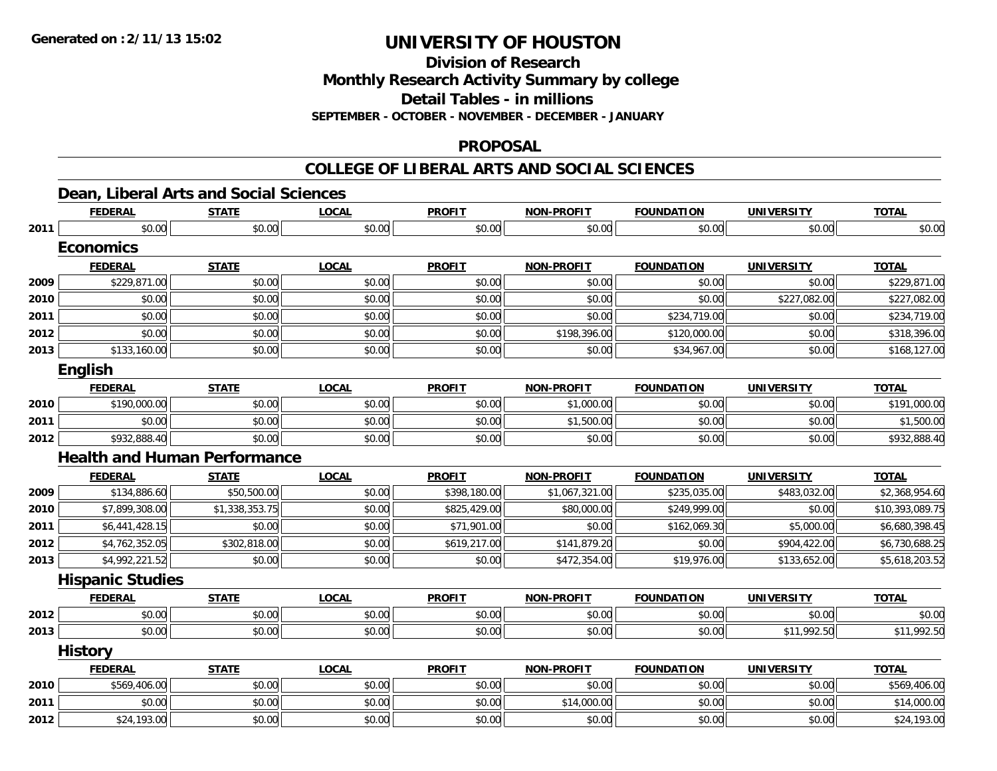**Division of Research**

**Monthly Research Activity Summary by college**

**Detail Tables - in millions**

**SEPTEMBER - OCTOBER - NOVEMBER - DECEMBER - JANUARY**

#### **PROPOSAL**

#### **COLLEGE OF LIBERAL ARTS AND SOCIAL SCIENCES**

# **Dean, Liberal Arts and Social Sciences**

|      | <b>FEDERAL</b>          | <b>STATE</b>                        | <b>LOCAL</b> | <b>PROFIT</b> | <b>NON-PROFIT</b> | <b>FOUNDATION</b> | <b>UNIVERSITY</b> | <b>TOTAL</b>    |
|------|-------------------------|-------------------------------------|--------------|---------------|-------------------|-------------------|-------------------|-----------------|
| 2011 | \$0.00                  | \$0.00                              | \$0.00       | \$0.00        | \$0.00            | \$0.00            | \$0.00            | \$0.00          |
|      | <b>Economics</b>        |                                     |              |               |                   |                   |                   |                 |
|      | <b>FEDERAL</b>          | <b>STATE</b>                        | <b>LOCAL</b> | <b>PROFIT</b> | <b>NON-PROFIT</b> | <b>FOUNDATION</b> | <b>UNIVERSITY</b> | <b>TOTAL</b>    |
| 2009 | \$229,871.00            | \$0.00                              | \$0.00       | \$0.00        | \$0.00            | \$0.00            | \$0.00            | \$229,871.00    |
| 2010 | \$0.00                  | \$0.00                              | \$0.00       | \$0.00        | \$0.00            | \$0.00            | \$227,082.00      | \$227,082.00    |
| 2011 | \$0.00                  | \$0.00                              | \$0.00       | \$0.00        | \$0.00            | \$234,719.00      | \$0.00            | \$234,719.00    |
| 2012 | \$0.00                  | \$0.00                              | \$0.00       | \$0.00        | \$198,396.00      | \$120,000.00      | \$0.00            | \$318,396.00    |
| 2013 | \$133,160.00            | \$0.00                              | \$0.00       | \$0.00        | \$0.00            | \$34,967.00       | \$0.00            | \$168,127.00    |
|      | <b>English</b>          |                                     |              |               |                   |                   |                   |                 |
|      | <b>FEDERAL</b>          | <b>STATE</b>                        | <b>LOCAL</b> | <b>PROFIT</b> | <b>NON-PROFIT</b> | <b>FOUNDATION</b> | <b>UNIVERSITY</b> | <b>TOTAL</b>    |
| 2010 | \$190,000.00            | \$0.00                              | \$0.00       | \$0.00        | \$1,000.00        | \$0.00            | \$0.00            | \$191,000.00    |
| 2011 | \$0.00                  | \$0.00                              | \$0.00       | \$0.00        | \$1,500.00        | \$0.00            | \$0.00            | \$1,500.00      |
| 2012 | \$932,888.40            | \$0.00                              | \$0.00       | \$0.00        | \$0.00            | \$0.00            | \$0.00            | \$932,888.40    |
|      |                         | <b>Health and Human Performance</b> |              |               |                   |                   |                   |                 |
|      | <b>FEDERAL</b>          | <b>STATE</b>                        | <b>LOCAL</b> | <b>PROFIT</b> | <b>NON-PROFIT</b> | <b>FOUNDATION</b> | <b>UNIVERSITY</b> | <b>TOTAL</b>    |
| 2009 | \$134,886.60            | \$50,500.00                         | \$0.00       | \$398,180.00  | \$1,067,321.00    | \$235,035.00      | \$483,032.00      | \$2,368,954.60  |
| 2010 | \$7,899,308.00          | \$1,338,353.75                      | \$0.00       | \$825,429.00  | \$80,000.00       | \$249,999.00      | \$0.00            | \$10,393,089.75 |
| 2011 | \$6,441,428.15          | \$0.00                              | \$0.00       | \$71,901.00   | \$0.00            | \$162,069.30      | \$5,000.00        | \$6,680,398.45  |
| 2012 | \$4,762,352.05          | \$302,818.00                        | \$0.00       | \$619,217.00  | \$141,879.20      | \$0.00            | \$904,422.00      | \$6,730,688.25  |
| 2013 | \$4,992,221.52          | \$0.00                              | \$0.00       | \$0.00        | \$472,354.00      | \$19,976.00       | \$133,652.00      | \$5,618,203.52  |
|      | <b>Hispanic Studies</b> |                                     |              |               |                   |                   |                   |                 |
|      | <b>FEDERAL</b>          | <b>STATE</b>                        | <b>LOCAL</b> | <b>PROFIT</b> | <b>NON-PROFIT</b> | <b>FOUNDATION</b> | <b>UNIVERSITY</b> | <b>TOTAL</b>    |
| 2012 | \$0.00                  | \$0.00                              | \$0.00       | \$0.00        | \$0.00            | \$0.00            | \$0.00            | \$0.00          |
| 2013 | \$0.00                  | \$0.00                              | \$0.00       | \$0.00        | \$0.00            | \$0.00            | \$11,992.50       | \$11,992.50     |
|      | <b>History</b>          |                                     |              |               |                   |                   |                   |                 |
|      | <b>FEDERAL</b>          | <b>STATE</b>                        | <b>LOCAL</b> | <b>PROFIT</b> | <b>NON-PROFIT</b> | <b>FOUNDATION</b> | <b>UNIVERSITY</b> | <b>TOTAL</b>    |
| 2010 | \$569,406.00            | \$0.00                              | \$0.00       | \$0.00        | \$0.00            | \$0.00            | \$0.00            | \$569,406.00    |
| 2011 | \$0.00                  | \$0.00                              | \$0.00       | \$0.00        | \$14,000.00       | \$0.00            | \$0.00            | \$14,000.00     |
| 2012 | \$24,193.00             | \$0.00                              | \$0.00       | \$0.00        | \$0.00            | \$0.00            | \$0.00            | \$24,193.00     |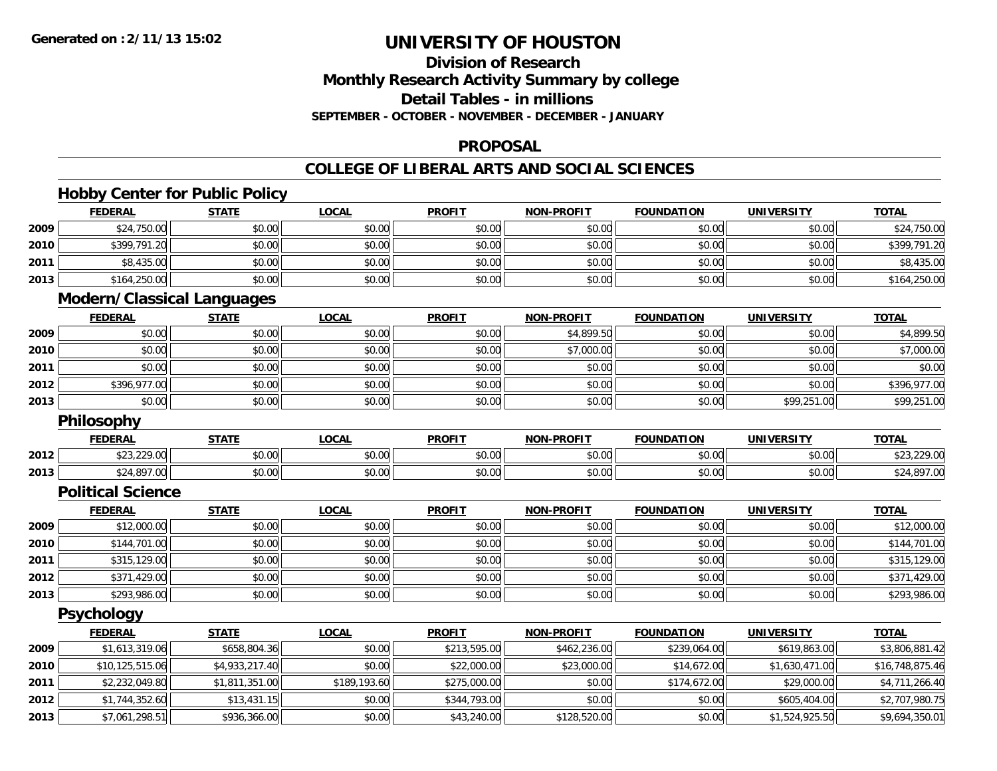**2013**

# **UNIVERSITY OF HOUSTON**

# **Division of ResearchMonthly Research Activity Summary by college Detail Tables - in millions SEPTEMBER - OCTOBER - NOVEMBER - DECEMBER - JANUARY**

### **PROPOSAL**

### **COLLEGE OF LIBERAL ARTS AND SOCIAL SCIENCES**

# **Hobby Center for Public Policy**

| \$24,750.00<br>\$0.00<br>\$0.00<br>2009<br>\$0.00<br>\$0.00<br>\$0.00<br>\$0.00<br>\$0.00<br>2010<br>\$399,791.20<br>\$0.00<br>\$0.00<br>\$0.00<br>\$0.00<br>\$0.00<br>2011<br>\$8,435.00<br>\$0.00<br>\$0.00<br>\$0.00<br>\$0.00<br>\$0.00<br>\$0.00<br>2013<br>\$164,250.00<br>\$0.00<br>\$0.00<br>\$0.00<br>\$0.00<br>\$0.00<br>\$0.00<br><b>Modern/Classical Languages</b><br><b>FEDERAL</b><br><b>LOCAL</b><br><b>PROFIT</b><br><b>NON-PROFIT</b><br><b>FOUNDATION</b><br><b>UNIVERSITY</b><br><b>TOTAL</b><br><b>STATE</b><br>\$0.00<br>\$0.00<br>\$0.00<br>\$0.00<br>\$4,899.50<br>2009<br>\$0.00<br>\$0.00<br>\$0.00<br>\$0.00<br>\$7,000.00<br>2010<br>\$0.00<br>\$0.00<br>\$0.00<br>\$0.00<br>2011<br>\$0.00<br>\$0.00<br>\$0.00<br>\$0.00<br>\$0.00<br>\$0.00<br>\$0.00<br>\$0.00<br>\$0.00<br>2012<br>\$396,977.00<br>\$0.00<br>\$0.00<br>\$0.00<br>\$0.00<br>\$0.00<br>\$0.00<br>2013<br>\$0.00<br>\$0.00<br>\$0.00<br>\$0.00<br>\$99,251.00<br><b>Philosophy</b><br><b>FEDERAL</b><br><b>STATE</b><br><b>LOCAL</b><br><b>PROFIT</b><br><b>NON-PROFIT</b><br><b>FOUNDATION</b><br><b>UNIVERSITY</b><br><b>TOTAL</b><br>\$23,229.00<br>\$0.00<br>\$0.00<br>\$0.00<br>2012<br>\$0.00<br>\$0.00<br>\$0.00<br>\$0.00<br>\$24,897.00<br>\$0.00<br>\$0.00<br>\$0.00<br>\$0.00<br>\$0.00<br>2013<br><b>Political Science</b><br><b>FEDERAL</b><br><b>STATE</b><br><b>LOCAL</b><br><b>PROFIT</b><br><b>NON-PROFIT</b><br><b>FOUNDATION</b><br><b>TOTAL</b><br><b>UNIVERSITY</b><br>\$12,000.00<br>\$0.00<br>\$0.00<br>\$0.00<br>\$0.00<br>2009<br>\$0.00<br>\$0.00<br>\$0.00<br>2010<br>\$144,701.00<br>\$0.00<br>\$0.00<br>\$0.00<br>\$0.00<br>\$0.00<br>\$315,129.00<br>\$0.00<br>\$0.00<br>2011<br>\$0.00<br>\$0.00<br>\$0.00<br>\$0.00<br>\$0.00<br>\$0.00<br>2012<br>\$371,429.00<br>\$0.00<br>\$0.00<br>\$0.00<br>\$0.00<br>\$293,986.00<br>\$0.00<br>\$0.00<br>\$0.00<br>\$0.00<br>\$0.00<br>\$0.00<br>2013<br><b>Psychology</b><br><b>FEDERAL</b><br><b>PROFIT</b><br><b>FOUNDATION</b><br><b>STATE</b><br><b>LOCAL</b><br><b>NON-PROFIT</b><br><b>UNIVERSITY</b><br><b>TOTAL</b><br>\$658,804.36<br>\$1,613,319.06<br>\$0.00<br>\$213,595.00<br>\$239,064.00<br>\$619,863.00<br>2009<br>\$462,236.00<br>2010<br>\$10,125,515.06<br>\$4,933,217.40<br>\$0.00<br>\$22,000.00<br>\$14,672.00<br>\$23,000.00<br>\$1,630,471.00<br>2011<br>\$2,232,049.80<br>\$1,811,351.00<br>\$189,193.60<br>\$275,000.00<br>\$174,672.00<br>\$0.00<br>\$29,000.00<br>2012<br>\$0.00<br>\$0.00<br>\$1,744,352.60<br>\$13,431.15<br>\$344,793.00<br>\$0.00<br>\$605,404.00 | <b>FEDERAL</b> | <b>STATE</b> | <b>LOCAL</b> | <b>PROFIT</b> | <b>NON-PROFIT</b> | <b>FOUNDATION</b> | <b>UNIVERSITY</b> | <b>TOTAL</b>    |
|----------------------------------------------------------------------------------------------------------------------------------------------------------------------------------------------------------------------------------------------------------------------------------------------------------------------------------------------------------------------------------------------------------------------------------------------------------------------------------------------------------------------------------------------------------------------------------------------------------------------------------------------------------------------------------------------------------------------------------------------------------------------------------------------------------------------------------------------------------------------------------------------------------------------------------------------------------------------------------------------------------------------------------------------------------------------------------------------------------------------------------------------------------------------------------------------------------------------------------------------------------------------------------------------------------------------------------------------------------------------------------------------------------------------------------------------------------------------------------------------------------------------------------------------------------------------------------------------------------------------------------------------------------------------------------------------------------------------------------------------------------------------------------------------------------------------------------------------------------------------------------------------------------------------------------------------------------------------------------------------------------------------------------------------------------------------------------------------------------------------------------------------------------------------------------------------------------------------------------------------------------------------------------------------------------------------------------------------------------------------------------------------------------------------------------------------------------------------------------------------------------------------------------------------------------------------|----------------|--------------|--------------|---------------|-------------------|-------------------|-------------------|-----------------|
|                                                                                                                                                                                                                                                                                                                                                                                                                                                                                                                                                                                                                                                                                                                                                                                                                                                                                                                                                                                                                                                                                                                                                                                                                                                                                                                                                                                                                                                                                                                                                                                                                                                                                                                                                                                                                                                                                                                                                                                                                                                                                                                                                                                                                                                                                                                                                                                                                                                                                                                                                                      |                |              |              |               |                   |                   |                   | \$24,750.00     |
|                                                                                                                                                                                                                                                                                                                                                                                                                                                                                                                                                                                                                                                                                                                                                                                                                                                                                                                                                                                                                                                                                                                                                                                                                                                                                                                                                                                                                                                                                                                                                                                                                                                                                                                                                                                                                                                                                                                                                                                                                                                                                                                                                                                                                                                                                                                                                                                                                                                                                                                                                                      |                |              |              |               |                   |                   |                   | \$399,791.20    |
|                                                                                                                                                                                                                                                                                                                                                                                                                                                                                                                                                                                                                                                                                                                                                                                                                                                                                                                                                                                                                                                                                                                                                                                                                                                                                                                                                                                                                                                                                                                                                                                                                                                                                                                                                                                                                                                                                                                                                                                                                                                                                                                                                                                                                                                                                                                                                                                                                                                                                                                                                                      |                |              |              |               |                   |                   |                   | \$8,435.00      |
|                                                                                                                                                                                                                                                                                                                                                                                                                                                                                                                                                                                                                                                                                                                                                                                                                                                                                                                                                                                                                                                                                                                                                                                                                                                                                                                                                                                                                                                                                                                                                                                                                                                                                                                                                                                                                                                                                                                                                                                                                                                                                                                                                                                                                                                                                                                                                                                                                                                                                                                                                                      |                |              |              |               |                   |                   |                   | \$164,250.00    |
|                                                                                                                                                                                                                                                                                                                                                                                                                                                                                                                                                                                                                                                                                                                                                                                                                                                                                                                                                                                                                                                                                                                                                                                                                                                                                                                                                                                                                                                                                                                                                                                                                                                                                                                                                                                                                                                                                                                                                                                                                                                                                                                                                                                                                                                                                                                                                                                                                                                                                                                                                                      |                |              |              |               |                   |                   |                   |                 |
|                                                                                                                                                                                                                                                                                                                                                                                                                                                                                                                                                                                                                                                                                                                                                                                                                                                                                                                                                                                                                                                                                                                                                                                                                                                                                                                                                                                                                                                                                                                                                                                                                                                                                                                                                                                                                                                                                                                                                                                                                                                                                                                                                                                                                                                                                                                                                                                                                                                                                                                                                                      |                |              |              |               |                   |                   |                   |                 |
|                                                                                                                                                                                                                                                                                                                                                                                                                                                                                                                                                                                                                                                                                                                                                                                                                                                                                                                                                                                                                                                                                                                                                                                                                                                                                                                                                                                                                                                                                                                                                                                                                                                                                                                                                                                                                                                                                                                                                                                                                                                                                                                                                                                                                                                                                                                                                                                                                                                                                                                                                                      |                |              |              |               |                   |                   |                   | \$4,899.50      |
|                                                                                                                                                                                                                                                                                                                                                                                                                                                                                                                                                                                                                                                                                                                                                                                                                                                                                                                                                                                                                                                                                                                                                                                                                                                                                                                                                                                                                                                                                                                                                                                                                                                                                                                                                                                                                                                                                                                                                                                                                                                                                                                                                                                                                                                                                                                                                                                                                                                                                                                                                                      |                |              |              |               |                   |                   |                   | \$7,000.00      |
|                                                                                                                                                                                                                                                                                                                                                                                                                                                                                                                                                                                                                                                                                                                                                                                                                                                                                                                                                                                                                                                                                                                                                                                                                                                                                                                                                                                                                                                                                                                                                                                                                                                                                                                                                                                                                                                                                                                                                                                                                                                                                                                                                                                                                                                                                                                                                                                                                                                                                                                                                                      |                |              |              |               |                   |                   |                   | \$0.00          |
|                                                                                                                                                                                                                                                                                                                                                                                                                                                                                                                                                                                                                                                                                                                                                                                                                                                                                                                                                                                                                                                                                                                                                                                                                                                                                                                                                                                                                                                                                                                                                                                                                                                                                                                                                                                                                                                                                                                                                                                                                                                                                                                                                                                                                                                                                                                                                                                                                                                                                                                                                                      |                |              |              |               |                   |                   |                   | \$396,977.00    |
|                                                                                                                                                                                                                                                                                                                                                                                                                                                                                                                                                                                                                                                                                                                                                                                                                                                                                                                                                                                                                                                                                                                                                                                                                                                                                                                                                                                                                                                                                                                                                                                                                                                                                                                                                                                                                                                                                                                                                                                                                                                                                                                                                                                                                                                                                                                                                                                                                                                                                                                                                                      |                |              |              |               |                   |                   |                   | \$99,251.00     |
|                                                                                                                                                                                                                                                                                                                                                                                                                                                                                                                                                                                                                                                                                                                                                                                                                                                                                                                                                                                                                                                                                                                                                                                                                                                                                                                                                                                                                                                                                                                                                                                                                                                                                                                                                                                                                                                                                                                                                                                                                                                                                                                                                                                                                                                                                                                                                                                                                                                                                                                                                                      |                |              |              |               |                   |                   |                   |                 |
|                                                                                                                                                                                                                                                                                                                                                                                                                                                                                                                                                                                                                                                                                                                                                                                                                                                                                                                                                                                                                                                                                                                                                                                                                                                                                                                                                                                                                                                                                                                                                                                                                                                                                                                                                                                                                                                                                                                                                                                                                                                                                                                                                                                                                                                                                                                                                                                                                                                                                                                                                                      |                |              |              |               |                   |                   |                   |                 |
|                                                                                                                                                                                                                                                                                                                                                                                                                                                                                                                                                                                                                                                                                                                                                                                                                                                                                                                                                                                                                                                                                                                                                                                                                                                                                                                                                                                                                                                                                                                                                                                                                                                                                                                                                                                                                                                                                                                                                                                                                                                                                                                                                                                                                                                                                                                                                                                                                                                                                                                                                                      |                |              |              |               |                   |                   |                   | \$23,229.00     |
|                                                                                                                                                                                                                                                                                                                                                                                                                                                                                                                                                                                                                                                                                                                                                                                                                                                                                                                                                                                                                                                                                                                                                                                                                                                                                                                                                                                                                                                                                                                                                                                                                                                                                                                                                                                                                                                                                                                                                                                                                                                                                                                                                                                                                                                                                                                                                                                                                                                                                                                                                                      |                |              |              |               |                   |                   |                   | \$24,897.00     |
|                                                                                                                                                                                                                                                                                                                                                                                                                                                                                                                                                                                                                                                                                                                                                                                                                                                                                                                                                                                                                                                                                                                                                                                                                                                                                                                                                                                                                                                                                                                                                                                                                                                                                                                                                                                                                                                                                                                                                                                                                                                                                                                                                                                                                                                                                                                                                                                                                                                                                                                                                                      |                |              |              |               |                   |                   |                   |                 |
|                                                                                                                                                                                                                                                                                                                                                                                                                                                                                                                                                                                                                                                                                                                                                                                                                                                                                                                                                                                                                                                                                                                                                                                                                                                                                                                                                                                                                                                                                                                                                                                                                                                                                                                                                                                                                                                                                                                                                                                                                                                                                                                                                                                                                                                                                                                                                                                                                                                                                                                                                                      |                |              |              |               |                   |                   |                   |                 |
|                                                                                                                                                                                                                                                                                                                                                                                                                                                                                                                                                                                                                                                                                                                                                                                                                                                                                                                                                                                                                                                                                                                                                                                                                                                                                                                                                                                                                                                                                                                                                                                                                                                                                                                                                                                                                                                                                                                                                                                                                                                                                                                                                                                                                                                                                                                                                                                                                                                                                                                                                                      |                |              |              |               |                   |                   |                   | \$12,000.00     |
|                                                                                                                                                                                                                                                                                                                                                                                                                                                                                                                                                                                                                                                                                                                                                                                                                                                                                                                                                                                                                                                                                                                                                                                                                                                                                                                                                                                                                                                                                                                                                                                                                                                                                                                                                                                                                                                                                                                                                                                                                                                                                                                                                                                                                                                                                                                                                                                                                                                                                                                                                                      |                |              |              |               |                   |                   |                   | \$144,701.00    |
|                                                                                                                                                                                                                                                                                                                                                                                                                                                                                                                                                                                                                                                                                                                                                                                                                                                                                                                                                                                                                                                                                                                                                                                                                                                                                                                                                                                                                                                                                                                                                                                                                                                                                                                                                                                                                                                                                                                                                                                                                                                                                                                                                                                                                                                                                                                                                                                                                                                                                                                                                                      |                |              |              |               |                   |                   |                   | \$315,129.00    |
|                                                                                                                                                                                                                                                                                                                                                                                                                                                                                                                                                                                                                                                                                                                                                                                                                                                                                                                                                                                                                                                                                                                                                                                                                                                                                                                                                                                                                                                                                                                                                                                                                                                                                                                                                                                                                                                                                                                                                                                                                                                                                                                                                                                                                                                                                                                                                                                                                                                                                                                                                                      |                |              |              |               |                   |                   |                   | \$371,429.00    |
|                                                                                                                                                                                                                                                                                                                                                                                                                                                                                                                                                                                                                                                                                                                                                                                                                                                                                                                                                                                                                                                                                                                                                                                                                                                                                                                                                                                                                                                                                                                                                                                                                                                                                                                                                                                                                                                                                                                                                                                                                                                                                                                                                                                                                                                                                                                                                                                                                                                                                                                                                                      |                |              |              |               |                   |                   |                   | \$293,986.00    |
|                                                                                                                                                                                                                                                                                                                                                                                                                                                                                                                                                                                                                                                                                                                                                                                                                                                                                                                                                                                                                                                                                                                                                                                                                                                                                                                                                                                                                                                                                                                                                                                                                                                                                                                                                                                                                                                                                                                                                                                                                                                                                                                                                                                                                                                                                                                                                                                                                                                                                                                                                                      |                |              |              |               |                   |                   |                   |                 |
|                                                                                                                                                                                                                                                                                                                                                                                                                                                                                                                                                                                                                                                                                                                                                                                                                                                                                                                                                                                                                                                                                                                                                                                                                                                                                                                                                                                                                                                                                                                                                                                                                                                                                                                                                                                                                                                                                                                                                                                                                                                                                                                                                                                                                                                                                                                                                                                                                                                                                                                                                                      |                |              |              |               |                   |                   |                   |                 |
|                                                                                                                                                                                                                                                                                                                                                                                                                                                                                                                                                                                                                                                                                                                                                                                                                                                                                                                                                                                                                                                                                                                                                                                                                                                                                                                                                                                                                                                                                                                                                                                                                                                                                                                                                                                                                                                                                                                                                                                                                                                                                                                                                                                                                                                                                                                                                                                                                                                                                                                                                                      |                |              |              |               |                   |                   |                   | \$3,806,881.42  |
|                                                                                                                                                                                                                                                                                                                                                                                                                                                                                                                                                                                                                                                                                                                                                                                                                                                                                                                                                                                                                                                                                                                                                                                                                                                                                                                                                                                                                                                                                                                                                                                                                                                                                                                                                                                                                                                                                                                                                                                                                                                                                                                                                                                                                                                                                                                                                                                                                                                                                                                                                                      |                |              |              |               |                   |                   |                   | \$16,748,875.46 |
|                                                                                                                                                                                                                                                                                                                                                                                                                                                                                                                                                                                                                                                                                                                                                                                                                                                                                                                                                                                                                                                                                                                                                                                                                                                                                                                                                                                                                                                                                                                                                                                                                                                                                                                                                                                                                                                                                                                                                                                                                                                                                                                                                                                                                                                                                                                                                                                                                                                                                                                                                                      |                |              |              |               |                   |                   |                   | \$4,711,266.40  |
|                                                                                                                                                                                                                                                                                                                                                                                                                                                                                                                                                                                                                                                                                                                                                                                                                                                                                                                                                                                                                                                                                                                                                                                                                                                                                                                                                                                                                                                                                                                                                                                                                                                                                                                                                                                                                                                                                                                                                                                                                                                                                                                                                                                                                                                                                                                                                                                                                                                                                                                                                                      |                |              |              |               |                   |                   |                   | \$2,707,980.75  |

3 | \$7,061,298.51|| \$936,366.00|| \$0.00|| \$43,240.00|| \$128,520.00|| \$0.00|| \$1,524,925.50|| \$9,694,350.01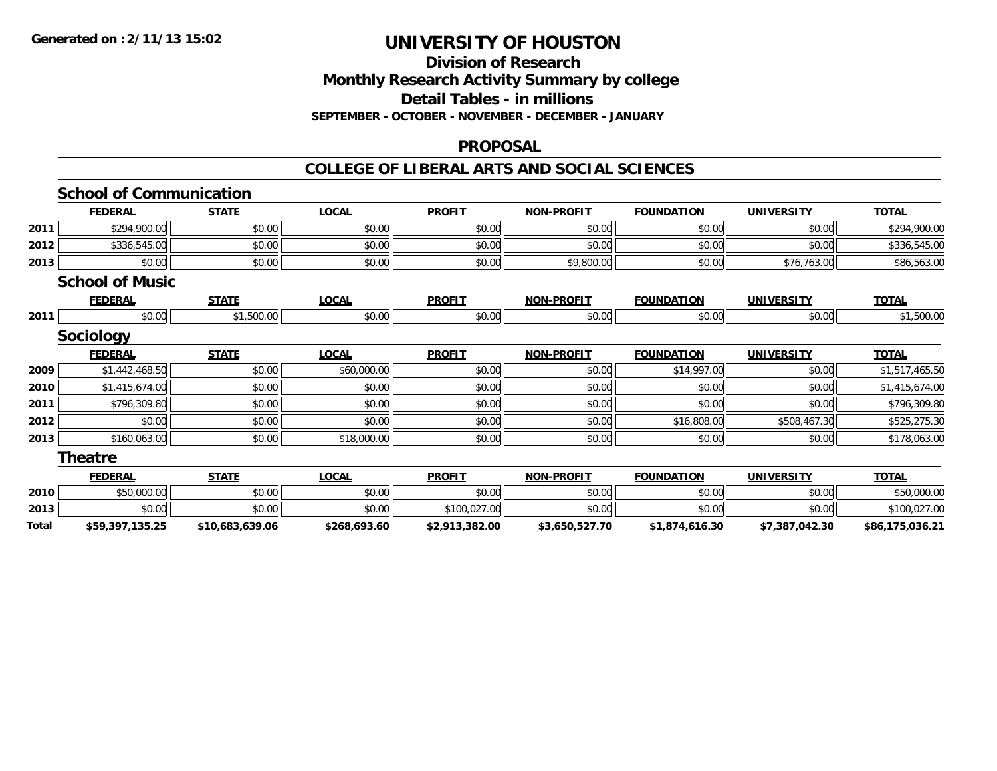### **Division of Research Monthly Research Activity Summary by college Detail Tables - in millions SEPTEMBER - OCTOBER - NOVEMBER - DECEMBER - JANUARY**

#### **PROPOSAL**

#### **COLLEGE OF LIBERAL ARTS AND SOCIAL SCIENCES**

|       | <b>School of Communication</b> |                 |              |                |                   |                   |                   |                 |
|-------|--------------------------------|-----------------|--------------|----------------|-------------------|-------------------|-------------------|-----------------|
|       | <b>FEDERAL</b>                 | <b>STATE</b>    | <b>LOCAL</b> | <b>PROFIT</b>  | <b>NON-PROFIT</b> | <b>FOUNDATION</b> | <b>UNIVERSITY</b> | <b>TOTAL</b>    |
| 2011  | \$294,900.00                   | \$0.00          | \$0.00       | \$0.00         | \$0.00            | \$0.00            | \$0.00            | \$294,900.00    |
| 2012  | \$336,545.00                   | \$0.00          | \$0.00       | \$0.00         | \$0.00            | \$0.00            | \$0.00            | \$336,545.00    |
| 2013  | \$0.00                         | \$0.00          | \$0.00       | \$0.00         | \$9,800.00        | \$0.00            | \$76,763.00       | \$86,563.00     |
|       | <b>School of Music</b>         |                 |              |                |                   |                   |                   |                 |
|       | <b>FEDERAL</b>                 | <b>STATE</b>    | <b>LOCAL</b> | <b>PROFIT</b>  | <b>NON-PROFIT</b> | <b>FOUNDATION</b> | <b>UNIVERSITY</b> | <b>TOTAL</b>    |
| 2011  | \$0.00                         | \$1,500.00      | \$0.00       | \$0.00         | \$0.00            | \$0.00            | \$0.00            | \$1,500.00      |
|       | <b>Sociology</b>               |                 |              |                |                   |                   |                   |                 |
|       | <b>FEDERAL</b>                 | <b>STATE</b>    | <b>LOCAL</b> | <b>PROFIT</b>  | <b>NON-PROFIT</b> | <b>FOUNDATION</b> | <b>UNIVERSITY</b> | <b>TOTAL</b>    |
| 2009  | \$1,442,468.50                 | \$0.00          | \$60,000.00  | \$0.00         | \$0.00            | \$14,997.00       | \$0.00            | \$1,517,465.50  |
| 2010  | \$1,415,674.00                 | \$0.00          | \$0.00       | \$0.00         | \$0.00            | \$0.00            | \$0.00            | \$1,415,674.00  |
| 2011  | \$796,309.80                   | \$0.00          | \$0.00       | \$0.00         | \$0.00            | \$0.00            | \$0.00            | \$796,309.80    |
| 2012  | \$0.00                         | \$0.00          | \$0.00       | \$0.00         | \$0.00            | \$16,808.00       | \$508,467.30      | \$525,275.30    |
| 2013  | \$160,063.00                   | \$0.00          | \$18,000.00  | \$0.00         | \$0.00            | \$0.00            | \$0.00            | \$178,063.00    |
|       | <b>Theatre</b>                 |                 |              |                |                   |                   |                   |                 |
|       | <b>FEDERAL</b>                 | <b>STATE</b>    | <b>LOCAL</b> | <b>PROFIT</b>  | <b>NON-PROFIT</b> | <b>FOUNDATION</b> | <b>UNIVERSITY</b> | <b>TOTAL</b>    |
| 2010  | \$50,000.00                    | \$0.00          | \$0.00       | \$0.00         | \$0.00            | \$0.00            | \$0.00            | \$50,000.00     |
| 2013  | \$0.00                         | \$0.00          | \$0.00       | \$100,027.00   | \$0.00            | \$0.00            | \$0.00            | \$100,027.00    |
| Total | \$59,397,135.25                | \$10,683,639.06 | \$268,693.60 | \$2,913,382.00 | \$3,650,527.70    | \$1,874,616.30    | \$7,387,042.30    | \$86,175,036.21 |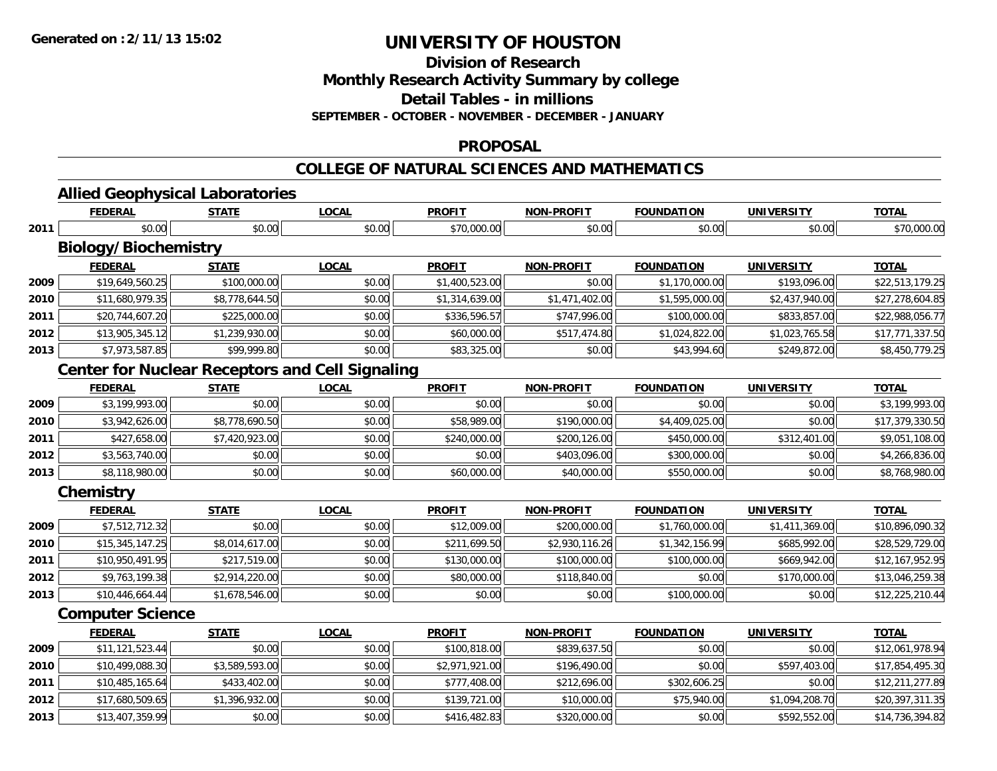**Division of Research**

**Monthly Research Activity Summary by college**

**Detail Tables - in millions**

**SEPTEMBER - OCTOBER - NOVEMBER - DECEMBER - JANUARY**

### **PROPOSAL**

### **COLLEGE OF NATURAL SCIENCES AND MATHEMATICS**

# **Allied Geophysical Laboratories**

|      | <u>FEDERAL</u>                                         | <b>STATE</b>   | <u>LOCAL</u> | <b>PROFIT</b>  | <u>NON-PROFIT</u> | <u>FOUNDATION</u> | <u>UNIVERSITY</u> | <u>TOTAL</u>    |
|------|--------------------------------------------------------|----------------|--------------|----------------|-------------------|-------------------|-------------------|-----------------|
| 2011 | \$0.00                                                 | \$0.00         | \$0.00       | \$70,000.00    | \$0.00            | \$0.00            | \$0.00            | \$70,000.00     |
|      | <b>Biology/Biochemistry</b>                            |                |              |                |                   |                   |                   |                 |
|      | <b>FEDERAL</b>                                         | <b>STATE</b>   | <b>LOCAL</b> | <b>PROFIT</b>  | <b>NON-PROFIT</b> | <b>FOUNDATION</b> | <b>UNIVERSITY</b> | <b>TOTAL</b>    |
| 2009 | \$19,649,560.25                                        | \$100,000.00   | \$0.00       | \$1,400,523.00 | \$0.00            | \$1,170,000.00    | \$193,096.00      | \$22,513,179.25 |
| 2010 | \$11,680,979.35                                        | \$8,778,644.50 | \$0.00       | \$1,314,639.00 | \$1,471,402.00    | \$1,595,000.00    | \$2,437,940.00    | \$27,278,604.85 |
| 2011 | \$20,744,607.20                                        | \$225,000.00   | \$0.00       | \$336,596.57   | \$747,996.00      | \$100,000.00      | \$833,857.00      | \$22,988,056.77 |
| 2012 | \$13,905,345.12                                        | \$1,239,930.00 | \$0.00       | \$60,000.00    | \$517,474.80      | \$1,024,822.00    | \$1,023,765.58    | \$17,771,337.50 |
| 2013 | \$7,973,587.85                                         | \$99,999.80    | \$0.00       | \$83,325.00    | \$0.00            | \$43,994.60       | \$249,872.00      | \$8,450,779.25  |
|      | <b>Center for Nuclear Receptors and Cell Signaling</b> |                |              |                |                   |                   |                   |                 |
|      | <b>FEDERAL</b>                                         | <b>STATE</b>   | <b>LOCAL</b> | <b>PROFIT</b>  | <b>NON-PROFIT</b> | <b>FOUNDATION</b> | <b>UNIVERSITY</b> | <b>TOTAL</b>    |
| 2009 | \$3,199,993.00                                         | \$0.00         | \$0.00       | \$0.00         | \$0.00            | \$0.00            | \$0.00            | \$3,199,993.00  |
| 2010 | \$3,942,626.00                                         | \$8,778,690.50 | \$0.00       | \$58,989.00    | \$190,000.00      | \$4,409,025.00    | \$0.00            | \$17,379,330.50 |
| 2011 | \$427,658.00                                           | \$7,420,923.00 | \$0.00       | \$240,000.00   | \$200,126.00      | \$450,000.00      | \$312,401.00      | \$9,051,108.00  |
| 2012 | \$3,563,740.00                                         | \$0.00         | \$0.00       | \$0.00         | \$403,096.00      | \$300,000.00      | \$0.00            | \$4,266,836.00  |
| 2013 | \$8,118,980.00                                         | \$0.00         | \$0.00       | \$60,000.00    | \$40,000.00       | \$550,000.00      | \$0.00            | \$8,768,980.00  |
|      | Chemistry                                              |                |              |                |                   |                   |                   |                 |
|      | <b>FEDERAL</b>                                         | <b>STATE</b>   | <b>LOCAL</b> | <b>PROFIT</b>  | <b>NON-PROFIT</b> | <b>FOUNDATION</b> | <b>UNIVERSITY</b> | <b>TOTAL</b>    |
| 2009 | \$7,512,712.32                                         | \$0.00         | \$0.00       | \$12,009.00    | \$200,000.00      | \$1,760,000.00    | \$1,411,369.00    | \$10,896,090.32 |
| 2010 | \$15,345,147.25                                        | \$8,014,617.00 | \$0.00       | \$211,699.50   | \$2,930,116.26    | \$1,342,156.99    | \$685,992.00      | \$28,529,729.00 |
| 2011 | \$10,950,491.95                                        | \$217,519.00   | \$0.00       | \$130,000.00   | \$100,000.00      | \$100,000.00      | \$669,942.00      | \$12,167,952.95 |
| 2012 | \$9,763,199.38                                         | \$2,914,220.00 | \$0.00       | \$80,000.00    | \$118,840.00      | \$0.00            | \$170,000.00      | \$13,046,259.38 |
| 2013 | \$10,446,664.44                                        | \$1,678,546.00 | \$0.00       | \$0.00         | \$0.00            | \$100,000.00      | \$0.00            | \$12,225,210.44 |
|      | <b>Computer Science</b>                                |                |              |                |                   |                   |                   |                 |
|      | <b>FEDERAL</b>                                         | <b>STATE</b>   | <b>LOCAL</b> | <b>PROFIT</b>  | <b>NON-PROFIT</b> | <b>FOUNDATION</b> | <b>UNIVERSITY</b> | <b>TOTAL</b>    |
| 2009 | \$11,121,523.44                                        | \$0.00         | \$0.00       | \$100,818.00   | \$839,637.50      | \$0.00            | \$0.00            | \$12,061,978.94 |
| 2010 | \$10,499,088.30                                        | \$3,589,593.00 | \$0.00       | \$2,971,921.00 | \$196,490.00      | \$0.00            | \$597,403.00      | \$17,854,495.30 |
| 2011 | \$10,485,165.64                                        | \$433,402.00   | \$0.00       | \$777,408.00   | \$212,696.00      | \$302,606.25      | \$0.00            | \$12,211,277.89 |
| 2012 | \$17,680,509.65                                        | \$1,396,932.00 | \$0.00       | \$139,721.00   | \$10,000.00       | \$75,940.00       | \$1,094,208.70    | \$20,397,311.35 |
| 2013 | \$13,407,359.99                                        | \$0.00         | \$0.00       | \$416,482.83   | \$320,000.00      | \$0.00            | \$592,552.00      | \$14,736,394.82 |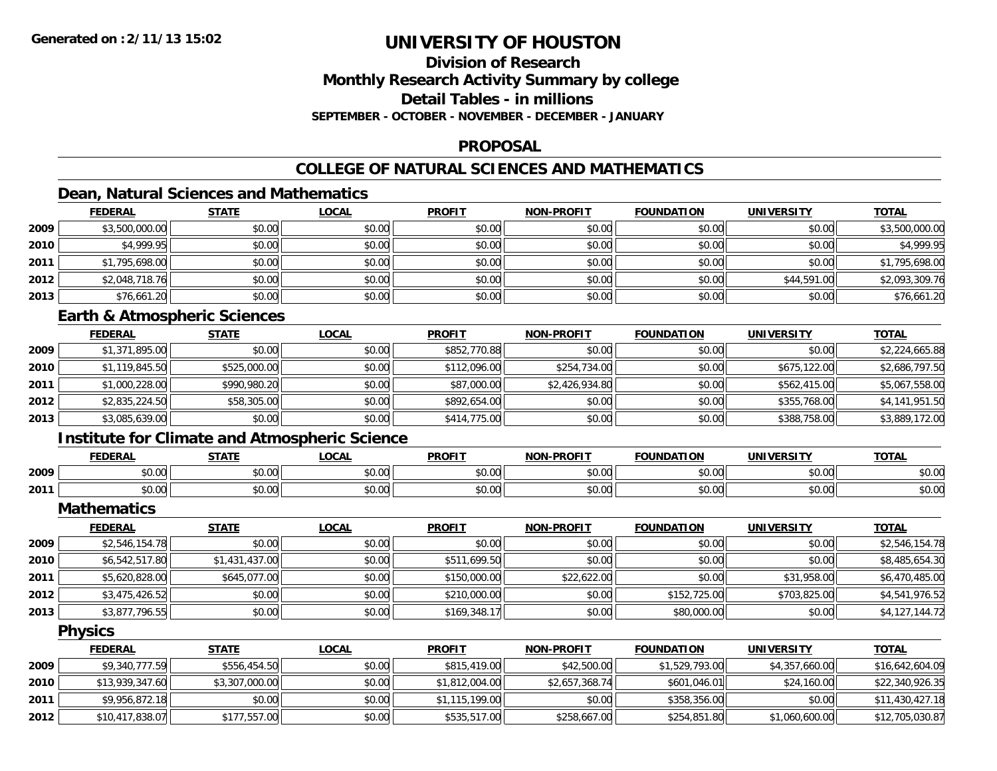# **Division of ResearchMonthly Research Activity Summary by college Detail Tables - in millionsSEPTEMBER - OCTOBER - NOVEMBER - DECEMBER - JANUARY**

### **PROPOSAL**

# **COLLEGE OF NATURAL SCIENCES AND MATHEMATICS**

# **Dean, Natural Sciences and Mathematics**

|      | <b>FEDERAL</b> | <b>STATE</b> | <u>LOCAL</u> | <b>PROFIT</b> | <b>NON-PROFIT</b> | <b>FOUNDATION</b> | <b>UNIVERSITY</b> | <b>TOTAL</b>   |
|------|----------------|--------------|--------------|---------------|-------------------|-------------------|-------------------|----------------|
| 2009 | \$3,500,000.00 | \$0.00       | \$0.00       | \$0.00        | \$0.00            | \$0.00            | \$0.00            | \$3,500,000.00 |
| 2010 | \$4,999.95     | \$0.00       | \$0.00       | \$0.00        | \$0.00            | \$0.00            | \$0.00            | \$4,999.95     |
| 2011 | \$1,795,698.00 | \$0.00       | \$0.00       | \$0.00        | \$0.00            | \$0.00            | \$0.00            | \$1,795,698.00 |
| 2012 | \$2,048,718.76 | \$0.00       | \$0.00       | \$0.00        | \$0.00            | \$0.00            | \$44,591.00       | \$2,093,309.76 |
| 2013 | \$76,661.20    | \$0.00       | \$0.00       | \$0.00        | \$0.00            | \$0.00            | \$0.00            | \$76,661.20    |

# **Earth & Atmospheric Sciences**

|      | <b>FEDERAL</b> | <b>STATE</b> | <u>LOCAL</u> | <b>PROFIT</b> | <b>NON-PROFIT</b> | <b>FOUNDATION</b> | <b>UNIVERSITY</b> | <b>TOTAL</b>   |
|------|----------------|--------------|--------------|---------------|-------------------|-------------------|-------------------|----------------|
| 2009 | \$1,371,895.00 | \$0.00       | \$0.00       | \$852,770.88  | \$0.00            | \$0.00            | \$0.00            | \$2,224,665.88 |
| 2010 | \$1,119,845.50 | \$525,000.00 | \$0.00       | \$112,096.00  | \$254,734.00      | \$0.00            | \$675,122.00      | \$2,686,797.50 |
| 2011 | \$1,000,228.00 | \$990,980.20 | \$0.00       | \$87,000.00   | \$2,426,934.80    | \$0.00            | \$562,415.00      | \$5,067,558.00 |
| 2012 | \$2,835,224.50 | \$58,305.00  | \$0.00       | \$892,654.00  | \$0.00            | \$0.00            | \$355,768.00      | \$4,141,951.50 |
| 2013 | \$3,085,639.00 | \$0.00       | \$0.00       | \$414,775.00  | \$0.00            | \$0.00            | \$388,758.00      | \$3,889,172.00 |

# **Institute for Climate and Atmospheric Science**

|      | <b>FEDERAL</b> | <b>CTATE</b>         | .OCAI              | <b>PROFIT</b>                  | <b>-PROFIT</b><br><b>AIOR</b>                                                                                                                                                                                                                                                                                                                                                                                                                                        | лом<br>המוווחה:                          | UNIVERSITY     | <b>TOTAL</b> |
|------|----------------|----------------------|--------------------|--------------------------------|----------------------------------------------------------------------------------------------------------------------------------------------------------------------------------------------------------------------------------------------------------------------------------------------------------------------------------------------------------------------------------------------------------------------------------------------------------------------|------------------------------------------|----------------|--------------|
| 2009 | 0000<br>90.UU  | ሖ へ<br>וטט.          | $\sim$ 00<br>JU.UU | $\rightarrow$<br>∩∩ ،<br>JU.UU | $\mathsf{A}\cap\mathsf{A}\cap\mathsf{A}\cap\mathsf{A}\cap\mathsf{A}\cap\mathsf{A}\cap\mathsf{A}\cap\mathsf{A}\cap\mathsf{A}\cap\mathsf{A}\cap\mathsf{A}\cap\mathsf{A}\cap\mathsf{A}\cap\mathsf{A}\cap\mathsf{A}\cap\mathsf{A}\cap\mathsf{A}\cap\mathsf{A}\cap\mathsf{A}\cap\mathsf{A}\cap\mathsf{A}\cap\mathsf{A}\cap\mathsf{A}\cap\mathsf{A}\cap\mathsf{A}\cap\mathsf{A}\cap\mathsf{A}\cap\mathsf{A}\cap\mathsf{A}\cap\mathsf{A}\cap\mathsf{A}\cap\mathsf$<br>JU.UL | \$0.00                                   | 0000<br>JU.UU  | \$0.00       |
| 2011 | 0000<br>pv.uu  | $\sim$ $\sim$<br>υU. | 0000<br>vu.vu      | 40.00<br>v.vu                  | 0 <sup>n</sup><br>\$U.UC                                                                                                                                                                                                                                                                                                                                                                                                                                             | $\uparrow$ $\uparrow$ $\uparrow$<br>∪.∪∪ | 0000<br>⊸∪.∪∪⊪ | \$0.00       |

**Mathematics**

|      | <b>FEDERAL</b> | <b>STATE</b>   | <u>LOCAL</u> | <b>PROFIT</b> | <b>NON-PROFIT</b> | <b>FOUNDATION</b> | <b>UNIVERSITY</b> | <b>TOTAL</b>   |
|------|----------------|----------------|--------------|---------------|-------------------|-------------------|-------------------|----------------|
| 2009 | \$2,546,154.78 | \$0.00         | \$0.00       | \$0.00        | \$0.00            | \$0.00            | \$0.00            | \$2,546,154.78 |
| 2010 | \$6,542,517.80 | \$1,431,437.00 | \$0.00       | \$511,699.50  | \$0.00            | \$0.00            | \$0.00            | \$8,485,654.30 |
| 2011 | \$5,620,828.00 | \$645,077.00   | \$0.00       | \$150,000.00  | \$22,622.00       | \$0.00            | \$31,958.00       | \$6,470,485.00 |
| 2012 | \$3,475,426.52 | \$0.00         | \$0.00       | \$210,000.00  | \$0.00            | \$152,725.00      | \$703,825.00      | \$4,541,976.52 |
| 2013 | \$3,877,796.55 | \$0.00         | \$0.00       | \$169,348.17  | \$0.00            | \$80,000.00       | \$0.00            | \$4,127,144.72 |

**Physics**

|      | <b>FEDERAL</b>  | <u>STATE</u>   | <u>LOCAL</u> | <b>PROFIT</b>  | <b>NON-PROFIT</b> | <b>FOUNDATION</b> | UNIVERSITY     | <u>TOTAL</u>    |
|------|-----------------|----------------|--------------|----------------|-------------------|-------------------|----------------|-----------------|
| 2009 | \$9,340,777.59  | \$556,454.50   | \$0.00       | \$815,419.00   | \$42,500.00       | \$1,529,793.00    | \$4,357,660.00 | \$16,642,604.09 |
| 2010 | \$13,939,347.60 | \$3,307,000.00 | \$0.00       | \$1,812,004.00 | \$2,657,368.74    | \$601,046.01      | \$24,160.00    | \$22,340,926.35 |
| 2011 | \$9,956,872.18  | \$0.00         | \$0.00       | \$1,115,199.00 | \$0.00            | \$358,356.00      | \$0.00         | \$11,430,427.18 |
| 2012 | \$10,417,838.07 | \$177,557.00   | \$0.00       | \$535,517,00   | \$258,667.00      | \$254,851.80      | \$1,060,600.00 | \$12,705,030.87 |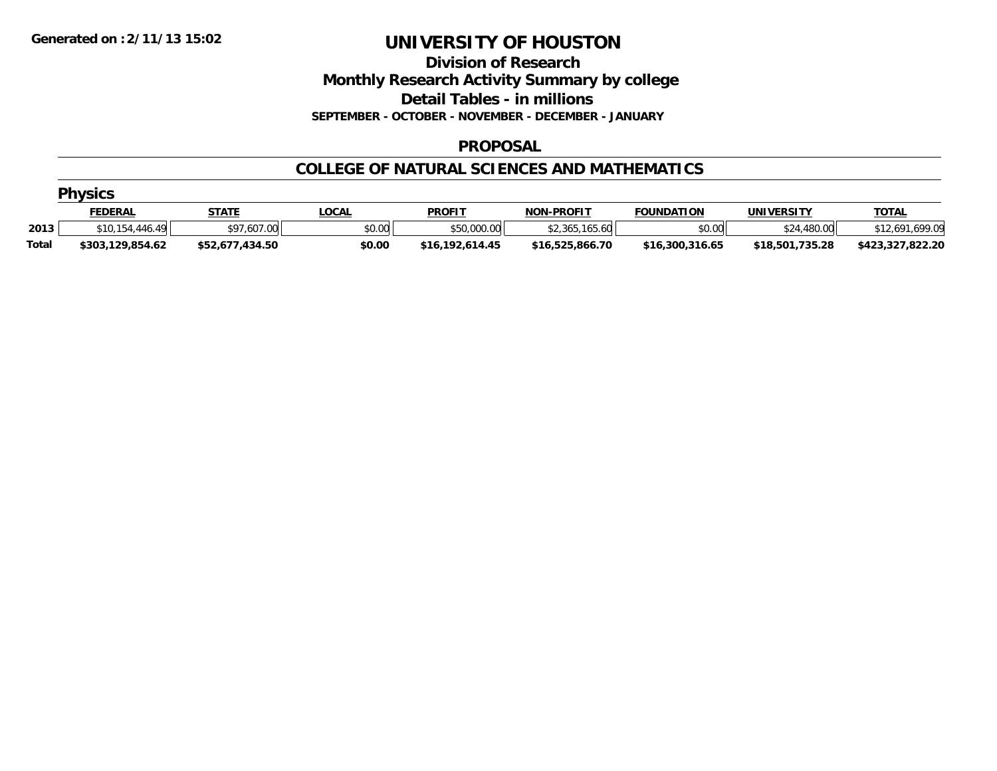### **Division of Research Monthly Research Activity Summary by college Detail Tables - in millions SEPTEMBER - OCTOBER - NOVEMBER - DECEMBER - JANUARY**

### **PROPOSAL**

### **COLLEGE OF NATURAL SCIENCES AND MATHEMATICS**

|              | <b>Physics</b>   |                 |              |                 |                   |                   |                 |                  |  |  |  |
|--------------|------------------|-----------------|--------------|-----------------|-------------------|-------------------|-----------------|------------------|--|--|--|
|              | <b>FEDERAL</b>   | <b>STATE</b>    | <u>_OCAL</u> | <b>PROFIT</b>   | <b>NON-PROFIT</b> | <b>FOUNDATION</b> | UNIVERSITY      | <b>TOTAL</b>     |  |  |  |
| 2013         | \$10.154.446.49  | \$97,607.00     | \$0.00       | \$50,000.00     | \$2,365,165.60    | \$0.00            | \$24,480.00     | \$12,691,699.09  |  |  |  |
| <b>Total</b> | \$303,129,854.62 | \$52,677,434.50 | \$0.00       | \$16,192,614.45 | \$16,525,866.70   | \$16,300,316.65   | \$18,501,735.28 | \$423,327,822.20 |  |  |  |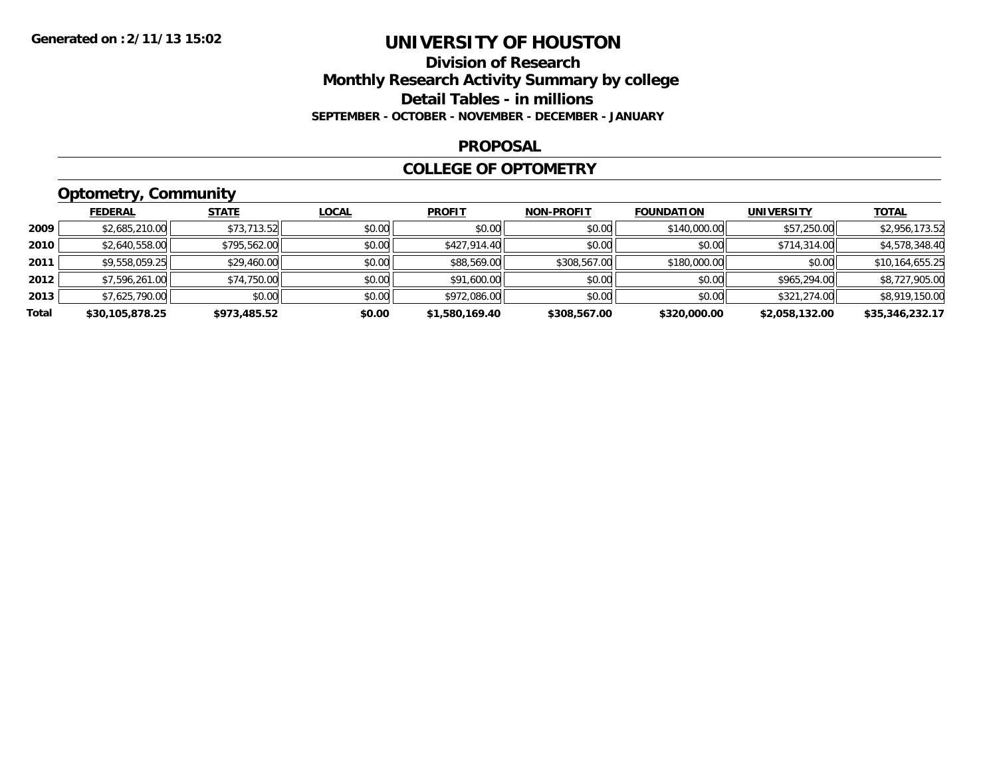### **Division of Research Monthly Research Activity Summary by college Detail Tables - in millions SEPTEMBER - OCTOBER - NOVEMBER - DECEMBER - JANUARY**

#### **PROPOSAL**

### **COLLEGE OF OPTOMETRY**

# **Optometry, Community**

|       | <b>FEDERAL</b>  | <b>STATE</b> | <b>LOCAL</b> | <b>PROFIT</b>  | <b>NON-PROFIT</b> | <b>FOUNDATION</b> | <b>UNIVERSITY</b> | <b>TOTAL</b>    |
|-------|-----------------|--------------|--------------|----------------|-------------------|-------------------|-------------------|-----------------|
| 2009  | \$2,685,210.00  | \$73,713.52  | \$0.00       | \$0.00         | \$0.00            | \$140,000.00      | \$57,250.00       | \$2,956,173.52  |
| 2010  | \$2,640,558.00  | \$795,562.00 | \$0.00       | \$427,914.40   | \$0.00            | \$0.00            | \$714,314.00      | \$4,578,348.40  |
| 2011  | \$9,558,059.25  | \$29,460.00  | \$0.00       | \$88,569.00    | \$308,567.00      | \$180,000.00      | \$0.00            | \$10,164,655.25 |
| 2012  | \$7,596,261.00  | \$74,750.00  | \$0.00       | \$91,600.00    | \$0.00            | \$0.00            | \$965,294.00      | \$8,727,905.00  |
| 2013  | \$7,625,790.00  | \$0.00       | \$0.00       | \$972,086.00   | \$0.00            | \$0.00            | \$321,274.00      | \$8,919,150.00  |
| Total | \$30,105,878.25 | \$973,485.52 | \$0.00       | \$1,580,169.40 | \$308,567.00      | \$320,000.00      | \$2,058,132.00    | \$35,346,232.17 |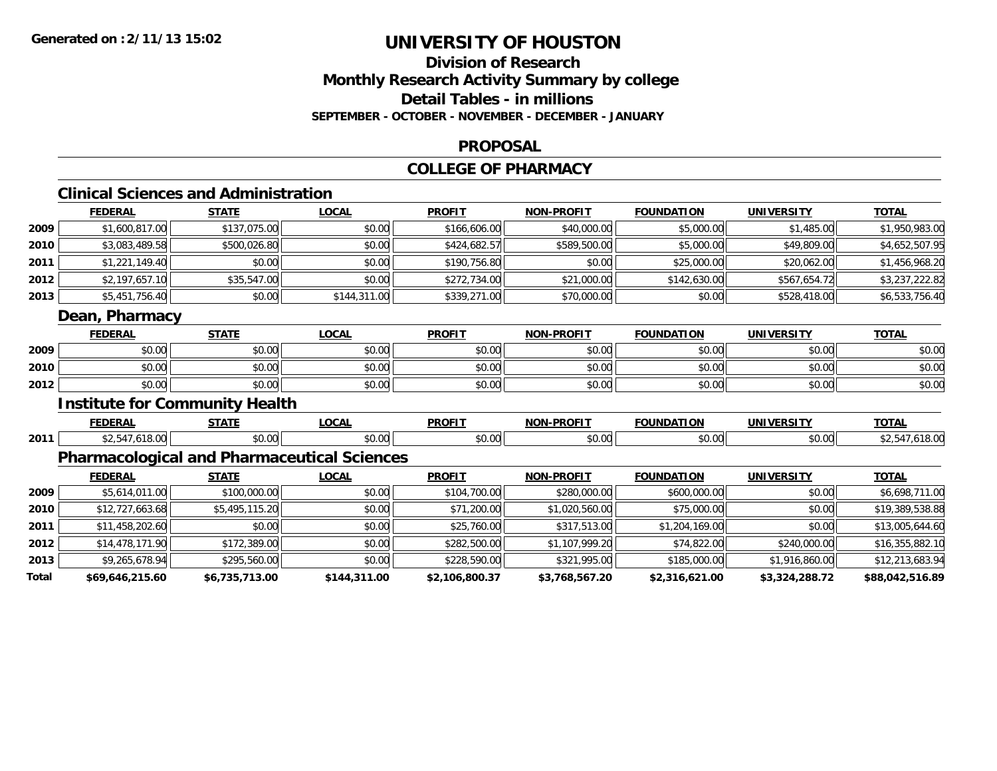# **Division of ResearchMonthly Research Activity Summary by college Detail Tables - in millions SEPTEMBER - OCTOBER - NOVEMBER - DECEMBER - JANUARY**

#### **PROPOSAL**

# **COLLEGE OF PHARMACY**

# **Clinical Sciences and Administration**

|              | <b>FEDERAL</b>  | <b>STATE</b>                                       | <b>LOCAL</b> | <b>PROFIT</b>  | <b>NON-PROFIT</b> | <b>FOUNDATION</b> | <b>UNIVERSITY</b> | <b>TOTAL</b>    |
|--------------|-----------------|----------------------------------------------------|--------------|----------------|-------------------|-------------------|-------------------|-----------------|
| 2009         | \$1,600,817.00  | \$137,075.00                                       | \$0.00       | \$166,606.00   | \$40,000.00       | \$5,000.00        | \$1,485.00        | \$1,950,983.00  |
| 2010         | \$3,083,489.58  | \$500,026.80                                       | \$0.00       | \$424,682.57   | \$589,500.00      | \$5,000.00        | \$49,809.00       | \$4,652,507.95  |
| 2011         | \$1,221,149.40  | \$0.00                                             | \$0.00       | \$190,756.80   | \$0.00            | \$25,000.00       | \$20,062.00       | \$1,456,968.20  |
| 2012         | \$2,197,657.10  | \$35,547.00                                        | \$0.00       | \$272,734.00   | \$21,000.00       | \$142,630.00      | \$567,654.72      | \$3,237,222.82  |
| 2013         | \$5,451,756.40  | \$0.00                                             | \$144,311.00 | \$339,271.00   | \$70,000.00       | \$0.00            | \$528,418.00      | \$6,533,756.40  |
|              | Dean, Pharmacy  |                                                    |              |                |                   |                   |                   |                 |
|              | <b>FEDERAL</b>  | <b>STATE</b>                                       | <b>LOCAL</b> | <b>PROFIT</b>  | <b>NON-PROFIT</b> | <b>FOUNDATION</b> | <b>UNIVERSITY</b> | <b>TOTAL</b>    |
| 2009         | \$0.00          | \$0.00                                             | \$0.00       | \$0.00         | \$0.00            | \$0.00            | \$0.00            | \$0.00          |
| 2010         | \$0.00          | \$0.00                                             | \$0.00       | \$0.00         | \$0.00            | \$0.00            | \$0.00            | \$0.00          |
| 2012         | \$0.00          | \$0.00                                             | \$0.00       | \$0.00         | \$0.00            | \$0.00            | \$0.00            | \$0.00          |
|              |                 | <b>Institute for Community Health</b>              |              |                |                   |                   |                   |                 |
|              | <b>FEDERAL</b>  | <b>STATE</b>                                       | <b>LOCAL</b> | <b>PROFIT</b>  | <b>NON-PROFIT</b> | <b>FOUNDATION</b> | <b>UNIVERSITY</b> | <b>TOTAL</b>    |
| 2011         | \$2,547,618.00  | \$0.00                                             | \$0.00       | \$0.00         | \$0.00            | \$0.00            | \$0.00            | \$2,547,618.00  |
|              |                 | <b>Pharmacological and Pharmaceutical Sciences</b> |              |                |                   |                   |                   |                 |
|              | <b>FEDERAL</b>  | <b>STATE</b>                                       | <b>LOCAL</b> | <b>PROFIT</b>  | <b>NON-PROFIT</b> | <b>FOUNDATION</b> | <b>UNIVERSITY</b> | <b>TOTAL</b>    |
| 2009         | \$5,614,011.00  | \$100,000.00                                       | \$0.00       | \$104,700.00   | \$280,000.00      | \$600,000.00      | \$0.00            | \$6,698,711.00  |
| 2010         | \$12,727,663.68 | \$5,495,115.20                                     | \$0.00       | \$71,200.00    | \$1,020,560.00    | \$75,000.00       | \$0.00            | \$19,389,538.88 |
| 2011         | \$11,458,202.60 | \$0.00                                             | \$0.00       | \$25,760.00    | \$317,513.00      | \$1,204,169.00    | \$0.00            | \$13,005,644.60 |
| 2012         | \$14,478,171.90 | \$172,389.00                                       | \$0.00       | \$282,500.00   | \$1,107,999.20    | \$74,822.00       | \$240,000.00      | \$16,355,882.10 |
| 2013         | \$9,265,678.94  | \$295,560.00                                       | \$0.00       | \$228,590.00   | \$321,995.00      | \$185,000.00      | \$1,916,860.00    | \$12,213,683.94 |
| <b>Total</b> | \$69,646,215.60 | \$6,735,713.00                                     | \$144,311.00 | \$2,106,800.37 | \$3,768,567.20    | \$2,316,621.00    | \$3,324,288.72    | \$88,042,516.89 |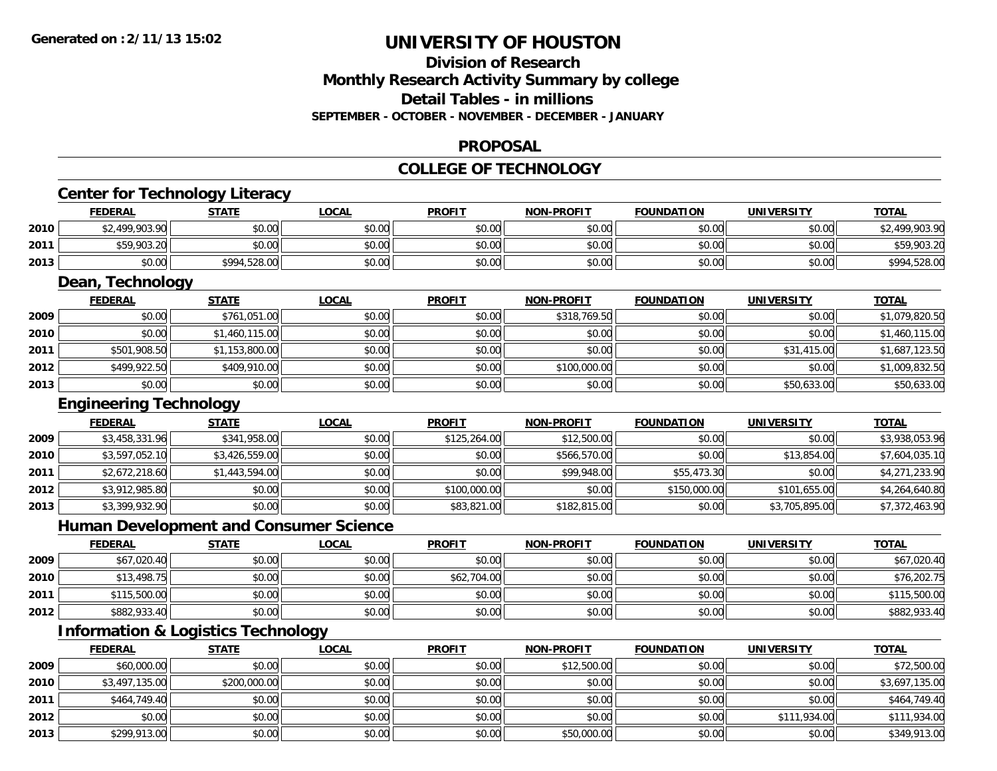**2011**

**2012**

**2013**

# **UNIVERSITY OF HOUSTON**

# **Division of ResearchMonthly Research Activity Summary by college Detail Tables - in millions SEPTEMBER - OCTOBER - NOVEMBER - DECEMBER - JANUARY**

#### **PROPOSAL**

#### **COLLEGE OF TECHNOLOGY**

|      | <b>Center for Technology Literacy</b>         |                |                                               |               |                   |                   |                   |                |
|------|-----------------------------------------------|----------------|-----------------------------------------------|---------------|-------------------|-------------------|-------------------|----------------|
|      | <b>FEDERAL</b>                                | <b>STATE</b>   | <b>LOCAL</b>                                  | <b>PROFIT</b> | <b>NON-PROFIT</b> | <b>FOUNDATION</b> | <b>UNIVERSITY</b> | <b>TOTAL</b>   |
| 2010 | \$2,499,903.90                                | \$0.00         | \$0.00                                        | \$0.00        | \$0.00            | \$0.00            | \$0.00            | \$2,499,903.90 |
| 2011 | \$59,903.20                                   | \$0.00         | \$0.00                                        | \$0.00        | \$0.00            | \$0.00            | \$0.00            | \$59,903.20    |
| 2013 | \$0.00                                        | \$994,528.00   | \$0.00                                        | \$0.00        | \$0.00            | \$0.00            | \$0.00            | \$994,528.00   |
|      | Dean, Technology                              |                |                                               |               |                   |                   |                   |                |
|      | <b>FEDERAL</b>                                | <b>STATE</b>   | <b>LOCAL</b>                                  | <b>PROFIT</b> | <b>NON-PROFIT</b> | <b>FOUNDATION</b> | <b>UNIVERSITY</b> | <b>TOTAL</b>   |
| 2009 | \$0.00                                        | \$761,051.00   | \$0.00                                        | \$0.00        | \$318,769.50      | \$0.00            | \$0.00            | \$1,079,820.50 |
| 2010 | \$0.00                                        | \$1,460,115.00 | \$0.00                                        | \$0.00        | \$0.00            | \$0.00            | \$0.00            | \$1,460,115.00 |
| 2011 | \$501,908.50                                  | \$1,153,800.00 | \$0.00                                        | \$0.00        | \$0.00            | \$0.00            | \$31,415.00       | \$1,687,123.50 |
| 2012 | \$499,922.50                                  | \$409,910.00   | \$0.00                                        | \$0.00        | \$100,000.00      | \$0.00            | \$0.00            | \$1,009,832.50 |
| 2013 | \$0.00                                        | \$0.00         | \$0.00                                        | \$0.00        | \$0.00            | \$0.00            | \$50,633.00       | \$50,633.00    |
|      | <b>Engineering Technology</b>                 |                |                                               |               |                   |                   |                   |                |
|      | <b>FEDERAL</b>                                | <b>STATE</b>   | <b>LOCAL</b>                                  | <b>PROFIT</b> | <b>NON-PROFIT</b> | <b>FOUNDATION</b> | <b>UNIVERSITY</b> | <b>TOTAL</b>   |
| 2009 | \$3,458,331.96                                | \$341,958.00   | \$0.00                                        | \$125,264.00  | \$12,500.00       | \$0.00            | \$0.00            | \$3,938,053.96 |
| 2010 | \$3,597,052.10                                | \$3,426,559.00 | \$0.00                                        | \$0.00        | \$566,570.00      | \$0.00            | \$13,854.00       | \$7,604,035.10 |
| 2011 | \$2,672,218.60                                | \$1,443,594.00 | \$0.00                                        | \$0.00        | \$99,948.00       | \$55,473.30       | \$0.00            | \$4,271,233.90 |
| 2012 | \$3,912,985.80                                | \$0.00         | \$0.00                                        | \$100,000.00  | \$0.00            | \$150,000.00      | \$101,655.00      | \$4,264,640.80 |
| 2013 | \$3,399,932.90                                | \$0.00         | \$0.00                                        | \$83,821.00   | \$182,815.00      | \$0.00            | \$3,705,895.00    | \$7,372,463.90 |
|      |                                               |                | <b>Human Development and Consumer Science</b> |               |                   |                   |                   |                |
|      | <b>FEDERAL</b>                                | <b>STATE</b>   | <b>LOCAL</b>                                  | <b>PROFIT</b> | <b>NON-PROFIT</b> | <b>FOUNDATION</b> | <b>UNIVERSITY</b> | <b>TOTAL</b>   |
| 2009 | \$67,020.40                                   | \$0.00         | \$0.00                                        | \$0.00        | \$0.00            | \$0.00            | \$0.00            | \$67,020.40    |
| 2010 | \$13,498.75                                   | \$0.00         | \$0.00                                        | \$62,704.00   | \$0.00            | \$0.00            | \$0.00            | \$76,202.75    |
| 2011 | \$115,500.00                                  | \$0.00         | \$0.00                                        | \$0.00        | \$0.00            | \$0.00            | \$0.00            | \$115,500.00   |
| 2012 | \$882,933.40                                  | \$0.00         | \$0.00                                        | \$0.00        | \$0.00            | \$0.00            | \$0.00            | \$882,933.40   |
|      | <b>Information &amp; Logistics Technology</b> |                |                                               |               |                   |                   |                   |                |
|      | <b>FEDERAL</b>                                | <b>STATE</b>   | <b>LOCAL</b>                                  | <b>PROFIT</b> | <b>NON-PROFIT</b> | <b>FOUNDATION</b> | <b>UNIVERSITY</b> | <b>TOTAL</b>   |
| 2009 | \$60,000.00                                   | \$0.00         | \$0.00                                        | \$0.00        | \$12,500.00       | \$0.00            | \$0.00            | \$72,500.00    |
| 2010 | \$3,497,135.00                                | \$200,000.00   | \$0.00                                        | \$0.00        | \$0.00            | \$0.00            | \$0.00            | \$3,697,135.00 |

\$464,749.40 \$0.00 \$0.00 \$0.00 \$0.00 \$0.00 \$0.00 \$464,749.40

\$0.00 \$0.00 \$0.00 \$0.00 \$0.00 \$0.00 \$111,934.00 \$111,934.00

\$299,913.00 \$0.00 \$0.00 \$0.00 \$50,000.00 \$0.00 \$0.00 \$349,913.00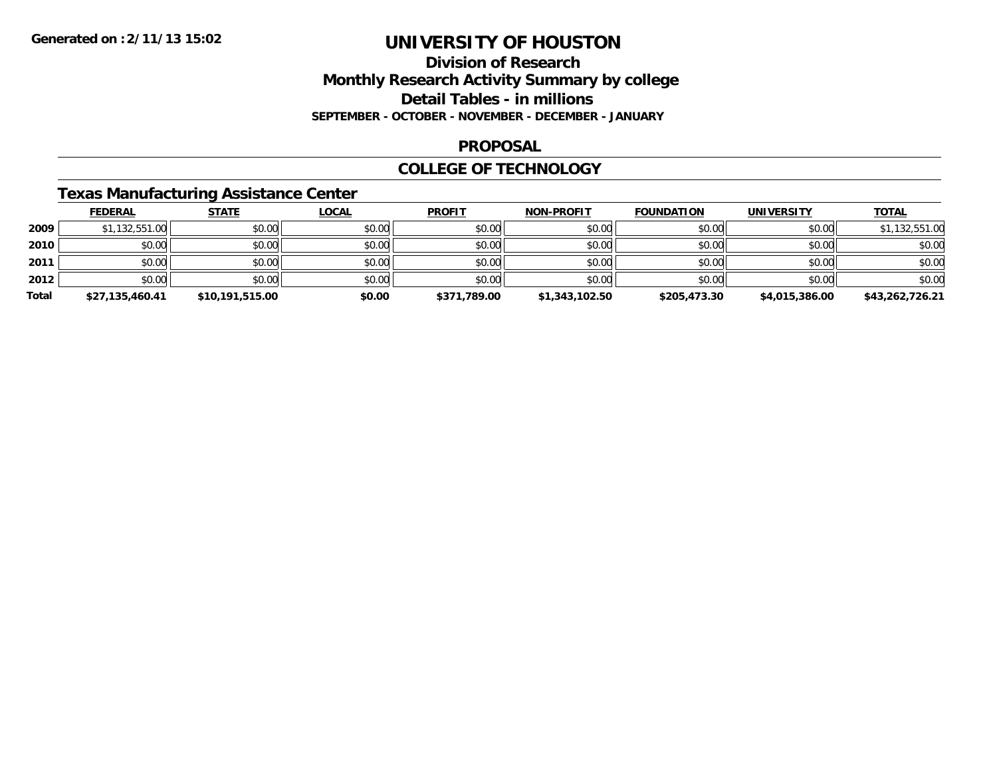### **Division of Research Monthly Research Activity Summary by college Detail Tables - in millions SEPTEMBER - OCTOBER - NOVEMBER - DECEMBER - JANUARY**

### **PROPOSAL**

### **COLLEGE OF TECHNOLOGY**

# **Texas Manufacturing Assistance Center**

|       | <b>FEDERAL</b>  | <b>STATE</b>    | <u>LOCAL</u> | <b>PROFIT</b> | <b>NON-PROFIT</b> | <b>FOUNDATION</b> | UNIVERSITY     | <u>TOTAL</u>    |
|-------|-----------------|-----------------|--------------|---------------|-------------------|-------------------|----------------|-----------------|
| 2009  | \$1,132,551.00  | \$0.00          | \$0.00       | \$0.00        | \$0.00            | \$0.00            | \$0.00         | \$1,132,551.00  |
| 2010  | \$0.00          | \$0.00          | \$0.00       | \$0.00        | \$0.00            | \$0.00            | \$0.00         | \$0.00          |
| 2011  | \$0.00          | \$0.00          | \$0.00       | \$0.00        | \$0.00            | \$0.00            | \$0.00         | \$0.00          |
| 2012  | \$0.00          | \$0.00          | \$0.00       | \$0.00        | \$0.00            | \$0.00            | \$0.00         | \$0.00          |
| Total | \$27,135,460.41 | \$10,191,515.00 | \$0.00       | \$371,789.00  | \$1,343,102.50    | \$205,473.30      | \$4,015,386.00 | \$43,262,726.21 |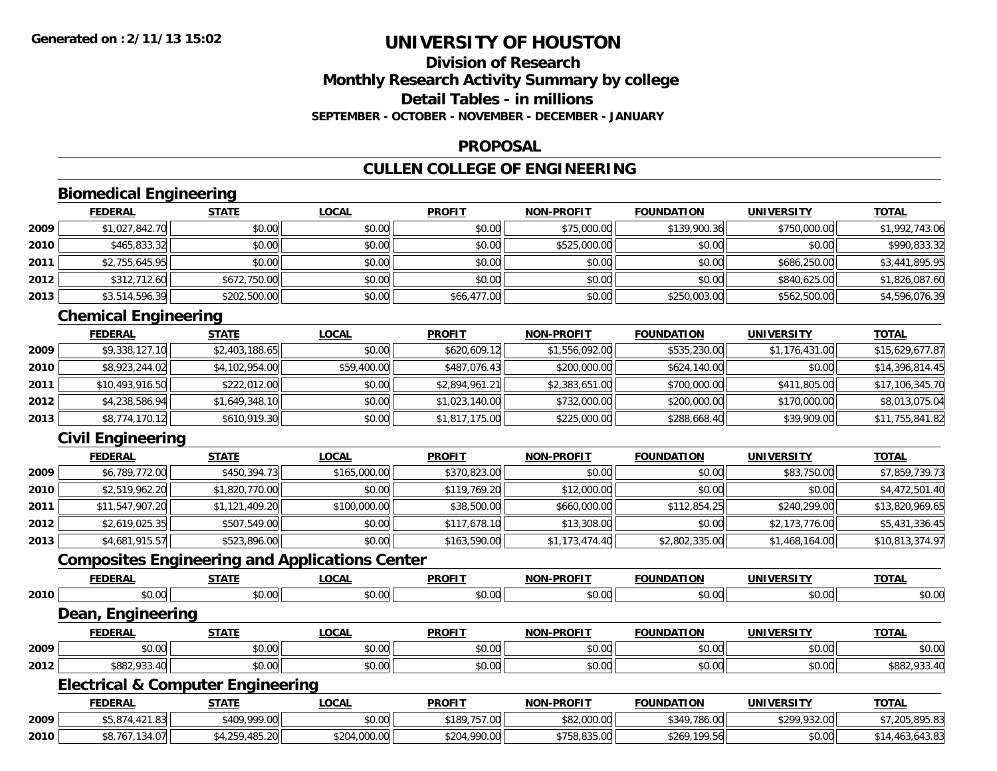# **Division of ResearchMonthly Research Activity Summary by college Detail Tables - in millionsSEPTEMBER - OCTOBER - NOVEMBER - DECEMBER - JANUARY**

### **PROPOSAL**

# **CULLEN COLLEGE OF ENGINEERING**

# **Biomedical Engineering**

|      | <b>FEDERAL</b> | <b>STATE</b> | <u>LOCAL</u> | <b>PROFIT</b> | <b>NON-PROFIT</b> | <b>FOUNDATION</b> | <b>UNIVERSITY</b> | <b>TOTAL</b>   |
|------|----------------|--------------|--------------|---------------|-------------------|-------------------|-------------------|----------------|
| 2009 | \$1,027,842.70 | \$0.00       | \$0.00       | \$0.00        | \$75,000.00       | \$139,900.36      | \$750,000.00      | \$1,992,743.06 |
| 2010 | \$465,833.32   | \$0.00       | \$0.00       | \$0.00        | \$525,000.00      | \$0.00            | \$0.00            | \$990,833.32   |
| 2011 | \$2,755,645.95 | \$0.00       | \$0.00       | \$0.00        | \$0.00            | \$0.00            | \$686,250.00      | \$3,441,895.95 |
| 2012 | \$312,712.60   | \$672,750.00 | \$0.00       | \$0.00        | \$0.00            | \$0.00            | \$840,625.00      | \$1,826,087.60 |
| 2013 | \$3,514,596.39 | \$202,500.00 | \$0.00       | \$66,477.00   | \$0.00            | \$250,003.00      | \$562,500.00      | \$4,596,076.39 |

#### **Chemical Engineering**

|      | <b>FEDERAL</b>  | <b>STATE</b>   | <b>LOCAL</b> | <b>PROFIT</b>  | <b>NON-PROFIT</b> | <b>FOUNDATION</b> | UNIVERSITY     | <b>TOTAL</b>    |
|------|-----------------|----------------|--------------|----------------|-------------------|-------------------|----------------|-----------------|
| 2009 | \$9,338,127.10  | \$2,403,188.65 | \$0.00       | \$620,609.12   | \$1,556,092.00    | \$535,230.00      | \$1,176,431.00 | \$15,629,677.87 |
| 2010 | \$8,923,244.02  | \$4,102,954.00 | \$59,400.00  | \$487,076.43   | \$200,000.00      | \$624,140.00      | \$0.00         | \$14,396,814.45 |
| 2011 | \$10,493,916.50 | \$222,012.00   | \$0.00       | \$2,894,961.21 | \$2,383,651.00    | \$700,000.00      | \$411,805,00   | \$17,106,345.70 |
| 2012 | \$4,238,586.94  | \$1,649,348.10 | \$0.00       | \$1,023,140.00 | \$732,000.00      | \$200,000.00      | \$170,000.00   | \$8,013,075.04  |
| 2013 | \$8,774,170.12  | \$610,919.30   | \$0.00       | \$1,817,175.00 | \$225,000.00      | \$288,668.40      | \$39,909.00    | \$11,755,841.82 |

# **Civil Engineering**

|      | <b>FEDERAL</b>  | <u>STATE</u>   | <u>LOCAL</u> | <b>PROFIT</b> | <b>NON-PROFIT</b> | <b>FOUNDATION</b> | <b>UNIVERSITY</b> | <b>TOTAL</b>    |
|------|-----------------|----------------|--------------|---------------|-------------------|-------------------|-------------------|-----------------|
| 2009 | \$6,789,772.00  | \$450,394.73   | \$165,000.00 | \$370,823.00  | \$0.00            | \$0.00            | \$83,750.00       | \$7,859,739.73  |
| 2010 | \$2,519,962.20  | \$1,820,770.00 | \$0.00       | \$119,769.20  | \$12,000.00       | \$0.00            | \$0.00            | \$4,472,501.40  |
| 2011 | \$11,547,907.20 | \$1,121,409.20 | \$100,000.00 | \$38,500.00   | \$660,000.00      | \$112,854.25      | \$240,299.00      | \$13,820,969.65 |
| 2012 | \$2.619.025.35  | \$507,549.00   | \$0.00       | \$117,678.10  | \$13,308.00       | \$0.00            | \$2,173,776.00    | \$5,431,336.45  |
| 2013 | \$4,681,915.57  | \$523,896.00   | \$0.00       | \$163,590.00  | \$1,173,474.40    | \$2,802,335.00    | \$1,468,164.00    | \$10,813,374.97 |

# **Composites Engineering and Applications Center**

|      | <b>FEDERAL</b>                               | <b>STATE</b>   | <b>LOCAL</b> | <b>PROFIT</b> | <b>NON-PROFIT</b> | <b>FOUNDATION</b> | <b>UNIVERSITY</b> | <b>TOTAL</b>    |
|------|----------------------------------------------|----------------|--------------|---------------|-------------------|-------------------|-------------------|-----------------|
| 2010 | \$0.00                                       | \$0.00         | \$0.00       | \$0.00        | \$0.00            | \$0.00            | \$0.00            | \$0.00          |
|      | Dean, Engineering                            |                |              |               |                   |                   |                   |                 |
|      | <b>FEDERAL</b>                               | <b>STATE</b>   | <b>LOCAL</b> | <b>PROFIT</b> | <b>NON-PROFIT</b> | <b>FOUNDATION</b> | <b>UNIVERSITY</b> | <b>TOTAL</b>    |
| 2009 | \$0.00                                       | \$0.00         | \$0.00       | \$0.00        | \$0.00            | \$0.00            | \$0.00            | \$0.00          |
| 2012 | \$882,933.40                                 | \$0.00         | \$0.00       | \$0.00        | \$0.00            | \$0.00            | \$0.00            | \$882,933.40    |
|      | <b>Electrical &amp; Computer Engineering</b> |                |              |               |                   |                   |                   |                 |
|      | <b>FEDERAL</b>                               | <b>STATE</b>   | <b>LOCAL</b> | <b>PROFIT</b> | <b>NON-PROFIT</b> | <b>FOUNDATION</b> | <b>UNIVERSITY</b> | <b>TOTAL</b>    |
| 2009 | \$5,874,421.83                               | \$409,999.00   | \$0.00       | \$189,757.00  | \$82,000.00       | \$349,786.00      | \$299,932.00      | \$7,205,895.83  |
| 2010 | \$8.767.134.07                               | \$4,259,485,20 | \$204,000.00 | \$204,990,00  | \$758.835.00      | \$269.199.56      | \$0.00            | \$14.463.643.83 |

0 | \$8,767,134.07|| \$4,259,485.20| \$204,000.00|| \$204,090.00|| \$758,835.00|| \$269,199.56|| \$0.00|| \$14,463,643.83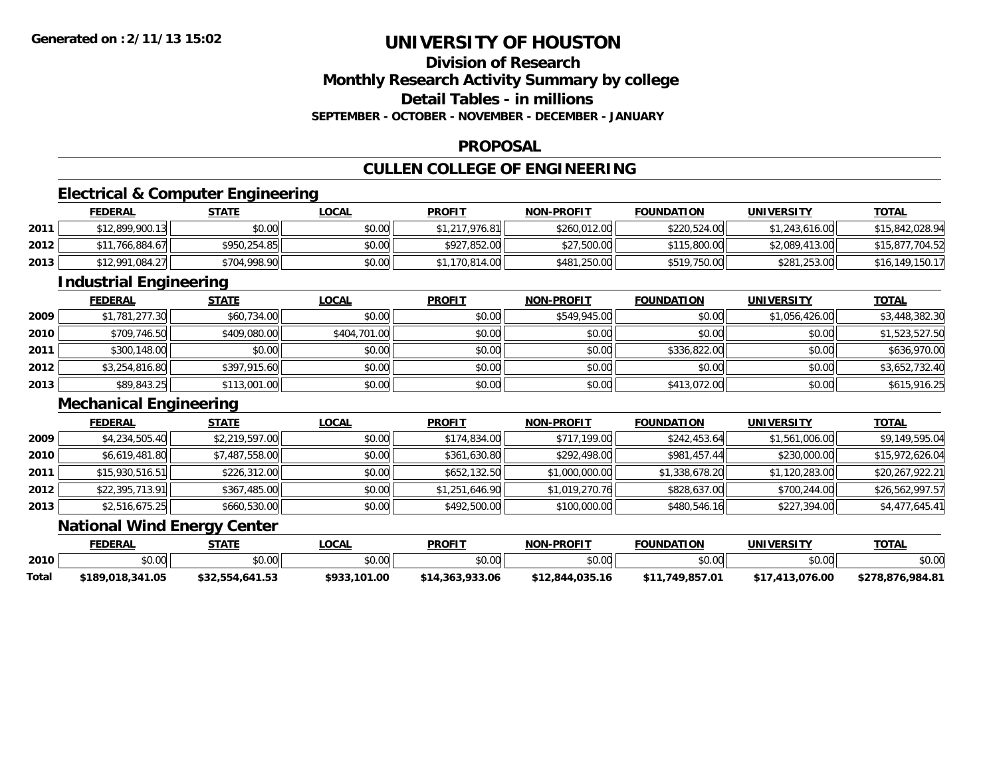# **Division of ResearchMonthly Research Activity Summary by college Detail Tables - in millionsSEPTEMBER - OCTOBER - NOVEMBER - DECEMBER - JANUARY**

#### **PROPOSAL**

# **CULLEN COLLEGE OF ENGINEERING**

# **Electrical & Computer Engineering**

|      | <u>FEDERAL</u>  | <b>STATE</b> | <u>LOCAL</u> | <b>PROFIT</b>             | <b>NON-PROFIT</b> | <b>FOUNDATION</b> | <b>UNIVERSITY</b> | <b>TOTAL</b>    |
|------|-----------------|--------------|--------------|---------------------------|-------------------|-------------------|-------------------|-----------------|
| 2011 | \$12.899.900.13 | \$0.00       | \$0.00       | <sup>1</sup> ,217,976.81∥ | \$260,012.00      | \$220,524.00      | \$1,243,616.00    | \$15,842,028.94 |
| 2012 | \$11,766,884.67 | \$950,254.85 | \$0.00       | \$927,852.00              | \$27,500.00       | \$115,800.00      | \$2,089,413.00    | \$15,877,704.52 |
| 2013 | \$12,991,084.27 | \$704,998.90 | \$0.00       | 170,814.00                | \$481,250.00      | \$519,750.00      | \$281,253.00      | \$16,149,150.17 |

<u> 1989 - Johann Stoff, amerikansk politiker (d. 1989)</u>

# **Industrial Engineering**

|      | <b>FEDERAL</b> | <b>STATE</b> | <u>LOCAL</u> | <b>PROFIT</b> | <b>NON-PROFIT</b> | <b>FOUNDATION</b> | UNIVERSITY     | <b>TOTAL</b>   |
|------|----------------|--------------|--------------|---------------|-------------------|-------------------|----------------|----------------|
| 2009 | \$1,781,277.30 | \$60,734.00  | \$0.00       | \$0.00        | \$549,945.00      | \$0.00            | \$1,056,426.00 | \$3,448,382.30 |
| 2010 | \$709,746.50   | \$409,080.00 | \$404,701.00 | \$0.00        | \$0.00            | \$0.00            | \$0.00         | \$1,523,527.50 |
| 2011 | \$300,148.00   | \$0.00       | \$0.00       | \$0.00        | \$0.00            | \$336,822,00      | \$0.00         | \$636,970.00   |
| 2012 | \$3,254,816.80 | \$397,915.60 | \$0.00       | \$0.00        | \$0.00            | \$0.00            | \$0.00         | \$3,652,732.40 |
| 2013 | \$89,843.25    | \$113,001.00 | \$0.00       | \$0.00        | \$0.00            | \$413,072.00      | \$0.00         | \$615,916.25   |

### **Mechanical Engineering**

|      | <b>FEDERAL</b>  | <b>STATE</b>   | <u>LOCAL</u> | <b>PROFIT</b>  | <b>NON-PROFIT</b> | <b>FOUNDATION</b> | <b>UNIVERSITY</b> | <b>TOTAL</b>    |
|------|-----------------|----------------|--------------|----------------|-------------------|-------------------|-------------------|-----------------|
| 2009 | \$4,234,505.40  | \$2,219,597.00 | \$0.00       | \$174,834.00   | \$717,199.00      | \$242,453.64      | \$1,561,006.00    | \$9,149,595.04  |
| 2010 | \$6,619,481.80  | \$7,487,558.00 | \$0.00       | \$361,630.80   | \$292,498.00      | \$981,457.44      | \$230,000.00      | \$15,972,626.04 |
| 2011 | \$15,930,516.51 | \$226,312.00   | \$0.00       | \$652,132.50   | \$1,000,000.00    | \$1,338,678.20    | \$1,120,283.00    | \$20,267,922.21 |
| 2012 | \$22,395,713.91 | \$367,485.00   | \$0.00       | \$1,251,646.90 | \$1,019,270.76    | \$828,637.00      | \$700,244.00      | \$26,562,997.57 |
| 2013 | \$2,516,675.25  | \$660,530.00   | \$0.00       | \$492,500.00   | \$100,000.00      | \$480,546.16      | \$227,394.00      | \$4,477,645.41  |

### **National Wind Energy Center**

|       | FEDERAL          | STATE           | LOCAL        | <b>PROFIT</b>   | <b>NON-PROFIT</b> | <b>FOUNDATION</b>         | <b>UNIVERSITY</b> | <b>TOTAL</b>     |
|-------|------------------|-----------------|--------------|-----------------|-------------------|---------------------------|-------------------|------------------|
| 2010  | ሶስ ሰሰ<br>pu.uu   | \$0.00          | \$0.00       | \$0.00          | \$0.00            | \$0.00                    | \$0.00            | \$0.00           |
| Total | \$189,018,341.05 | \$32,554,641.53 | \$933,101.00 | \$14,363,933,06 | \$12,844,035.16   | .749.857.01<br><b>411</b> | 413.076.00        | \$278.876.984.81 |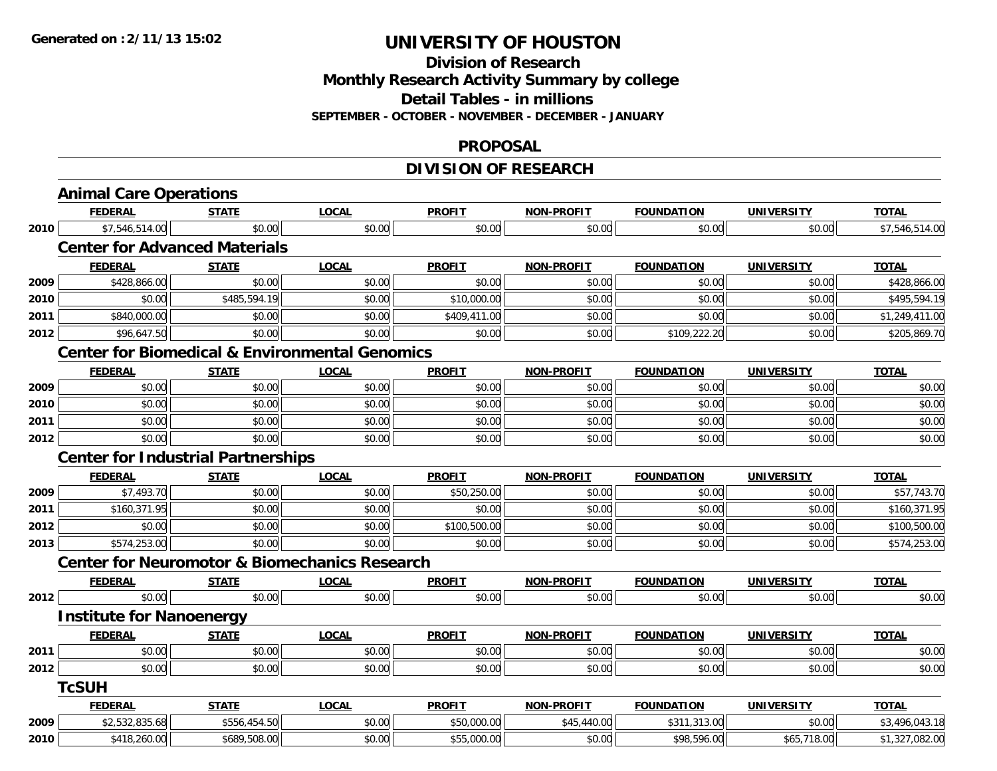### **Division of Research Monthly Research Activity Summary by college Detail Tables - in millions SEPTEMBER - OCTOBER - NOVEMBER - DECEMBER - JANUARY**

#### **PROPOSAL**

# **DIVISION OF RESEARCH**

|      | <b>Animal Care Operations</b>                             |              |              |               |                   |                   |                   |                |
|------|-----------------------------------------------------------|--------------|--------------|---------------|-------------------|-------------------|-------------------|----------------|
|      | <b>FEDERAL</b>                                            | <b>STATE</b> | <b>LOCAL</b> | <b>PROFIT</b> | <b>NON-PROFIT</b> | <b>FOUNDATION</b> | <b>UNIVERSITY</b> | <b>TOTAL</b>   |
| 2010 | \$7,546,514.00                                            | \$0.00       | \$0.00       | \$0.00        | \$0.00            | \$0.00            | \$0.00            | \$7,546,514.00 |
|      | <b>Center for Advanced Materials</b>                      |              |              |               |                   |                   |                   |                |
|      | <b>FEDERAL</b>                                            | <b>STATE</b> | <b>LOCAL</b> | <b>PROFIT</b> | <b>NON-PROFIT</b> | <b>FOUNDATION</b> | <b>UNIVERSITY</b> | <b>TOTAL</b>   |
| 2009 | \$428,866.00                                              | \$0.00       | \$0.00       | \$0.00        | \$0.00            | \$0.00            | \$0.00            | \$428,866.00   |
| 2010 | \$0.00                                                    | \$485,594.19 | \$0.00       | \$10,000.00   | \$0.00            | \$0.00            | \$0.00            | \$495,594.19   |
| 2011 | \$840,000.00                                              | \$0.00       | \$0.00       | \$409,411.00  | \$0.00            | \$0.00            | \$0.00            | \$1,249,411.00 |
| 2012 | \$96,647.50                                               | \$0.00       | \$0.00       | \$0.00        | \$0.00            | \$109,222.20      | \$0.00            | \$205,869.70   |
|      | <b>Center for Biomedical &amp; Environmental Genomics</b> |              |              |               |                   |                   |                   |                |
|      | <b>FEDERAL</b>                                            | <b>STATE</b> | <b>LOCAL</b> | <b>PROFIT</b> | <b>NON-PROFIT</b> | <b>FOUNDATION</b> | <b>UNIVERSITY</b> | <b>TOTAL</b>   |
| 2009 | \$0.00                                                    | \$0.00       | \$0.00       | \$0.00        | \$0.00            | \$0.00            | \$0.00            | \$0.00         |
| 2010 | \$0.00                                                    | \$0.00       | \$0.00       | \$0.00        | \$0.00            | \$0.00            | \$0.00            | \$0.00         |
| 2011 | \$0.00                                                    | \$0.00       | \$0.00       | \$0.00        | \$0.00            | \$0.00            | \$0.00            | \$0.00         |
| 2012 | \$0.00                                                    | \$0.00       | \$0.00       | \$0.00        | \$0.00            | \$0.00            | \$0.00            | \$0.00         |
|      | <b>Center for Industrial Partnerships</b>                 |              |              |               |                   |                   |                   |                |
|      | <b>FEDERAL</b>                                            | <b>STATE</b> | <b>LOCAL</b> | <b>PROFIT</b> | <b>NON-PROFIT</b> | <b>FOUNDATION</b> | <b>UNIVERSITY</b> | <b>TOTAL</b>   |
| 2009 | \$7,493.70                                                | \$0.00       | \$0.00       | \$50,250.00   | \$0.00            | \$0.00            | \$0.00            | \$57,743.70    |
| 2011 | \$160,371.95                                              | \$0.00       | \$0.00       | \$0.00        | \$0.00            | \$0.00            | \$0.00            | \$160,371.95   |
| 2012 | \$0.00                                                    | \$0.00       | \$0.00       | \$100,500.00  | \$0.00            | \$0.00            | \$0.00            | \$100,500.00   |
| 2013 | \$574,253.00                                              | \$0.00       | \$0.00       | \$0.00        | \$0.00            | \$0.00            | \$0.00            | \$574,253.00   |
|      | <b>Center for Neuromotor &amp; Biomechanics Research</b>  |              |              |               |                   |                   |                   |                |
|      | <b>FEDERAL</b>                                            | <b>STATE</b> | <b>LOCAL</b> | <b>PROFIT</b> | <b>NON-PROFIT</b> | <b>FOUNDATION</b> | <b>UNIVERSITY</b> | <b>TOTAL</b>   |
| 2012 | \$0.00                                                    | \$0.00       | \$0.00       | \$0.00        | \$0.00            | \$0.00            | \$0.00            | \$0.00         |
|      | <b>Institute for Nanoenergy</b>                           |              |              |               |                   |                   |                   |                |
|      |                                                           |              |              |               |                   |                   |                   |                |
|      | <b>FEDERAL</b>                                            | <b>STATE</b> | <b>LOCAL</b> | <b>PROFIT</b> | <b>NON-PROFIT</b> | <b>FOUNDATION</b> | <b>UNIVERSITY</b> | <b>TOTAL</b>   |
| 2011 | \$0.00                                                    | \$0.00       | \$0.00       | \$0.00        | \$0.00            | \$0.00            | \$0.00            | \$0.00         |
| 2012 | \$0.00                                                    | \$0.00       | \$0.00       | \$0.00        | \$0.00            | \$0.00            | \$0.00            | \$0.00         |
|      | <b>TcSUH</b>                                              |              |              |               |                   |                   |                   |                |
|      | <b>FEDERAL</b>                                            | <b>STATE</b> | <b>LOCAL</b> | <b>PROFIT</b> | <b>NON-PROFIT</b> | <b>FOUNDATION</b> | <b>UNIVERSITY</b> | <b>TOTAL</b>   |
| 2009 | \$2,532,835.68                                            | \$556,454.50 | \$0.00       | \$50,000.00   | \$45,440.00       | \$311,313.00      | \$0.00            | \$3,496,043.18 |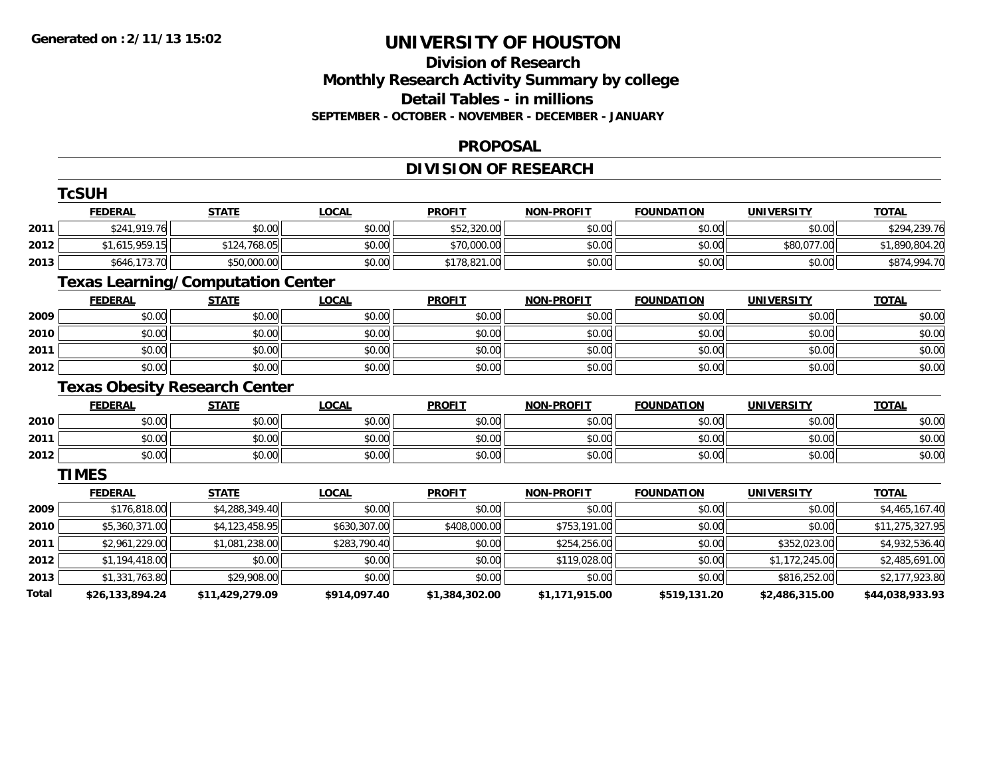### **Division of Research Monthly Research Activity Summary by college Detail Tables - in millions SEPTEMBER - OCTOBER - NOVEMBER - DECEMBER - JANUARY**

### **PROPOSAL**

# **DIVISION OF RESEARCH**

|       | <b>TcSUH</b>                             |                 |              |                |                   |                   |                   |                 |
|-------|------------------------------------------|-----------------|--------------|----------------|-------------------|-------------------|-------------------|-----------------|
|       | <b>FEDERAL</b>                           | <b>STATE</b>    | <b>LOCAL</b> | <b>PROFIT</b>  | <b>NON-PROFIT</b> | <b>FOUNDATION</b> | <b>UNIVERSITY</b> | <b>TOTAL</b>    |
| 2011  | \$241,919.76                             | \$0.00          | \$0.00       | \$52,320.00    | \$0.00            | \$0.00            | \$0.00            | \$294,239.76    |
| 2012  | \$1,615,959.15                           | \$124,768.05    | \$0.00       | \$70,000.00    | \$0.00            | \$0.00            | \$80,077.00       | \$1,890,804.20  |
| 2013  | \$646,173.70                             | \$50,000.00     | \$0.00       | \$178,821.00   | \$0.00            | \$0.00            | \$0.00            | \$874,994.70    |
|       | <b>Texas Learning/Computation Center</b> |                 |              |                |                   |                   |                   |                 |
|       | <b>FEDERAL</b>                           | <b>STATE</b>    | <b>LOCAL</b> | <b>PROFIT</b>  | <b>NON-PROFIT</b> | <b>FOUNDATION</b> | <b>UNIVERSITY</b> | <b>TOTAL</b>    |
| 2009  | \$0.00                                   | \$0.00          | \$0.00       | \$0.00         | \$0.00            | \$0.00            | \$0.00            | \$0.00          |
| 2010  | \$0.00                                   | \$0.00          | \$0.00       | \$0.00         | \$0.00            | \$0.00            | \$0.00            | \$0.00          |
| 2011  | \$0.00                                   | \$0.00          | \$0.00       | \$0.00         | \$0.00            | \$0.00            | \$0.00            | \$0.00          |
| 2012  | \$0.00                                   | \$0.00          | \$0.00       | \$0.00         | \$0.00            | \$0.00            | \$0.00            | \$0.00          |
|       | <b>Texas Obesity Research Center</b>     |                 |              |                |                   |                   |                   |                 |
|       | <b>FEDERAL</b>                           | <b>STATE</b>    | <b>LOCAL</b> | <b>PROFIT</b>  | <b>NON-PROFIT</b> | <b>FOUNDATION</b> | <b>UNIVERSITY</b> | <b>TOTAL</b>    |
| 2010  | \$0.00                                   | \$0.00          | \$0.00       | \$0.00         | \$0.00            | \$0.00            | \$0.00            | \$0.00          |
| 2011  | \$0.00                                   | \$0.00          | \$0.00       | \$0.00         | \$0.00            | \$0.00            | \$0.00            | \$0.00          |
| 2012  | \$0.00                                   | \$0.00          | \$0.00       | \$0.00         | \$0.00            | \$0.00            | \$0.00            | \$0.00          |
|       | <b>TIMES</b>                             |                 |              |                |                   |                   |                   |                 |
|       | <b>FEDERAL</b>                           | <b>STATE</b>    | <b>LOCAL</b> | <b>PROFIT</b>  | <b>NON-PROFIT</b> | <b>FOUNDATION</b> | <b>UNIVERSITY</b> | <b>TOTAL</b>    |
| 2009  | \$176,818.00                             | \$4,288,349.40  | \$0.00       | \$0.00         | \$0.00            | \$0.00            | \$0.00            | \$4,465,167.40  |
| 2010  | \$5,360,371.00                           | \$4,123,458.95  | \$630,307.00 | \$408,000.00   | \$753,191.00      | \$0.00            | \$0.00            | \$11,275,327.95 |
| 2011  | \$2,961,229.00                           | \$1,081,238.00  | \$283,790.40 | \$0.00         | \$254,256.00      | \$0.00            | \$352,023.00      | \$4,932,536.40  |
| 2012  | \$1,194,418.00                           | \$0.00          | \$0.00       | \$0.00         | \$119,028.00      | \$0.00            | \$1,172,245.00    | \$2,485,691.00  |
| 2013  | \$1,331,763.80                           | \$29,908.00     | \$0.00       | \$0.00         | \$0.00            | \$0.00            | \$816,252.00      | \$2,177,923.80  |
| Total | \$26,133,894.24                          | \$11,429,279.09 | \$914,097.40 | \$1,384,302.00 | \$1,171,915.00    | \$519,131.20      | \$2,486,315.00    | \$44,038,933.93 |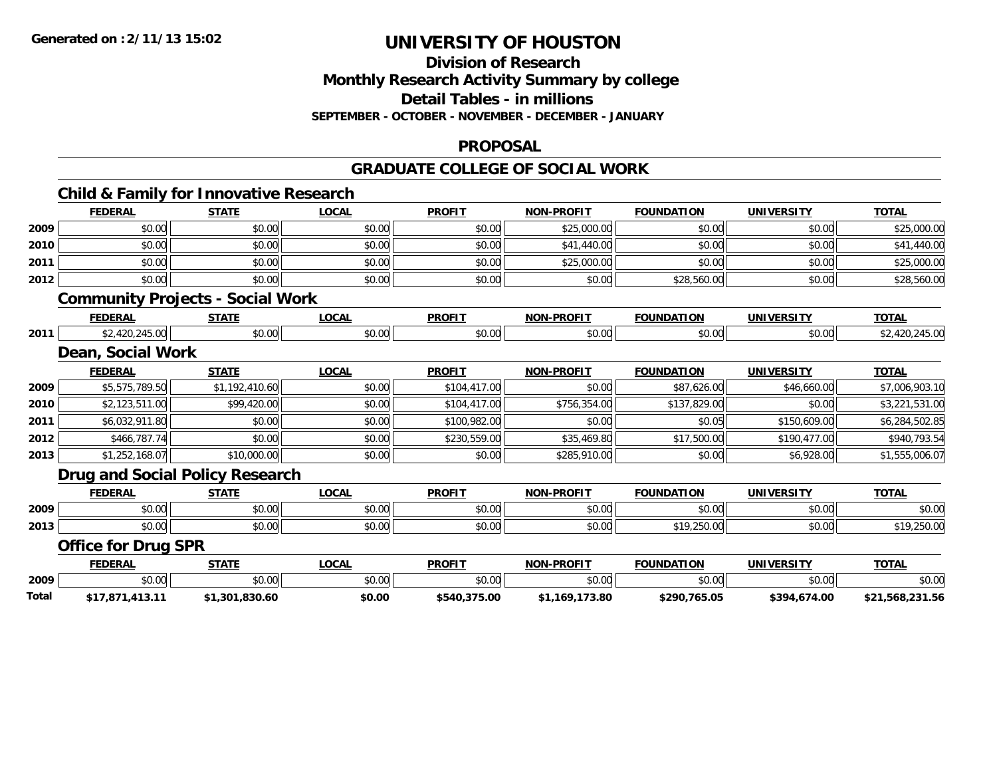### **Division of Research Monthly Research Activity Summary by college Detail Tables - in millions SEPTEMBER - OCTOBER - NOVEMBER - DECEMBER - JANUARY**

#### **PROPOSAL**

### **GRADUATE COLLEGE OF SOCIAL WORK**

|       |                            | <b>Child &amp; Family for Innovative Research</b> |              |               |                   |                   |                   |                 |
|-------|----------------------------|---------------------------------------------------|--------------|---------------|-------------------|-------------------|-------------------|-----------------|
|       | <b>FEDERAL</b>             | <b>STATE</b>                                      | <b>LOCAL</b> | <b>PROFIT</b> | <b>NON-PROFIT</b> | <b>FOUNDATION</b> | <b>UNIVERSITY</b> | <b>TOTAL</b>    |
| 2009  | \$0.00                     | \$0.00                                            | \$0.00       | \$0.00        | \$25,000.00       | \$0.00            | \$0.00            | \$25,000.00     |
| 2010  | \$0.00                     | \$0.00                                            | \$0.00       | \$0.00        | \$41,440.00       | \$0.00            | \$0.00            | \$41,440.00     |
| 2011  | \$0.00                     | \$0.00                                            | \$0.00       | \$0.00        | \$25,000.00       | \$0.00            | \$0.00            | \$25,000.00     |
| 2012  | \$0.00                     | \$0.00                                            | \$0.00       | \$0.00        | \$0.00            | \$28,560.00       | \$0.00            | \$28,560.00     |
|       |                            | <b>Community Projects - Social Work</b>           |              |               |                   |                   |                   |                 |
|       | <b>FEDERAL</b>             | <b>STATE</b>                                      | <b>LOCAL</b> | <b>PROFIT</b> | <b>NON-PROFIT</b> | <b>FOUNDATION</b> | <b>UNIVERSITY</b> | <b>TOTAL</b>    |
| 2011  | \$2,420,245.00             | \$0.00                                            | \$0.00       | \$0.00        | \$0.00            | \$0.00            | \$0.00            | \$2,420,245.00  |
|       | Dean, Social Work          |                                                   |              |               |                   |                   |                   |                 |
|       | <b>FEDERAL</b>             | <b>STATE</b>                                      | <b>LOCAL</b> | <b>PROFIT</b> | <b>NON-PROFIT</b> | <b>FOUNDATION</b> | <b>UNIVERSITY</b> | <b>TOTAL</b>    |
| 2009  | \$5,575,789.50             | \$1,192,410.60                                    | \$0.00       | \$104,417.00  | \$0.00            | \$87,626.00       | \$46,660.00       | \$7,006,903.10  |
| 2010  | \$2,123,511.00             | \$99,420.00                                       | \$0.00       | \$104,417.00  | \$756,354.00      | \$137,829.00      | \$0.00            | \$3,221,531.00  |
| 2011  | \$6,032,911.80             | \$0.00                                            | \$0.00       | \$100,982.00  | \$0.00            | \$0.05            | \$150,609.00      | \$6,284,502.85  |
| 2012  | \$466,787.74               | \$0.00                                            | \$0.00       | \$230,559.00  | \$35,469.80       | \$17,500.00       | \$190,477.00      | \$940,793.54    |
| 2013  | \$1,252,168.07             | \$10,000.00                                       | \$0.00       | \$0.00        | \$285,910.00      | \$0.00            | \$6,928.00        | \$1,555,006.07  |
|       |                            | Drug and Social Policy Research                   |              |               |                   |                   |                   |                 |
|       | <b>FEDERAL</b>             | <b>STATE</b>                                      | <b>LOCAL</b> | <b>PROFIT</b> | <b>NON-PROFIT</b> | <b>FOUNDATION</b> | <b>UNIVERSITY</b> | <b>TOTAL</b>    |
| 2009  | \$0.00                     | \$0.00                                            | \$0.00       | \$0.00        | \$0.00            | \$0.00            | \$0.00            | \$0.00          |
| 2013  | \$0.00                     | \$0.00                                            | \$0.00       | \$0.00        | \$0.00            | \$19,250.00       | \$0.00            | \$19,250.00     |
|       | <b>Office for Drug SPR</b> |                                                   |              |               |                   |                   |                   |                 |
|       | <b>FEDERAL</b>             | <b>STATE</b>                                      | <b>LOCAL</b> | <b>PROFIT</b> | <b>NON-PROFIT</b> | <b>FOUNDATION</b> | <b>UNIVERSITY</b> | <b>TOTAL</b>    |
| 2009  | \$0.00                     | \$0.00                                            | \$0.00       | \$0.00        | \$0.00            | \$0.00            | \$0.00            | \$0.00          |
| Total | \$17,871,413.11            | \$1,301,830.60                                    | \$0.00       | \$540,375.00  | \$1,169,173.80    | \$290,765.05      | \$394,674.00      | \$21,568,231.56 |
|       |                            |                                                   |              |               |                   |                   |                   |                 |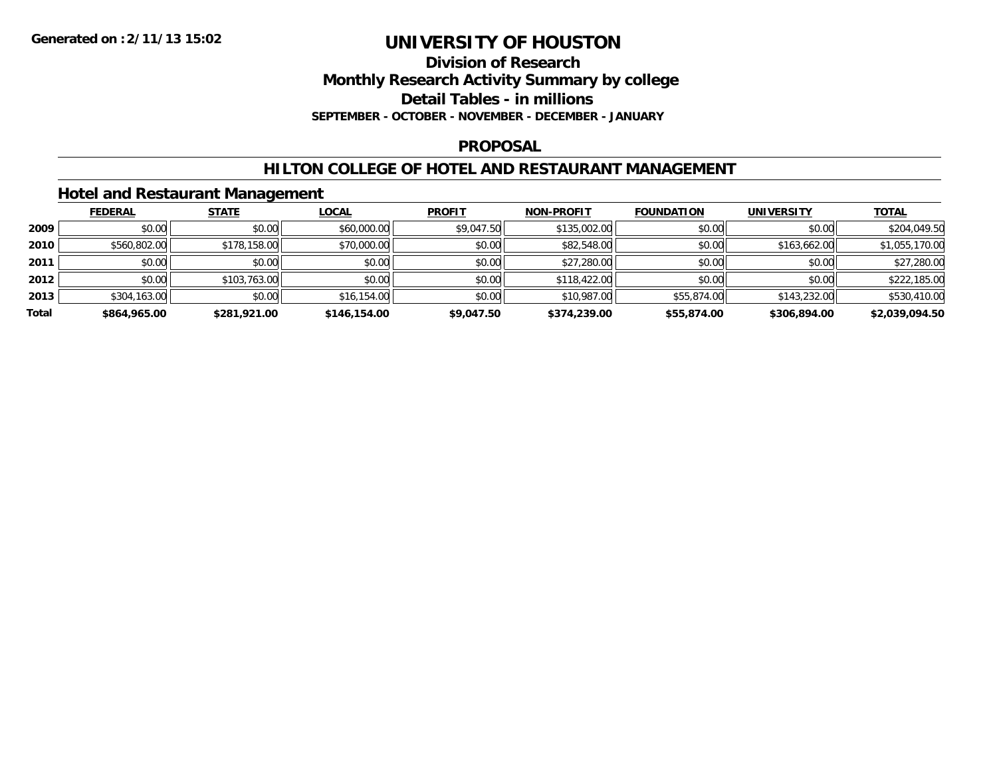### **Division of Research Monthly Research Activity Summary by college Detail Tables - in millions**

**SEPTEMBER - OCTOBER - NOVEMBER - DECEMBER - JANUARY**

### **PROPOSAL**

# **HILTON COLLEGE OF HOTEL AND RESTAURANT MANAGEMENT**

### **Hotel and Restaurant Management**

|       | <b>FEDERAL</b> | <b>STATE</b> | <u>LOCAL</u> | <b>PROFIT</b> | <b>NON-PROFIT</b> | <b>FOUNDATION</b> | <b>UNIVERSITY</b> | <b>TOTAL</b>   |
|-------|----------------|--------------|--------------|---------------|-------------------|-------------------|-------------------|----------------|
| 2009  | \$0.00         | \$0.00       | \$60,000.00  | \$9,047.50    | \$135,002.00      | \$0.00            | \$0.00            | \$204,049.50   |
| 2010  | \$560,802.00   | \$178,158.00 | \$70,000.00  | \$0.00        | \$82,548.00       | \$0.00            | \$163,662.00      | \$1,055,170.00 |
| 2011  | \$0.00         | \$0.00       | \$0.00       | \$0.00        | \$27,280.00       | \$0.00            | \$0.00            | \$27,280.00    |
| 2012  | \$0.00         | \$103,763.00 | \$0.00       | \$0.00        | \$118,422.00      | \$0.00            | \$0.00            | \$222,185.00   |
| 2013  | \$304,163.00   | \$0.00       | \$16,154.00  | \$0.00        | \$10,987.00       | \$55,874.00       | \$143,232.00      | \$530,410.00   |
| Total | \$864,965.00   | \$281,921.00 | \$146,154.00 | \$9,047.50    | \$374,239.00      | \$55,874.00       | \$306,894.00      | \$2,039,094.50 |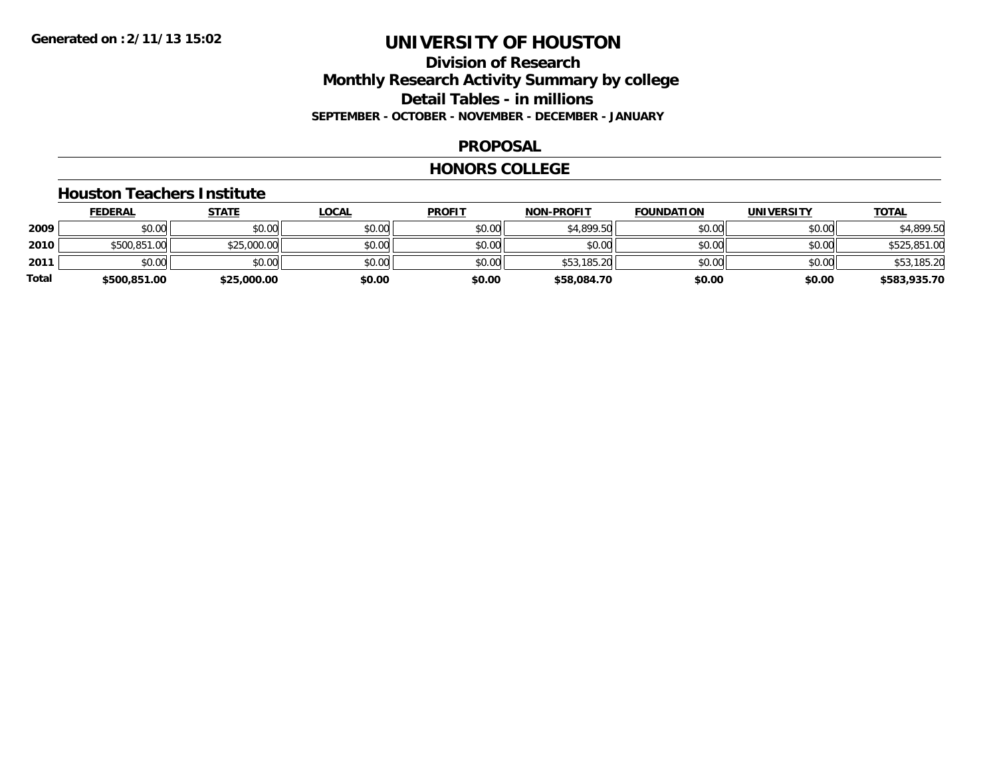# **Division of Research Monthly Research Activity Summary by college Detail Tables - in millions SEPTEMBER - OCTOBER - NOVEMBER - DECEMBER - JANUARY**

### **PROPOSAL**

#### **HONORS COLLEGE**

#### **Houston Teachers Institute**

|       | <b>FEDERAL</b> | <u>STATE</u> | <u>LOCAL</u> | <b>PROFIT</b> | <b>NON-PROFIT</b> | <b>FOUNDATION</b> | <b>UNIVERSITY</b> | <b>TOTAL</b> |
|-------|----------------|--------------|--------------|---------------|-------------------|-------------------|-------------------|--------------|
| 2009  | \$0.00         | \$0.00       | \$0.00       | \$0.00        | \$4,899.50        | \$0.00            | \$0.00            | \$4,899.50   |
| 2010  | \$500,851.00   | \$25,000.00  | \$0.00       | \$0.00        | \$0.00            | \$0.00            | \$0.00            | \$525,851.00 |
| 2011  | \$0.00         | \$0.00       | \$0.00       | \$0.00        | \$53,185.20       | \$0.00            | \$0.00            | \$53,185.20  |
| Total | \$500,851.00   | \$25,000.00  | \$0.00       | \$0.00        | \$58,084.70       | \$0.00            | \$0.00            | \$583,935.70 |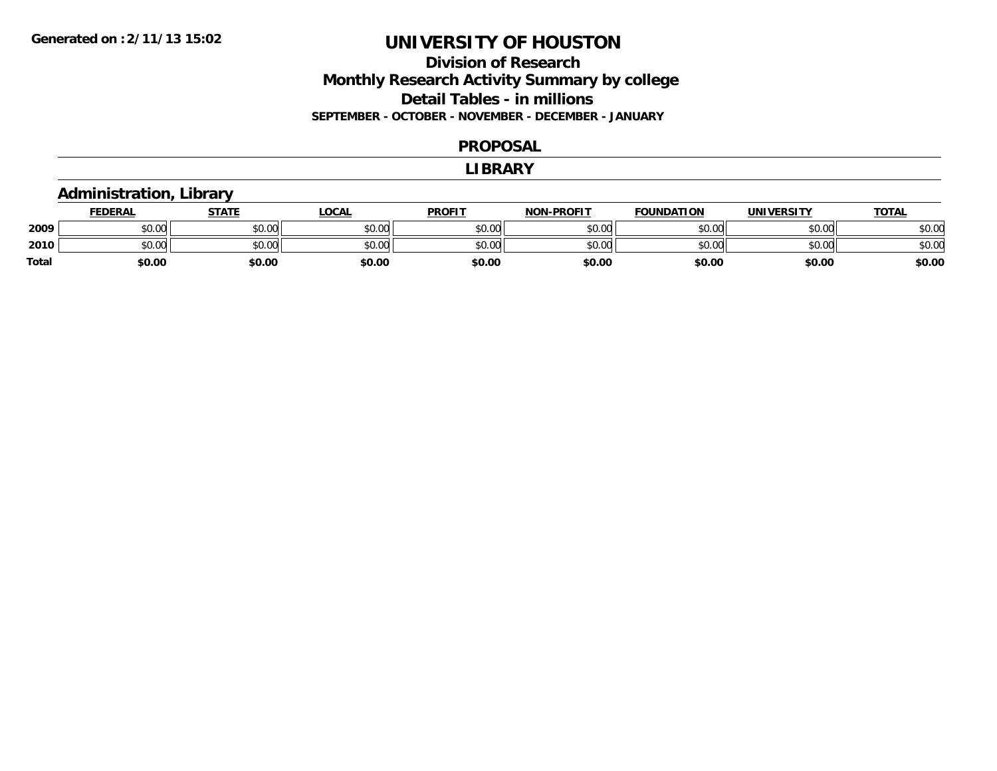# **Division of Research Monthly Research Activity Summary by college Detail Tables - in millions SEPTEMBER - OCTOBER - NOVEMBER - DECEMBER - JANUARY**

#### **PROPOSAL**

#### **LIBRARY**

# **Administration, Library**

|       | <b>FEDERAL</b> | STATE  | LOCAL  | <b>PROFIT</b> | <b>NON-PROFIT</b> | <b>FOUNDATION</b> | <b>UNIVERSITY</b> | <b>TOTAL</b> |
|-------|----------------|--------|--------|---------------|-------------------|-------------------|-------------------|--------------|
| 2009  | \$0.00         | \$0.00 | \$0.00 | \$0.00        | \$0.00            | \$0.00            | \$0.00            | \$0.00       |
| 2010  | \$0.00         | \$0.00 | \$0.00 | \$0.00        | \$0.00            | \$0.00            | \$0.00            | \$0.00       |
| Total | \$0.00         | \$0.00 | \$0.00 | \$0.00        | \$0.00            | \$0.00            | \$0.00            | \$0.00       |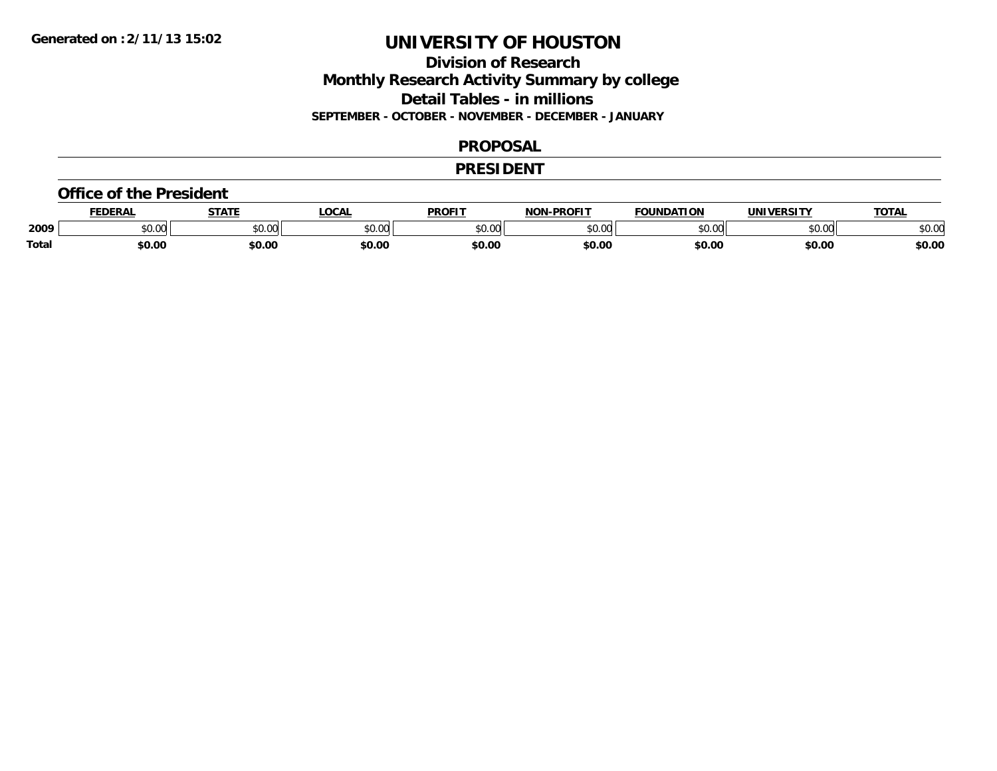# **Division of Research Monthly Research Activity Summary by college Detail Tables - in millions SEPTEMBER - OCTOBER - NOVEMBER - DECEMBER - JANUARY**

#### **PROPOSAL**

### **PRESIDENT**

#### **Office of the President**

|       | EDERAL               | <b>STATE</b>  | <b>LOCAL</b>  | <b>PROFIT</b> | -PROFIT<br>NON | <b>FOUNDATION</b> | <b>'INIVEDSITY</b> | <b>TOTAL</b> |
|-------|----------------------|---------------|---------------|---------------|----------------|-------------------|--------------------|--------------|
| 2009  | 0.00<br><b>DU.UU</b> | 0000<br>vu.vu | 0000<br>PU.UU | 0000<br>ט.טע  | \$0.00         | $\sim$ 00         | 0000<br>DU.UU      | \$0.00       |
| Total | \$0.00               | \$0.00        | \$0.00        | \$0.00        | \$0.00         | \$0.00            | \$0.00             | \$0.00       |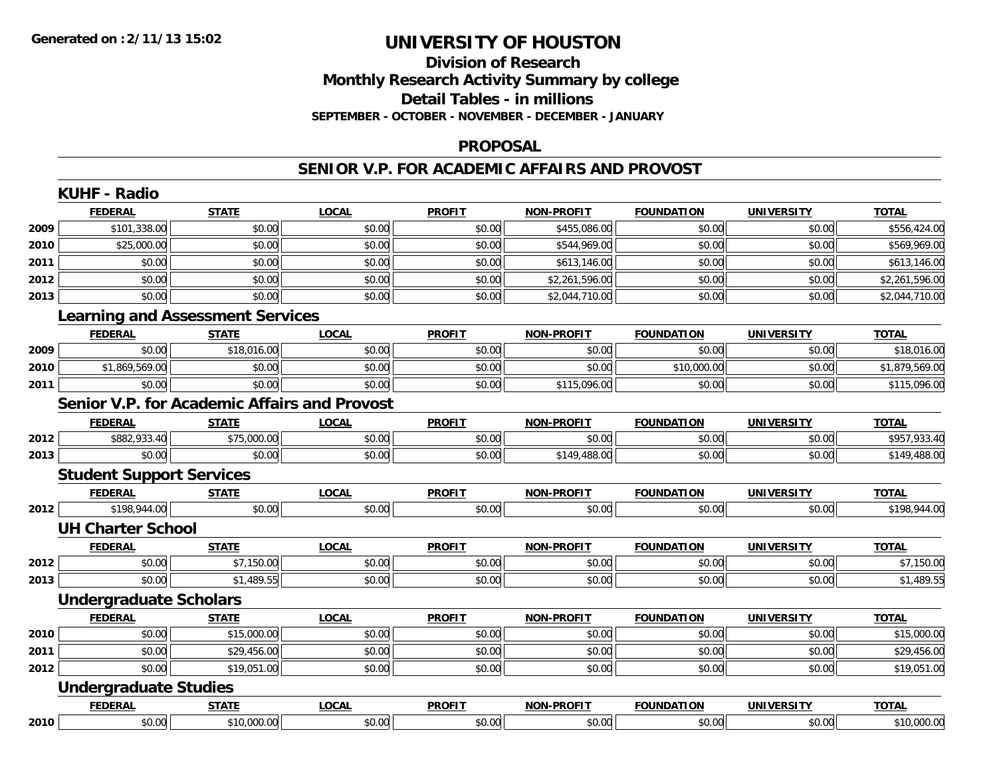# **Division of ResearchMonthly Research Activity Summary by college Detail Tables - in millions SEPTEMBER - OCTOBER - NOVEMBER - DECEMBER - JANUARY**

#### **PROPOSAL**

### **SENIOR V.P. FOR ACADEMIC AFFAIRS AND PROVOST**

|      | <b>KUHF - Radio</b>             |                                                     |              |               |                   |                   |                   |                |
|------|---------------------------------|-----------------------------------------------------|--------------|---------------|-------------------|-------------------|-------------------|----------------|
|      | <b>FEDERAL</b>                  | <b>STATE</b>                                        | <b>LOCAL</b> | <b>PROFIT</b> | <b>NON-PROFIT</b> | <b>FOUNDATION</b> | <b>UNIVERSITY</b> | <b>TOTAL</b>   |
| 2009 | \$101,338.00                    | \$0.00                                              | \$0.00       | \$0.00        | \$455,086.00      | \$0.00            | \$0.00            | \$556,424.00   |
| 2010 | \$25,000.00                     | \$0.00                                              | \$0.00       | \$0.00        | \$544,969.00      | \$0.00            | \$0.00            | \$569,969.00   |
| 2011 | \$0.00                          | \$0.00                                              | \$0.00       | \$0.00        | \$613,146.00      | \$0.00            | \$0.00            | \$613,146.00   |
| 2012 | \$0.00                          | \$0.00                                              | \$0.00       | \$0.00        | \$2,261,596.00    | \$0.00            | \$0.00            | \$2,261,596.00 |
| 2013 | \$0.00                          | \$0.00                                              | \$0.00       | \$0.00        | \$2,044,710.00    | \$0.00            | \$0.00            | \$2,044,710.00 |
|      |                                 | <b>Learning and Assessment Services</b>             |              |               |                   |                   |                   |                |
|      | <b>FEDERAL</b>                  | <b>STATE</b>                                        | <b>LOCAL</b> | <b>PROFIT</b> | <b>NON-PROFIT</b> | <b>FOUNDATION</b> | <b>UNIVERSITY</b> | <b>TOTAL</b>   |
| 2009 | \$0.00                          | \$18,016.00                                         | \$0.00       | \$0.00        | \$0.00            | \$0.00            | \$0.00            | \$18,016.00    |
| 2010 | \$1,869,569.00                  | \$0.00                                              | \$0.00       | \$0.00        | \$0.00            | \$10,000.00       | \$0.00            | \$1,879,569.00 |
| 2011 | \$0.00                          | \$0.00                                              | \$0.00       | \$0.00        | \$115,096.00      | \$0.00            | \$0.00            | \$115,096.00   |
|      |                                 | <b>Senior V.P. for Academic Affairs and Provost</b> |              |               |                   |                   |                   |                |
|      | <b>FEDERAL</b>                  | <b>STATE</b>                                        | <b>LOCAL</b> | <b>PROFIT</b> | <b>NON-PROFIT</b> | <b>FOUNDATION</b> | <b>UNIVERSITY</b> | <b>TOTAL</b>   |
| 2012 | \$882,933.40                    | \$75,000.00                                         | \$0.00       | \$0.00        | \$0.00            | \$0.00            | \$0.00            | \$957,933.40   |
| 2013 | \$0.00                          | \$0.00                                              | \$0.00       | \$0.00        | \$149,488.00      | \$0.00            | \$0.00            | \$149,488.00   |
|      | <b>Student Support Services</b> |                                                     |              |               |                   |                   |                   |                |
|      | <b>FEDERAL</b>                  | <b>STATE</b>                                        | <b>LOCAL</b> | <b>PROFIT</b> | <b>NON-PROFIT</b> | <b>FOUNDATION</b> | <b>UNIVERSITY</b> | <b>TOTAL</b>   |
| 2012 | \$198,944.00                    | \$0.00                                              | \$0.00       | \$0.00        | \$0.00            | \$0.00            | \$0.00            | \$198,944.00   |
|      | <b>UH Charter School</b>        |                                                     |              |               |                   |                   |                   |                |
|      | <b>FEDERAL</b>                  | <b>STATE</b>                                        | <b>LOCAL</b> | <b>PROFIT</b> | <b>NON-PROFIT</b> | <b>FOUNDATION</b> | <b>UNIVERSITY</b> | <b>TOTAL</b>   |
| 2012 | \$0.00                          | \$7,150.00                                          | \$0.00       | \$0.00        | \$0.00            | \$0.00            | \$0.00            | \$7,150.00     |
| 2013 | \$0.00                          | \$1,489.55                                          | \$0.00       | \$0.00        | \$0.00            | \$0.00            | \$0.00            | \$1,489.55     |
|      | <b>Undergraduate Scholars</b>   |                                                     |              |               |                   |                   |                   |                |
|      | <b>FEDERAL</b>                  | <b>STATE</b>                                        | <b>LOCAL</b> | <b>PROFIT</b> | <b>NON-PROFIT</b> | <b>FOUNDATION</b> | <b>UNIVERSITY</b> | <b>TOTAL</b>   |
| 2010 | \$0.00                          | \$15,000.00                                         | \$0.00       | \$0.00        | \$0.00            | \$0.00            | \$0.00            | \$15,000.00    |
| 2011 | \$0.00                          | \$29,456.00                                         | \$0.00       | \$0.00        | \$0.00            | \$0.00            | \$0.00            | \$29,456.00    |
| 2012 | \$0.00                          | \$19,051.00                                         | \$0.00       | \$0.00        | \$0.00            | \$0.00            | \$0.00            | \$19,051.00    |
|      | <b>Undergraduate Studies</b>    |                                                     |              |               |                   |                   |                   |                |
|      | <b>FEDERAL</b>                  | <b>STATE</b>                                        | <b>LOCAL</b> | <b>PROFIT</b> | <b>NON-PROFIT</b> | <b>FOUNDATION</b> | <b>UNIVERSITY</b> | <b>TOTAL</b>   |
| 2010 | \$0.00                          | \$10,000.00                                         | \$0.00       | \$0.00        | \$0.00            | \$0.00            | \$0.00            | \$10,000.00    |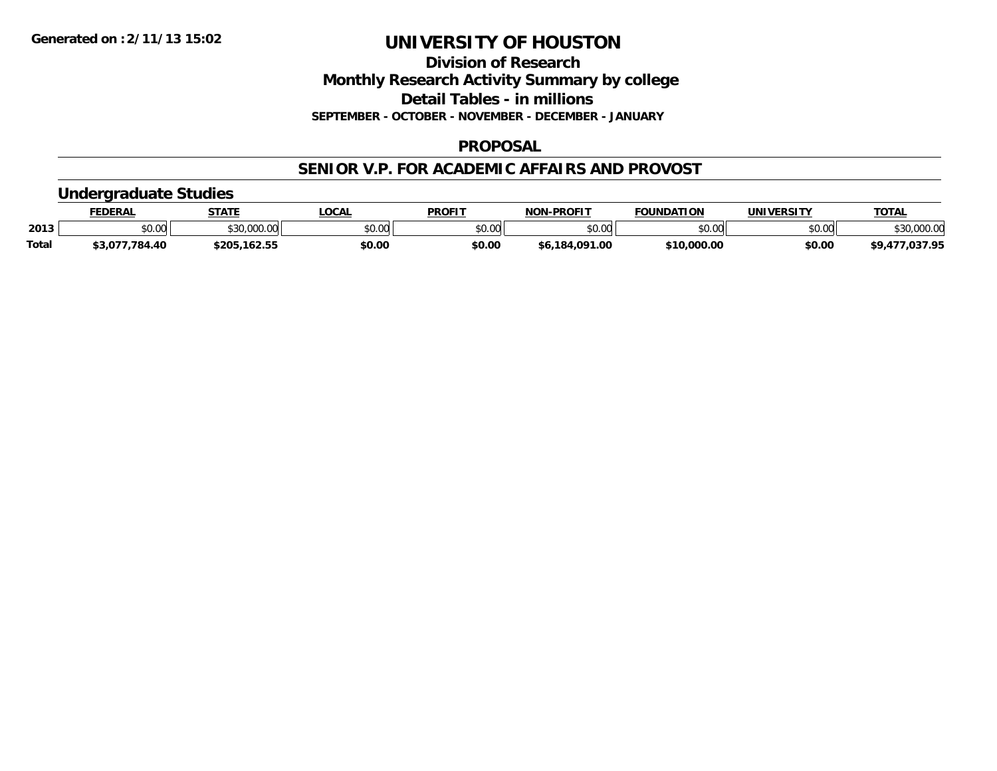**Division of Research Monthly Research Activity Summary by college Detail Tables - in millions SEPTEMBER - OCTOBER - NOVEMBER - DECEMBER - JANUARY**

# **PROPOSAL**

# **SENIOR V.P. FOR ACADEMIC AFFAIRS AND PROVOST**

# **Undergraduate Studies**

|              | <b>FEDERAL</b> | <b>STATE</b> | _OCAL  | <b>PROFIT</b>  | <b>NON-PROFIT</b> | <b>FOUNDATION</b> | UNIVERSITY | <b>TOTAL</b>         |
|--------------|----------------|--------------|--------|----------------|-------------------|-------------------|------------|----------------------|
| 2013         | \$0.00         | \$30,000.00  | \$0.00 | 40.00<br>JU.UU | \$0.00            | \$0.00            | \$0.00     | \$30,000.00          |
| <b>Total</b> | \$3,077,784.40 | \$205,162.55 | \$0.00 | \$0.00         | \$6.184.091.00    | \$10,000.00       | \$0.00     | 77,037.95<br>\$9,477 |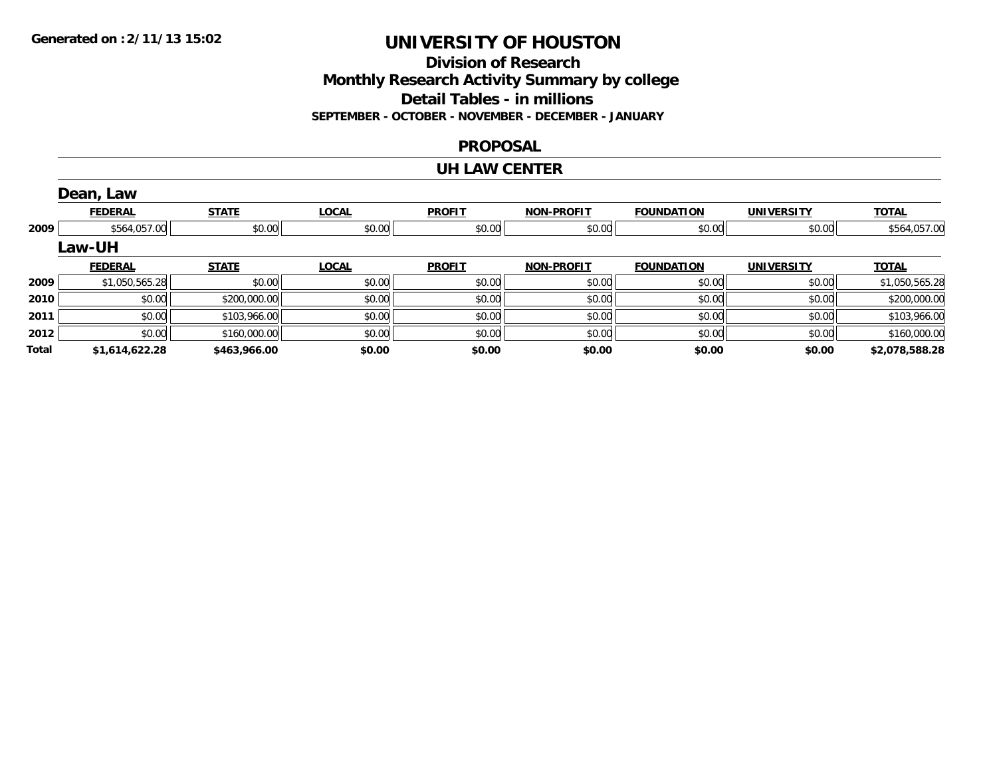### **Division of Research Monthly Research Activity Summary by college Detail Tables - in millions SEPTEMBER - OCTOBER - NOVEMBER - DECEMBER - JANUARY**

#### **PROPOSAL**

#### **UH LAW CENTER**

|              | Dean, Law      |              |              |               |                   |                   |                   |                |
|--------------|----------------|--------------|--------------|---------------|-------------------|-------------------|-------------------|----------------|
|              | <b>FEDERAL</b> | <b>STATE</b> | <b>LOCAL</b> | <b>PROFIT</b> | <b>NON-PROFIT</b> | <b>FOUNDATION</b> | <b>UNIVERSITY</b> | <b>TOTAL</b>   |
| 2009         | \$564,057.00   | \$0.00       | \$0.00       | \$0.00        | \$0.00            | \$0.00            | \$0.00            | \$564,057.00   |
|              | Law-UH         |              |              |               |                   |                   |                   |                |
|              | <b>FEDERAL</b> | <b>STATE</b> | <b>LOCAL</b> | <b>PROFIT</b> | <b>NON-PROFIT</b> | <b>FOUNDATION</b> | <b>UNIVERSITY</b> | <u>TOTAL</u>   |
| 2009         | \$1,050,565.28 | \$0.00       | \$0.00       | \$0.00        | \$0.00            | \$0.00            | \$0.00            | \$1,050,565.28 |
| 2010         | \$0.00         | \$200,000.00 | \$0.00       | \$0.00        | \$0.00            | \$0.00            | \$0.00            | \$200,000.00   |
| 2011         | \$0.00         | \$103,966.00 | \$0.00       | \$0.00        | \$0.00            | \$0.00            | \$0.00            | \$103,966.00   |
| 2012         | \$0.00         | \$160,000.00 | \$0.00       | \$0.00        | \$0.00            | \$0.00            | \$0.00            | \$160,000.00   |
| <b>Total</b> | \$1,614,622.28 | \$463,966.00 | \$0.00       | \$0.00        | \$0.00            | \$0.00            | \$0.00            | \$2,078,588.28 |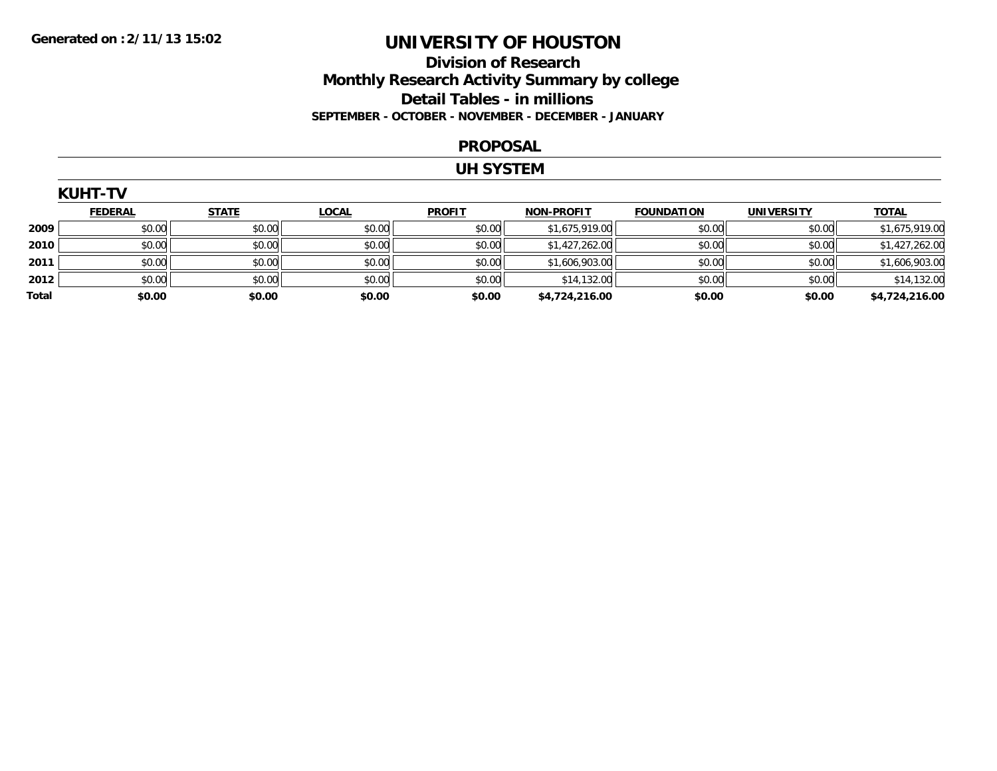# **Division of Research Monthly Research Activity Summary by college Detail Tables - in millions SEPTEMBER - OCTOBER - NOVEMBER - DECEMBER - JANUARY**

#### **PROPOSAL**

#### **UH SYSTEM**

|       | <b>KUHT-TV</b> |              |              |               |                   |                   |                   |                |
|-------|----------------|--------------|--------------|---------------|-------------------|-------------------|-------------------|----------------|
|       | <b>FEDERAL</b> | <b>STATE</b> | <b>LOCAL</b> | <b>PROFIT</b> | <b>NON-PROFIT</b> | <b>FOUNDATION</b> | <b>UNIVERSITY</b> | <b>TOTAL</b>   |
| 2009  | \$0.00         | \$0.00       | \$0.00       | \$0.00        | \$1,675,919.00    | \$0.00            | \$0.00            | \$1,675,919.00 |
| 2010  | \$0.00         | \$0.00       | \$0.00       | \$0.00        | \$1,427,262.00    | \$0.00            | \$0.00            | \$1,427,262.00 |
| 2011  | \$0.00         | \$0.00       | \$0.00       | \$0.00        | \$1,606,903.00    | \$0.00            | \$0.00            | \$1,606,903.00 |
| 2012  | \$0.00         | \$0.00       | \$0.00       | \$0.00        | \$14,132.00       | \$0.00            | \$0.00            | \$14,132.00    |
| Total | \$0.00         | \$0.00       | \$0.00       | \$0.00        | \$4,724,216.00    | \$0.00            | \$0.00            | \$4,724,216.00 |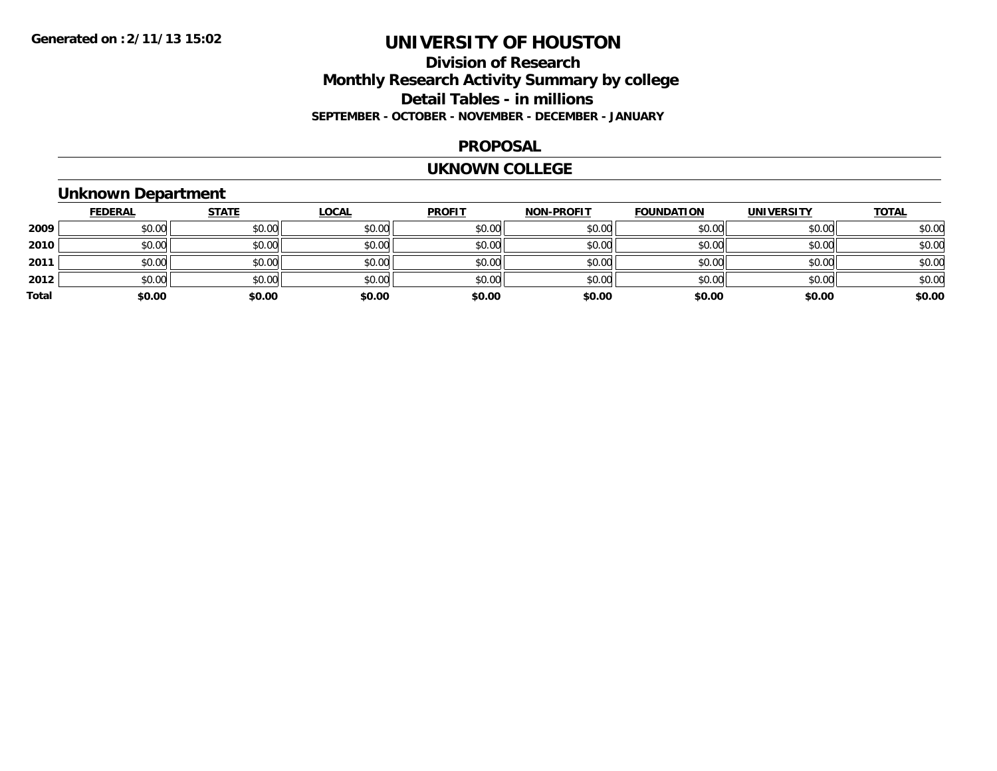# **Division of Research Monthly Research Activity Summary by college Detail Tables - in millions SEPTEMBER - OCTOBER - NOVEMBER - DECEMBER - JANUARY**

#### **PROPOSAL**

#### **UKNOWN COLLEGE**

# **Unknown Department**

|       | <b>FEDERAL</b> | <b>STATE</b> | <b>LOCAL</b> | <b>PROFIT</b> | <b>NON-PROFIT</b> | <b>FOUNDATION</b> | <b>UNIVERSITY</b> | <b>TOTAL</b> |
|-------|----------------|--------------|--------------|---------------|-------------------|-------------------|-------------------|--------------|
| 2009  | \$0.00         | \$0.00       | \$0.00       | \$0.00        | \$0.00            | \$0.00            | \$0.00            | \$0.00       |
| 2010  | \$0.00         | \$0.00       | \$0.00       | \$0.00        | \$0.00            | \$0.00            | \$0.00            | \$0.00       |
| 2011  | \$0.00         | \$0.00       | \$0.00       | \$0.00        | \$0.00            | \$0.00            | \$0.00            | \$0.00       |
| 2012  | \$0.00         | \$0.00       | \$0.00       | \$0.00        | \$0.00            | \$0.00            | \$0.00            | \$0.00       |
| Total | \$0.00         | \$0.00       | \$0.00       | \$0.00        | \$0.00            | \$0.00            | \$0.00            | \$0.00       |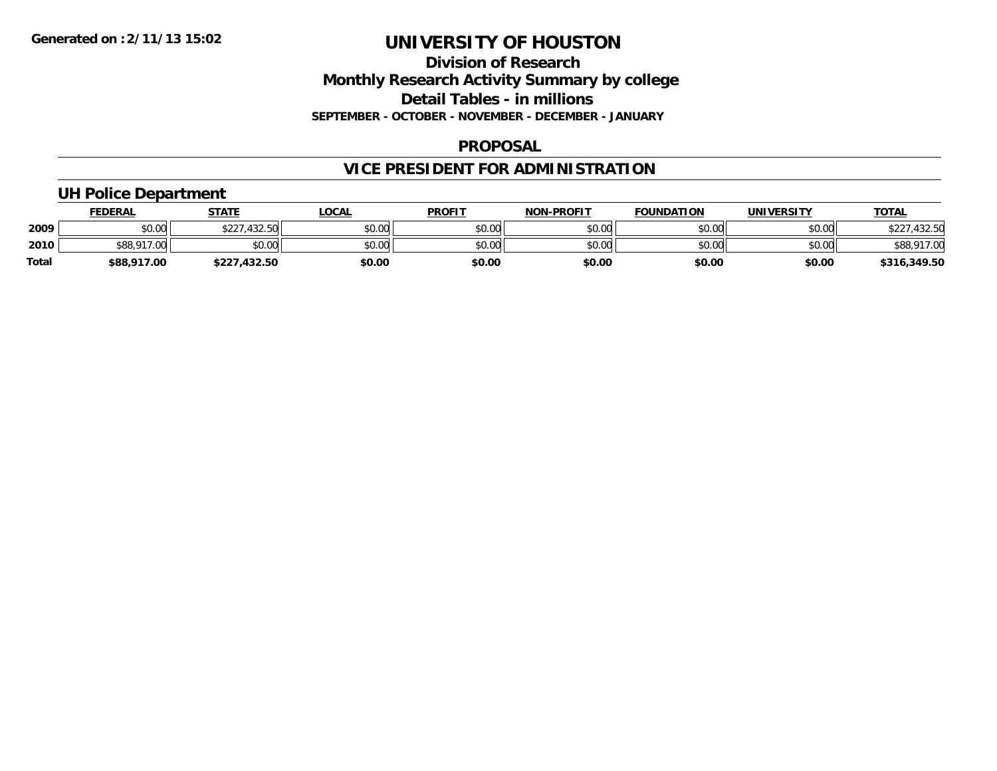### **Division of Research Monthly Research Activity Summary by college Detail Tables - in millions SEPTEMBER - OCTOBER - NOVEMBER - DECEMBER - JANUARY**

### **PROPOSAL**

# **VICE PRESIDENT FOR ADMINISTRATION**

# **UH Police Department**

|              | <b>FEDERAL</b>    | <b>STATE</b>      | <u>LOCAL</u> | <b>PROFIT</b> | <b>NON-PROFIT</b> | <b>FOUNDATION</b> | <b>UNIVERSITY</b> | <b>TOTAL</b> |
|--------------|-------------------|-------------------|--------------|---------------|-------------------|-------------------|-------------------|--------------|
| 2009         | \$0.00            | 7.432.50<br>\$227 | \$0.00       | \$0.00        | \$0.00            | \$0.00            | \$0.00            | .432.50      |
| 2010         | \$88,917<br>17.00 | \$0.00            | \$0.00       | \$0.00        | \$0.00            | \$0.00            | \$0.00            | \$88,917.00  |
| <b>Total</b> | \$88,917.00       | 432.50<br>\$227.  | \$0.00       | \$0.00        | \$0.00            | \$0.00            | \$0.00            | \$316,349.50 |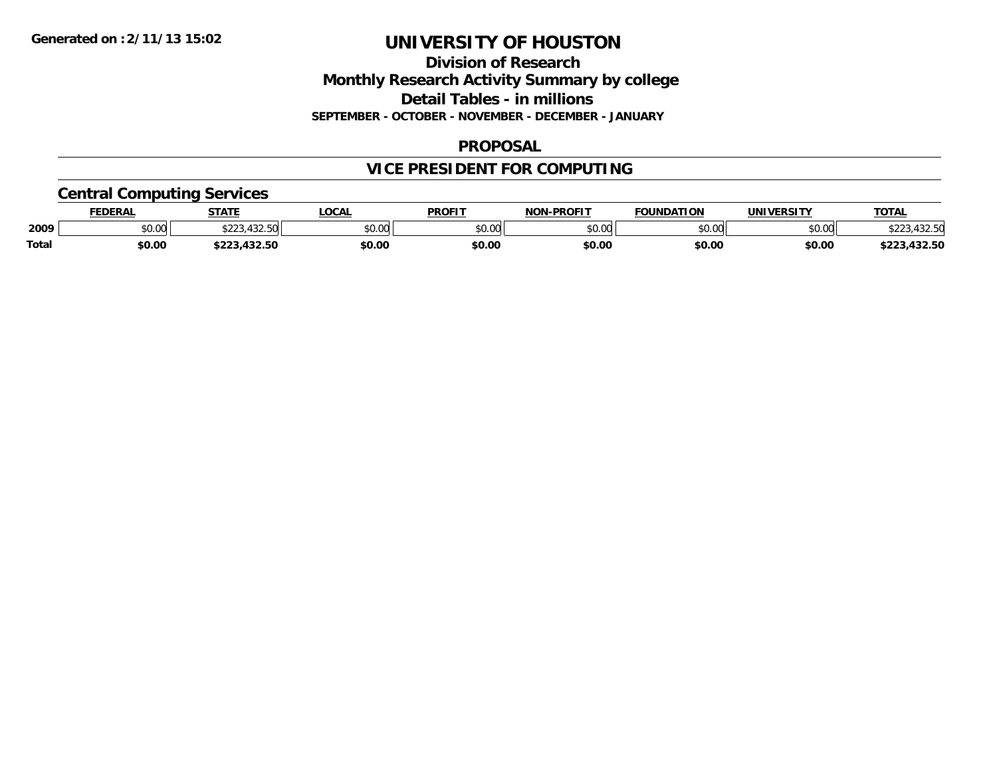### **Division of Research Monthly Research Activity Summary by college Detail Tables - in millions SEPTEMBER - OCTOBER - NOVEMBER - DECEMBER - JANUARY**

### **PROPOSAL**

# **VICE PRESIDENT FOR COMPUTING**

# **Central Computing Services**

|       | <b>FEDERAL</b> | <b>STATE</b>                        | <b>LOCAL</b> | <b>PROFIT</b> | <b>I-PROFIT</b><br><b>NON</b> | <b>FOUNDATION</b> | UNIVERSITY | <b>TOTAL</b>             |
|-------|----------------|-------------------------------------|--------------|---------------|-------------------------------|-------------------|------------|--------------------------|
| 2009  | \$0.00         | 122 E<br>$\wedge$ $\wedge$ $\wedge$ | \$0.00       | 0000<br>JU.UU | \$0.00                        | \$0.00            | \$0.00     | 122 F<br>, JZ.JM         |
| Total | \$0.00         | $\sim$<br>$\cdots$<br>.432.30       | \$0.00       | \$0.00        | \$0.00                        | \$0.00            | \$0.00     | $\sim$<br>ホワワク<br>132.JL |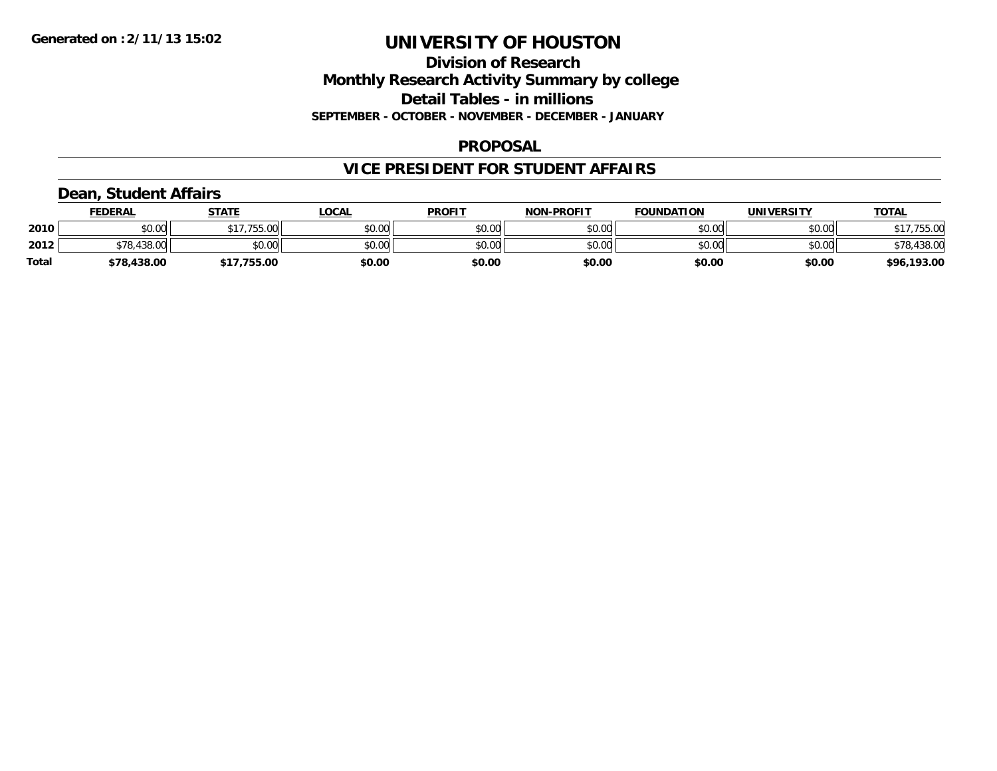### **Division of Research Monthly Research Activity Summary by college Detail Tables - in millions SEPTEMBER - OCTOBER - NOVEMBER - DECEMBER - JANUARY**

### **PROPOSAL**

# **VICE PRESIDENT FOR STUDENT AFFAIRS**

# **Dean, Student Affairs**

|              | <b>FEDERAL</b> | <b>STATE</b> | _OCAL  | <b>PROFIT</b> | <b>NON-PROFIT</b> | <b>FOUNDATION</b> | UNIVERSITY | <u>TOTAL</u> |
|--------------|----------------|--------------|--------|---------------|-------------------|-------------------|------------|--------------|
| 2010         | \$0.00         | \$17,755.00  | \$0.00 | \$0.00        | \$0.00            | \$0.00            | \$0.00     | \$17,755.00  |
| 2012         | 578,438.00     | \$0.00       | \$0.00 | \$0.00        | \$0.00            | \$0.00            | \$0.00     | \$78,438.00  |
| <b>Total</b> | \$78,438.00    | 755.00       | \$0.00 | \$0.00        | \$0.00            | \$0.00            | \$0.00     | \$96,193.00  |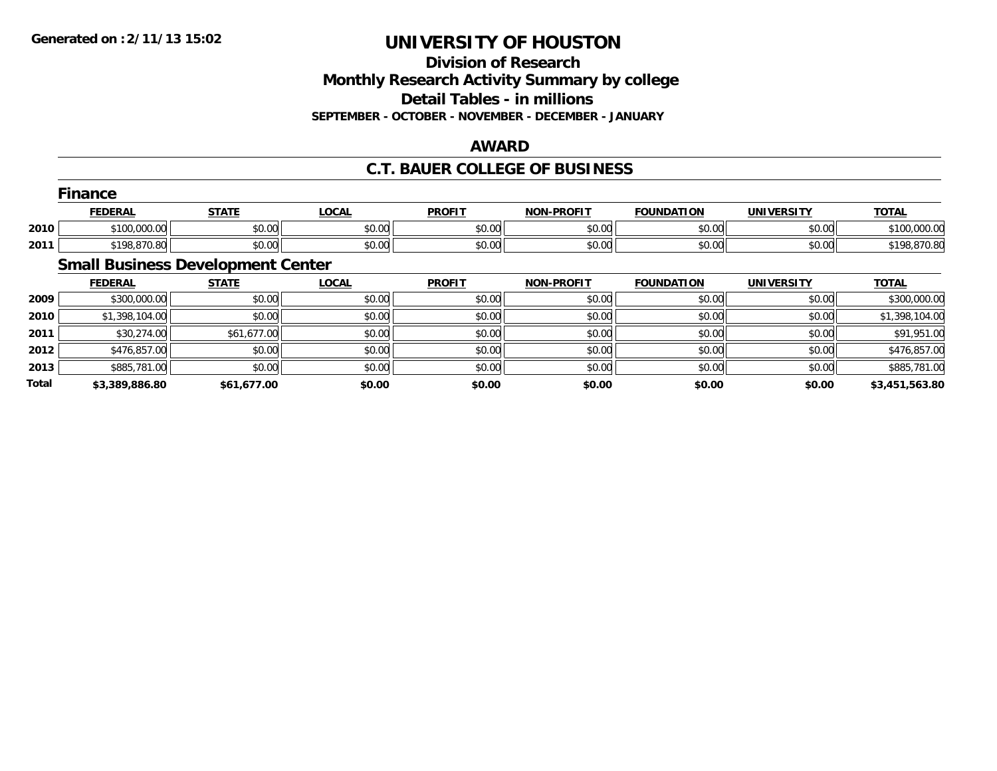### **Division of Research Monthly Research Activity Summary by college Detail Tables - in millions SEPTEMBER - OCTOBER - NOVEMBER - DECEMBER - JANUARY**

### **AWARD**

# **C.T. BAUER COLLEGE OF BUSINESS**

|      | --<br>Finance  |              |              |               |                   |                   |                   |              |
|------|----------------|--------------|--------------|---------------|-------------------|-------------------|-------------------|--------------|
|      | <b>FEDERAL</b> | <u>STATE</u> | <b>LOCAL</b> | <b>PROFIT</b> | <b>NON-PROFIT</b> | <b>FOUNDATION</b> | <b>UNIVERSITY</b> | <b>TOTAL</b> |
| 2010 | \$100,000.00   | \$0.00       | \$0.00       | \$0.00        | \$0.00            | \$0.00            | \$0.00            | \$100,000.00 |
| 2011 | \$198,870.80   | \$0.00       | \$0.00       | \$0.00        | \$0.00            | \$0.00            | \$0.00            | \$198,870.80 |
|      | ___<br>$\sim$  | $-$          |              |               |                   |                   |                   |              |

#### **Small Business Development Center**

|       | <b>FEDERAL</b> | <b>STATE</b> | <b>LOCAL</b> | <b>PROFIT</b> | <b>NON-PROFIT</b> | <b>FOUNDATION</b> | UNIVERSITY | <b>TOTAL</b>   |
|-------|----------------|--------------|--------------|---------------|-------------------|-------------------|------------|----------------|
| 2009  | \$300,000.00   | \$0.00       | \$0.00       | \$0.00        | \$0.00            | \$0.00            | \$0.00     | \$300,000.00   |
| 2010  | \$1,398,104.00 | \$0.00       | \$0.00       | \$0.00        | \$0.00            | \$0.00            | \$0.00     | \$1,398,104.00 |
| 2011  | \$30,274.00    | \$61,677.00  | \$0.00       | \$0.00        | \$0.00            | \$0.00            | \$0.00     | \$91,951.00    |
| 2012  | \$476,857.00   | \$0.00       | \$0.00       | \$0.00        | \$0.00            | \$0.00            | \$0.00     | \$476,857.00   |
| 2013  | \$885,781.00   | \$0.00       | \$0.00       | \$0.00        | \$0.00            | \$0.00            | \$0.00     | \$885,781.00   |
| Total | \$3,389,886.80 | \$61,677.00  | \$0.00       | \$0.00        | \$0.00            | \$0.00            | \$0.00     | \$3,451,563.80 |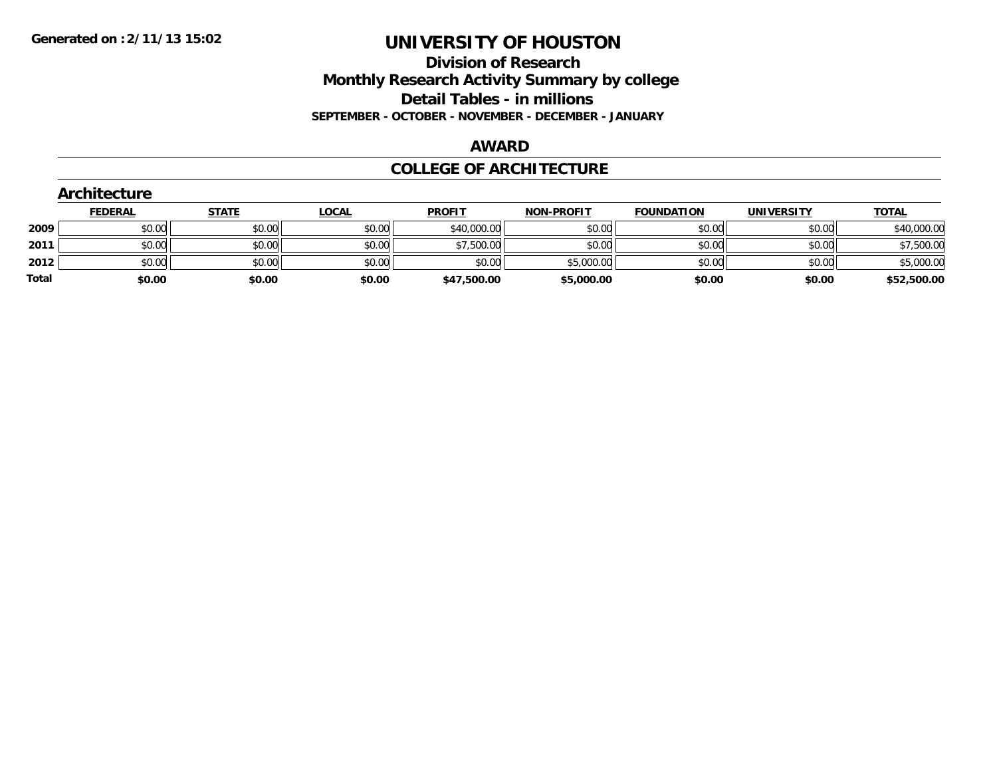### **Division of Research Monthly Research Activity Summary by college Detail Tables - in millions SEPTEMBER - OCTOBER - NOVEMBER - DECEMBER - JANUARY**

#### **AWARD**

### **COLLEGE OF ARCHITECTURE**

|       | Architecture   |              |              |               |                   |                   |                   |              |
|-------|----------------|--------------|--------------|---------------|-------------------|-------------------|-------------------|--------------|
|       | <b>FEDERAL</b> | <b>STATE</b> | <u>LOCAL</u> | <b>PROFIT</b> | <b>NON-PROFIT</b> | <b>FOUNDATION</b> | <b>UNIVERSITY</b> | <b>TOTAL</b> |
| 2009  | \$0.00         | \$0.00       | \$0.00       | \$40,000.00   | \$0.00            | \$0.00            | \$0.00            | \$40,000.00  |
| 2011  | \$0.00         | \$0.00       | \$0.00       | \$7,500.00    | \$0.00            | \$0.00            | \$0.00            | \$7,500.00   |
| 2012  | \$0.00         | \$0.00       | \$0.00       | \$0.00        | \$5,000.00        | \$0.00            | \$0.00            | \$5,000.00   |
| Total | \$0.00         | \$0.00       | \$0.00       | \$47,500.00   | \$5,000.00        | \$0.00            | \$0.00            | \$52,500.00  |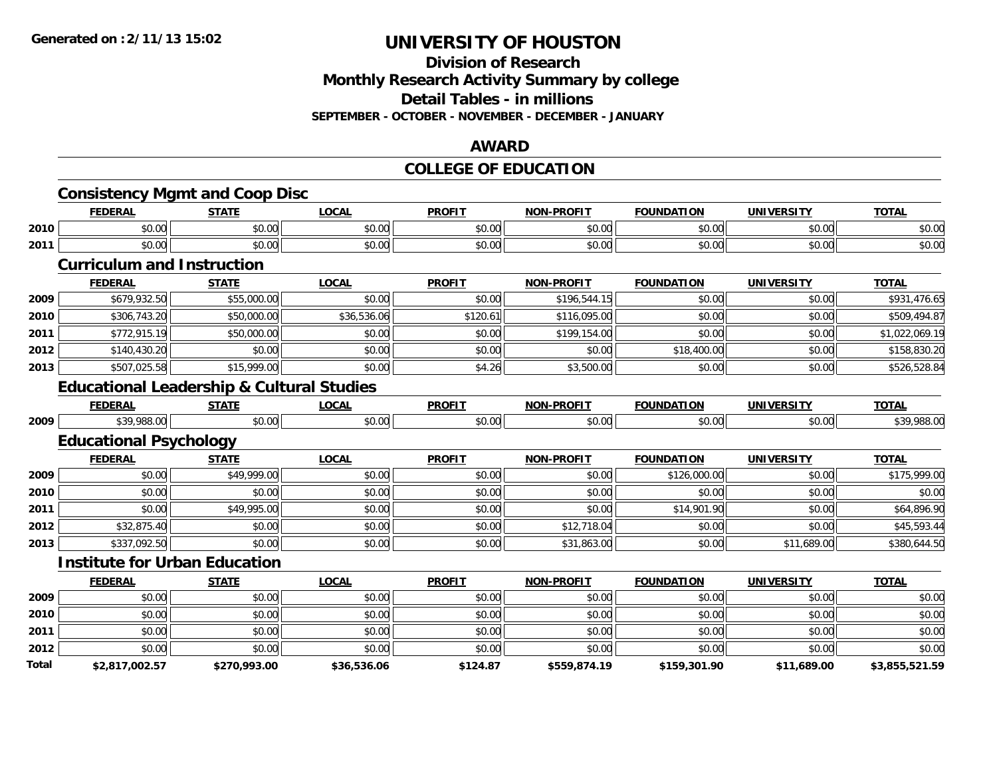### **Division of Research Monthly Research Activity Summary by college Detail Tables - in millions SEPTEMBER - OCTOBER - NOVEMBER - DECEMBER - JANUARY**

#### **AWARD**

#### **COLLEGE OF EDUCATION**

|       | <b>Consistency Mgmt and Coop Disc</b>                |              |              |               |                   |                   |                   |                |
|-------|------------------------------------------------------|--------------|--------------|---------------|-------------------|-------------------|-------------------|----------------|
|       | <b>FEDERAL</b>                                       | <b>STATE</b> | <b>LOCAL</b> | <b>PROFIT</b> | <b>NON-PROFIT</b> | <b>FOUNDATION</b> | <b>UNIVERSITY</b> | <b>TOTAL</b>   |
| 2010  | \$0.00                                               | \$0.00       | \$0.00       | \$0.00        | \$0.00            | \$0.00            | \$0.00            | \$0.00         |
| 2011  | \$0.00                                               | \$0.00       | \$0.00       | \$0.00        | \$0.00            | \$0.00            | \$0.00            | \$0.00         |
|       | <b>Curriculum and Instruction</b>                    |              |              |               |                   |                   |                   |                |
|       | <b>FEDERAL</b>                                       | <b>STATE</b> | <b>LOCAL</b> | <b>PROFIT</b> | <b>NON-PROFIT</b> | <b>FOUNDATION</b> | <b>UNIVERSITY</b> | <b>TOTAL</b>   |
| 2009  | \$679,932.50                                         | \$55,000.00  | \$0.00       | \$0.00        | \$196,544.15      | \$0.00            | \$0.00            | \$931,476.65   |
| 2010  | \$306,743.20                                         | \$50,000.00  | \$36,536.06  | \$120.61      | \$116,095.00      | \$0.00            | \$0.00            | \$509,494.87   |
| 2011  | \$772,915.19                                         | \$50,000.00  | \$0.00       | \$0.00        | \$199,154.00      | \$0.00            | \$0.00            | \$1,022,069.19 |
| 2012  | \$140,430.20                                         | \$0.00       | \$0.00       | \$0.00        | \$0.00            | \$18,400.00       | \$0.00            | \$158,830.20   |
| 2013  | \$507,025.58                                         | \$15,999.00  | \$0.00       | \$4.26        | \$3,500.00        | \$0.00            | \$0.00            | \$526,528.84   |
|       | <b>Educational Leadership &amp; Cultural Studies</b> |              |              |               |                   |                   |                   |                |
|       | <b>FEDERAL</b>                                       | <b>STATE</b> | <b>LOCAL</b> | <b>PROFIT</b> | <b>NON-PROFIT</b> | <b>FOUNDATION</b> | <b>UNIVERSITY</b> | <b>TOTAL</b>   |
| 2009  | \$39,988.00                                          | \$0.00       | \$0.00       | \$0.00        | \$0.00            | \$0.00            | \$0.00            | \$39,988.00    |
|       | <b>Educational Psychology</b>                        |              |              |               |                   |                   |                   |                |
|       | <b>FEDERAL</b>                                       | <b>STATE</b> | <b>LOCAL</b> | <b>PROFIT</b> | <b>NON-PROFIT</b> | <b>FOUNDATION</b> | <b>UNIVERSITY</b> | <b>TOTAL</b>   |
| 2009  | \$0.00                                               | \$49,999.00  | \$0.00       | \$0.00        | \$0.00            | \$126,000.00      | \$0.00            | \$175,999.00   |
| 2010  | \$0.00                                               | \$0.00       | \$0.00       | \$0.00        | \$0.00            | \$0.00            | \$0.00            | \$0.00         |
| 2011  | \$0.00                                               | \$49,995.00  | \$0.00       | \$0.00        | \$0.00            | \$14,901.90       | \$0.00            | \$64,896.90    |
| 2012  | \$32,875.40                                          | \$0.00       | \$0.00       | \$0.00        | \$12,718.04       | \$0.00            | \$0.00            | \$45,593.44    |
| 2013  | \$337,092.50                                         | \$0.00       | \$0.00       | \$0.00        | \$31,863.00       | \$0.00            | \$11,689.00       | \$380,644.50   |
|       | <b>Institute for Urban Education</b>                 |              |              |               |                   |                   |                   |                |
|       | <b>FEDERAL</b>                                       | <b>STATE</b> | <b>LOCAL</b> | <b>PROFIT</b> | <b>NON-PROFIT</b> | <b>FOUNDATION</b> | <b>UNIVERSITY</b> | <b>TOTAL</b>   |
| 2009  | \$0.00                                               | \$0.00       | \$0.00       | \$0.00        | \$0.00            | \$0.00            | \$0.00            | \$0.00         |
| 2010  | \$0.00                                               | \$0.00       | \$0.00       | \$0.00        | \$0.00            | \$0.00            | \$0.00            | \$0.00         |
| 2011  | \$0.00                                               | \$0.00       | \$0.00       | \$0.00        | \$0.00            | \$0.00            | \$0.00            | \$0.00         |
| 2012  | \$0.00                                               | \$0.00       | \$0.00       | \$0.00        | \$0.00            | \$0.00            | \$0.00            | \$0.00         |
| Total | \$2,817,002.57                                       | \$270,993.00 | \$36,536.06  | \$124.87      | \$559,874.19      | \$159,301.90      | \$11,689.00       | \$3,855,521.59 |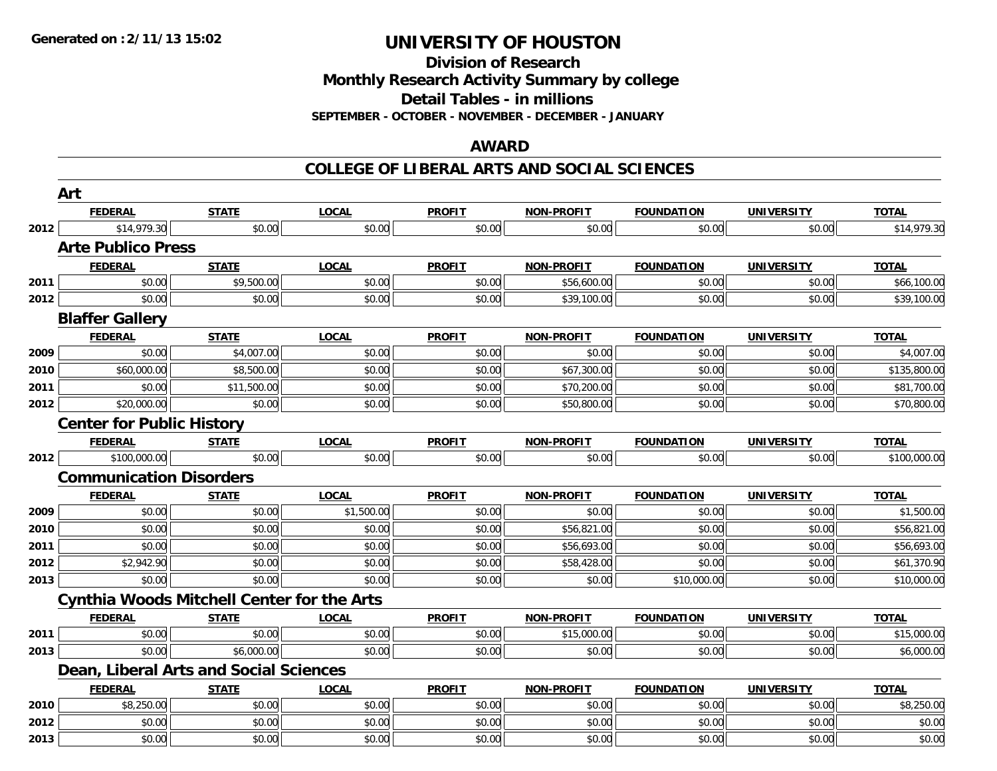**Division of Research Monthly Research Activity Summary by college**

**Detail Tables - in millions**

**SEPTEMBER - OCTOBER - NOVEMBER - DECEMBER - JANUARY**

#### **AWARD**

#### **COLLEGE OF LIBERAL ARTS AND SOCIAL SCIENCES**

|      | Art                                               |              |              |               |                   |                   |                   |              |
|------|---------------------------------------------------|--------------|--------------|---------------|-------------------|-------------------|-------------------|--------------|
|      | <b>FEDERAL</b>                                    | <b>STATE</b> | <b>LOCAL</b> | <b>PROFIT</b> | <b>NON-PROFIT</b> | <b>FOUNDATION</b> | <b>UNIVERSITY</b> | <b>TOTAL</b> |
| 2012 | \$14,979.30                                       | \$0.00       | \$0.00       | \$0.00        | \$0.00            | \$0.00            | \$0.00            | \$14,979.30  |
|      | <b>Arte Publico Press</b>                         |              |              |               |                   |                   |                   |              |
|      | <b>FEDERAL</b>                                    | <b>STATE</b> | <b>LOCAL</b> | <b>PROFIT</b> | <b>NON-PROFIT</b> | <b>FOUNDATION</b> | <b>UNIVERSITY</b> | <b>TOTAL</b> |
| 2011 | \$0.00                                            | \$9,500.00   | \$0.00       | \$0.00        | \$56,600.00       | \$0.00            | \$0.00            | \$66,100.00  |
| 2012 | \$0.00                                            | \$0.00       | \$0.00       | \$0.00        | \$39,100.00       | \$0.00            | \$0.00            | \$39,100.00  |
|      | <b>Blaffer Gallery</b>                            |              |              |               |                   |                   |                   |              |
|      | <b>FEDERAL</b>                                    | <b>STATE</b> | <b>LOCAL</b> | <b>PROFIT</b> | <b>NON-PROFIT</b> | <b>FOUNDATION</b> | <b>UNIVERSITY</b> | <b>TOTAL</b> |
| 2009 | \$0.00                                            | \$4,007.00   | \$0.00       | \$0.00        | \$0.00            | \$0.00            | \$0.00            | \$4,007.00   |
| 2010 | \$60,000.00                                       | \$8,500.00   | \$0.00       | \$0.00        | \$67,300.00       | \$0.00            | \$0.00            | \$135,800.00 |
| 2011 | \$0.00                                            | \$11,500.00  | \$0.00       | \$0.00        | \$70,200.00       | \$0.00            | \$0.00            | \$81,700.00  |
| 2012 | \$20,000.00                                       | \$0.00       | \$0.00       | \$0.00        | \$50,800.00       | \$0.00            | \$0.00            | \$70,800.00  |
|      | <b>Center for Public History</b>                  |              |              |               |                   |                   |                   |              |
|      | <b>FEDERAL</b>                                    | <b>STATE</b> | <b>LOCAL</b> | <b>PROFIT</b> | <b>NON-PROFIT</b> | <b>FOUNDATION</b> | <b>UNIVERSITY</b> | <b>TOTAL</b> |
| 2012 | \$100,000.00                                      | \$0.00       | \$0.00       | \$0.00        | \$0.00            | \$0.00            | \$0.00            | \$100,000.00 |
|      | <b>Communication Disorders</b>                    |              |              |               |                   |                   |                   |              |
|      | <b>FEDERAL</b>                                    | <b>STATE</b> | <b>LOCAL</b> | <b>PROFIT</b> | <b>NON-PROFIT</b> | <b>FOUNDATION</b> | <b>UNIVERSITY</b> | <b>TOTAL</b> |
| 2009 | \$0.00                                            | \$0.00       | \$1,500.00   | \$0.00        | \$0.00            | \$0.00            | \$0.00            | \$1,500.00   |
| 2010 | \$0.00                                            | \$0.00       | \$0.00       | \$0.00        | \$56,821.00       | \$0.00            | \$0.00            | \$56,821.00  |
| 2011 | \$0.00                                            | \$0.00       | \$0.00       | \$0.00        | \$56,693.00       | \$0.00            | \$0.00            | \$56,693.00  |
| 2012 | \$2,942.90                                        | \$0.00       | \$0.00       | \$0.00        | \$58,428.00       | \$0.00            | \$0.00            | \$61,370.90  |
| 2013 | \$0.00                                            | \$0.00       | \$0.00       | \$0.00        | \$0.00            | \$10,000.00       | \$0.00            | \$10,000.00  |
|      | <b>Cynthia Woods Mitchell Center for the Arts</b> |              |              |               |                   |                   |                   |              |
|      | <b>FEDERAL</b>                                    | <u>STATE</u> | <b>LOCAL</b> | <b>PROFIT</b> | <b>NON-PROFIT</b> | <b>FOUNDATION</b> | <b>UNIVERSITY</b> | <b>TOTAL</b> |
| 2011 | \$0.00                                            | \$0.00       | \$0.00       | \$0.00        | \$15,000.00       | \$0.00            | \$0.00            | \$15,000.00  |
| 2013 | \$0.00                                            | \$6,000.00   | \$0.00       | \$0.00        | \$0.00            | \$0.00            | \$0.00            | \$6,000.00   |
|      | Dean, Liberal Arts and Social Sciences            |              |              |               |                   |                   |                   |              |
|      | <b>FEDERAL</b>                                    | <b>STATE</b> | <b>LOCAL</b> | <b>PROFIT</b> | <b>NON-PROFIT</b> | <b>FOUNDATION</b> | <b>UNIVERSITY</b> | <b>TOTAL</b> |
| 2010 | \$8,250.00                                        | \$0.00       | \$0.00       | \$0.00        | \$0.00            | \$0.00            | \$0.00            | \$8,250.00   |
| 2012 | \$0.00                                            | \$0.00       | \$0.00       | \$0.00        | \$0.00            | \$0.00            | \$0.00            | \$0.00       |
| 2013 | \$0.00                                            | \$0.00       | \$0.00       | \$0.00        | \$0.00            | \$0.00            | \$0.00            | \$0.00       |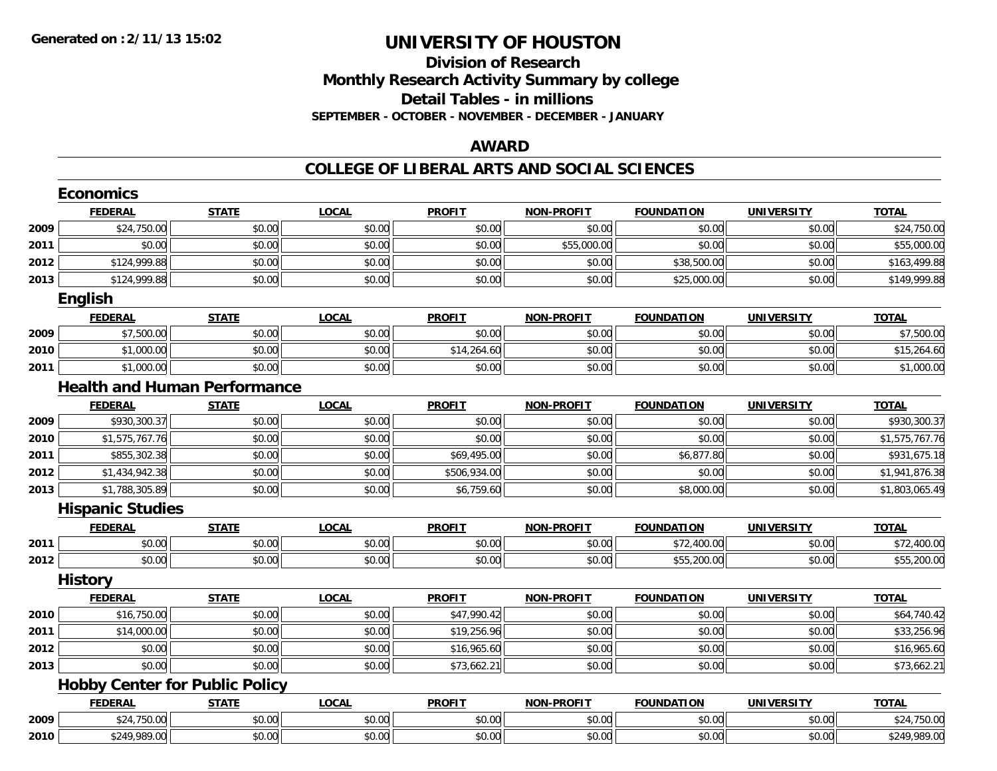# **Division of ResearchMonthly Research Activity Summary by college Detail Tables - in millions SEPTEMBER - OCTOBER - NOVEMBER - DECEMBER - JANUARY**

### **AWARD**

#### **COLLEGE OF LIBERAL ARTS AND SOCIAL SCIENCES**

|      | <b>Economics</b>        |                                       |              |               |                   |                   |                   |                |
|------|-------------------------|---------------------------------------|--------------|---------------|-------------------|-------------------|-------------------|----------------|
|      | <b>FEDERAL</b>          | <b>STATE</b>                          | <b>LOCAL</b> | <b>PROFIT</b> | <b>NON-PROFIT</b> | <b>FOUNDATION</b> | <b>UNIVERSITY</b> | <b>TOTAL</b>   |
| 2009 | \$24,750.00             | \$0.00                                | \$0.00       | \$0.00        | \$0.00            | \$0.00            | \$0.00            | \$24,750.00    |
| 2011 | \$0.00                  | \$0.00                                | \$0.00       | \$0.00        | \$55,000.00       | \$0.00            | \$0.00            | \$55,000.00    |
| 2012 | \$124,999.88            | \$0.00                                | \$0.00       | \$0.00        | \$0.00            | \$38,500.00       | \$0.00            | \$163,499.88   |
| 2013 | \$124,999.88            | \$0.00                                | \$0.00       | \$0.00        | \$0.00            | \$25,000.00       | \$0.00            | \$149,999.88   |
|      | English                 |                                       |              |               |                   |                   |                   |                |
|      | <b>FEDERAL</b>          | <b>STATE</b>                          | <b>LOCAL</b> | <b>PROFIT</b> | <b>NON-PROFIT</b> | <b>FOUNDATION</b> | <b>UNIVERSITY</b> | <b>TOTAL</b>   |
| 2009 | \$7,500.00              | \$0.00                                | \$0.00       | \$0.00        | \$0.00            | \$0.00            | \$0.00            | \$7,500.00     |
| 2010 | \$1,000.00              | \$0.00                                | \$0.00       | \$14,264.60   | \$0.00            | \$0.00            | \$0.00            | \$15,264.60    |
| 2011 | \$1,000.00              | \$0.00                                | \$0.00       | \$0.00        | \$0.00            | \$0.00            | \$0.00            | \$1,000.00     |
|      |                         | <b>Health and Human Performance</b>   |              |               |                   |                   |                   |                |
|      | <b>FEDERAL</b>          | <b>STATE</b>                          | <b>LOCAL</b> | <b>PROFIT</b> | <b>NON-PROFIT</b> | <b>FOUNDATION</b> | <b>UNIVERSITY</b> | <b>TOTAL</b>   |
| 2009 | \$930,300.37            | \$0.00                                | \$0.00       | \$0.00        | \$0.00            | \$0.00            | \$0.00            | \$930,300.37   |
| 2010 | \$1,575,767.76          | \$0.00                                | \$0.00       | \$0.00        | \$0.00            | \$0.00            | \$0.00            | \$1,575,767.76 |
| 2011 | \$855,302.38            | \$0.00                                | \$0.00       | \$69,495.00   | \$0.00            | \$6,877.80        | \$0.00            | \$931,675.18   |
| 2012 | \$1,434,942.38          | \$0.00                                | \$0.00       | \$506,934.00  | \$0.00            | \$0.00            | \$0.00            | \$1,941,876.38 |
| 2013 | \$1,788,305.89          | \$0.00                                | \$0.00       | \$6,759.60    | \$0.00            | \$8,000.00        | \$0.00            | \$1,803,065.49 |
|      | <b>Hispanic Studies</b> |                                       |              |               |                   |                   |                   |                |
|      | <b>FEDERAL</b>          | <b>STATE</b>                          | <b>LOCAL</b> | <b>PROFIT</b> | <b>NON-PROFIT</b> | <b>FOUNDATION</b> | <b>UNIVERSITY</b> | <b>TOTAL</b>   |
| 2011 | \$0.00                  | \$0.00                                | \$0.00       | \$0.00        | \$0.00            | \$72,400.00       | \$0.00            | \$72,400.00    |
| 2012 | \$0.00                  | \$0.00                                | \$0.00       | \$0.00        | \$0.00            | \$55,200.00       | \$0.00            | \$55,200.00    |
|      | <b>History</b>          |                                       |              |               |                   |                   |                   |                |
|      | <b>FEDERAL</b>          | <b>STATE</b>                          | <b>LOCAL</b> | <b>PROFIT</b> | NON-PROFIT        | <b>FOUNDATION</b> | <b>UNIVERSITY</b> | <b>TOTAL</b>   |
| 2010 | \$16,750.00             | \$0.00                                | \$0.00       | \$47,990.42   | \$0.00            | \$0.00            | \$0.00            | \$64,740.42    |
| 2011 | \$14,000.00             | \$0.00                                | \$0.00       | \$19,256.96   | \$0.00            | \$0.00            | \$0.00            | \$33,256.96    |
| 2012 | \$0.00                  | \$0.00                                | \$0.00       | \$16,965.60   | \$0.00            | \$0.00            | \$0.00            | \$16,965.60    |
| 2013 | \$0.00                  | \$0.00                                | \$0.00       | \$73,662.21   | \$0.00            | \$0.00            | \$0.00            | \$73,662.21    |
|      |                         | <b>Hobby Center for Public Policy</b> |              |               |                   |                   |                   |                |
|      | <b>FEDERAL</b>          | <b>STATE</b>                          | <b>LOCAL</b> | <b>PROFIT</b> | <b>NON-PROFIT</b> | <b>FOUNDATION</b> | <b>UNIVERSITY</b> | <b>TOTAL</b>   |
| 2009 | \$24,750.00             | \$0.00                                | \$0.00       | \$0.00        | \$0.00            | \$0.00            | \$0.00            | \$24,750.00    |
| 2010 | \$249,989.00            | \$0.00                                | \$0.00       | \$0.00        | \$0.00            | \$0.00            | \$0.00            | \$249,989.00   |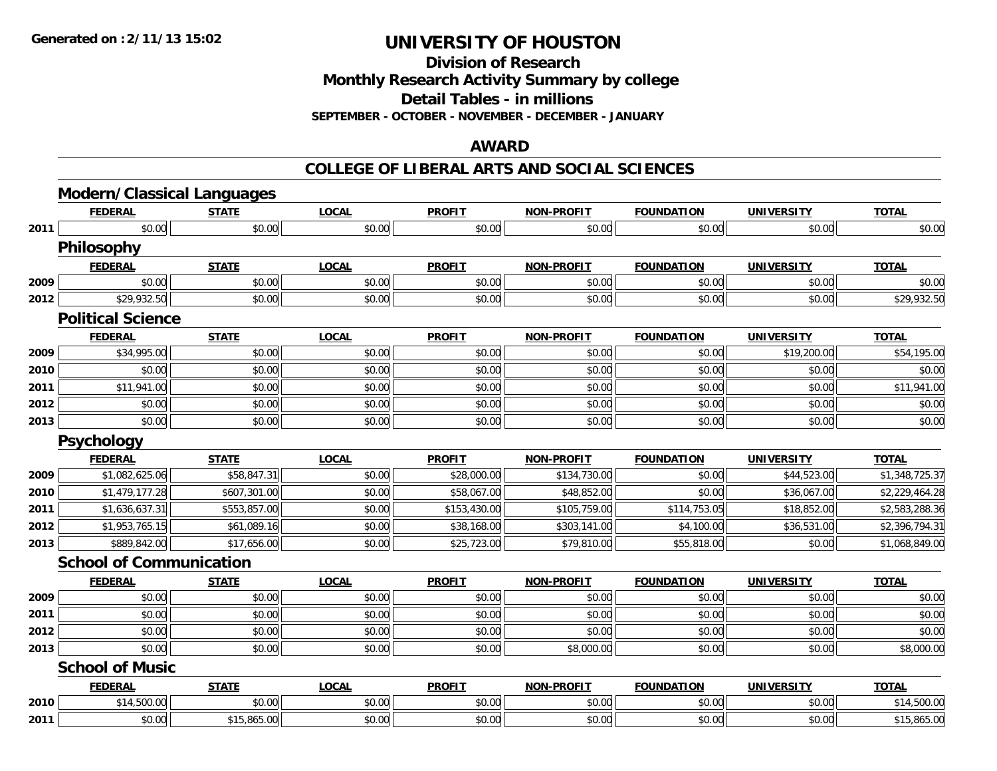**Division of Research**

**Monthly Research Activity Summary by college**

**Detail Tables - in millions**

**SEPTEMBER - OCTOBER - NOVEMBER - DECEMBER - JANUARY**

### **AWARD**

### **COLLEGE OF LIBERAL ARTS AND SOCIAL SCIENCES**

|      | <b>FEDERAL</b>                 | <b>STATE</b> | <b>LOCAL</b> | <b>PROFIT</b> | <b>NON-PROFIT</b> | <b>FOUNDATION</b> | <b>UNIVERSITY</b> | <b>TOTAL</b>   |
|------|--------------------------------|--------------|--------------|---------------|-------------------|-------------------|-------------------|----------------|
| 2011 | \$0.00                         | \$0.00       | \$0.00       | \$0.00        | \$0.00            | \$0.00            | \$0.00            | \$0.00         |
|      | <b>Philosophy</b>              |              |              |               |                   |                   |                   |                |
|      | <b>FEDERAL</b>                 | <b>STATE</b> | <b>LOCAL</b> | <b>PROFIT</b> | <b>NON-PROFIT</b> | <b>FOUNDATION</b> | <b>UNIVERSITY</b> | <b>TOTAL</b>   |
| 2009 | \$0.00                         | \$0.00       | \$0.00       | \$0.00        | \$0.00            | \$0.00            | \$0.00            | \$0.00         |
| 2012 | \$29,932.50                    | \$0.00       | \$0.00       | \$0.00        | \$0.00            | \$0.00            | \$0.00            | \$29,932.50    |
|      | <b>Political Science</b>       |              |              |               |                   |                   |                   |                |
|      | <b>FEDERAL</b>                 | <b>STATE</b> | <b>LOCAL</b> | <b>PROFIT</b> | <b>NON-PROFIT</b> | <b>FOUNDATION</b> | <b>UNIVERSITY</b> | <b>TOTAL</b>   |
| 2009 | \$34,995.00                    | \$0.00       | \$0.00       | \$0.00        | \$0.00            | \$0.00            | \$19,200.00       | \$54,195.00    |
| 2010 | \$0.00                         | \$0.00       | \$0.00       | \$0.00        | \$0.00            | \$0.00            | \$0.00            | \$0.00         |
| 2011 | \$11,941.00                    | \$0.00       | \$0.00       | \$0.00        | \$0.00            | \$0.00            | \$0.00            | \$11,941.00    |
| 2012 | \$0.00                         | \$0.00       | \$0.00       | \$0.00        | \$0.00            | \$0.00            | \$0.00            | \$0.00         |
| 2013 | \$0.00                         | \$0.00       | \$0.00       | \$0.00        | \$0.00            | \$0.00            | \$0.00            | \$0.00         |
|      | <b>Psychology</b>              |              |              |               |                   |                   |                   |                |
|      | <b>FEDERAL</b>                 | <b>STATE</b> | <b>LOCAL</b> | <b>PROFIT</b> | <b>NON-PROFIT</b> | <b>FOUNDATION</b> | <b>UNIVERSITY</b> | <b>TOTAL</b>   |
| 2009 | \$1,082,625.06                 | \$58,847.31  | \$0.00       | \$28,000.00   | \$134,730.00      | \$0.00            | \$44,523.00       | \$1,348,725.37 |
| 2010 | \$1,479,177.28                 | \$607,301.00 | \$0.00       | \$58,067.00   | \$48,852.00       | \$0.00            | \$36,067.00       | \$2,229,464.28 |
| 2011 | \$1,636,637.31                 | \$553,857.00 | \$0.00       | \$153,430.00  | \$105,759.00      | \$114,753.05      | \$18,852.00       | \$2,583,288.36 |
| 2012 | \$1,953,765.15                 | \$61,089.16  | \$0.00       | \$38,168.00   | \$303,141.00      | \$4,100.00        | \$36,531.00       | \$2,396,794.31 |
| 2013 | \$889,842.00                   | \$17,656.00  | \$0.00       | \$25,723.00   | \$79,810.00       | \$55,818.00       | \$0.00            | \$1,068,849.00 |
|      | <b>School of Communication</b> |              |              |               |                   |                   |                   |                |
|      | <b>FEDERAL</b>                 | <b>STATE</b> | <b>LOCAL</b> | <b>PROFIT</b> | <b>NON-PROFIT</b> | <b>FOUNDATION</b> | <b>UNIVERSITY</b> | <b>TOTAL</b>   |
| 2009 | \$0.00                         | \$0.00       | \$0.00       | \$0.00        | \$0.00            | \$0.00            | \$0.00            | \$0.00         |
| 2011 | \$0.00                         | \$0.00       | \$0.00       | \$0.00        | \$0.00            | \$0.00            | \$0.00            | \$0.00         |
| 2012 | \$0.00                         | \$0.00       | \$0.00       | \$0.00        | \$0.00            | \$0.00            | \$0.00            | \$0.00         |
| 2013 | \$0.00                         | \$0.00       | \$0.00       | \$0.00        | \$8,000.00        | \$0.00            | \$0.00            | \$8,000.00     |
|      | <b>School of Music</b>         |              |              |               |                   |                   |                   |                |
|      |                                |              |              |               |                   |                   |                   |                |
|      | <b>FEDERAL</b>                 | <b>STATE</b> | <b>LOCAL</b> | <b>PROFIT</b> | <b>NON-PROFIT</b> | <b>FOUNDATION</b> | <b>UNIVERSITY</b> | <b>TOTAL</b>   |
| 2010 | \$14,500.00                    | \$0.00       | \$0.00       | \$0.00        | \$0.00            | \$0.00            | \$0.00            | \$14,500.00    |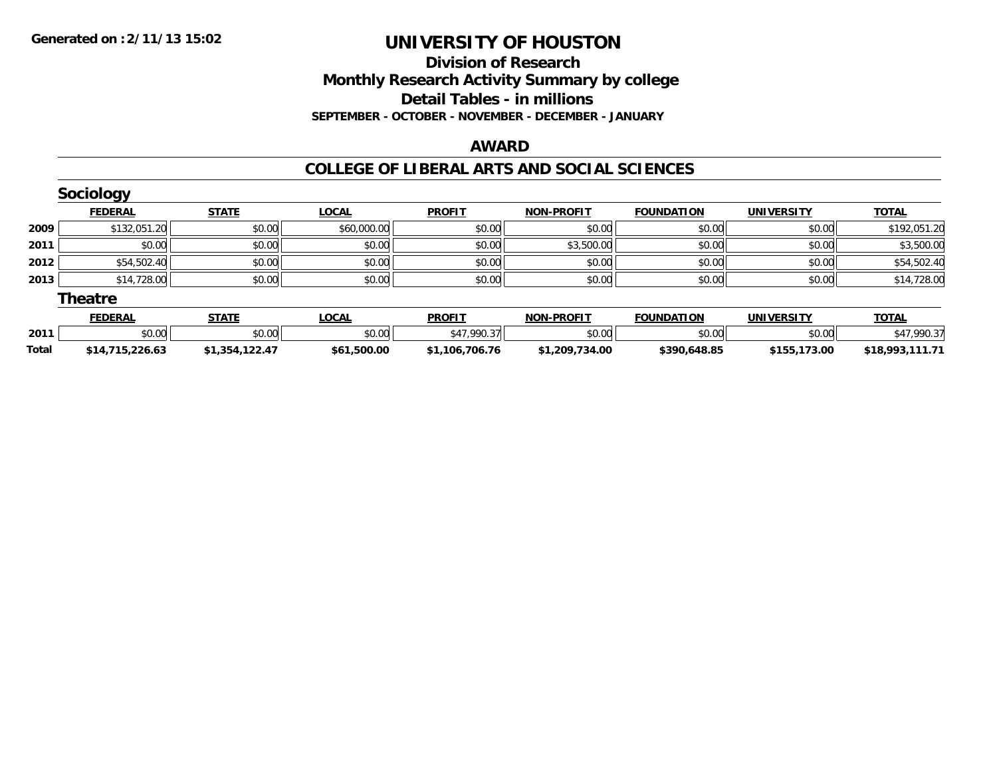## **Division of Research Monthly Research Activity Summary by college Detail Tables - in millions SEPTEMBER - OCTOBER - NOVEMBER - DECEMBER - JANUARY**

### **AWARD**

### **COLLEGE OF LIBERAL ARTS AND SOCIAL SCIENCES**

|       | <b>Sociology</b> |                |              |                |                   |                   |                   |                 |
|-------|------------------|----------------|--------------|----------------|-------------------|-------------------|-------------------|-----------------|
|       | <b>FEDERAL</b>   | <b>STATE</b>   | <b>LOCAL</b> | <b>PROFIT</b>  | <b>NON-PROFIT</b> | <b>FOUNDATION</b> | <b>UNIVERSITY</b> | <b>TOTAL</b>    |
| 2009  | \$132,051.20     | \$0.00         | \$60,000.00  | \$0.00         | \$0.00            | \$0.00            | \$0.00            | \$192,051.20    |
| 2011  | \$0.00           | \$0.00         | \$0.00       | \$0.00         | \$3,500.00        | \$0.00            | \$0.00            | \$3,500.00      |
| 2012  | \$54,502.40      | \$0.00         | \$0.00       | \$0.00         | \$0.00            | \$0.00            | \$0.00            | \$54,502.40     |
| 2013  | \$14,728.00      | \$0.00         | \$0.00       | \$0.00         | \$0.00            | \$0.00            | \$0.00            | \$14,728.00     |
|       | <b>Theatre</b>   |                |              |                |                   |                   |                   |                 |
|       | <b>FEDERAL</b>   | <b>STATE</b>   | <b>LOCAL</b> | <b>PROFIT</b>  | <b>NON-PROFIT</b> | <b>FOUNDATION</b> | <b>UNIVERSITY</b> | <b>TOTAL</b>    |
| 2011  | \$0.00           | \$0.00         | \$0.00       | \$47,990.37    | \$0.00            | \$0.00            | \$0.00            | \$47,990.37     |
| Total | \$14,715,226.63  | \$1,354,122.47 | \$61,500.00  | \$1,106,706.76 | \$1,209,734.00    | \$390,648.85      | \$155,173.00      | \$18,993,111.71 |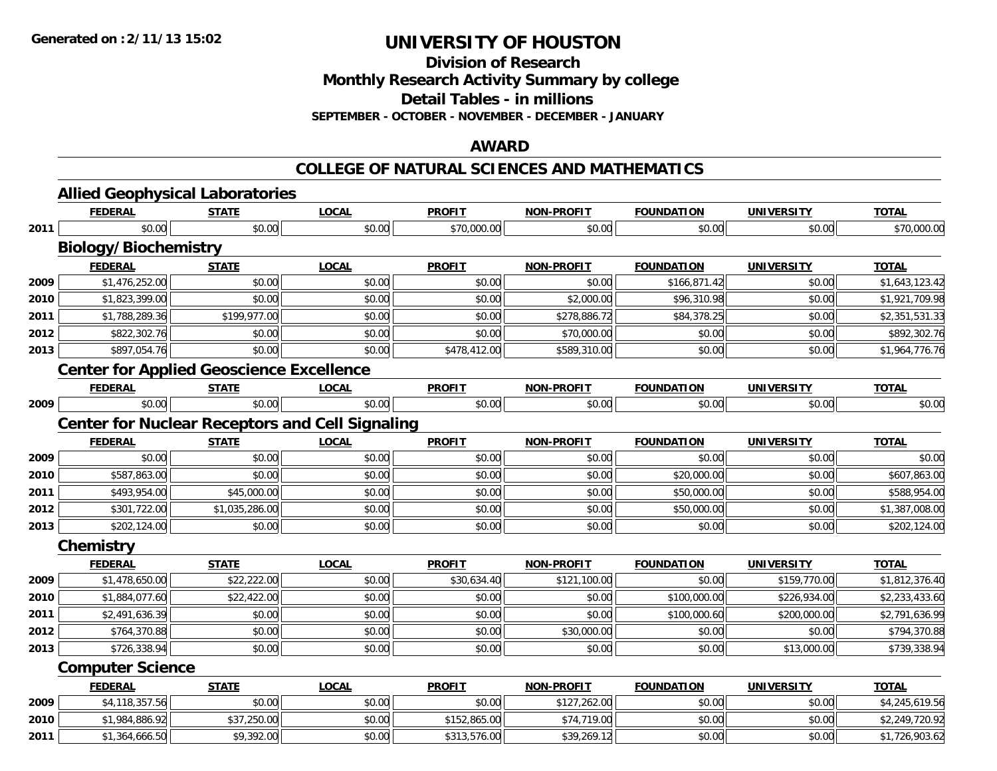**Division of Research**

**Monthly Research Activity Summary by college**

**Detail Tables - in millions**

**SEPTEMBER - OCTOBER - NOVEMBER - DECEMBER - JANUARY**

## **AWARD**

### **COLLEGE OF NATURAL SCIENCES AND MATHEMATICS**

|      | <b>Allied Geophysical Laboratories</b>                 |                |              |               |                   |                   |                   |                |
|------|--------------------------------------------------------|----------------|--------------|---------------|-------------------|-------------------|-------------------|----------------|
|      | <b>FEDERAL</b>                                         | <b>STATE</b>   | <b>LOCAL</b> | <b>PROFIT</b> | <b>NON-PROFIT</b> | <b>FOUNDATION</b> | <b>UNIVERSITY</b> | <b>TOTAL</b>   |
| 2011 | \$0.00                                                 | \$0.00         | \$0.00       | \$70,000.00   | \$0.00            | \$0.00            | \$0.00            | \$70,000.00    |
|      | <b>Biology/Biochemistry</b>                            |                |              |               |                   |                   |                   |                |
|      | <b>FEDERAL</b>                                         | <b>STATE</b>   | <b>LOCAL</b> | <b>PROFIT</b> | <b>NON-PROFIT</b> | <b>FOUNDATION</b> | <b>UNIVERSITY</b> | <b>TOTAL</b>   |
| 2009 | \$1,476,252.00                                         | \$0.00         | \$0.00       | \$0.00        | \$0.00            | \$166,871.42      | \$0.00            | \$1,643,123.42 |
| 2010 | \$1,823,399.00                                         | \$0.00         | \$0.00       | \$0.00        | \$2,000.00        | \$96,310.98       | \$0.00            | \$1,921,709.98 |
| 2011 | \$1,788,289.36                                         | \$199,977.00   | \$0.00       | \$0.00        | \$278,886.72      | \$84,378.25       | \$0.00            | \$2,351,531.33 |
| 2012 | \$822,302.76                                           | \$0.00         | \$0.00       | \$0.00        | \$70,000.00       | \$0.00            | \$0.00            | \$892,302.76   |
| 2013 | \$897,054.76                                           | \$0.00         | \$0.00       | \$478,412.00  | \$589,310.00      | \$0.00            | \$0.00            | \$1,964,776.76 |
|      | <b>Center for Applied Geoscience Excellence</b>        |                |              |               |                   |                   |                   |                |
|      | <b>FEDERAL</b>                                         | <b>STATE</b>   | <b>LOCAL</b> | <b>PROFIT</b> | <b>NON-PROFIT</b> | <b>FOUNDATION</b> | <b>UNIVERSITY</b> | <b>TOTAL</b>   |
| 2009 | \$0.00                                                 | \$0.00         | \$0.00       | \$0.00        | \$0.00            | \$0.00            | \$0.00            | \$0.00         |
|      | <b>Center for Nuclear Receptors and Cell Signaling</b> |                |              |               |                   |                   |                   |                |
|      | <b>FEDERAL</b>                                         | <b>STATE</b>   | <b>LOCAL</b> | <b>PROFIT</b> | <b>NON-PROFIT</b> | <b>FOUNDATION</b> | <b>UNIVERSITY</b> | <b>TOTAL</b>   |
| 2009 | \$0.00                                                 | \$0.00         | \$0.00       | \$0.00        | \$0.00            | \$0.00            | \$0.00            | \$0.00         |
| 2010 | \$587,863.00                                           | \$0.00         | \$0.00       | \$0.00        | \$0.00            | \$20,000.00       | \$0.00            | \$607,863.00   |
| 2011 | \$493,954.00                                           | \$45,000.00    | \$0.00       | \$0.00        | \$0.00            | \$50,000.00       | \$0.00            | \$588,954.00   |
| 2012 | \$301,722.00                                           | \$1,035,286.00 | \$0.00       | \$0.00        | \$0.00            | \$50,000.00       | \$0.00            | \$1,387,008.00 |
| 2013 | \$202,124.00                                           | \$0.00         | \$0.00       | \$0.00        | \$0.00            | \$0.00            | \$0.00            | \$202,124.00   |
|      | Chemistry                                              |                |              |               |                   |                   |                   |                |
|      | <b>FEDERAL</b>                                         | <b>STATE</b>   | <b>LOCAL</b> | <b>PROFIT</b> | <b>NON-PROFIT</b> | <b>FOUNDATION</b> | <b>UNIVERSITY</b> | <b>TOTAL</b>   |
| 2009 | \$1,478,650.00                                         | \$22,222.00    | \$0.00       | \$30,634.40   | \$121,100.00      | \$0.00            | \$159,770.00      | \$1,812,376.40 |
| 2010 | \$1,884,077.60                                         | \$22,422.00    | \$0.00       | \$0.00        | \$0.00            | \$100,000.00      | \$226,934.00      | \$2,233,433.60 |
| 2011 | \$2,491,636.39                                         | \$0.00         | \$0.00       | \$0.00        | \$0.00            | \$100,000.60      | \$200,000.00      | \$2,791,636.99 |
| 2012 | \$764,370.88                                           | \$0.00         | \$0.00       | \$0.00        | \$30,000.00       | \$0.00            | \$0.00            | \$794,370.88   |
| 2013 | \$726,338.94                                           | \$0.00         | \$0.00       | \$0.00        | \$0.00            | \$0.00            | \$13,000.00       | \$739,338.94   |
|      | <b>Computer Science</b>                                |                |              |               |                   |                   |                   |                |
|      | <b>FEDERAL</b>                                         | <b>STATE</b>   | <b>LOCAL</b> | <b>PROFIT</b> | <b>NON-PROFIT</b> | <b>FOUNDATION</b> | <b>UNIVERSITY</b> | <b>TOTAL</b>   |
| 2009 | \$4,118,357.56                                         | \$0.00         | \$0.00       | \$0.00        | \$127,262.00      | \$0.00            | \$0.00            | \$4,245,619.56 |
| 2010 | \$1,984,886.92                                         | \$37,250.00    | \$0.00       | \$152,865.00  | \$74,719.00       | \$0.00            | \$0.00            | \$2,249,720.92 |
| 2011 | \$1,364,666.50                                         | \$9,392.00     | \$0.00       | \$313,576.00  | \$39,269.12       | \$0.00            | \$0.00            | \$1,726,903.62 |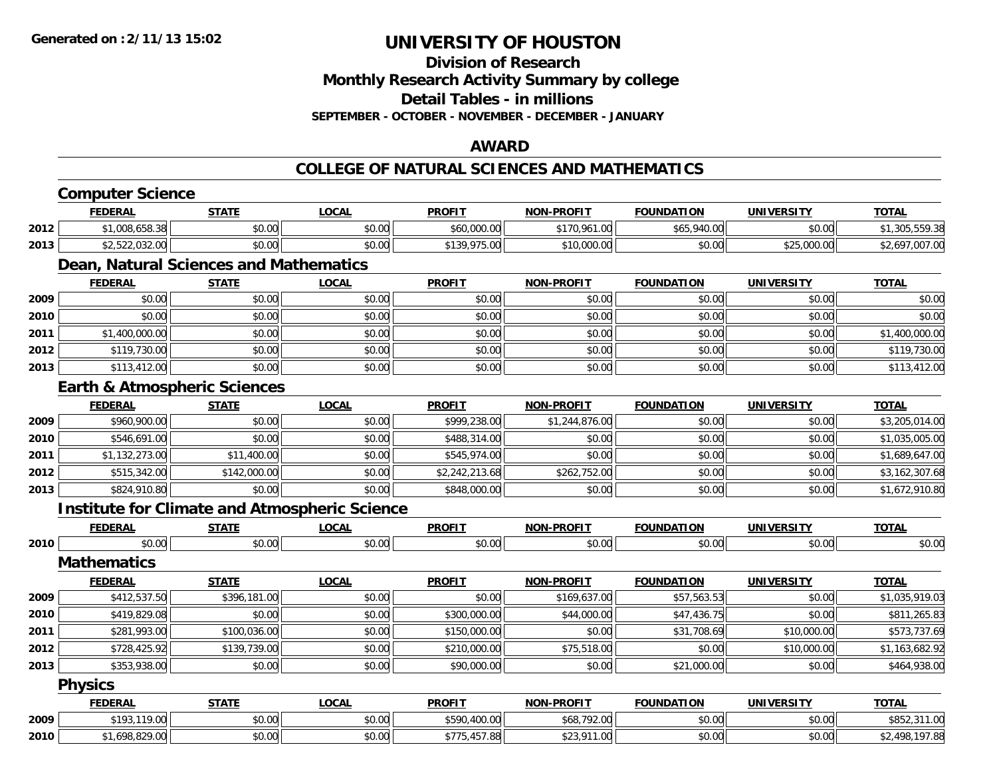**Division of ResearchMonthly Research Activity Summary by college Detail Tables - in millions**

**SEPTEMBER - OCTOBER - NOVEMBER - DECEMBER - JANUARY**

## **AWARD**

### **COLLEGE OF NATURAL SCIENCES AND MATHEMATICS**

|      | <b>Computer Science</b>                              |              |              |                |                   |                   |                   |                |
|------|------------------------------------------------------|--------------|--------------|----------------|-------------------|-------------------|-------------------|----------------|
|      | <b>FEDERAL</b>                                       | <b>STATE</b> | <b>LOCAL</b> | <b>PROFIT</b>  | <b>NON-PROFIT</b> | <b>FOUNDATION</b> | <b>UNIVERSITY</b> | <b>TOTAL</b>   |
| 2012 | \$1,008,658.38                                       | \$0.00       | \$0.00       | \$60,000.00    | \$170,961.00      | \$65,940.00       | \$0.00            | \$1,305,559.38 |
| 2013 | \$2,522,032.00                                       | \$0.00       | \$0.00       | \$139,975.00   | \$10,000.00       | \$0.00            | \$25,000.00       | \$2,697,007.00 |
|      | Dean, Natural Sciences and Mathematics               |              |              |                |                   |                   |                   |                |
|      | <b>FEDERAL</b>                                       | <b>STATE</b> | <b>LOCAL</b> | <b>PROFIT</b>  | <b>NON-PROFIT</b> | <b>FOUNDATION</b> | <b>UNIVERSITY</b> | <b>TOTAL</b>   |
| 2009 | \$0.00                                               | \$0.00       | \$0.00       | \$0.00         | \$0.00            | \$0.00            | \$0.00            | \$0.00         |
| 2010 | \$0.00                                               | \$0.00       | \$0.00       | \$0.00         | \$0.00            | \$0.00            | \$0.00            | \$0.00         |
| 2011 | \$1,400,000.00                                       | \$0.00       | \$0.00       | \$0.00         | \$0.00            | \$0.00            | \$0.00            | \$1,400,000.00 |
| 2012 | \$119,730.00                                         | \$0.00       | \$0.00       | \$0.00         | \$0.00            | \$0.00            | \$0.00            | \$119,730.00   |
| 2013 | \$113,412.00                                         | \$0.00       | \$0.00       | \$0.00         | \$0.00            | \$0.00            | \$0.00            | \$113,412.00   |
|      | <b>Earth &amp; Atmospheric Sciences</b>              |              |              |                |                   |                   |                   |                |
|      | <b>FEDERAL</b>                                       | <b>STATE</b> | <b>LOCAL</b> | <b>PROFIT</b>  | <b>NON-PROFIT</b> | <b>FOUNDATION</b> | <b>UNIVERSITY</b> | <b>TOTAL</b>   |
| 2009 | \$960,900.00                                         | \$0.00       | \$0.00       | \$999,238.00   | \$1,244,876.00    | \$0.00            | \$0.00            | \$3,205,014.00 |
| 2010 | \$546,691.00                                         | \$0.00       | \$0.00       | \$488,314.00   | \$0.00            | \$0.00            | \$0.00            | \$1,035,005.00 |
| 2011 | \$1,132,273.00                                       | \$11,400.00  | \$0.00       | \$545,974.00   | \$0.00            | \$0.00            | \$0.00            | \$1,689,647.00 |
| 2012 | \$515,342.00                                         | \$142,000.00 | \$0.00       | \$2,242,213.68 | \$262,752.00      | \$0.00            | \$0.00            | \$3,162,307.68 |
| 2013 | \$824,910.80                                         | \$0.00       | \$0.00       | \$848,000.00   | \$0.00            | \$0.00            | \$0.00            | \$1,672,910.80 |
|      | <b>Institute for Climate and Atmospheric Science</b> |              |              |                |                   |                   |                   |                |
|      | <b>FEDERAL</b>                                       | <b>STATE</b> | <b>LOCAL</b> | <b>PROFIT</b>  | <b>NON-PROFIT</b> | <b>FOUNDATION</b> | <b>UNIVERSITY</b> | <b>TOTAL</b>   |
| 2010 | \$0.00                                               | \$0.00       | \$0.00       | \$0.00         | \$0.00            | \$0.00            | \$0.00            | \$0.00         |
|      | <b>Mathematics</b>                                   |              |              |                |                   |                   |                   |                |
|      | <b>FEDERAL</b>                                       | <b>STATE</b> | <b>LOCAL</b> | <b>PROFIT</b>  | <b>NON-PROFIT</b> | <b>FOUNDATION</b> | <b>UNIVERSITY</b> | <b>TOTAL</b>   |
| 2009 | \$412,537.50                                         | \$396,181.00 | \$0.00       | \$0.00         | \$169,637.00      | \$57,563.53       | \$0.00            | \$1,035,919.03 |
| 2010 | \$419,829.08                                         | \$0.00       | \$0.00       | \$300,000.00   | \$44,000.00       | \$47,436.75       | \$0.00            | \$811,265.83   |
| 2011 | \$281,993.00                                         | \$100,036.00 | \$0.00       | \$150,000.00   | \$0.00            | \$31,708.69       | \$10,000.00       | \$573,737.69   |
| 2012 | \$728,425.92                                         | \$139,739.00 | \$0.00       | \$210,000.00   | \$75,518.00       | \$0.00            | \$10,000.00       | \$1,163,682.92 |
| 2013 | \$353,938.00                                         | \$0.00       | \$0.00       | \$90,000.00    | \$0.00            | \$21,000.00       | \$0.00            | \$464,938.00   |
|      | <b>Physics</b>                                       |              |              |                |                   |                   |                   |                |
|      | <b>FEDERAL</b>                                       | <b>STATE</b> | <b>LOCAL</b> | <b>PROFIT</b>  | <b>NON-PROFIT</b> | <b>FOUNDATION</b> | <b>UNIVERSITY</b> | <b>TOTAL</b>   |
| 2009 | \$193,119.00                                         | \$0.00       | \$0.00       | \$590,400.00   | \$68,792.00       | \$0.00            | \$0.00            | \$852,311.00   |
| 2010 | \$1,698,829.00                                       | \$0.00       | \$0.00       | \$775,457.88   | \$23,911.00       | \$0.00            | \$0.00            | \$2,498,197.88 |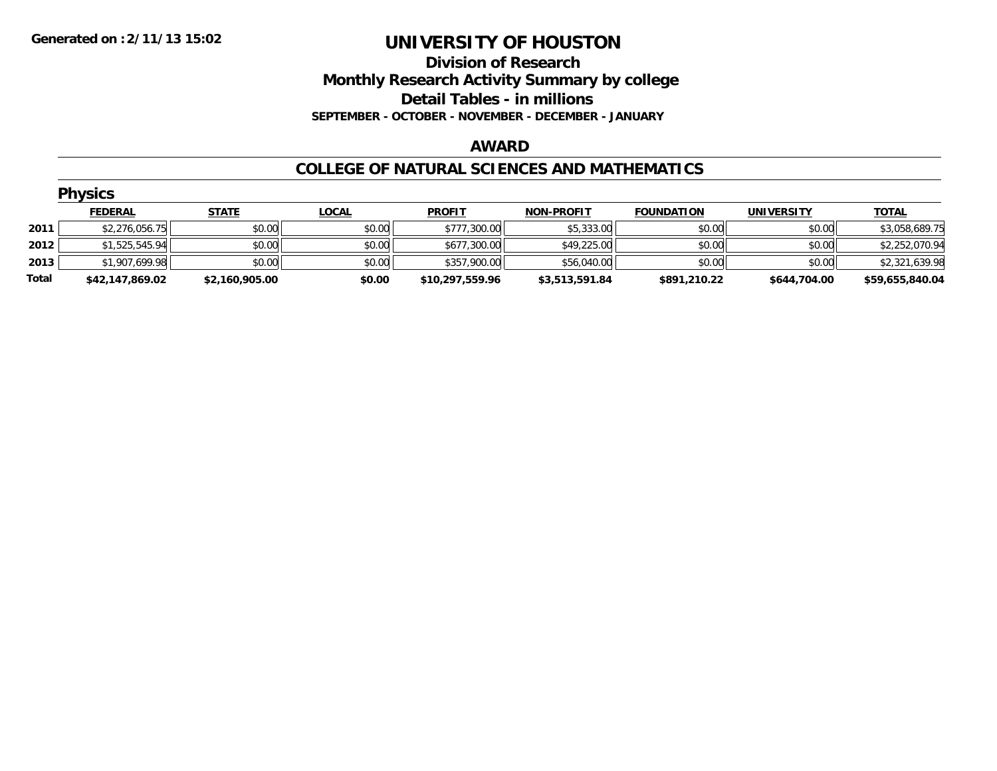## **Division of Research Monthly Research Activity Summary by college Detail Tables - in millions SEPTEMBER - OCTOBER - NOVEMBER - DECEMBER - JANUARY**

### **AWARD**

### **COLLEGE OF NATURAL SCIENCES AND MATHEMATICS**

|       | <b>Physics</b>  |                |              |                 |                   |                   |                   |                 |
|-------|-----------------|----------------|--------------|-----------------|-------------------|-------------------|-------------------|-----------------|
|       | <b>FEDERAL</b>  | <b>STATE</b>   | <u>LOCAL</u> | <b>PROFIT</b>   | <b>NON-PROFIT</b> | <b>FOUNDATION</b> | <b>UNIVERSITY</b> | <b>TOTAL</b>    |
| 2011  | \$2,276,056.75  | \$0.00         | \$0.00       | \$777,300.00    | \$5,333.00        | \$0.00            | \$0.00            | \$3,058,689.75  |
| 2012  | \$1,525,545.94  | \$0.00         | \$0.00       | \$677,300.00    | \$49,225.00       | \$0.00            | \$0.00            | \$2,252,070.94  |
| 2013  | \$1,907,699.98  | \$0.00         | \$0.00       | \$357,900.00    | \$56,040.00       | \$0.00            | \$0.00            | \$2,321,639.98  |
| Total | \$42,147,869.02 | \$2,160,905.00 | \$0.00       | \$10,297,559.96 | \$3,513,591.84    | \$891,210.22      | \$644,704.00      | \$59,655,840.04 |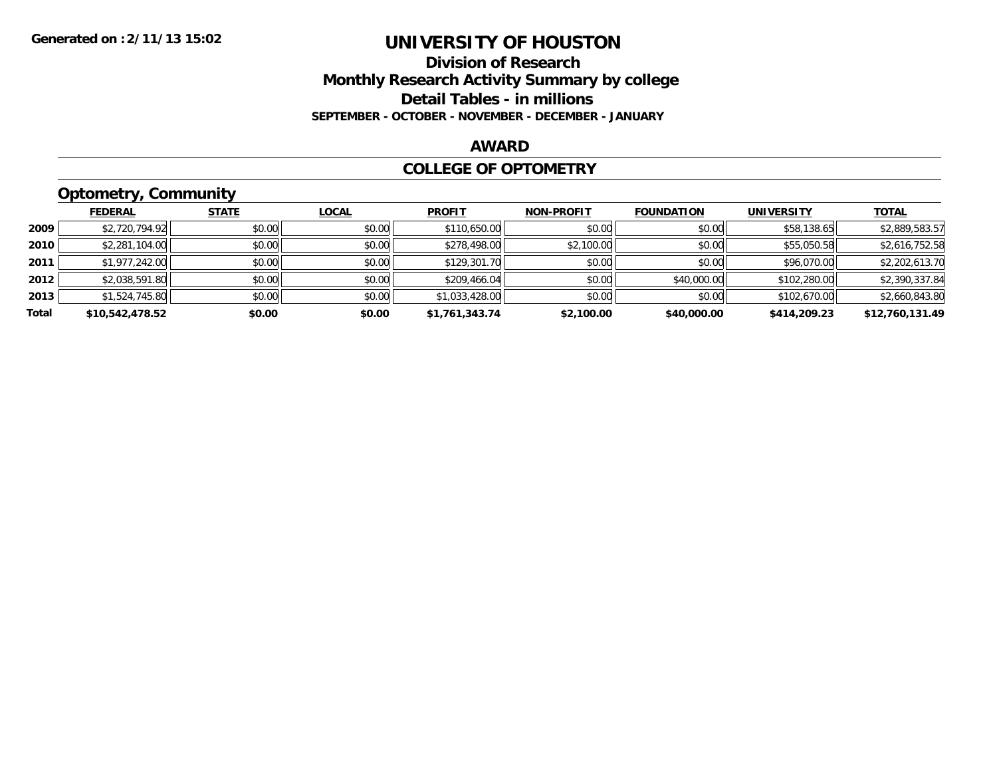## **Division of Research Monthly Research Activity Summary by college Detail Tables - in millions SEPTEMBER - OCTOBER - NOVEMBER - DECEMBER - JANUARY**

## **AWARD**

### **COLLEGE OF OPTOMETRY**

# **Optometry, Community**

|       | --              |              |              |                |                   |                   |                   |                 |
|-------|-----------------|--------------|--------------|----------------|-------------------|-------------------|-------------------|-----------------|
|       | <b>FEDERAL</b>  | <b>STATE</b> | <b>LOCAL</b> | <b>PROFIT</b>  | <b>NON-PROFIT</b> | <b>FOUNDATION</b> | <b>UNIVERSITY</b> | <u>TOTAL</u>    |
| 2009  | \$2,720,794.92  | \$0.00       | \$0.00       | \$110,650.00   | \$0.00            | \$0.00            | \$58,138.65       | \$2,889,583.57  |
| 2010  | \$2,281,104.00  | \$0.00       | \$0.00       | \$278,498.00   | \$2,100.00        | \$0.00            | \$55,050.58       | \$2,616,752.58  |
| 2011  | \$1,977,242.00  | \$0.00       | \$0.00       | \$129,301.70   | \$0.00            | \$0.00            | \$96,070.00       | \$2,202,613.70  |
| 2012  | \$2,038,591.80  | \$0.00       | \$0.00       | \$209,466.04   | \$0.00            | \$40,000.00       | \$102,280.00      | \$2,390,337.84  |
| 2013  | \$1,524,745.80  | \$0.00       | \$0.00       | \$1,033,428.00 | \$0.00            | \$0.00            | \$102,670.00      | \$2,660,843.80  |
| Total | \$10,542,478.52 | \$0.00       | \$0.00       | \$1,761,343.74 | \$2,100.00        | \$40,000.00       | \$414,209.23      | \$12,760,131.49 |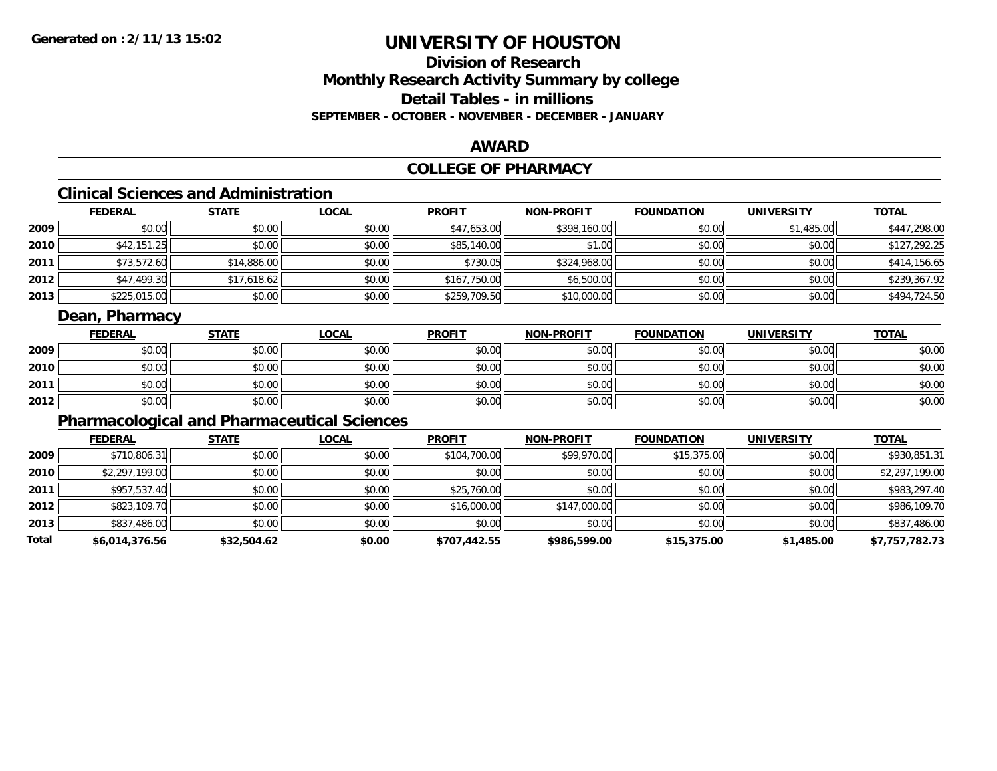## **Division of ResearchMonthly Research Activity Summary by college Detail Tables - in millionsSEPTEMBER - OCTOBER - NOVEMBER - DECEMBER - JANUARY**

### **AWARD**

# **COLLEGE OF PHARMACY**

# **Clinical Sciences and Administration**

|      | <b>FEDERAL</b> | <u>STATE</u> | <b>LOCAL</b> | <b>PROFIT</b> | <b>NON-PROFIT</b> | <b>FOUNDATION</b> | <b>UNIVERSITY</b> | <b>TOTAL</b> |
|------|----------------|--------------|--------------|---------------|-------------------|-------------------|-------------------|--------------|
| 2009 | \$0.00         | \$0.00       | \$0.00       | \$47,653.00   | \$398,160.00      | \$0.00            | \$1,485.00        | \$447,298.00 |
| 2010 | \$42,151.25    | \$0.00       | \$0.00       | \$85,140.00   | \$1.00            | \$0.00            | \$0.00            | \$127,292.25 |
| 2011 | \$73,572.60    | \$14,886.00  | \$0.00       | \$730.05      | \$324,968.00      | \$0.00            | \$0.00            | \$414,156.65 |
| 2012 | \$47,499.30    | \$17,618.62  | \$0.00       | \$167,750.00  | \$6,500.00        | \$0.00            | \$0.00            | \$239,367.92 |
| 2013 | \$225,015.00   | \$0.00       | \$0.00       | \$259,709.50  | \$10,000.00       | \$0.00            | \$0.00            | \$494,724.50 |

## **Dean, Pharmacy**

|      | <b>FEDERAL</b> | <b>STATE</b> | <u>LOCAL</u> | <b>PROFIT</b> | <b>NON-PROFIT</b> | <b>FOUNDATION</b> | <b>UNIVERSITY</b> | <b>TOTAL</b> |
|------|----------------|--------------|--------------|---------------|-------------------|-------------------|-------------------|--------------|
| 2009 | \$0.00         | \$0.00       | \$0.00       | \$0.00        | \$0.00            | \$0.00            | \$0.00            | \$0.00       |
| 2010 | \$0.00         | \$0.00       | \$0.00       | \$0.00        | \$0.00            | \$0.00            | \$0.00            | \$0.00       |
| 2011 | \$0.00         | \$0.00       | \$0.00       | \$0.00        | \$0.00            | \$0.00            | \$0.00            | \$0.00       |
| 2012 | \$0.00         | \$0.00       | \$0.00       | \$0.00        | \$0.00            | \$0.00            | \$0.00            | \$0.00       |

# **Pharmacological and Pharmaceutical Sciences**

|       | <b>FEDERAL</b> | <b>STATE</b> | <b>LOCAL</b> | <b>PROFIT</b> | <b>NON-PROFIT</b> | <b>FOUNDATION</b> | <b>UNIVERSITY</b> | <b>TOTAL</b>   |
|-------|----------------|--------------|--------------|---------------|-------------------|-------------------|-------------------|----------------|
| 2009  | \$710,806.31   | \$0.00       | \$0.00       | \$104,700.00  | \$99,970.00       | \$15,375.00       | \$0.00            | \$930,851.31   |
| 2010  | \$2,297,199.00 | \$0.00       | \$0.00       | \$0.00        | \$0.00            | \$0.00            | \$0.00            | \$2,297,199.00 |
| 2011  | \$957,537.40   | \$0.00       | \$0.00       | \$25,760.00   | \$0.00            | \$0.00            | \$0.00            | \$983,297.40   |
| 2012  | \$823,109.70   | \$0.00       | \$0.00       | \$16,000.00   | \$147,000.00      | \$0.00            | \$0.00            | \$986,109.70   |
| 2013  | \$837,486.00   | \$0.00       | \$0.00       | \$0.00        | \$0.00            | \$0.00            | \$0.00            | \$837,486.00   |
| Total | \$6,014,376.56 | \$32,504.62  | \$0.00       | \$707,442.55  | \$986,599.00      | \$15,375.00       | \$1,485.00        | \$7,757,782.73 |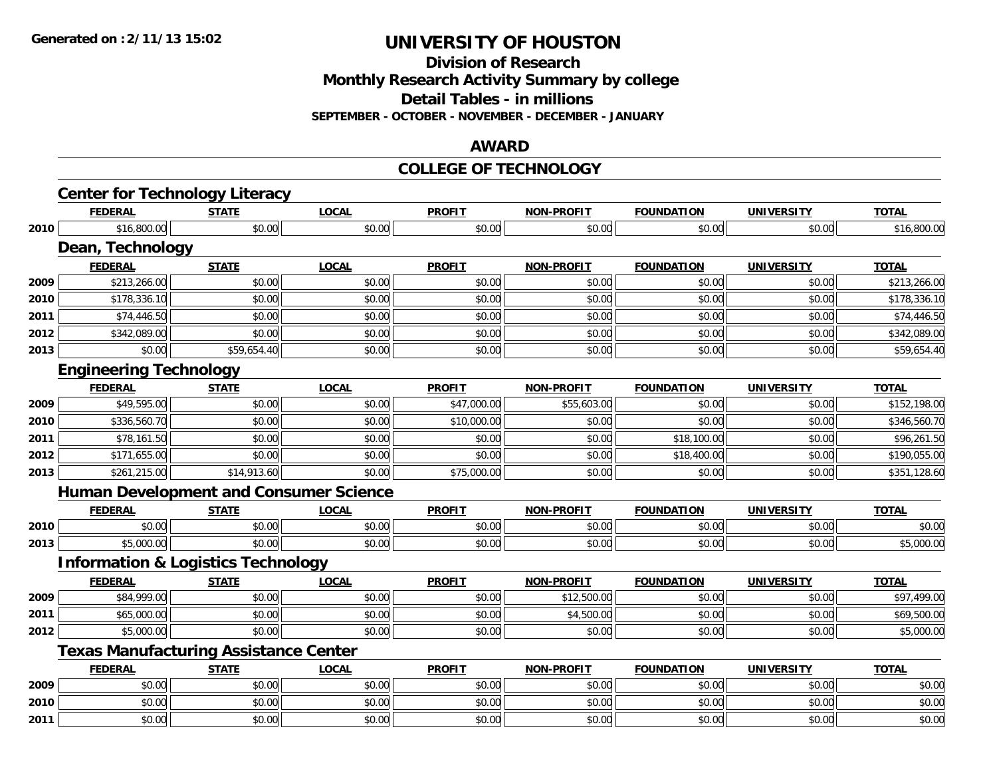**Division of Research**

**Monthly Research Activity Summary by college**

**Detail Tables - in millions**

**SEPTEMBER - OCTOBER - NOVEMBER - DECEMBER - JANUARY**

### **AWARD**

#### **COLLEGE OF TECHNOLOGY**

|      | <b>Center for Technology Literacy</b>         |              |              |               |                   |                   |                   |              |
|------|-----------------------------------------------|--------------|--------------|---------------|-------------------|-------------------|-------------------|--------------|
|      | <b>FEDERAL</b>                                | <b>STATE</b> | <b>LOCAL</b> | <b>PROFIT</b> | <b>NON-PROFIT</b> | <b>FOUNDATION</b> | <b>UNIVERSITY</b> | <b>TOTAL</b> |
| 2010 | \$16,800.00                                   | \$0.00       | \$0.00       | \$0.00        | \$0.00            | \$0.00            | \$0.00            | \$16,800.00  |
|      | Dean, Technology                              |              |              |               |                   |                   |                   |              |
|      | <b>FEDERAL</b>                                | <b>STATE</b> | <b>LOCAL</b> | <b>PROFIT</b> | <b>NON-PROFIT</b> | <b>FOUNDATION</b> | <b>UNIVERSITY</b> | <b>TOTAL</b> |
| 2009 | \$213,266.00                                  | \$0.00       | \$0.00       | \$0.00        | \$0.00            | \$0.00            | \$0.00            | \$213,266.00 |
| 2010 | \$178,336.10                                  | \$0.00       | \$0.00       | \$0.00        | \$0.00            | \$0.00            | \$0.00            | \$178,336.10 |
| 2011 | \$74,446.50                                   | \$0.00       | \$0.00       | \$0.00        | \$0.00            | \$0.00            | \$0.00            | \$74,446.50  |
| 2012 | \$342,089.00                                  | \$0.00       | \$0.00       | \$0.00        | \$0.00            | \$0.00            | \$0.00            | \$342,089.00 |
| 2013 | \$0.00                                        | \$59,654.40  | \$0.00       | \$0.00        | \$0.00            | \$0.00            | \$0.00            | \$59,654.40  |
|      | <b>Engineering Technology</b>                 |              |              |               |                   |                   |                   |              |
|      | <b>FEDERAL</b>                                | <b>STATE</b> | <b>LOCAL</b> | <b>PROFIT</b> | <b>NON-PROFIT</b> | <b>FOUNDATION</b> | <b>UNIVERSITY</b> | <b>TOTAL</b> |
| 2009 | \$49,595.00                                   | \$0.00       | \$0.00       | \$47,000.00   | \$55,603.00       | \$0.00            | \$0.00            | \$152,198.00 |
| 2010 | \$336,560.70                                  | \$0.00       | \$0.00       | \$10,000.00   | \$0.00            | \$0.00            | \$0.00            | \$346,560.70 |
| 2011 | \$78,161.50                                   | \$0.00       | \$0.00       | \$0.00        | \$0.00            | \$18,100.00       | \$0.00            | \$96,261.50  |
| 2012 | \$171,655.00                                  | \$0.00       | \$0.00       | \$0.00        | \$0.00            | \$18,400.00       | \$0.00            | \$190,055.00 |
| 2013 | \$261,215.00                                  | \$14,913.60  | \$0.00       | \$75,000.00   | \$0.00            | \$0.00            | \$0.00            | \$351,128.60 |
|      | <b>Human Development and Consumer Science</b> |              |              |               |                   |                   |                   |              |
|      | <b>FEDERAL</b>                                | <b>STATE</b> | <b>LOCAL</b> | <b>PROFIT</b> | <b>NON-PROFIT</b> | <b>FOUNDATION</b> | <b>UNIVERSITY</b> | <b>TOTAL</b> |
| 2010 | \$0.00                                        | \$0.00       | \$0.00       | \$0.00        | \$0.00            | \$0.00            | \$0.00            | \$0.00       |
| 2013 | \$5,000.00                                    | \$0.00       | \$0.00       | \$0.00        | \$0.00            | \$0.00            | \$0.00            | \$5,000.00   |
|      | <b>Information &amp; Logistics Technology</b> |              |              |               |                   |                   |                   |              |
|      | <b>FEDERAL</b>                                | <b>STATE</b> | <b>LOCAL</b> | <b>PROFIT</b> | <b>NON-PROFIT</b> | <b>FOUNDATION</b> | <b>UNIVERSITY</b> | <b>TOTAL</b> |
| 2009 | \$84,999.00                                   | \$0.00       | \$0.00       | \$0.00        | \$12,500.00       | \$0.00            | \$0.00            | \$97,499.00  |
| 2011 | \$65,000.00                                   | \$0.00       | \$0.00       | \$0.00        | \$4,500.00        | \$0.00            | \$0.00            | \$69,500.00  |
| 2012 | \$5,000.00                                    | \$0.00       | \$0.00       | \$0.00        | \$0.00            | \$0.00            | \$0.00            | \$5,000.00   |
|      | <b>Texas Manufacturing Assistance Center</b>  |              |              |               |                   |                   |                   |              |
|      | <b>FEDERAL</b>                                | <b>STATE</b> | <b>LOCAL</b> | <b>PROFIT</b> | <b>NON-PROFIT</b> | <b>FOUNDATION</b> | <b>UNIVERSITY</b> | <b>TOTAL</b> |
| 2009 | \$0.00                                        | \$0.00       | \$0.00       | \$0.00        | \$0.00            | \$0.00            | \$0.00            | \$0.00       |
| 2010 | \$0.00                                        | \$0.00       | \$0.00       | \$0.00        | \$0.00            | \$0.00            | \$0.00            | \$0.00       |
| 2011 | \$0.00                                        | \$0.00       | \$0.00       | \$0.00        | \$0.00            | \$0.00            | \$0.00            | \$0.00       |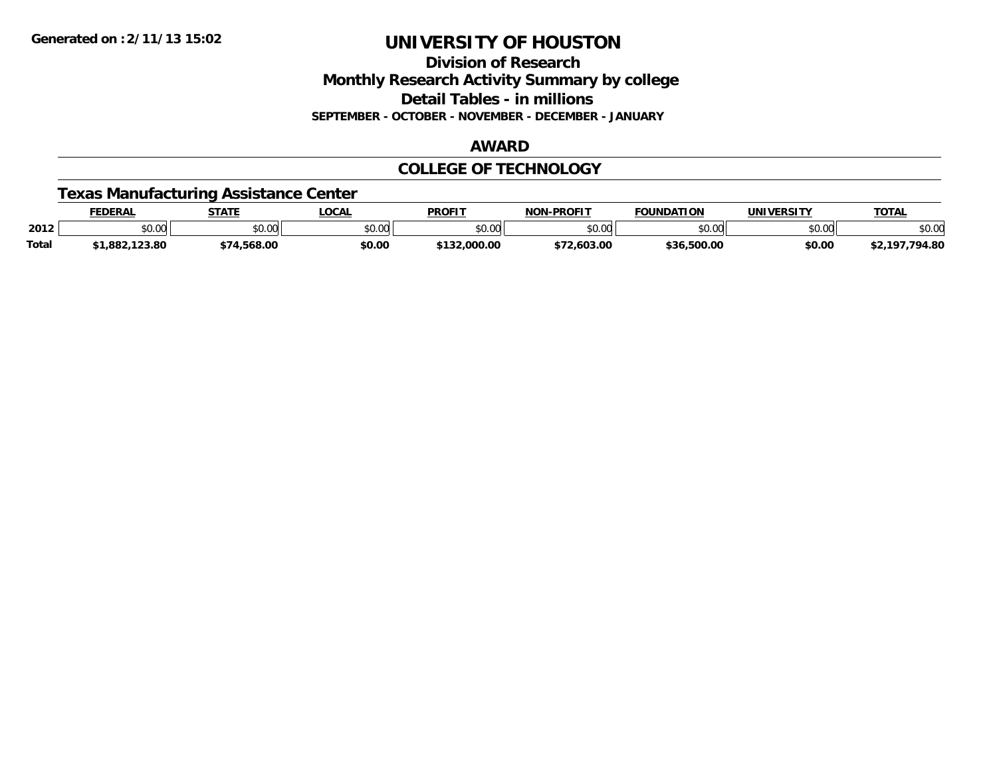**Division of Research Monthly Research Activity Summary by college Detail Tables - in millions SEPTEMBER - OCTOBER - NOVEMBER - DECEMBER - JANUARY**

### **AWARD**

## **COLLEGE OF TECHNOLOGY**

## **Texas Manufacturing Assistance Center**

|              | <b>EDERAL</b> | <b>STATE</b>           | <b>LOCAL</b>  | <b>PROFIT</b>  | -PROFIT<br><b>NON</b> | <b>FOUNDATION</b> | <b>UNIVERSITY</b> | <b>TOTAL</b> |
|--------------|---------------|------------------------|---------------|----------------|-----------------------|-------------------|-------------------|--------------|
| 2012         | \$0.00        | $\sim$ $\sim$<br>JU.UU | 0000<br>งบ.บบ | ልስ ሀህ<br>JU.UU | \$0.00                | nn nn<br>JU.UU    | \$0.00            | \$0.00       |
| <b>Total</b> | 882,123.80    | .568.00                | \$0.00        | ,000.00        | 72.603.00<br>ሖግጣ      | .500.00<br>よろん    | \$0.00            | .794.80      |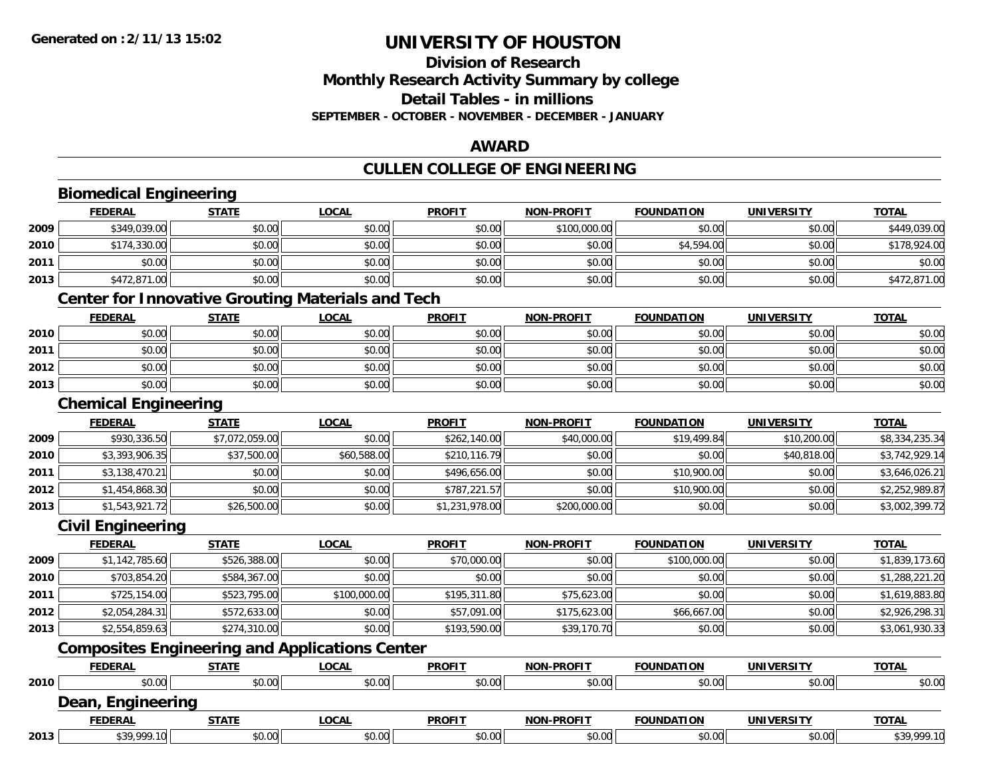# **Division of ResearchMonthly Research Activity Summary by college Detail Tables - in millions SEPTEMBER - OCTOBER - NOVEMBER - DECEMBER - JANUARY**

### **AWARD**

# **CULLEN COLLEGE OF ENGINEERING**

|      | <b>Biomedical Engineering</b>                            |                |              |                |                   |                   |                   |                |
|------|----------------------------------------------------------|----------------|--------------|----------------|-------------------|-------------------|-------------------|----------------|
|      | <b>FEDERAL</b>                                           | <b>STATE</b>   | <b>LOCAL</b> | <b>PROFIT</b>  | <b>NON-PROFIT</b> | <b>FOUNDATION</b> | <b>UNIVERSITY</b> | <b>TOTAL</b>   |
| 2009 | \$349,039.00                                             | \$0.00         | \$0.00       | \$0.00         | \$100,000.00      | \$0.00            | \$0.00            | \$449,039.00   |
| 2010 | \$174,330.00                                             | \$0.00         | \$0.00       | \$0.00         | \$0.00            | \$4,594.00        | \$0.00            | \$178,924.00   |
| 2011 | \$0.00                                                   | \$0.00         | \$0.00       | \$0.00         | \$0.00            | \$0.00            | \$0.00            | \$0.00         |
| 2013 | \$472,871.00                                             | \$0.00         | \$0.00       | \$0.00         | \$0.00            | \$0.00            | \$0.00            | \$472,871.00   |
|      | <b>Center for Innovative Grouting Materials and Tech</b> |                |              |                |                   |                   |                   |                |
|      | <b>FEDERAL</b>                                           | <b>STATE</b>   | <b>LOCAL</b> | <b>PROFIT</b>  | <b>NON-PROFIT</b> | <b>FOUNDATION</b> | <b>UNIVERSITY</b> | <b>TOTAL</b>   |
| 2010 | \$0.00                                                   | \$0.00         | \$0.00       | \$0.00         | \$0.00            | \$0.00            | \$0.00            | \$0.00         |
| 2011 | \$0.00                                                   | \$0.00         | \$0.00       | \$0.00         | \$0.00            | \$0.00            | \$0.00            | \$0.00         |
| 2012 | \$0.00                                                   | \$0.00         | \$0.00       | \$0.00         | \$0.00            | \$0.00            | \$0.00            | \$0.00         |
| 2013 | \$0.00                                                   | \$0.00         | \$0.00       | \$0.00         | \$0.00            | \$0.00            | \$0.00            | \$0.00         |
|      | <b>Chemical Engineering</b>                              |                |              |                |                   |                   |                   |                |
|      | <b>FEDERAL</b>                                           | <b>STATE</b>   | <b>LOCAL</b> | <b>PROFIT</b>  | <b>NON-PROFIT</b> | <b>FOUNDATION</b> | <b>UNIVERSITY</b> | <b>TOTAL</b>   |
| 2009 | \$930,336.50                                             | \$7,072,059.00 | \$0.00       | \$262,140.00   | \$40,000.00       | \$19,499.84       | \$10,200.00       | \$8,334,235.34 |
| 2010 | \$3,393,906.35                                           | \$37,500.00    | \$60,588.00  | \$210,116.79   | \$0.00            | \$0.00            | \$40,818.00       | \$3,742,929.14 |
| 2011 | \$3,138,470.21                                           | \$0.00         | \$0.00       | \$496,656.00   | \$0.00            | \$10,900.00       | \$0.00            | \$3,646,026.21 |
| 2012 | \$1,454,868.30                                           | \$0.00         | \$0.00       | \$787,221.57   | \$0.00            | \$10,900.00       | \$0.00            | \$2,252,989.87 |
| 2013 | \$1,543,921.72                                           | \$26,500.00    | \$0.00       | \$1,231,978.00 | \$200,000.00      | \$0.00            | \$0.00            | \$3,002,399.72 |
|      | <b>Civil Engineering</b>                                 |                |              |                |                   |                   |                   |                |
|      | <b>FEDERAL</b>                                           | <b>STATE</b>   | <b>LOCAL</b> | <b>PROFIT</b>  | <b>NON-PROFIT</b> | <b>FOUNDATION</b> | <b>UNIVERSITY</b> | <b>TOTAL</b>   |
| 2009 | \$1,142,785.60                                           | \$526,388.00   | \$0.00       | \$70,000.00    | \$0.00            | \$100,000.00      | \$0.00            | \$1,839,173.60 |
| 2010 | \$703,854.20                                             | \$584,367.00   | \$0.00       | \$0.00         | \$0.00            | \$0.00            | \$0.00            | \$1,288,221.20 |
| 2011 | \$725,154.00                                             | \$523,795.00   | \$100,000.00 | \$195,311.80   | \$75,623.00       | \$0.00            | \$0.00            | \$1,619,883.80 |
| 2012 | \$2,054,284.31                                           | \$572,633.00   | \$0.00       | \$57,091.00    | \$175,623.00      | \$66,667.00       | \$0.00            | \$2,926,298.31 |
| 2013 | \$2,554,859.63                                           | \$274,310.00   | \$0.00       | \$193,590.00   | \$39,170.70       | \$0.00            | \$0.00            | \$3,061,930.33 |
|      | <b>Composites Engineering and Applications Center</b>    |                |              |                |                   |                   |                   |                |
|      | <b>FEDERAL</b>                                           | <b>STATE</b>   | <b>LOCAL</b> | <b>PROFIT</b>  | <b>NON-PROFIT</b> | <b>FOUNDATION</b> | <b>UNIVERSITY</b> | <b>TOTAL</b>   |
| 2010 | \$0.00                                                   | \$0.00         | \$0.00       | \$0.00         | \$0.00            | \$0.00            | \$0.00            | \$0.00         |
|      | Dean, Engineering                                        |                |              |                |                   |                   |                   |                |
|      | <b>FEDERAL</b>                                           | <b>STATE</b>   | <b>LOCAL</b> | <b>PROFIT</b>  | <b>NON-PROFIT</b> | <b>FOUNDATION</b> | <b>UNIVERSITY</b> | <b>TOTAL</b>   |
| 2013 | \$39,999.10                                              | \$0.00         | \$0.00       | \$0.00         | \$0.00            | \$0.00            | \$0.00            | \$39,999.10    |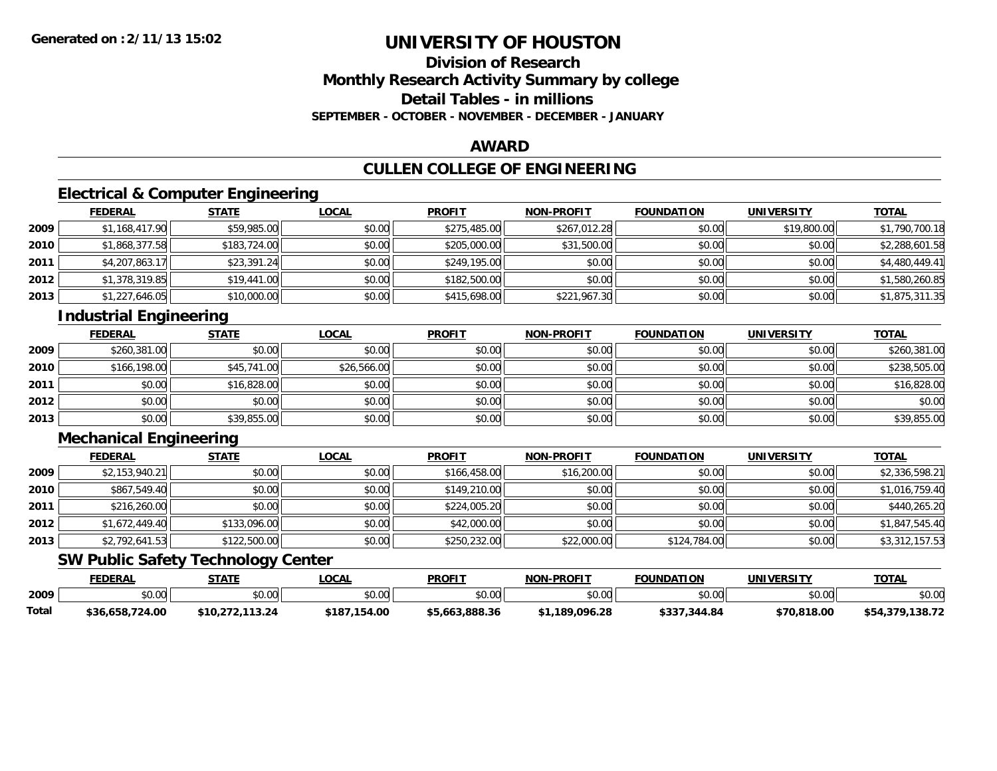## **Division of ResearchMonthly Research Activity Summary by college Detail Tables - in millionsSEPTEMBER - OCTOBER - NOVEMBER - DECEMBER - JANUARY**

### **AWARD**

# **CULLEN COLLEGE OF ENGINEERING**

# **Electrical & Computer Engineering**

|      | <b>FEDERAL</b> | <b>STATE</b> | <u>LOCAL</u> | <b>PROFIT</b> | <b>NON-PROFIT</b> | <b>FOUNDATION</b> | <b>UNIVERSITY</b> | <b>TOTAL</b>   |
|------|----------------|--------------|--------------|---------------|-------------------|-------------------|-------------------|----------------|
| 2009 | \$1,168,417.90 | \$59,985.00  | \$0.00       | \$275,485.00  | \$267,012.28      | \$0.00            | \$19,800.00       | \$1,790,700.18 |
| 2010 | \$1,868,377.58 | \$183,724.00 | \$0.00       | \$205,000.00  | \$31,500.00       | \$0.00            | \$0.00            | \$2,288,601.58 |
| 2011 | \$4,207,863.17 | \$23,391.24  | \$0.00       | \$249,195.00  | \$0.00            | \$0.00            | \$0.00            | \$4,480,449.41 |
| 2012 | \$1,378,319.85 | \$19,441.00  | \$0.00       | \$182,500.00  | \$0.00            | \$0.00            | \$0.00            | \$1,580,260.85 |
| 2013 | \$1,227,646.05 | \$10,000.00  | \$0.00       | \$415,698.00  | \$221,967.30      | \$0.00            | \$0.00            | \$1,875,311.35 |

# **Industrial Engineering**

|      | <b>FEDERAL</b> | <b>STATE</b> | <b>LOCAL</b> | <b>PROFIT</b> | <b>NON-PROFIT</b> | <b>FOUNDATION</b> | <b>UNIVERSITY</b> | <b>TOTAL</b> |
|------|----------------|--------------|--------------|---------------|-------------------|-------------------|-------------------|--------------|
| 2009 | \$260,381.00   | \$0.00       | \$0.00       | \$0.00        | \$0.00            | \$0.00            | \$0.00            | \$260,381.00 |
| 2010 | \$166,198.00   | \$45,741.00  | \$26,566.00  | \$0.00        | \$0.00            | \$0.00            | \$0.00            | \$238,505.00 |
| 2011 | \$0.00         | \$16,828.00  | \$0.00       | \$0.00        | \$0.00            | \$0.00            | \$0.00            | \$16,828.00  |
| 2012 | \$0.00         | \$0.00       | \$0.00       | \$0.00        | \$0.00            | \$0.00            | \$0.00            | \$0.00       |
| 2013 | \$0.00         | \$39,855.00  | \$0.00       | \$0.00        | \$0.00            | \$0.00            | \$0.00            | \$39,855.00  |

# **Mechanical Engineering**

|      | <b>FEDERAL</b> | <b>STATE</b> | <u>LOCAL</u> | <b>PROFIT</b> | <b>NON-PROFIT</b> | <b>FOUNDATION</b> | <b>UNIVERSITY</b> | <b>TOTAL</b>   |
|------|----------------|--------------|--------------|---------------|-------------------|-------------------|-------------------|----------------|
| 2009 | \$2,153,940.21 | \$0.00       | \$0.00       | \$166,458.00  | \$16,200.00       | \$0.00            | \$0.00            | \$2,336,598.21 |
| 2010 | \$867,549.40   | \$0.00       | \$0.00       | \$149,210.00  | \$0.00            | \$0.00            | \$0.00            | \$1,016,759.40 |
| 2011 | \$216,260.00   | \$0.00       | \$0.00       | \$224,005.20  | \$0.00            | \$0.00            | \$0.00            | \$440,265.20   |
| 2012 | \$1,672,449.40 | \$133,096.00 | \$0.00       | \$42,000.00   | \$0.00            | \$0.00            | \$0.00            | \$1,847,545.40 |
| 2013 | \$2,792,641.53 | \$122,500.00 | \$0.00       | \$250,232.00  | \$22,000.00       | \$124,784.00      | \$0.00            | \$3,312,157.53 |

## **SW Public Safety Technology Center**

|       | <b>FEDERAL</b>         | STATE                | _OCAL            | <b>PROFIT</b>  | <b>NON-PROFIT</b> | <b>FOUNDATION</b> | UNIVERSITY  | <b>TOTAL</b>    |
|-------|------------------------|----------------------|------------------|----------------|-------------------|-------------------|-------------|-----------------|
| 2009  | $\sim$<br>÷n.<br>vu.vu | \$0.00               | \$0.00           | \$0.00         | \$0.00            | \$0.00            | \$0.00      | \$0.00          |
| Total | \$36,658,724.00        | .113.24<br>\$10.272. | ,154.00<br>\$187 | \$5,663,888.36 | \$1,189,096.28    | \$337,344.84      | \$70,818.00 | \$54,379,138.72 |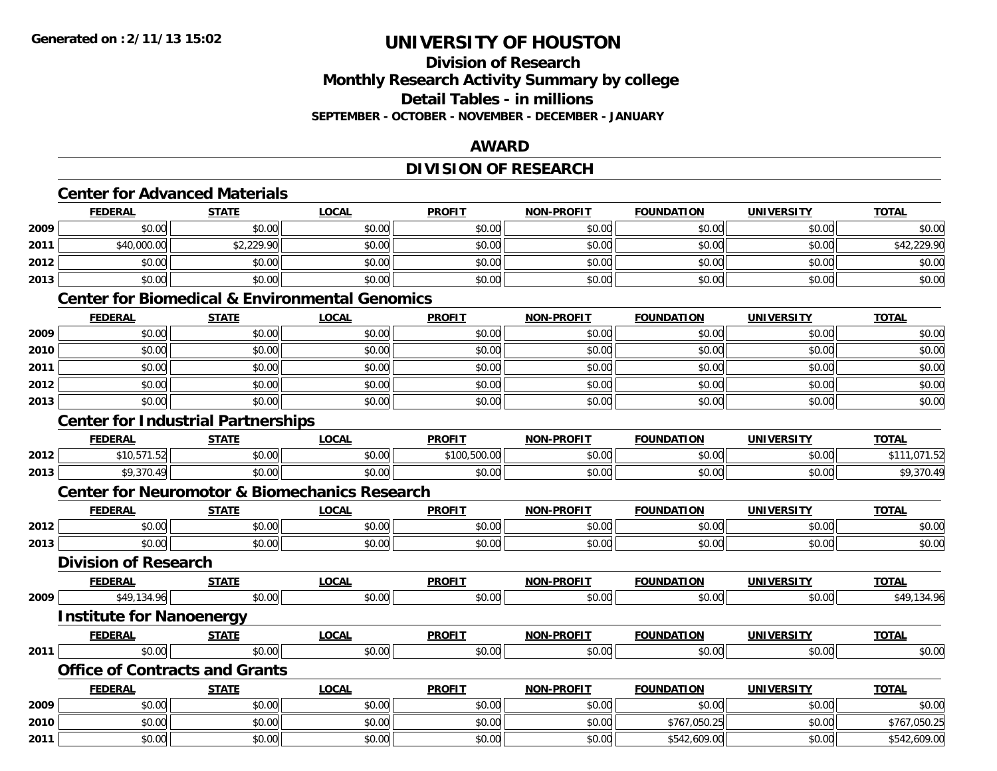# **Division of ResearchMonthly Research Activity Summary by college Detail Tables - in millions SEPTEMBER - OCTOBER - NOVEMBER - DECEMBER - JANUARY**

## **AWARD**

# **DIVISION OF RESEARCH**

|      | <b>FEDERAL</b>                                           | <b>STATE</b>                              | <b>LOCAL</b>                                              | <b>PROFIT</b> | <b>NON-PROFIT</b> | <b>FOUNDATION</b> | <b>UNIVERSITY</b> | <b>TOTAL</b> |  |  |
|------|----------------------------------------------------------|-------------------------------------------|-----------------------------------------------------------|---------------|-------------------|-------------------|-------------------|--------------|--|--|
| 2009 | \$0.00                                                   | \$0.00                                    | \$0.00                                                    | \$0.00        | \$0.00            | \$0.00            | \$0.00            | \$0.00       |  |  |
| 2011 | \$40,000.00                                              | \$2,229.90                                | \$0.00                                                    | \$0.00        | \$0.00            | \$0.00            | \$0.00            | \$42,229.90  |  |  |
| 2012 | \$0.00                                                   | \$0.00                                    | \$0.00                                                    | \$0.00        | \$0.00            | \$0.00            | \$0.00            | \$0.00       |  |  |
| 2013 | \$0.00                                                   | \$0.00                                    | \$0.00                                                    | \$0.00        | \$0.00            | \$0.00            | \$0.00            | \$0.00       |  |  |
|      |                                                          |                                           | <b>Center for Biomedical &amp; Environmental Genomics</b> |               |                   |                   |                   |              |  |  |
|      | <b>FEDERAL</b>                                           | <b>STATE</b>                              | <b>LOCAL</b>                                              | <b>PROFIT</b> | <b>NON-PROFIT</b> | <b>FOUNDATION</b> | <b>UNIVERSITY</b> | <b>TOTAL</b> |  |  |
| 2009 | \$0.00                                                   | \$0.00                                    | \$0.00                                                    | \$0.00        | \$0.00            | \$0.00            | \$0.00            | \$0.00       |  |  |
| 2010 | \$0.00                                                   | \$0.00                                    | \$0.00                                                    | \$0.00        | \$0.00            | \$0.00            | \$0.00            | \$0.00       |  |  |
| 2011 | \$0.00                                                   | \$0.00                                    | \$0.00                                                    | \$0.00        | \$0.00            | \$0.00            | \$0.00            | \$0.00       |  |  |
| 2012 | \$0.00                                                   | \$0.00                                    | \$0.00                                                    | \$0.00        | \$0.00            | \$0.00            | \$0.00            | \$0.00       |  |  |
| 2013 | \$0.00                                                   | \$0.00                                    | \$0.00                                                    | \$0.00        | \$0.00            | \$0.00            | \$0.00            | \$0.00       |  |  |
|      |                                                          | <b>Center for Industrial Partnerships</b> |                                                           |               |                   |                   |                   |              |  |  |
|      | <b>FEDERAL</b>                                           | <b>STATE</b>                              | <b>LOCAL</b>                                              | <b>PROFIT</b> | <b>NON-PROFIT</b> | <b>FOUNDATION</b> | <b>UNIVERSITY</b> | <b>TOTAL</b> |  |  |
| 2012 | \$10,571.52                                              | \$0.00                                    | \$0.00                                                    | \$100,500.00  | \$0.00            | \$0.00            | \$0.00            | \$111,071.52 |  |  |
| 2013 | \$9,370.49                                               | \$0.00                                    | \$0.00                                                    | \$0.00        | \$0.00            | \$0.00            | \$0.00            | \$9,370.49   |  |  |
|      | <b>Center for Neuromotor &amp; Biomechanics Research</b> |                                           |                                                           |               |                   |                   |                   |              |  |  |
|      | <b>FEDERAL</b>                                           | <b>STATE</b>                              | <b>LOCAL</b>                                              | <b>PROFIT</b> | <b>NON-PROFIT</b> | <b>FOUNDATION</b> | <b>UNIVERSITY</b> | <b>TOTAL</b> |  |  |
| 2012 | \$0.00                                                   | \$0.00                                    | \$0.00                                                    | \$0.00        | \$0.00            | \$0.00            | \$0.00            | \$0.00       |  |  |
| 2013 | \$0.00                                                   | \$0.00                                    | \$0.00                                                    | \$0.00        | \$0.00            | \$0.00            | \$0.00            | \$0.00       |  |  |
|      | <b>Division of Research</b>                              |                                           |                                                           |               |                   |                   |                   |              |  |  |
|      | <b>FEDERAL</b>                                           | <b>STATE</b>                              | <b>LOCAL</b>                                              | <b>PROFIT</b> | <b>NON-PROFIT</b> | <b>FOUNDATION</b> | <b>UNIVERSITY</b> | <b>TOTAL</b> |  |  |
| 2009 | \$49,134.96                                              | \$0.00                                    | \$0.00                                                    | \$0.00        | \$0.00            | \$0.00            | \$0.00            | \$49,134.96  |  |  |
|      | <b>Institute for Nanoenergy</b>                          |                                           |                                                           |               |                   |                   |                   |              |  |  |
|      | <b>FEDERAL</b>                                           | <b>STATE</b>                              | <b>LOCAL</b>                                              | <b>PROFIT</b> | <b>NON-PROFIT</b> | <b>FOUNDATION</b> | <b>UNIVERSITY</b> | <b>TOTAL</b> |  |  |
| 2011 | \$0.00                                                   | \$0.00                                    | \$0.00                                                    | \$0.00        | \$0.00            | \$0.00            | \$0.00            | \$0.00       |  |  |
|      |                                                          | <b>Office of Contracts and Grants</b>     |                                                           |               |                   |                   |                   |              |  |  |
|      | <b>FEDERAL</b>                                           | <b>STATE</b>                              | <b>LOCAL</b>                                              | <b>PROFIT</b> | NON-PROFIT        | <b>FOUNDATION</b> | <b>UNIVERSITY</b> | <b>TOTAL</b> |  |  |
| 2009 | \$0.00                                                   | \$0.00                                    | \$0.00                                                    | \$0.00        | \$0.00            | \$0.00            | \$0.00            | \$0.00       |  |  |
| 2010 | \$0.00                                                   | \$0.00                                    | \$0.00                                                    | \$0.00        | \$0.00            | \$767,050.25      | \$0.00            | \$767,050.25 |  |  |
| 2011 | \$0.00                                                   | \$0.00                                    | \$0.00                                                    | \$0.00        | \$0.00            | \$542,609.00      | \$0.00            | \$542,609.00 |  |  |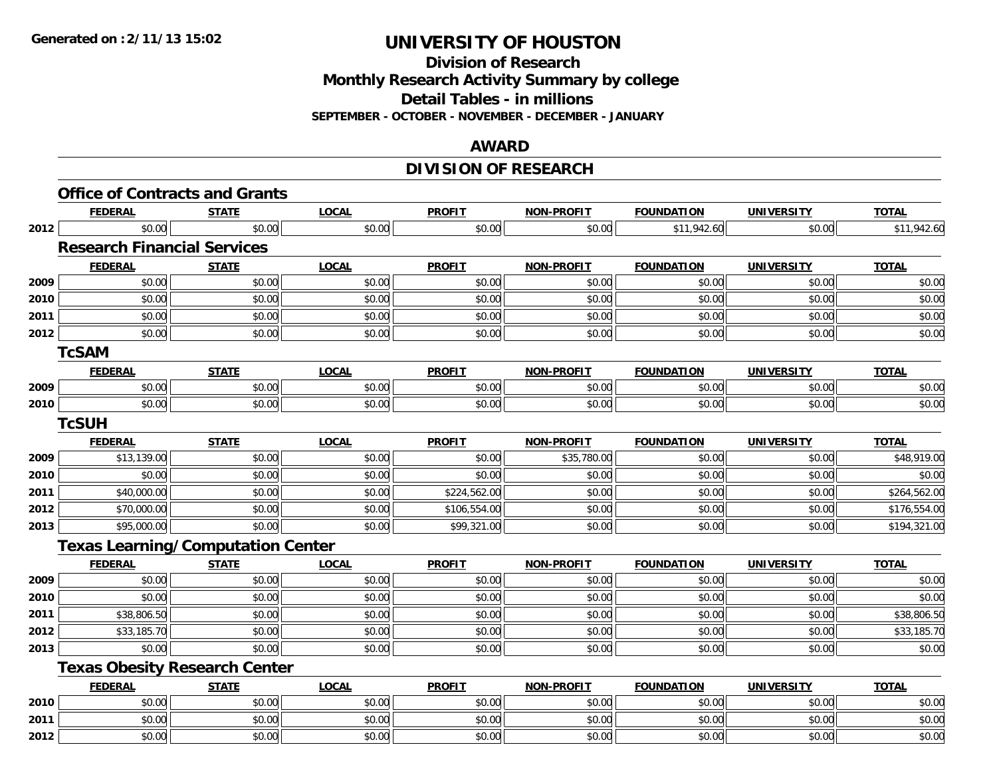**Division of Research Monthly Research Activity Summary by college Detail Tables - in millions SEPTEMBER - OCTOBER - NOVEMBER - DECEMBER - JANUARY**

### **AWARD**

# **DIVISION OF RESEARCH**

|      | <b>Office of Contracts and Grants</b>    |              |              |               |                   |                   |                   |              |
|------|------------------------------------------|--------------|--------------|---------------|-------------------|-------------------|-------------------|--------------|
|      | <b>FEDERAL</b>                           | <b>STATE</b> | <b>LOCAL</b> | <b>PROFIT</b> | NON-PROFIT        | <b>FOUNDATION</b> | <b>UNIVERSITY</b> | <b>TOTAL</b> |
| 2012 | \$0.00                                   | \$0.00       | \$0.00       | \$0.00        | \$0.00            | \$11,942.60       | \$0.00            | \$11,942.60  |
|      | <b>Research Financial Services</b>       |              |              |               |                   |                   |                   |              |
|      | <b>FEDERAL</b>                           | <b>STATE</b> | <b>LOCAL</b> | <b>PROFIT</b> | <b>NON-PROFIT</b> | <b>FOUNDATION</b> | <b>UNIVERSITY</b> | <b>TOTAL</b> |
| 2009 | \$0.00                                   | \$0.00       | \$0.00       | \$0.00        | \$0.00            | \$0.00            | \$0.00            | \$0.00       |
| 2010 | \$0.00                                   | \$0.00       | \$0.00       | \$0.00        | \$0.00            | \$0.00            | \$0.00            | \$0.00       |
| 2011 | \$0.00                                   | \$0.00       | \$0.00       | \$0.00        | \$0.00            | \$0.00            | \$0.00            | \$0.00       |
| 2012 | \$0.00                                   | \$0.00       | \$0.00       | \$0.00        | \$0.00            | \$0.00            | \$0.00            | \$0.00       |
|      | <b>TcSAM</b>                             |              |              |               |                   |                   |                   |              |
|      | <b>FEDERAL</b>                           | <b>STATE</b> | <b>LOCAL</b> | <b>PROFIT</b> | NON-PROFIT        | <b>FOUNDATION</b> | <b>UNIVERSITY</b> | <b>TOTAL</b> |
| 2009 | \$0.00                                   | \$0.00       | \$0.00       | \$0.00        | \$0.00            | \$0.00            | \$0.00            | \$0.00       |
| 2010 | \$0.00                                   | \$0.00       | \$0.00       | \$0.00        | \$0.00            | \$0.00            | \$0.00            | \$0.00       |
|      | <b>TcSUH</b>                             |              |              |               |                   |                   |                   |              |
|      | <b>FEDERAL</b>                           | <b>STATE</b> | <b>LOCAL</b> | <b>PROFIT</b> | <b>NON-PROFIT</b> | <b>FOUNDATION</b> | <b>UNIVERSITY</b> | <b>TOTAL</b> |
| 2009 | \$13,139.00                              | \$0.00       | \$0.00       | \$0.00        | \$35,780.00       | \$0.00            | \$0.00            | \$48,919.00  |
| 2010 | \$0.00                                   | \$0.00       | \$0.00       | \$0.00        | \$0.00            | \$0.00            | \$0.00            | \$0.00       |
| 2011 | \$40,000.00                              | \$0.00       | \$0.00       | \$224,562.00  | \$0.00            | \$0.00            | \$0.00            | \$264,562.00 |
| 2012 | \$70,000.00                              | \$0.00       | \$0.00       | \$106,554.00  | \$0.00            | \$0.00            | \$0.00            | \$176,554.00 |
| 2013 | \$95,000.00                              | \$0.00       | \$0.00       | \$99,321.00   | \$0.00            | \$0.00            | \$0.00            | \$194,321.00 |
|      | <b>Texas Learning/Computation Center</b> |              |              |               |                   |                   |                   |              |
|      | <b>FEDERAL</b>                           | <b>STATE</b> | <b>LOCAL</b> | <b>PROFIT</b> | NON-PROFIT        | <b>FOUNDATION</b> | <b>UNIVERSITY</b> | <b>TOTAL</b> |
| 2009 | \$0.00                                   | \$0.00       | \$0.00       | \$0.00        | \$0.00            | \$0.00            | \$0.00            | \$0.00       |
| 2010 | \$0.00                                   | \$0.00       | \$0.00       | \$0.00        | \$0.00            | \$0.00            | \$0.00            | \$0.00       |
| 2011 | \$38,806.50                              | \$0.00       | \$0.00       | \$0.00        | \$0.00            | \$0.00            | \$0.00            | \$38,806.50  |
| 2012 | \$33,185.70                              | \$0.00       | \$0.00       | \$0.00        | \$0.00            | \$0.00            | \$0.00            | \$33,185.70  |
| 2013 | \$0.00                                   | \$0.00       | \$0.00       | \$0.00        | \$0.00            | \$0.00            | \$0.00            | \$0.00       |
|      | <b>Texas Obesity Research Center</b>     |              |              |               |                   |                   |                   |              |
|      | <b>FEDERAL</b>                           | <b>STATE</b> | <b>LOCAL</b> | <b>PROFIT</b> | <b>NON-PROFIT</b> | <b>FOUNDATION</b> | <b>UNIVERSITY</b> | <b>TOTAL</b> |
| 2010 | \$0.00                                   | \$0.00       | \$0.00       | \$0.00        | \$0.00            | \$0.00            | \$0.00            | \$0.00       |
| 2011 | \$0.00                                   | \$0.00       | \$0.00       | \$0.00        | \$0.00            | \$0.00            | \$0.00            | \$0.00       |
| 2012 | \$0.00                                   | \$0.00       | \$0.00       | \$0.00        | \$0.00            | \$0.00            | \$0.00            | \$0.00       |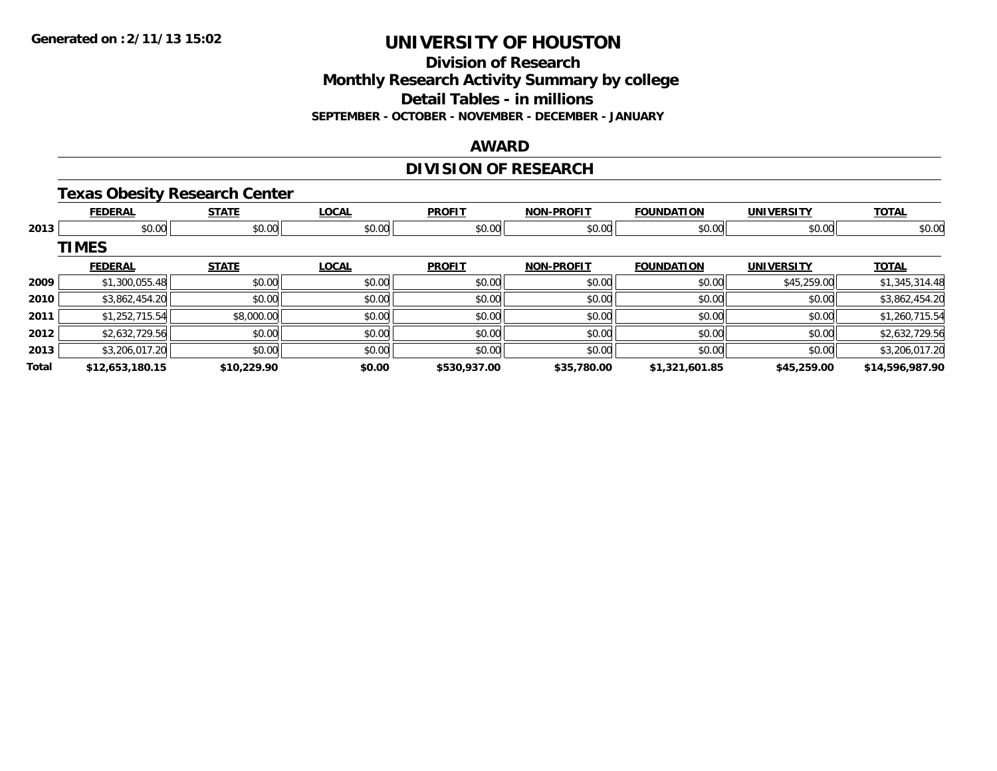### **Division of Research Monthly Research Activity Summary by college Detail Tables - in millions**

**SEPTEMBER - OCTOBER - NOVEMBER - DECEMBER - JANUARY**

### **AWARD**

# **DIVISION OF RESEARCH**

# **Texas Obesity Research Center**

|       | <b>FEDERAL</b>  | <b>STATE</b> | <b>LOCAL</b> | <b>PROFIT</b> | <b>NON-PROFIT</b> | <b>FOUNDATION</b> | <b>UNIVERSITY</b> | <b>TOTAL</b>    |
|-------|-----------------|--------------|--------------|---------------|-------------------|-------------------|-------------------|-----------------|
| 2013  | \$0.00          | \$0.00       | \$0.00       | \$0.00        | \$0.00            | \$0.00            | \$0.00            | \$0.00          |
|       | <b>TIMES</b>    |              |              |               |                   |                   |                   |                 |
|       | <b>FEDERAL</b>  | <b>STATE</b> | <b>LOCAL</b> | <b>PROFIT</b> | <b>NON-PROFIT</b> | <b>FOUNDATION</b> | <b>UNIVERSITY</b> | <b>TOTAL</b>    |
| 2009  | \$1,300,055.48  | \$0.00       | \$0.00       | \$0.00        | \$0.00            | \$0.00            | \$45,259.00       | \$1,345,314.48  |
| 2010  | \$3,862,454.20  | \$0.00       | \$0.00       | \$0.00        | \$0.00            | \$0.00            | \$0.00            | \$3,862,454.20  |
| 2011  | \$1,252,715.54  | \$8,000.00   | \$0.00       | \$0.00        | \$0.00            | \$0.00            | \$0.00            | \$1,260,715.54  |
| 2012  | \$2,632,729.56  | \$0.00       | \$0.00       | \$0.00        | \$0.00            | \$0.00            | \$0.00            | \$2,632,729.56  |
| 2013  | \$3,206,017.20  | \$0.00       | \$0.00       | \$0.00        | \$0.00            | \$0.00            | \$0.00            | \$3,206,017.20  |
| Total | \$12,653,180.15 | \$10,229.90  | \$0.00       | \$530,937.00  | \$35,780.00       | \$1,321,601.85    | \$45,259.00       | \$14,596,987.90 |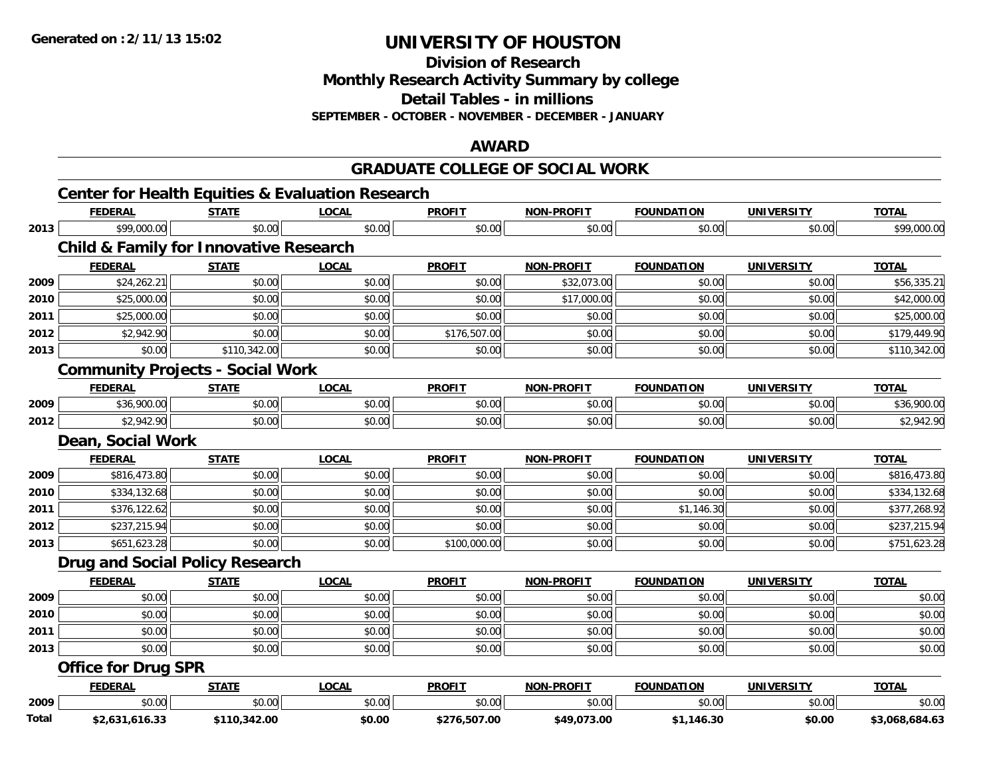**Division of Research**

**Monthly Research Activity Summary by college**

**Detail Tables - in millions**

**SEPTEMBER - OCTOBER - NOVEMBER - DECEMBER - JANUARY**

### **AWARD**

### **GRADUATE COLLEGE OF SOCIAL WORK**

|      | <b>FEDERAL</b>                                    | <b>STATE</b> | <b>LOCAL</b> | <b>PROFIT</b> | <b>NON-PROFIT</b> | <b>FOUNDATION</b> | <b>UNIVERSITY</b> | <b>TOTAL</b> |
|------|---------------------------------------------------|--------------|--------------|---------------|-------------------|-------------------|-------------------|--------------|
| 2013 | \$99,000.00                                       | \$0.00       | \$0.00       | \$0.00        | \$0.00            | \$0.00            | \$0.00            | \$99,000.00  |
|      | <b>Child &amp; Family for Innovative Research</b> |              |              |               |                   |                   |                   |              |
|      | <b>FEDERAL</b>                                    | <b>STATE</b> | <b>LOCAL</b> | <b>PROFIT</b> | <b>NON-PROFIT</b> | <b>FOUNDATION</b> | <b>UNIVERSITY</b> | <b>TOTAL</b> |
| 2009 | \$24,262.21                                       | \$0.00       | \$0.00       | \$0.00        | \$32,073.00       | \$0.00            | \$0.00            | \$56,335.21  |
| 2010 | \$25,000.00                                       | \$0.00       | \$0.00       | \$0.00        | \$17,000.00       | \$0.00            | \$0.00            | \$42,000.00  |
| 2011 | \$25,000.00                                       | \$0.00       | \$0.00       | \$0.00        | \$0.00            | \$0.00            | \$0.00            | \$25,000.00  |
| 2012 | \$2,942.90                                        | \$0.00       | \$0.00       | \$176,507.00  | \$0.00            | \$0.00            | \$0.00            | \$179,449.90 |
| 2013 | \$0.00                                            | \$110,342.00 | \$0.00       | \$0.00        | \$0.00            | \$0.00            | \$0.00            | \$110,342.00 |
|      | <b>Community Projects - Social Work</b>           |              |              |               |                   |                   |                   |              |
|      | <b>FEDERAL</b>                                    | <b>STATE</b> | <b>LOCAL</b> | <b>PROFIT</b> | <b>NON-PROFIT</b> | <b>FOUNDATION</b> | <b>UNIVERSITY</b> | <b>TOTAL</b> |
| 2009 | \$36,900.00                                       | \$0.00       | \$0.00       | \$0.00        | \$0.00            | \$0.00            | \$0.00            | \$36,900.00  |
| 2012 | \$2,942.90                                        | \$0.00       | \$0.00       | \$0.00        | \$0.00            | \$0.00            | \$0.00            | \$2,942.90   |
|      | Dean, Social Work                                 |              |              |               |                   |                   |                   |              |
|      | <b>FEDERAL</b>                                    | <b>STATE</b> | <b>LOCAL</b> | <b>PROFIT</b> | <b>NON-PROFIT</b> | <b>FOUNDATION</b> | <b>UNIVERSITY</b> | <b>TOTAL</b> |
| 2009 | \$816,473.80                                      | \$0.00       | \$0.00       | \$0.00        | \$0.00            | \$0.00            | \$0.00            | \$816,473.80 |
| 2010 | \$334,132.68                                      | \$0.00       | \$0.00       | \$0.00        | \$0.00            | \$0.00            | \$0.00            | \$334,132.68 |
| 2011 | \$376,122.62                                      | \$0.00       | \$0.00       | \$0.00        | \$0.00            | \$1,146.30        | \$0.00            | \$377,268.92 |
| 2012 | \$237,215.94                                      | \$0.00       | \$0.00       | \$0.00        | \$0.00            | \$0.00            | \$0.00            | \$237,215.94 |
| 2013 | \$651,623.28                                      | \$0.00       | \$0.00       | \$100,000.00  | \$0.00            | \$0.00            | \$0.00            | \$751,623.28 |
|      | <b>Drug and Social Policy Research</b>            |              |              |               |                   |                   |                   |              |
|      | <b>FEDERAL</b>                                    | <b>STATE</b> | <b>LOCAL</b> | <b>PROFIT</b> | <b>NON-PROFIT</b> | <b>FOUNDATION</b> | <b>UNIVERSITY</b> | <b>TOTAL</b> |
| 2009 | \$0.00                                            | \$0.00       | \$0.00       | \$0.00        | \$0.00            | \$0.00            | \$0.00            | \$0.00       |
| 2010 | \$0.00                                            | \$0.00       | \$0.00       | \$0.00        | \$0.00            | \$0.00            | \$0.00            | \$0.00       |
| 2011 | \$0.00                                            | \$0.00       | \$0.00       | \$0.00        | \$0.00            | \$0.00            | \$0.00            | \$0.00       |
| 2013 | \$0.00                                            | \$0.00       | \$0.00       | \$0.00        | \$0.00            | \$0.00            | \$0.00            | \$0.00       |
|      | <b>Office for Drug SPR</b>                        |              |              |               |                   |                   |                   |              |
|      | <b>FEDERAL</b>                                    | <b>STATE</b> | <b>LOCAL</b> | <b>PROFIT</b> | <b>NON-PROFIT</b> | <b>FOUNDATION</b> | <b>UNIVERSITY</b> | <b>TOTAL</b> |
|      |                                                   |              |              |               |                   |                   |                   |              |
| 2009 | \$0.00                                            | \$0.00       | \$0.00       | \$0.00        | \$0.00            | \$0.00            | \$0.00            | \$0.00       |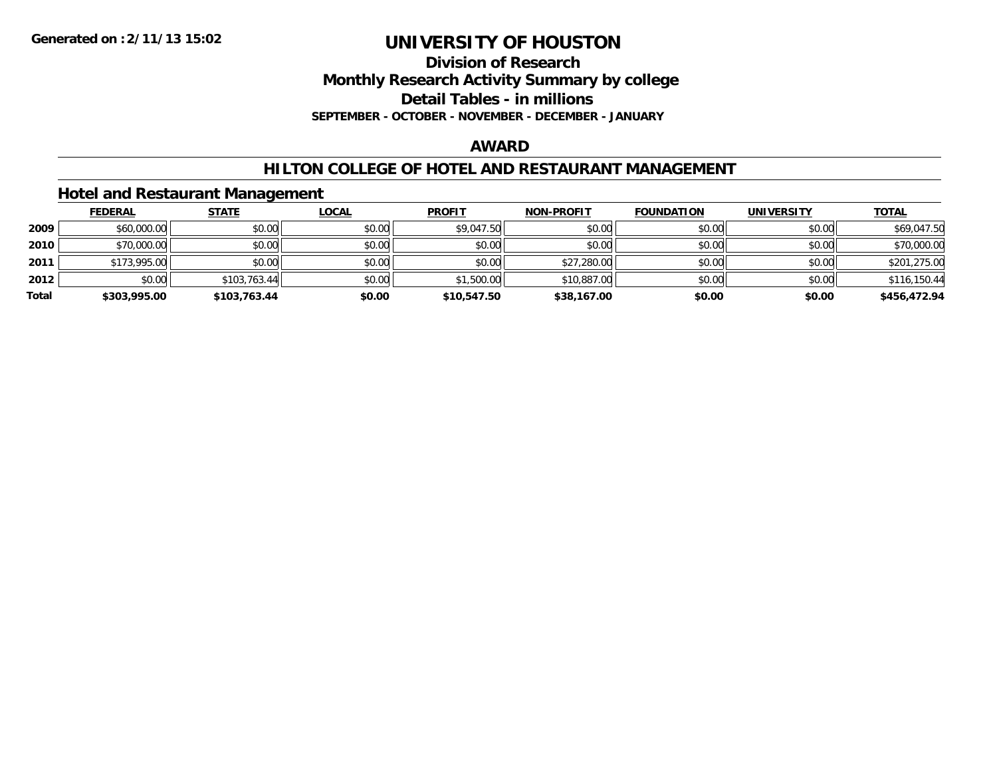# **Division of Research Monthly Research Activity Summary by college Detail Tables - in millions**

**SEPTEMBER - OCTOBER - NOVEMBER - DECEMBER - JANUARY**

### **AWARD**

## **HILTON COLLEGE OF HOTEL AND RESTAURANT MANAGEMENT**

## **Hotel and Restaurant Management**

|       | <b>FEDERAL</b> | <b>STATE</b> | <u>LOCAL</u> | <b>PROFIT</b> | <b>NON-PROFIT</b> | <b>FOUNDATION</b> | <b>UNIVERSITY</b> | <b>TOTAL</b> |
|-------|----------------|--------------|--------------|---------------|-------------------|-------------------|-------------------|--------------|
| 2009  | \$60,000.00    | \$0.00       | \$0.00       | \$9,047.50    | \$0.00            | \$0.00            | \$0.00            | \$69,047.50  |
| 2010  | \$70,000.00    | \$0.00       | \$0.00       | \$0.00        | \$0.00            | \$0.00            | \$0.00            | \$70,000.00  |
| 2011  | \$173,995.00   | \$0.00       | \$0.00       | \$0.00        | \$27,280.00       | \$0.00            | \$0.00            | \$201,275.00 |
| 2012  | \$0.00         | \$103,763.44 | \$0.00       | \$1,500.00    | \$10,887.00       | \$0.00            | \$0.00            | \$116,150.44 |
| Total | \$303,995.00   | \$103,763.44 | \$0.00       | \$10,547.50   | \$38,167.00       | \$0.00            | \$0.00            | \$456,472.94 |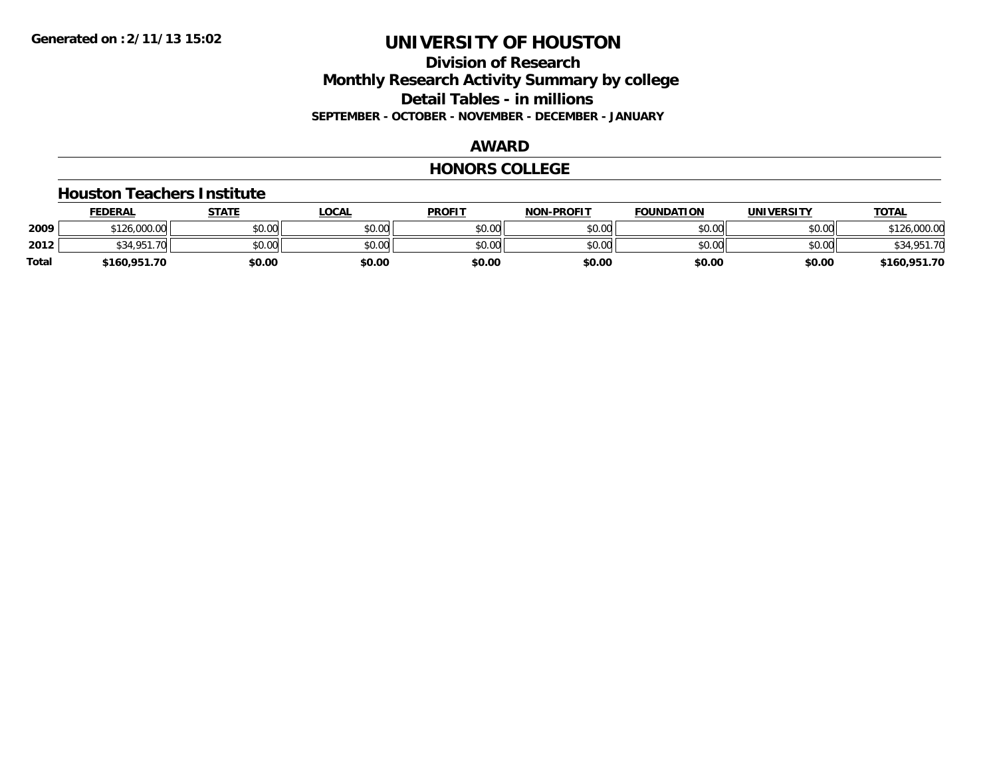## **Division of Research Monthly Research Activity Summary by college Detail Tables - in millions SEPTEMBER - OCTOBER - NOVEMBER - DECEMBER - JANUARY**

## **AWARD**

### **HONORS COLLEGE**

#### **Houston Teachers Institute**

|       | <b>FEDERAL</b> | STATE  | LOCAL  | <b>PROFIT</b> | <b>NON-PROFIT</b> | <b>FOUNDATION</b> | UNIVERSITY | <u> ΤΟΤΑL</u> |
|-------|----------------|--------|--------|---------------|-------------------|-------------------|------------|---------------|
| 2009  | \$126,000.00   | \$0.00 | \$0.00 | \$0.00        | \$0.00            | \$0.00            | \$0.00     | .000.00       |
| 2012  | \$34.951<br>70 | \$0.00 | \$0.00 | \$0.00        | \$0.00            | \$0.00            | \$0.00     | \$34,951.70   |
| Total | \$160,951.70   | \$0.00 | \$0.00 | \$0.00        | \$0.00            | \$0.00            | \$0.00     | \$160,951.70  |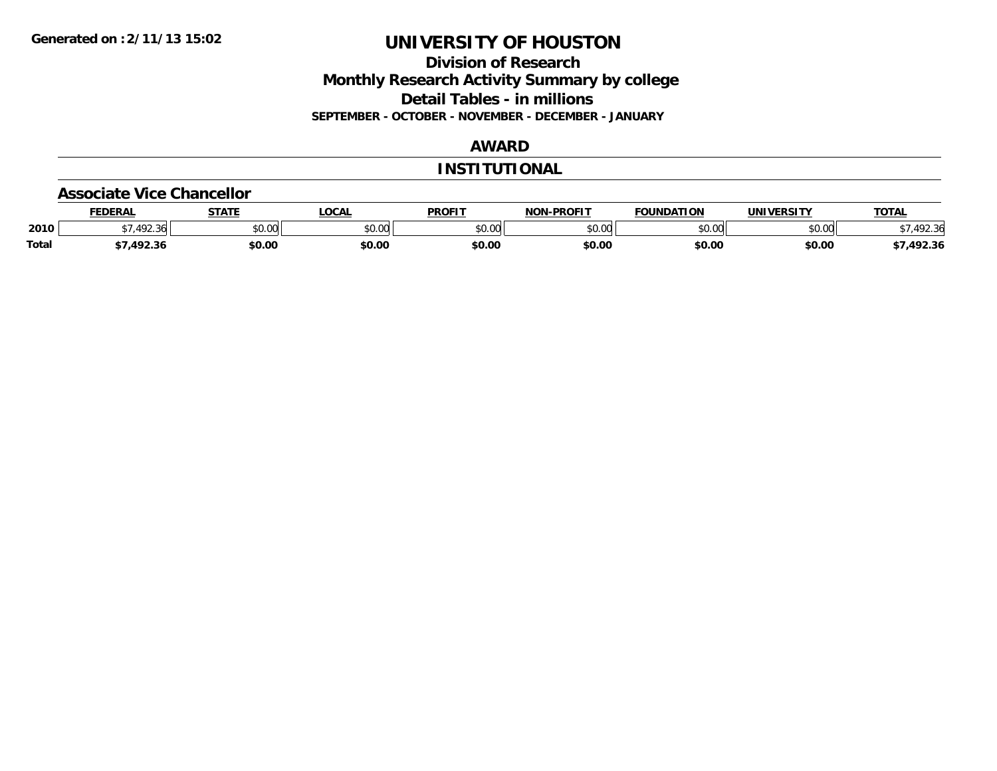## **Division of Research Monthly Research Activity Summary by college Detail Tables - in millions SEPTEMBER - OCTOBER - NOVEMBER - DECEMBER - JANUARY**

## **AWARD**

### **INSTITUTIONAL**

#### **Associate Vice Chancellor**

|              | <b>FEDERA</b>             | CTATE         | ne N<br>uun | <b>PROFIT</b> | <b>-PROFIT</b><br>៱ោស | <b>FOUNDATION</b> | JNI\<br><b>JEDCITY</b> | TOTA.  |
|--------------|---------------------------|---------------|-------------|---------------|-----------------------|-------------------|------------------------|--------|
| 2010         | $\sqrt{2}$<br>2. <b>.</b> | 0000<br>PO.OO | JU.UU       | \$0.00        | ტი იი<br>vv.vv        | 0000<br>10.V      | \$0.00                 |        |
| <b>Total</b> |                           | \$0.00        | \$0.00      | \$0.00        | \$0.00                | \$0.00            | \$0.00                 | 492.36 |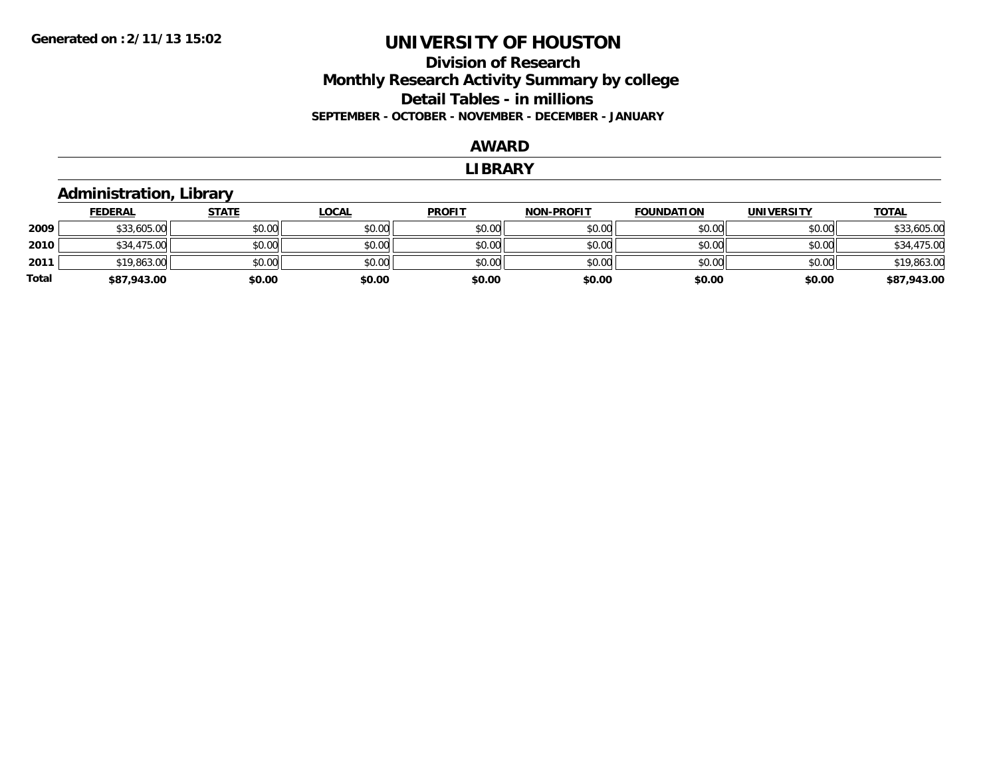## **Division of Research Monthly Research Activity Summary by college Detail Tables - in millions SEPTEMBER - OCTOBER - NOVEMBER - DECEMBER - JANUARY**

#### **AWARD**

#### **LIBRARY**

## **Administration, Library**

|       | <b>FEDERAL</b> | <u>STATE</u> | <u>LOCAL</u> | <b>PROFIT</b> | <b>NON-PROFIT</b> | <b>FOUNDATION</b> | <b>UNIVERSITY</b> | <b>TOTAL</b> |
|-------|----------------|--------------|--------------|---------------|-------------------|-------------------|-------------------|--------------|
| 2009  | \$33,605.00    | \$0.00       | \$0.00       | \$0.00        | \$0.00            | \$0.00            | \$0.00            | \$33,605.00  |
| 2010  | \$34,475.00    | \$0.00       | \$0.00       | \$0.00        | \$0.00            | \$0.00            | \$0.00            | \$34,475.00  |
| 2011  | \$19,863.00    | \$0.00       | \$0.00       | \$0.00        | \$0.00            | \$0.00            | \$0.00            | \$19,863.00  |
| Total | \$87,943.00    | \$0.00       | \$0.00       | \$0.00        | \$0.00            | \$0.00            | \$0.00            | \$87,943.00  |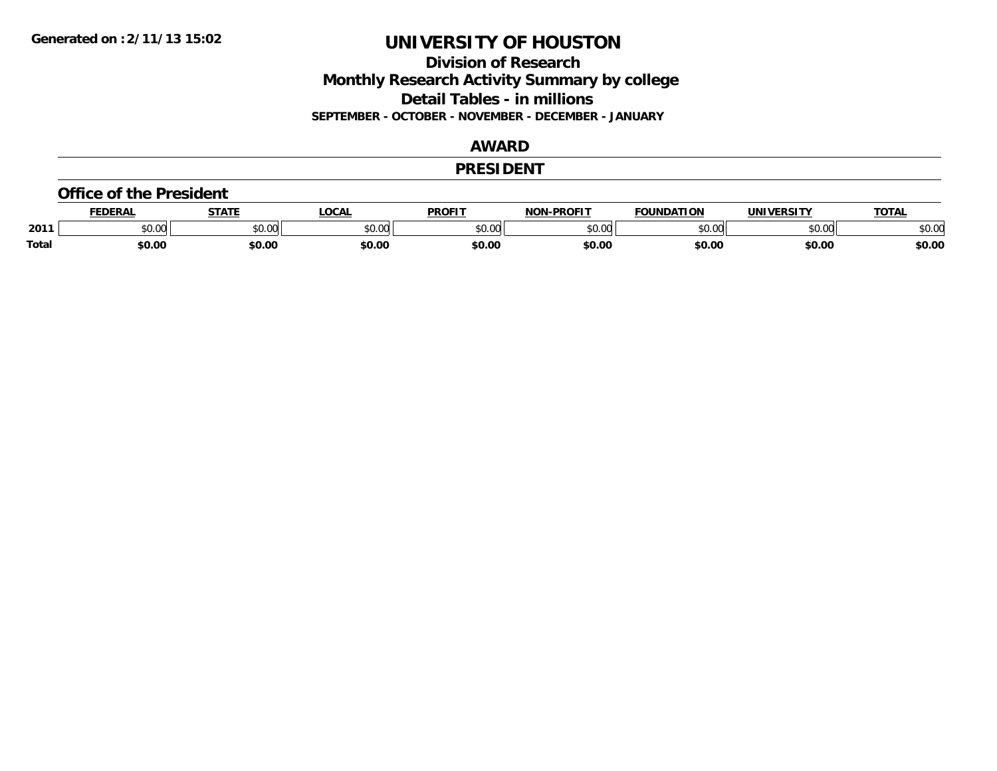**Division of Research Monthly Research Activity Summary by college Detail Tables - in millions SEPTEMBER - OCTOBER - NOVEMBER - DECEMBER - JANUARY**

## **AWARD**

### **PRESIDENT**

#### **Office of the President**

|       | <b>EDERAL</b> | <b>STATE</b>           | <b>OCAL</b> | <b>PROFIT</b> | -PROFIT<br>וחרות | <b>FOUNDATION</b> | UNIVERSITY | <b>TOTAL</b> |
|-------|---------------|------------------------|-------------|---------------|------------------|-------------------|------------|--------------|
| 2011  | 0000<br>JU.UU | $\sim$ $\sim$<br>vu.vu | \$0.00      | 0000<br>JU.UU | 40.00<br>, UU O  | \$0.00            | \$0.00     | \$0.00       |
| Total | \$0.00        | \$0.00                 | \$0.00      | \$0.00        | \$0.00           | \$0.00            | \$0.00     | \$0.00       |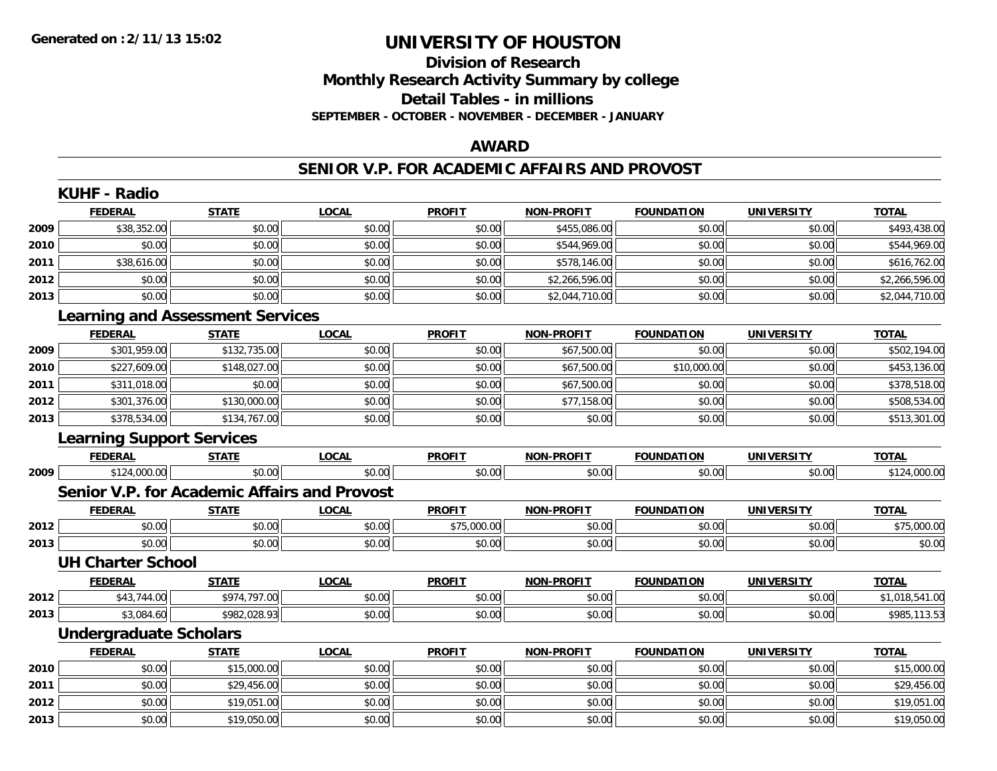# **Division of ResearchMonthly Research Activity Summary by college Detail Tables - in millions SEPTEMBER - OCTOBER - NOVEMBER - DECEMBER - JANUARY**

### **AWARD**

### **SENIOR V.P. FOR ACADEMIC AFFAIRS AND PROVOST**

|      | <b>KUHF - Radio</b>                     |              |                                              |               |                   |                   |                   |                |
|------|-----------------------------------------|--------------|----------------------------------------------|---------------|-------------------|-------------------|-------------------|----------------|
|      | <b>FEDERAL</b>                          | <b>STATE</b> | <b>LOCAL</b>                                 | <b>PROFIT</b> | <b>NON-PROFIT</b> | <b>FOUNDATION</b> | <b>UNIVERSITY</b> | <b>TOTAL</b>   |
| 2009 | \$38,352.00                             | \$0.00       | \$0.00                                       | \$0.00        | \$455,086.00      | \$0.00            | \$0.00            | \$493,438.00   |
| 2010 | \$0.00                                  | \$0.00       | \$0.00                                       | \$0.00        | \$544,969.00      | \$0.00            | \$0.00            | \$544,969.00   |
| 2011 | \$38,616.00                             | \$0.00       | \$0.00                                       | \$0.00        | \$578,146.00      | \$0.00            | \$0.00            | \$616,762.00   |
| 2012 | \$0.00                                  | \$0.00       | \$0.00                                       | \$0.00        | \$2,266,596.00    | \$0.00            | \$0.00            | \$2,266,596.00 |
| 2013 | \$0.00                                  | \$0.00       | \$0.00                                       | \$0.00        | \$2,044,710.00    | \$0.00            | \$0.00            | \$2,044,710.00 |
|      | <b>Learning and Assessment Services</b> |              |                                              |               |                   |                   |                   |                |
|      | <b>FEDERAL</b>                          | <b>STATE</b> | <b>LOCAL</b>                                 | <b>PROFIT</b> | <b>NON-PROFIT</b> | <b>FOUNDATION</b> | <b>UNIVERSITY</b> | <b>TOTAL</b>   |
| 2009 | \$301,959.00                            | \$132,735.00 | \$0.00                                       | \$0.00        | \$67,500.00       | \$0.00            | \$0.00            | \$502,194.00   |
| 2010 | \$227,609.00                            | \$148,027.00 | \$0.00                                       | \$0.00        | \$67,500.00       | \$10,000.00       | \$0.00            | \$453,136.00   |
| 2011 | \$311,018.00                            | \$0.00       | \$0.00                                       | \$0.00        | \$67,500.00       | \$0.00            | \$0.00            | \$378,518.00   |
| 2012 | \$301,376.00                            | \$130,000.00 | \$0.00                                       | \$0.00        | \$77,158.00       | \$0.00            | \$0.00            | \$508,534.00   |
| 2013 | \$378,534.00                            | \$134,767.00 | \$0.00                                       | \$0.00        | \$0.00            | \$0.00            | \$0.00            | \$513,301.00   |
|      | <b>Learning Support Services</b>        |              |                                              |               |                   |                   |                   |                |
|      | <b>FEDERAL</b>                          | <b>STATE</b> | <b>LOCAL</b>                                 | <b>PROFIT</b> | <b>NON-PROFIT</b> | <b>FOUNDATION</b> | <b>UNIVERSITY</b> | <b>TOTAL</b>   |
| 2009 | \$124,000.00                            | \$0.00       | \$0.00                                       | \$0.00        | \$0.00            | \$0.00            | \$0.00            | \$124,000.00   |
|      |                                         |              | Senior V.P. for Academic Affairs and Provost |               |                   |                   |                   |                |
|      | <b>FEDERAL</b>                          | <b>STATE</b> | <b>LOCAL</b>                                 | <b>PROFIT</b> | <b>NON-PROFIT</b> | <b>FOUNDATION</b> | <b>UNIVERSITY</b> | <b>TOTAL</b>   |
| 2012 | \$0.00                                  | \$0.00       | \$0.00                                       | \$75,000.00   | \$0.00            | \$0.00            | \$0.00            | \$75,000.00    |
| 2013 | \$0.00                                  | \$0.00       | \$0.00                                       | \$0.00        | \$0.00            | \$0.00            | \$0.00            | \$0.00         |
|      | <b>UH Charter School</b>                |              |                                              |               |                   |                   |                   |                |
|      | <b>FEDERAL</b>                          | <b>STATE</b> | <b>LOCAL</b>                                 | <b>PROFIT</b> | NON-PROFIT        | <b>FOUNDATION</b> | <b>UNIVERSITY</b> | <b>TOTAL</b>   |
| 2012 | \$43,744.00                             | \$974,797.00 | \$0.00                                       | \$0.00        | \$0.00            | \$0.00            | \$0.00            | \$1,018,541.00 |
| 2013 | \$3,084.60                              | \$982,028.93 | \$0.00                                       | \$0.00        | \$0.00            | \$0.00            | \$0.00            | \$985,113.53   |
|      | <b>Undergraduate Scholars</b>           |              |                                              |               |                   |                   |                   |                |
|      | <b>FEDERAL</b>                          | <b>STATE</b> | <b>LOCAL</b>                                 | <b>PROFIT</b> | <b>NON-PROFIT</b> | <b>FOUNDATION</b> | <b>UNIVERSITY</b> | <b>TOTAL</b>   |
| 2010 | \$0.00                                  | \$15,000.00  | \$0.00                                       | \$0.00        | \$0.00            | \$0.00            | \$0.00            | \$15,000.00    |
| 2011 | \$0.00                                  | \$29,456.00  | \$0.00                                       | \$0.00        | \$0.00            | \$0.00            | \$0.00            | \$29,456.00    |
| 2012 | \$0.00                                  | \$19,051.00  | \$0.00                                       | \$0.00        | \$0.00            | \$0.00            | \$0.00            | \$19,051.00    |
| 2013 | \$0.00                                  | \$19,050.00  | \$0.00                                       | \$0.00        | \$0.00            | \$0.00            | \$0.00            | \$19,050.00    |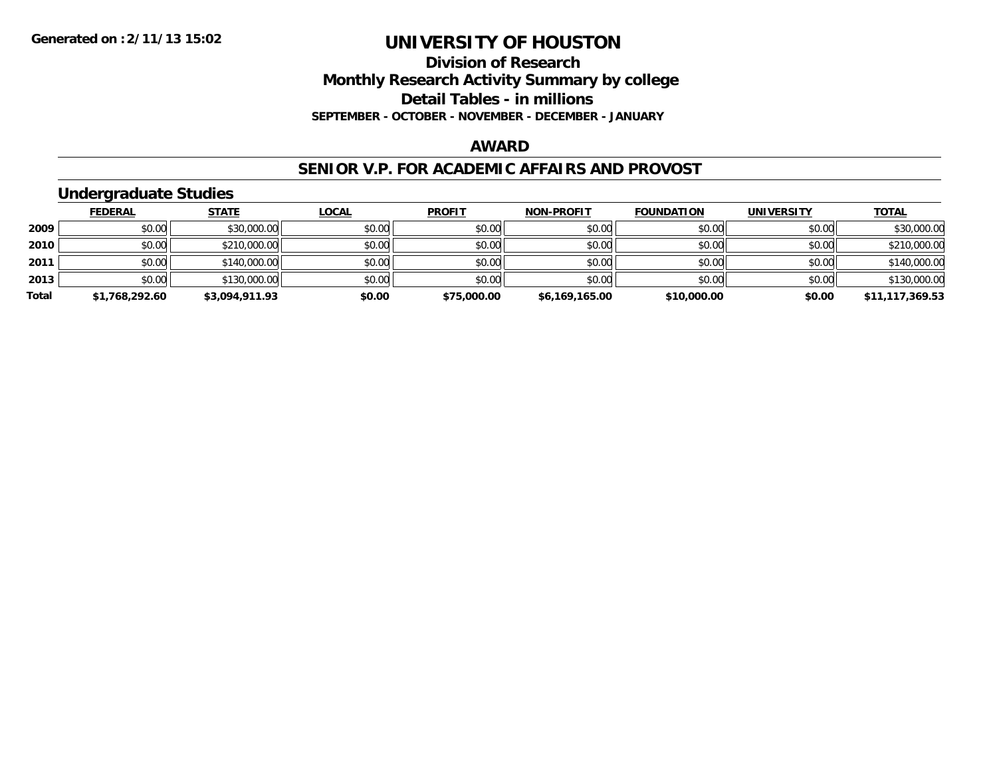## **Division of Research Monthly Research Activity Summary by college Detail Tables - in millions SEPTEMBER - OCTOBER - NOVEMBER - DECEMBER - JANUARY**

### **AWARD**

### **SENIOR V.P. FOR ACADEMIC AFFAIRS AND PROVOST**

## **Undergraduate Studies**

|       | <b>FEDERAL</b> | <u>STATE</u>   | <u>LOCAL</u> | <b>PROFIT</b> | <b>NON-PROFIT</b> | <b>FOUNDATION</b> | <b>UNIVERSITY</b> | <b>TOTAL</b>    |
|-------|----------------|----------------|--------------|---------------|-------------------|-------------------|-------------------|-----------------|
| 2009  | \$0.00         | \$30,000.00    | \$0.00       | \$0.00        | \$0.00            | \$0.00            | \$0.00            | \$30,000.00     |
| 2010  | \$0.00         | \$210,000.00   | \$0.00       | \$0.00        | \$0.00            | \$0.00            | \$0.00            | \$210,000.00    |
| 2011  | \$0.00         | \$140,000.00   | \$0.00       | \$0.00        | \$0.00            | \$0.00            | \$0.00            | \$140,000.00    |
| 2013  | \$0.00         | \$130,000.00   | \$0.00       | \$0.00        | \$0.00            | \$0.00            | \$0.00            | \$130,000.00    |
| Total | \$1,768,292.60 | \$3,094,911.93 | \$0.00       | \$75,000.00   | \$6,169,165.00    | \$10,000.00       | \$0.00            | \$11,117,369.53 |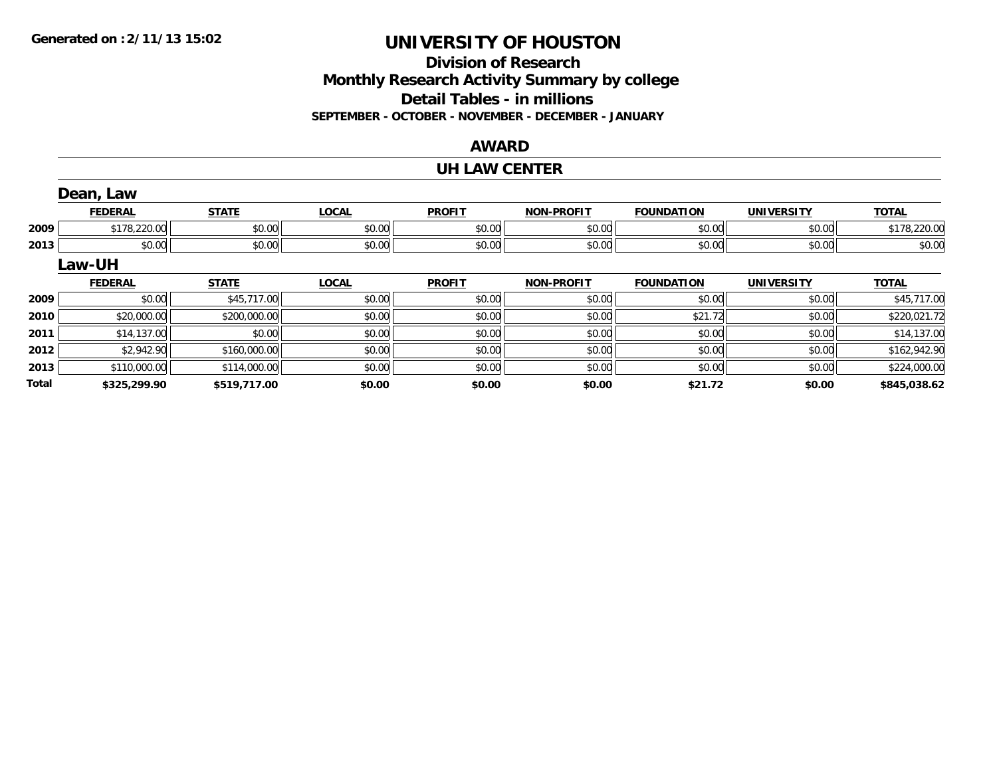**Total**

# **UNIVERSITY OF HOUSTON**

# **Division of ResearchMonthly Research Activity Summary by college Detail Tables - in millions SEPTEMBER - OCTOBER - NOVEMBER - DECEMBER - JANUARY**

## **AWARD**

### **UH LAW CENTER**

|      | Dean, Law      |              |              |               |                   |                   |                   |              |
|------|----------------|--------------|--------------|---------------|-------------------|-------------------|-------------------|--------------|
|      | <b>FEDERAL</b> | <b>STATE</b> | <b>LOCAL</b> | <b>PROFIT</b> | <b>NON-PROFIT</b> | <b>FOUNDATION</b> | <b>UNIVERSITY</b> | <b>TOTAL</b> |
| 2009 | \$178,220.00   | \$0.00       | \$0.00       | \$0.00        | \$0.00            | \$0.00            | \$0.00            | \$178,220.00 |
| 2013 | \$0.00         | \$0.00       | \$0.00       | \$0.00        | \$0.00            | \$0.00            | \$0.00            | \$0.00       |
|      | Law-UH         |              |              |               |                   |                   |                   |              |
|      | <b>FEDERAL</b> | <b>STATE</b> | <b>LOCAL</b> | <b>PROFIT</b> | <b>NON-PROFIT</b> | <b>FOUNDATION</b> | <b>UNIVERSITY</b> | <b>TOTAL</b> |
| 2009 | \$0.00         | \$45,717.00  | \$0.00       | \$0.00        | \$0.00            | \$0.00            | \$0.00            | \$45,717.00  |
| 2010 | \$20,000.00    | \$200,000.00 | \$0.00       | \$0.00        | \$0.00            | \$21.72           | \$0.00            | \$220,021.72 |
| 2011 | \$14,137.00    | \$0.00       | \$0.00       | \$0.00        | \$0.00            | \$0.00            | \$0.00            | \$14,137.00  |
|      |                |              |              |               |                   |                   |                   |              |
| 2012 | \$2,942.90     | \$160,000.00 | \$0.00       | \$0.00        | \$0.00            | \$0.00            | \$0.00            | \$162,942.90 |

**\$325,299.90 \$519,717.00 \$0.00 \$0.00 \$0.00 \$21.72 \$0.00 \$845,038.62**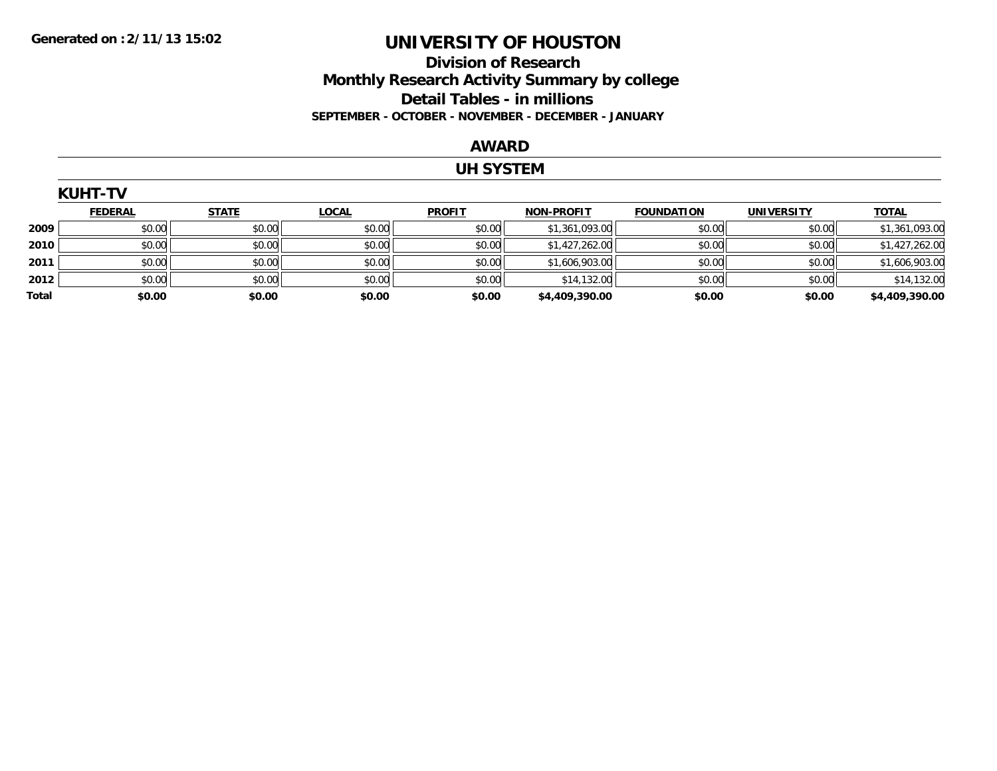## **Division of Research Monthly Research Activity Summary by college Detail Tables - in millions SEPTEMBER - OCTOBER - NOVEMBER - DECEMBER - JANUARY**

#### **AWARD**

## **UH SYSTEM**

|       | <b>KUHT-TV</b> |              |              |               |                   |                   |                   |                |  |  |  |
|-------|----------------|--------------|--------------|---------------|-------------------|-------------------|-------------------|----------------|--|--|--|
|       | <b>FEDERAL</b> | <b>STATE</b> | <b>LOCAL</b> | <b>PROFIT</b> | <b>NON-PROFIT</b> | <b>FOUNDATION</b> | <b>UNIVERSITY</b> | <b>TOTAL</b>   |  |  |  |
| 2009  | \$0.00         | \$0.00       | \$0.00       | \$0.00        | \$1,361,093.00    | \$0.00            | \$0.00            | \$1,361,093.00 |  |  |  |
| 2010  | \$0.00         | \$0.00       | \$0.00       | \$0.00        | \$1,427,262.00    | \$0.00            | \$0.00            | \$1,427,262.00 |  |  |  |
| 2011  | \$0.00         | \$0.00       | \$0.00       | \$0.00        | \$1,606,903.00    | \$0.00            | \$0.00            | \$1,606,903.00 |  |  |  |
| 2012  | \$0.00         | \$0.00       | \$0.00       | \$0.00        | \$14,132.00       | \$0.00            | \$0.00            | \$14,132.00    |  |  |  |
| Total | \$0.00         | \$0.00       | \$0.00       | \$0.00        | \$4,409,390.00    | \$0.00            | \$0.00            | \$4,409,390.00 |  |  |  |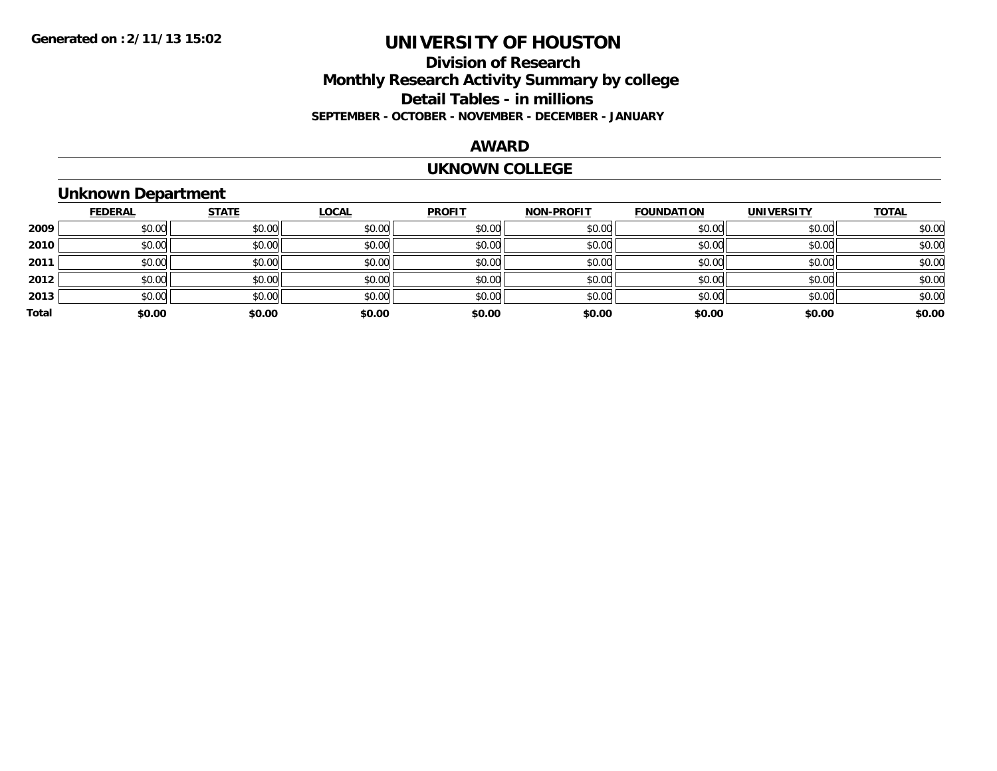## **Division of Research Monthly Research Activity Summary by college Detail Tables - in millions SEPTEMBER - OCTOBER - NOVEMBER - DECEMBER - JANUARY**

### **AWARD**

#### **UKNOWN COLLEGE**

# **Unknown Department**

|       | <b>FEDERAL</b> | <b>STATE</b> | <b>LOCAL</b> | <b>PROFIT</b> | <b>NON-PROFIT</b> | <b>FOUNDATION</b> | <b>UNIVERSITY</b> | <b>TOTAL</b> |
|-------|----------------|--------------|--------------|---------------|-------------------|-------------------|-------------------|--------------|
| 2009  | \$0.00         | \$0.00       | \$0.00       | \$0.00        | \$0.00            | \$0.00            | \$0.00            | \$0.00       |
| 2010  | \$0.00         | \$0.00       | \$0.00       | \$0.00        | \$0.00            | \$0.00            | \$0.00            | \$0.00       |
| 2011  | \$0.00         | \$0.00       | \$0.00       | \$0.00        | \$0.00            | \$0.00            | \$0.00            | \$0.00       |
| 2012  | \$0.00         | \$0.00       | \$0.00       | \$0.00        | \$0.00            | \$0.00            | \$0.00            | \$0.00       |
| 2013  | \$0.00         | \$0.00       | \$0.00       | \$0.00        | \$0.00            | \$0.00            | \$0.00            | \$0.00       |
| Total | \$0.00         | \$0.00       | \$0.00       | \$0.00        | \$0.00            | \$0.00            | \$0.00            | \$0.00       |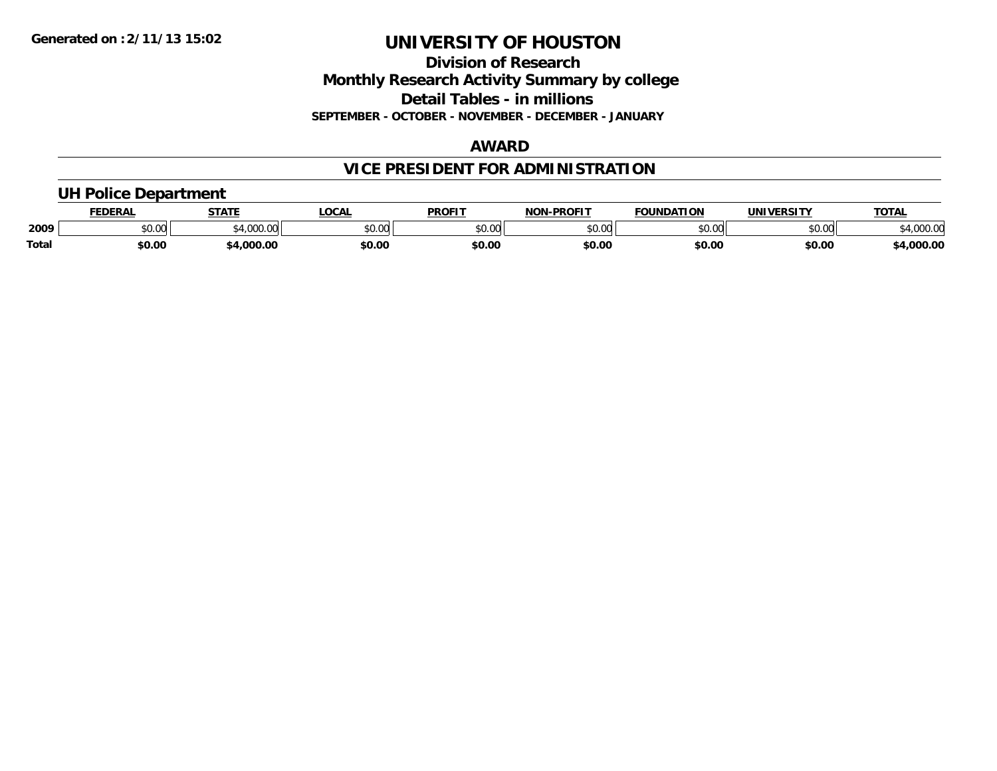## **Division of Research Monthly Research Activity Summary by college Detail Tables - in millions SEPTEMBER - OCTOBER - NOVEMBER - DECEMBER - JANUARY**

## **AWARD**

# **VICE PRESIDENT FOR ADMINISTRATION**

## **UH Police Department**

|              | <b>FEDERAL</b> | <b>STATE</b>   | <b>LOCAL</b>  | <b>PROFIT</b> | <b>LPROFIT</b><br>NON | <b>FOUNDATION</b> | UNIVERSITY | <b>TOTAL</b>      |
|--------------|----------------|----------------|---------------|---------------|-----------------------|-------------------|------------|-------------------|
| 2009         | vv.vv          | 0.100<br>uuu.u | 0000<br>PO.OO | 0000<br>JU.UU | 0000<br>vu.uu -       | \$0.00            | \$0.00     | 00000<br>4,000.00 |
| <b>Total</b> | \$0.00         | .000.00        | \$0.00        | \$0.00        | \$0.00                | \$0.00            | \$0.00     | 4,000.00          |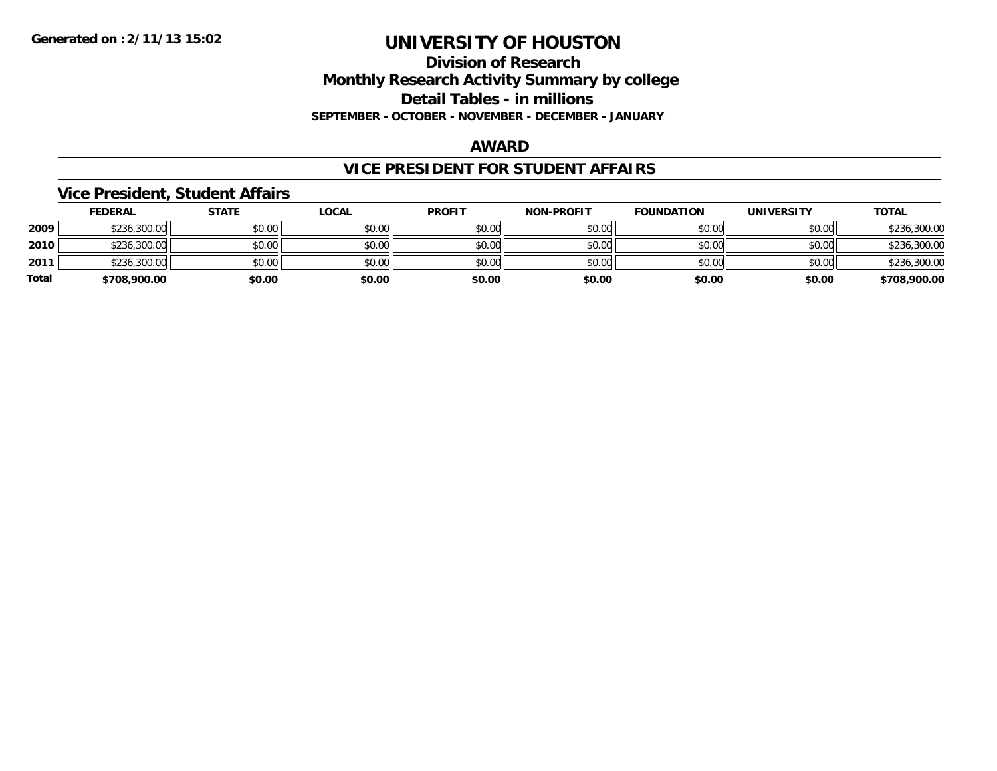## **Division of Research Monthly Research Activity Summary by college Detail Tables - in millions SEPTEMBER - OCTOBER - NOVEMBER - DECEMBER - JANUARY**

### **AWARD**

## **VICE PRESIDENT FOR STUDENT AFFAIRS**

### **Vice President, Student Affairs**

|       | <b>FEDERAL</b> | <u>STATE</u> | <b>LOCAL</b> | <b>PROFIT</b> | <b>NON-PROFIT</b> | <b>FOUNDATION</b> | <b>UNIVERSITY</b> | <b>TOTAL</b> |
|-------|----------------|--------------|--------------|---------------|-------------------|-------------------|-------------------|--------------|
| 2009  | \$236,300.00   | \$0.00       | \$0.00       | \$0.00        | \$0.00            | \$0.00            | \$0.00            | \$236,300.00 |
| 2010  | \$236,300.00   | \$0.00       | \$0.00       | \$0.00        | \$0.00            | \$0.00            | \$0.00            | \$236,300.00 |
| 2011  | \$236,300.00   | \$0.00       | \$0.00       | \$0.00        | \$0.00            | \$0.00            | \$0.00            | \$236,300.00 |
| Total | \$708,900.00   | \$0.00       | \$0.00       | \$0.00        | \$0.00            | \$0.00            | \$0.00            | \$708,900.00 |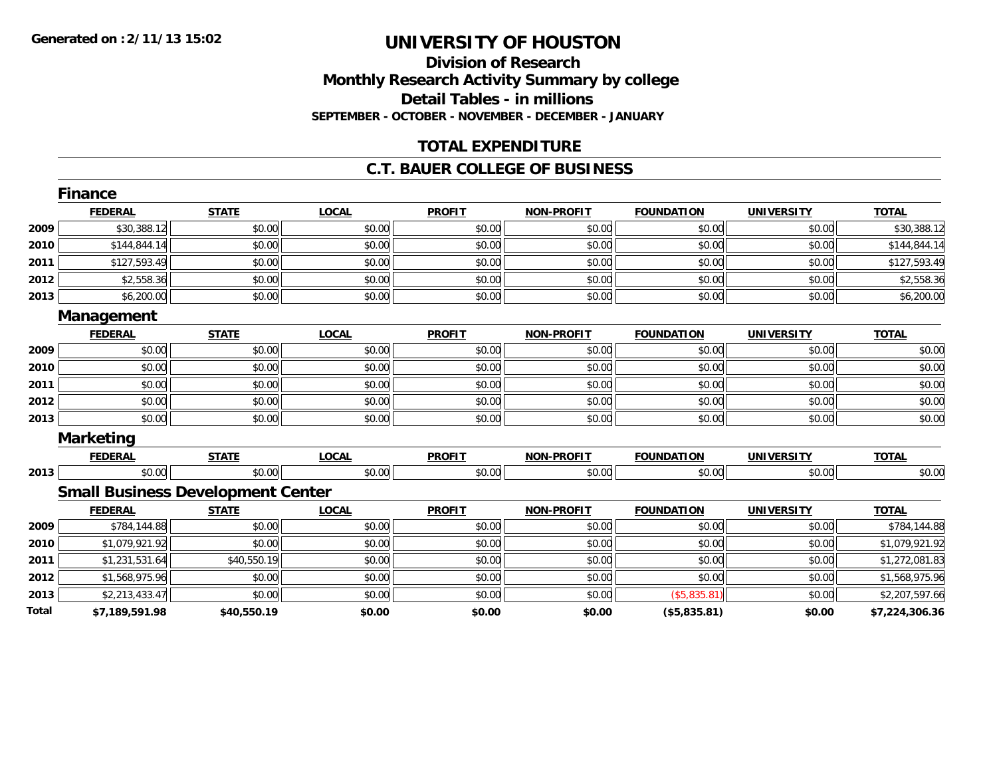## **Division of Research Monthly Research Activity Summary by college Detail Tables - in millions SEPTEMBER - OCTOBER - NOVEMBER - DECEMBER - JANUARY**

## **TOTAL EXPENDITURE**

### **C.T. BAUER COLLEGE OF BUSINESS**

|       | <b>Finance</b>   |                                          |              |               |                   |                   |                   |                |
|-------|------------------|------------------------------------------|--------------|---------------|-------------------|-------------------|-------------------|----------------|
|       | <b>FEDERAL</b>   | <b>STATE</b>                             | <b>LOCAL</b> | <b>PROFIT</b> | <b>NON-PROFIT</b> | <b>FOUNDATION</b> | <b>UNIVERSITY</b> | <b>TOTAL</b>   |
| 2009  | \$30,388.12      | \$0.00                                   | \$0.00       | \$0.00        | \$0.00            | \$0.00            | \$0.00            | \$30,388.12    |
| 2010  | \$144,844.14     | \$0.00                                   | \$0.00       | \$0.00        | \$0.00            | \$0.00            | \$0.00            | \$144,844.14   |
| 2011  | \$127,593.49     | \$0.00                                   | \$0.00       | \$0.00        | \$0.00            | \$0.00            | \$0.00            | \$127,593.49   |
| 2012  | \$2,558.36       | \$0.00                                   | \$0.00       | \$0.00        | \$0.00            | \$0.00            | \$0.00            | \$2,558.36     |
| 2013  | \$6,200.00       | \$0.00                                   | \$0.00       | \$0.00        | \$0.00            | \$0.00            | \$0.00            | \$6,200.00     |
|       | Management       |                                          |              |               |                   |                   |                   |                |
|       | <b>FEDERAL</b>   | <b>STATE</b>                             | <b>LOCAL</b> | <b>PROFIT</b> | <b>NON-PROFIT</b> | <b>FOUNDATION</b> | <b>UNIVERSITY</b> | <b>TOTAL</b>   |
| 2009  | \$0.00           | \$0.00                                   | \$0.00       | \$0.00        | \$0.00            | \$0.00            | \$0.00            | \$0.00         |
| 2010  | \$0.00           | \$0.00                                   | \$0.00       | \$0.00        | \$0.00            | \$0.00            | \$0.00            | \$0.00         |
| 2011  | \$0.00           | \$0.00                                   | \$0.00       | \$0.00        | \$0.00            | \$0.00            | \$0.00            | \$0.00         |
| 2012  | \$0.00           | \$0.00                                   | \$0.00       | \$0.00        | \$0.00            | \$0.00            | \$0.00            | \$0.00         |
| 2013  | \$0.00           | \$0.00                                   | \$0.00       | \$0.00        | \$0.00            | \$0.00            | \$0.00            | \$0.00         |
|       | <b>Marketing</b> |                                          |              |               |                   |                   |                   |                |
|       | <b>FEDERAL</b>   | <b>STATE</b>                             | <b>LOCAL</b> | <b>PROFIT</b> | <b>NON-PROFIT</b> | <b>FOUNDATION</b> | <b>UNIVERSITY</b> | <b>TOTAL</b>   |
| 2013  | \$0.00           | \$0.00                                   | \$0.00       | \$0.00        | \$0.00            | \$0.00            | \$0.00            | \$0.00         |
|       |                  | <b>Small Business Development Center</b> |              |               |                   |                   |                   |                |
|       | <b>FEDERAL</b>   | <b>STATE</b>                             | <b>LOCAL</b> | <b>PROFIT</b> | <b>NON-PROFIT</b> | <b>FOUNDATION</b> | <b>UNIVERSITY</b> | <b>TOTAL</b>   |
| 2009  | \$784,144.88     | \$0.00                                   | \$0.00       | \$0.00        | \$0.00            | \$0.00            | \$0.00            | \$784,144.88   |
| 2010  | \$1,079,921.92   | \$0.00                                   | \$0.00       | \$0.00        | \$0.00            | \$0.00            | \$0.00            | \$1,079,921.92 |
| 2011  | \$1,231,531.64   | \$40,550.19                              | \$0.00       | \$0.00        | \$0.00            | \$0.00            | \$0.00            | \$1,272,081.83 |
| 2012  | \$1,568,975.96   | \$0.00                                   | \$0.00       | \$0.00        | \$0.00            | \$0.00            | \$0.00            | \$1,568,975.96 |
| 2013  | \$2,213,433.47   | \$0.00                                   | \$0.00       | \$0.00        | \$0.00            | ( \$5,835.81)     | \$0.00            | \$2,207,597.66 |
| Total | \$7,189,591.98   | \$40,550.19                              | \$0.00       | \$0.00        | \$0.00            | (\$5,835.81)      | \$0.00            | \$7,224,306.36 |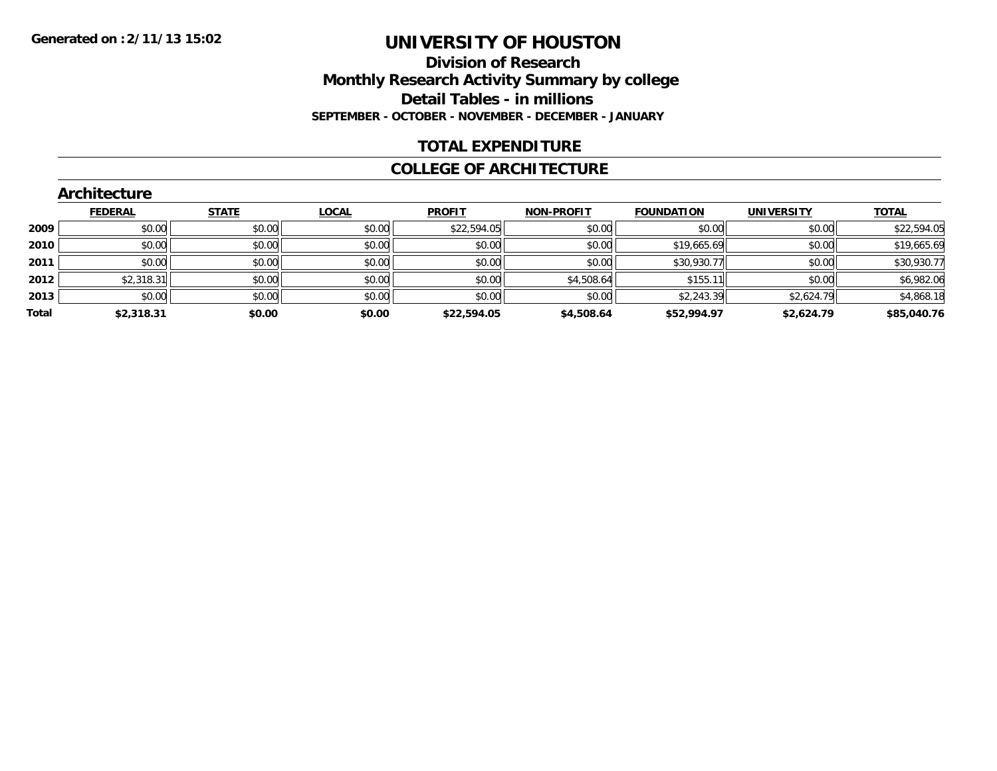## **Division of Research Monthly Research Activity Summary by college Detail Tables - in millions SEPTEMBER - OCTOBER - NOVEMBER - DECEMBER - JANUARY**

## **TOTAL EXPENDITURE**

### **COLLEGE OF ARCHITECTURE**

|       | Architecture   |              |              |               |                   |                   |                   |              |  |  |  |  |
|-------|----------------|--------------|--------------|---------------|-------------------|-------------------|-------------------|--------------|--|--|--|--|
|       | <b>FEDERAL</b> | <b>STATE</b> | <b>LOCAL</b> | <b>PROFIT</b> | <b>NON-PROFIT</b> | <b>FOUNDATION</b> | <b>UNIVERSITY</b> | <b>TOTAL</b> |  |  |  |  |
| 2009  | \$0.00         | \$0.00       | \$0.00       | \$22,594.05   | \$0.00            | \$0.00            | \$0.00            | \$22,594.05  |  |  |  |  |
| 2010  | \$0.00         | \$0.00       | \$0.00       | \$0.00        | \$0.00            | \$19,665.69       | \$0.00            | \$19,665.69  |  |  |  |  |
| 2011  | \$0.00         | \$0.00       | \$0.00       | \$0.00        | \$0.00            | \$30,930.77       | \$0.00            | \$30,930.77  |  |  |  |  |
| 2012  | \$2,318.31     | \$0.00       | \$0.00       | \$0.00        | \$4,508.64        | \$155.11          | \$0.00            | \$6,982.06   |  |  |  |  |
| 2013  | \$0.00         | \$0.00       | \$0.00       | \$0.00        | \$0.00            | \$2,243.39        | \$2,624.79        | \$4,868.18   |  |  |  |  |
| Total | \$2,318.31     | \$0.00       | \$0.00       | \$22,594.05   | \$4,508.64        | \$52,994.97       | \$2,624.79        | \$85,040.76  |  |  |  |  |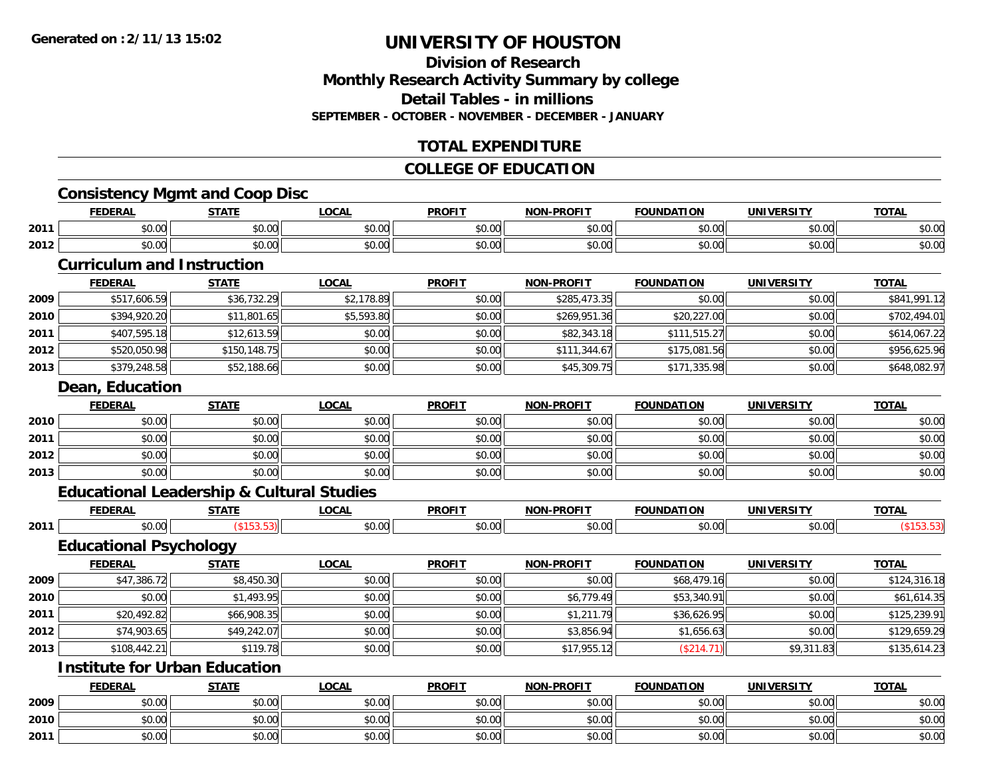## **Division of ResearchMonthly Research Activity Summary by college Detail Tables - in millionsSEPTEMBER - OCTOBER - NOVEMBER - DECEMBER - JANUARY**

## **TOTAL EXPENDITURE**

## **COLLEGE OF EDUCATION**

# **Consistency Mgmt and Coop Disc**

|      | CONSISTENCY INQUITE AND COOP DISC                    |              |              |               |                   |                   |                   |              |
|------|------------------------------------------------------|--------------|--------------|---------------|-------------------|-------------------|-------------------|--------------|
|      | <b>FEDERAL</b>                                       | <b>STATE</b> | <b>LOCAL</b> | <b>PROFIT</b> | <b>NON-PROFIT</b> | <b>FOUNDATION</b> | <b>UNIVERSITY</b> | <b>TOTAL</b> |
| 2011 | \$0.00                                               | \$0.00       | \$0.00       | \$0.00        | \$0.00            | \$0.00            | \$0.00            | \$0.00       |
| 2012 | \$0.00                                               | \$0.00       | \$0.00       | \$0.00        | \$0.00            | \$0.00            | \$0.00            | \$0.00       |
|      | <b>Curriculum and Instruction</b>                    |              |              |               |                   |                   |                   |              |
|      | <b>FEDERAL</b>                                       | <b>STATE</b> | <b>LOCAL</b> | <b>PROFIT</b> | <b>NON-PROFIT</b> | <b>FOUNDATION</b> | <b>UNIVERSITY</b> | <b>TOTAL</b> |
| 2009 | \$517,606.59                                         | \$36,732.29  | \$2,178.89   | \$0.00        | \$285,473.35      | \$0.00            | \$0.00            | \$841,991.12 |
| 2010 | \$394,920.20                                         | \$11,801.65  | \$5,593.80   | \$0.00        | \$269,951.36      | \$20,227.00       | \$0.00            | \$702,494.01 |
| 2011 | \$407,595.18                                         | \$12,613.59  | \$0.00       | \$0.00        | \$82,343.18       | \$111,515.27      | \$0.00            | \$614,067.22 |
| 2012 | \$520,050.98                                         | \$150,148.75 | \$0.00       | \$0.00        | \$111,344.67      | \$175,081.56      | \$0.00            | \$956,625.96 |
| 2013 | \$379,248.58                                         | \$52,188.66  | \$0.00       | \$0.00        | \$45,309.75       | \$171,335.98      | \$0.00            | \$648,082.97 |
|      | Dean, Education                                      |              |              |               |                   |                   |                   |              |
|      | <b>FEDERAL</b>                                       | <b>STATE</b> | <b>LOCAL</b> | <b>PROFIT</b> | <b>NON-PROFIT</b> | <b>FOUNDATION</b> | <b>UNIVERSITY</b> | <b>TOTAL</b> |
| 2010 | \$0.00                                               | \$0.00       | \$0.00       | \$0.00        | \$0.00            | \$0.00            | \$0.00            | \$0.00       |
| 2011 | \$0.00                                               | \$0.00       | \$0.00       | \$0.00        | \$0.00            | \$0.00            | \$0.00            | \$0.00       |
| 2012 | \$0.00                                               | \$0.00       | \$0.00       | \$0.00        | \$0.00            | \$0.00            | \$0.00            | \$0.00       |
| 2013 | \$0.00                                               | \$0.00       | \$0.00       | \$0.00        | \$0.00            | \$0.00            | \$0.00            | \$0.00       |
|      | <b>Educational Leadership &amp; Cultural Studies</b> |              |              |               |                   |                   |                   |              |
|      |                                                      |              |              |               |                   |                   |                   |              |

|      |        | ----- | $\sim$ $\sim$ $\sim$ | <b>DDOEIT</b> | ימות   |                   |                        | $- - -$ |
|------|--------|-------|----------------------|---------------|--------|-------------------|------------------------|---------|
| 2011 | $\sim$ |       |                      | ^^            | $\sim$ | $\sim$ 00<br>u.uu | $\sim$ $\sim$<br>JU.UU |         |

## **Educational Psychology**

|      | <b>FEDERAL</b> | <b>STATE</b> | <u>LOCAL</u> | <b>PROFIT</b> | <b>NON-PROFIT</b> | <b>FOUNDATION</b> | <b>UNIVERSITY</b> | <b>TOTAL</b> |
|------|----------------|--------------|--------------|---------------|-------------------|-------------------|-------------------|--------------|
| 2009 | \$47,386.72    | \$8,450.30   | \$0.00       | \$0.00        | \$0.00            | \$68,479.16       | \$0.00            | \$124,316.18 |
| 2010 | \$0.00         | \$1,493.95   | \$0.00       | \$0.00        | \$6,779.49        | \$53,340.91       | \$0.00            | \$61,614.35  |
| 2011 | \$20,492.82    | \$66,908.35  | \$0.00       | \$0.00        | \$1,211.79        | \$36,626.95       | \$0.00            | \$125,239.91 |
| 2012 | \$74,903.65    | \$49,242.07  | \$0.00       | \$0.00        | \$3,856.94        | \$1,656.63        | \$0.00            | \$129,659.29 |
| 2013 | \$108,442.21   | \$119.78     | \$0.00       | \$0.00        | \$17,955.12       | (\$214.71)        | \$9,311.83        | \$135,614.23 |

# **Institute for Urban Education**

|      | <b>FEDERAL</b>            | <b>STATE</b> | <b>LOCAL</b> | <b>PROFIT</b> | <b>NON-PROFIT</b> | <b>FOUNDATION</b> | UNIVERSITY                    | <b>TOTAL</b> |
|------|---------------------------|--------------|--------------|---------------|-------------------|-------------------|-------------------------------|--------------|
| 2009 | ስስ ስስ<br>וטטוע            | \$0.00       | \$0.00       | \$0.00        | \$0.00            | \$0.00            | $n \cap \neg$<br>JU.UU        | \$0.00       |
| 2010 | ሰ ሳ<br>$\sim$<br>JU.UU    | \$0.00       | \$0.00       | \$0.00        | \$0.00            | \$0.00            | $n \cap \neg$<br><b>DU.UG</b> | \$0.00       |
| 2011 | $\sim$<br>$\sim$<br>JU.UU | \$0.00       | \$0.00       | \$0.00        | \$0.00            | \$0.00            | 0000<br><b>DU.UG</b>          | \$0.00       |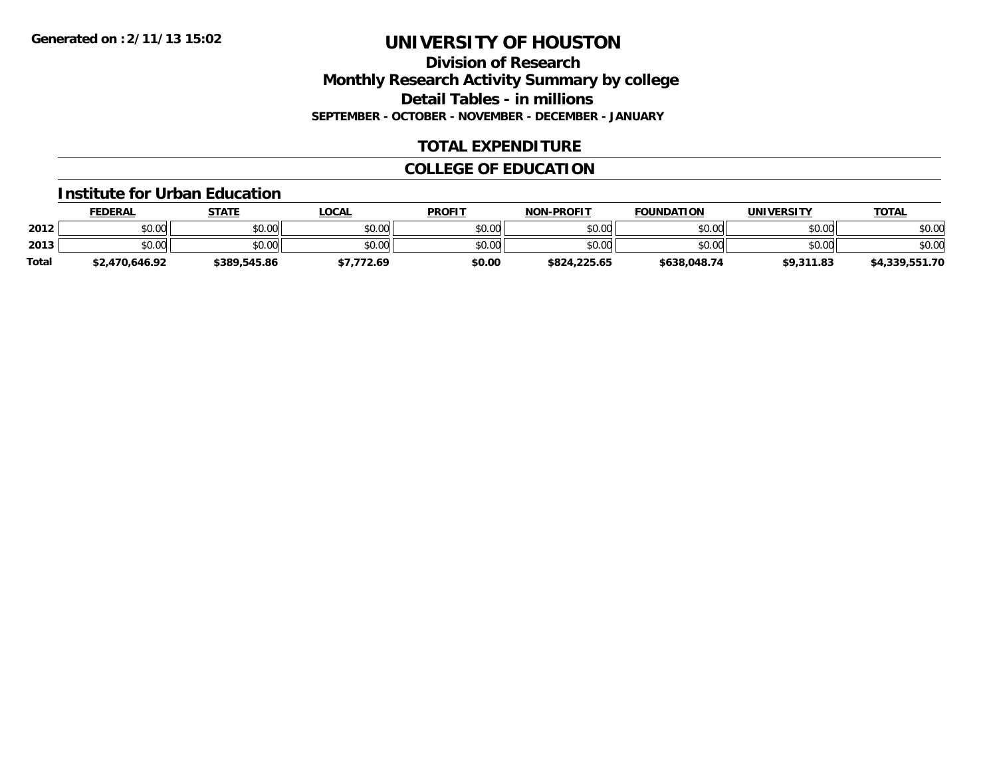## **Division of Research Monthly Research Activity Summary by college Detail Tables - in millions SEPTEMBER - OCTOBER - NOVEMBER - DECEMBER - JANUARY**

## **TOTAL EXPENDITURE**

## **COLLEGE OF EDUCATION**

#### **Institute for Urban Education**

|              | <u>FEDERAL</u> | <b>STATE</b> | <u>LOCAL</u> | <b>PROFIT</b> | <b>NON-PROFIT</b> | <b>FOUNDATION</b> | UNIVERSITY | <b>TOTAL</b>   |
|--------------|----------------|--------------|--------------|---------------|-------------------|-------------------|------------|----------------|
| 2012         | \$0.00         | \$0.00       | \$0.00       | \$0.00        | \$0.00            | \$0.00            | \$0.00     | \$0.00         |
| 2013         | \$0.00         | \$0.00       | \$0.00       | \$0.00        | \$0.00            | \$0.00            | \$0.00     | \$0.00         |
| <b>Total</b> | \$2,470,646.92 | \$389,545.86 | /,772.69     | \$0.00        | \$824,225.65      | \$638,048.74      | \$9,311.83 | \$4,339,551.70 |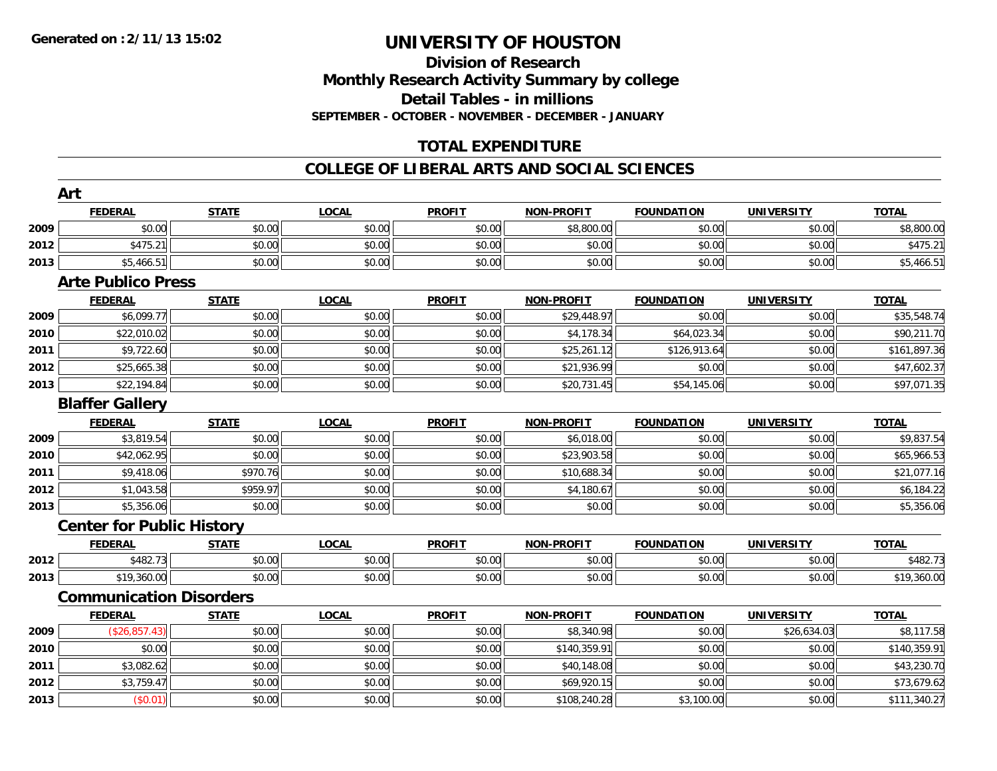# **Division of ResearchMonthly Research Activity Summary by college Detail Tables - in millions SEPTEMBER - OCTOBER - NOVEMBER - DECEMBER - JANUARY**

# **TOTAL EXPENDITURE**

### **COLLEGE OF LIBERAL ARTS AND SOCIAL SCIENCES**

|      | Art                              |              |              |               |                   |                   |                   |              |
|------|----------------------------------|--------------|--------------|---------------|-------------------|-------------------|-------------------|--------------|
|      | <b>FEDERAL</b>                   | <b>STATE</b> | <b>LOCAL</b> | <b>PROFIT</b> | <b>NON-PROFIT</b> | <b>FOUNDATION</b> | <b>UNIVERSITY</b> | <b>TOTAL</b> |
| 2009 | \$0.00                           | \$0.00       | \$0.00       | \$0.00        | \$8,800.00        | \$0.00            | \$0.00            | \$8,800.00   |
| 2012 | \$475.21                         | \$0.00       | \$0.00       | \$0.00        | \$0.00            | \$0.00            | \$0.00            | \$475.21     |
| 2013 | \$5,466.51                       | \$0.00       | \$0.00       | \$0.00        | \$0.00            | \$0.00            | \$0.00            | \$5,466.51   |
|      | <b>Arte Publico Press</b>        |              |              |               |                   |                   |                   |              |
|      | <b>FEDERAL</b>                   | <b>STATE</b> | <b>LOCAL</b> | <b>PROFIT</b> | <b>NON-PROFIT</b> | <b>FOUNDATION</b> | <b>UNIVERSITY</b> | <b>TOTAL</b> |
| 2009 | \$6,099.77                       | \$0.00       | \$0.00       | \$0.00        | \$29,448.97       | \$0.00            | \$0.00            | \$35,548.74  |
| 2010 | \$22,010.02                      | \$0.00       | \$0.00       | \$0.00        | \$4,178.34        | \$64,023.34       | \$0.00            | \$90,211.70  |
| 2011 | \$9,722.60                       | \$0.00       | \$0.00       | \$0.00        | \$25,261.12       | \$126,913.64      | \$0.00            | \$161,897.36 |
| 2012 | \$25,665.38                      | \$0.00       | \$0.00       | \$0.00        | \$21,936.99       | \$0.00            | \$0.00            | \$47,602.37  |
| 2013 | \$22,194.84                      | \$0.00       | \$0.00       | \$0.00        | \$20,731.45       | \$54,145.06       | \$0.00            | \$97,071.35  |
|      | <b>Blaffer Gallery</b>           |              |              |               |                   |                   |                   |              |
|      | <b>FEDERAL</b>                   | <b>STATE</b> | <b>LOCAL</b> | <b>PROFIT</b> | <b>NON-PROFIT</b> | <b>FOUNDATION</b> | <b>UNIVERSITY</b> | <b>TOTAL</b> |
| 2009 | \$3,819.54                       | \$0.00       | \$0.00       | \$0.00        | \$6,018.00        | \$0.00            | \$0.00            | \$9,837.54   |
| 2010 | \$42,062.95                      | \$0.00       | \$0.00       | \$0.00        | \$23,903.58       | \$0.00            | \$0.00            | \$65,966.53  |
| 2011 | \$9,418.06                       | \$970.76     | \$0.00       | \$0.00        | \$10,688.34       | \$0.00            | \$0.00            | \$21,077.16  |
| 2012 | \$1,043.58                       | \$959.97     | \$0.00       | \$0.00        | \$4,180.67        | \$0.00            | \$0.00            | \$6,184.22   |
| 2013 | \$5,356.06                       | \$0.00       | \$0.00       | \$0.00        | \$0.00            | \$0.00            | \$0.00            | \$5,356.06   |
|      | <b>Center for Public History</b> |              |              |               |                   |                   |                   |              |
|      | <b>FEDERAL</b>                   | <b>STATE</b> | <b>LOCAL</b> | <b>PROFIT</b> | <b>NON-PROFIT</b> | <b>FOUNDATION</b> | <b>UNIVERSITY</b> | <b>TOTAL</b> |
| 2012 | \$482.73                         | \$0.00       | \$0.00       | \$0.00        | \$0.00            | \$0.00            | \$0.00            | \$482.73     |
| 2013 | \$19,360.00                      | \$0.00       | \$0.00       | \$0.00        | \$0.00            | \$0.00            | \$0.00            | \$19,360.00  |
|      | <b>Communication Disorders</b>   |              |              |               |                   |                   |                   |              |
|      | <b>FEDERAL</b>                   | <b>STATE</b> | <b>LOCAL</b> | <b>PROFIT</b> | <b>NON-PROFIT</b> | <b>FOUNDATION</b> | <b>UNIVERSITY</b> | <b>TOTAL</b> |
| 2009 | (\$26,857.43)                    | \$0.00       | \$0.00       | \$0.00        | \$8,340.98        | \$0.00            | \$26,634.03       | \$8,117.58   |
| 2010 | \$0.00                           | \$0.00       | \$0.00       | \$0.00        | \$140,359.91      | \$0.00            | \$0.00            | \$140,359.91 |
| 2011 | \$3,082.62                       | \$0.00       | \$0.00       | \$0.00        | \$40,148.08       | \$0.00            | \$0.00            | \$43,230.70  |
| 2012 | \$3,759.47                       | \$0.00       | \$0.00       | \$0.00        | \$69,920.15       | \$0.00            | \$0.00            | \$73,679.62  |
| 2013 | (\$0.01)                         | \$0.00       | \$0.00       | \$0.00        | \$108,240.28      | \$3,100.00        | \$0.00            | \$111,340.27 |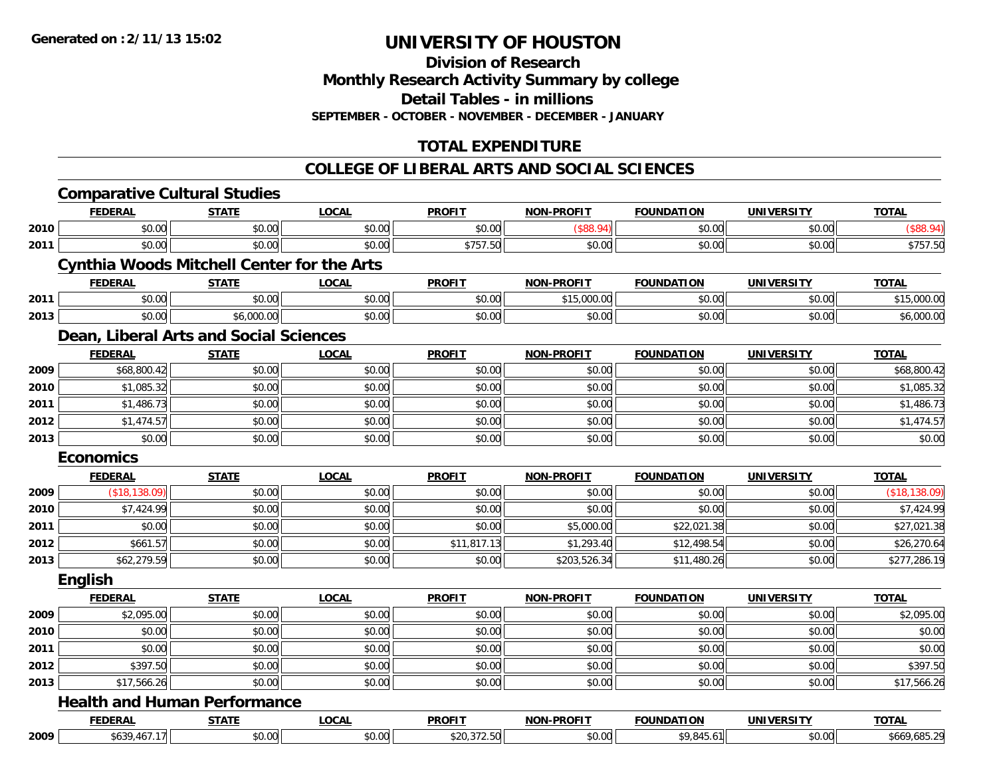**Division of Research Monthly Research Activity Summary by college Detail Tables - in millions SEPTEMBER - OCTOBER - NOVEMBER - DECEMBER - JANUARY**

# **TOTAL EXPENDITURE**

### **COLLEGE OF LIBERAL ARTS AND SOCIAL SCIENCES**

|      |                  | <b>Comparative Cultural Studies</b>               |              |               |                   |                   |                   |               |
|------|------------------|---------------------------------------------------|--------------|---------------|-------------------|-------------------|-------------------|---------------|
|      | <b>FEDERAL</b>   | <b>STATE</b>                                      | <b>LOCAL</b> | <b>PROFIT</b> | <b>NON-PROFIT</b> | <b>FOUNDATION</b> | <b>UNIVERSITY</b> | <b>TOTAL</b>  |
| 2010 | \$0.00           | \$0.00                                            | \$0.00       | \$0.00        | (\$88.94)         | \$0.00            | \$0.00            | (\$88.94)     |
| 2011 | \$0.00           | \$0.00                                            | \$0.00       | \$757.50      | \$0.00            | \$0.00            | \$0.00            | \$757.50      |
|      |                  | <b>Cynthia Woods Mitchell Center for the Arts</b> |              |               |                   |                   |                   |               |
|      | <b>FEDERAL</b>   | <b>STATE</b>                                      | <b>LOCAL</b> | <b>PROFIT</b> | <b>NON-PROFIT</b> | <b>FOUNDATION</b> | <b>UNIVERSITY</b> | <b>TOTAL</b>  |
| 2011 | \$0.00           | \$0.00                                            | \$0.00       | \$0.00        | \$15,000.00       | \$0.00            | \$0.00            | \$15,000.00   |
| 2013 | \$0.00           | \$6,000.00                                        | \$0.00       | \$0.00        | \$0.00            | \$0.00            | \$0.00            | \$6,000.00    |
|      |                  | Dean, Liberal Arts and Social Sciences            |              |               |                   |                   |                   |               |
|      | <b>FEDERAL</b>   | <b>STATE</b>                                      | <b>LOCAL</b> | <b>PROFIT</b> | <b>NON-PROFIT</b> | <b>FOUNDATION</b> | <b>UNIVERSITY</b> | <b>TOTAL</b>  |
| 2009 | \$68,800.42      | \$0.00                                            | \$0.00       | \$0.00        | \$0.00            | \$0.00            | \$0.00            | \$68,800.42   |
| 2010 | \$1,085.32       | \$0.00                                            | \$0.00       | \$0.00        | \$0.00            | \$0.00            | \$0.00            | \$1,085.32    |
| 2011 | \$1,486.73       | \$0.00                                            | \$0.00       | \$0.00        | \$0.00            | \$0.00            | \$0.00            | \$1,486.73    |
| 2012 | \$1,474.57       | \$0.00                                            | \$0.00       | \$0.00        | \$0.00            | \$0.00            | \$0.00            | \$1,474.57    |
| 2013 | \$0.00           | \$0.00                                            | \$0.00       | \$0.00        | \$0.00            | \$0.00            | \$0.00            | \$0.00        |
|      | <b>Economics</b> |                                                   |              |               |                   |                   |                   |               |
|      | <b>FEDERAL</b>   | <b>STATE</b>                                      | <b>LOCAL</b> | <b>PROFIT</b> | <b>NON-PROFIT</b> | <b>FOUNDATION</b> | <b>UNIVERSITY</b> | <b>TOTAL</b>  |
| 2009 | (\$18,138.09)    | \$0.00                                            | \$0.00       | \$0.00        | \$0.00            | \$0.00            | \$0.00            | (\$18,138.09) |
| 2010 | \$7,424.99       | \$0.00                                            | \$0.00       | \$0.00        | \$0.00            | \$0.00            | \$0.00            | \$7,424.99    |
| 2011 | \$0.00           | \$0.00                                            | \$0.00       | \$0.00        | \$5,000.00        | \$22,021.38       | \$0.00            | \$27,021.38   |
| 2012 | \$661.57         | \$0.00                                            | \$0.00       | \$11,817.13   | \$1,293.40        | \$12,498.54       | \$0.00            | \$26,270.64   |
| 2013 | \$62,279.59      | \$0.00                                            | \$0.00       | \$0.00        | \$203,526.34      | \$11,480.26       | \$0.00            | \$277,286.19  |
|      | <b>English</b>   |                                                   |              |               |                   |                   |                   |               |
|      | <b>FEDERAL</b>   | <b>STATE</b>                                      | <b>LOCAL</b> | <b>PROFIT</b> | NON-PROFIT        | <b>FOUNDATION</b> | <b>UNIVERSITY</b> | <b>TOTAL</b>  |
| 2009 | \$2,095.00       | \$0.00                                            | \$0.00       | \$0.00        | \$0.00            | \$0.00            | \$0.00            | \$2,095.00    |
| 2010 | \$0.00           | \$0.00                                            | \$0.00       | \$0.00        | \$0.00            | \$0.00            | \$0.00            | \$0.00        |
| 2011 | \$0.00           | \$0.00                                            | \$0.00       | \$0.00        | \$0.00            | \$0.00            | \$0.00            | \$0.00        |
| 2012 | \$397.50         | \$0.00                                            | \$0.00       | \$0.00        | \$0.00            | \$0.00            | \$0.00            | \$397.50      |
| 2013 | \$17,566.26      | \$0.00                                            | \$0.00       | \$0.00        | \$0.00            | \$0.00            | \$0.00            | \$17,566.26   |
|      |                  | <b>Health and Human Performance</b>               |              |               |                   |                   |                   |               |
|      | <b>FEDERAL</b>   | <b>STATE</b>                                      | <b>LOCAL</b> | <b>PROFIT</b> | <b>NON-PROFIT</b> | <b>FOUNDATION</b> | <b>UNIVERSITY</b> | <b>TOTAL</b>  |
| 2009 | \$639,467.17     | \$0.00                                            | \$0.00       | \$20,372.50   | \$0.00            | \$9,845.61        | \$0.00            | \$669,685.29  |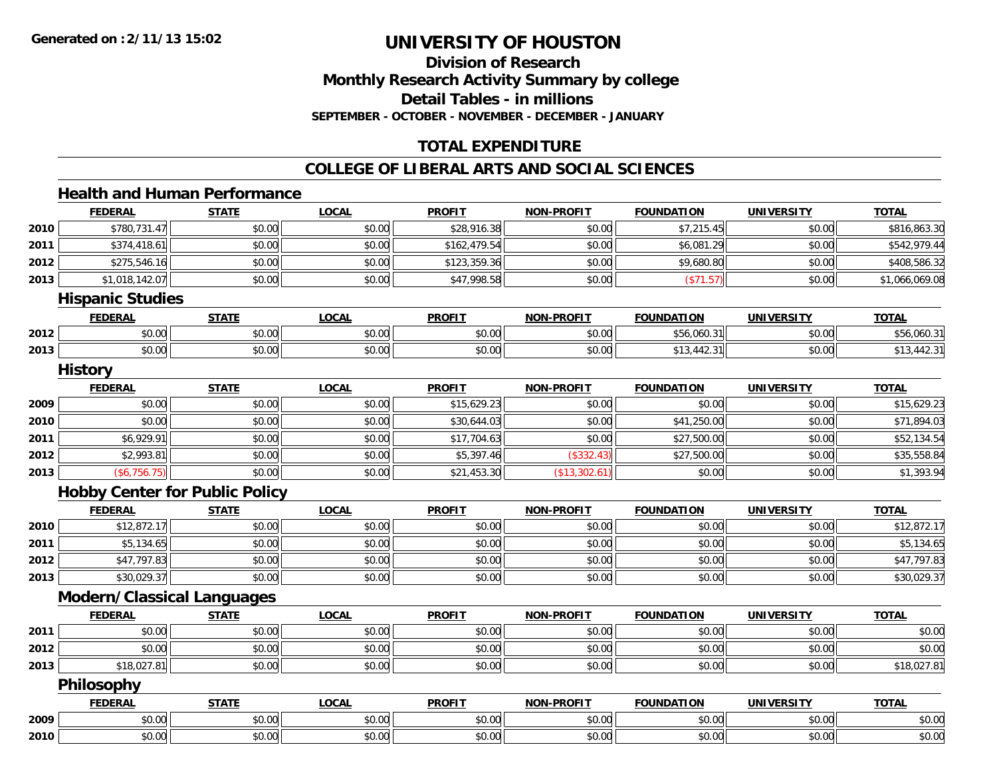**Division of Research Monthly Research Activity Summary by college Detail Tables - in millions SEPTEMBER - OCTOBER - NOVEMBER - DECEMBER - JANUARY**

## **TOTAL EXPENDITURE**

### **COLLEGE OF LIBERAL ARTS AND SOCIAL SCIENCES**

#### **Health and Human Performance**

| 2010<br>2011<br>2012<br>2013<br>2012<br>2013 | \$780,731.47<br>\$374,418.61<br>\$275,546.16<br>\$1,018,142.07<br><b>Hispanic Studies</b><br><b>FEDERAL</b><br>\$0.00<br>\$0.00<br><b>History</b><br><b>FEDERAL</b> | \$0.00<br>\$0.00<br>\$0.00<br>\$0.00<br><b>STATE</b><br>\$0.00<br>\$0.00 | \$0.00<br>\$0.00<br>\$0.00<br>\$0.00<br><b>LOCAL</b><br>\$0.00<br>\$0.00 | \$28,916.38<br>\$162,479.54<br>\$123,359.36<br>\$47,998.58<br><b>PROFIT</b><br>\$0.00<br>\$0.00 | \$0.00<br>\$0.00<br>\$0.00<br>\$0.00<br><b>NON-PROFIT</b><br>\$0.00 | \$7,215.45<br>\$6,081.29<br>\$9,680.80<br>(\$71.57)<br><b>FOUNDATION</b> | \$0.00<br>\$0.00<br>\$0.00<br>\$0.00<br><b>UNIVERSITY</b> | \$816,863.30<br><b>TOTAL</b>   |
|----------------------------------------------|---------------------------------------------------------------------------------------------------------------------------------------------------------------------|--------------------------------------------------------------------------|--------------------------------------------------------------------------|-------------------------------------------------------------------------------------------------|---------------------------------------------------------------------|--------------------------------------------------------------------------|-----------------------------------------------------------|--------------------------------|
|                                              |                                                                                                                                                                     |                                                                          |                                                                          |                                                                                                 |                                                                     |                                                                          |                                                           | \$542,979.44                   |
|                                              |                                                                                                                                                                     |                                                                          |                                                                          |                                                                                                 |                                                                     |                                                                          |                                                           | \$408,586.32<br>\$1,066,069.08 |
|                                              |                                                                                                                                                                     |                                                                          |                                                                          |                                                                                                 |                                                                     |                                                                          |                                                           |                                |
|                                              |                                                                                                                                                                     |                                                                          |                                                                          |                                                                                                 |                                                                     |                                                                          |                                                           |                                |
|                                              |                                                                                                                                                                     |                                                                          |                                                                          |                                                                                                 |                                                                     |                                                                          |                                                           |                                |
|                                              |                                                                                                                                                                     |                                                                          |                                                                          |                                                                                                 |                                                                     |                                                                          |                                                           |                                |
|                                              |                                                                                                                                                                     |                                                                          |                                                                          |                                                                                                 |                                                                     | \$56,060.31                                                              | \$0.00                                                    | \$56,060.31                    |
|                                              |                                                                                                                                                                     |                                                                          |                                                                          |                                                                                                 | \$0.00                                                              | \$13,442.31                                                              | \$0.00                                                    | \$13,442.31                    |
|                                              |                                                                                                                                                                     |                                                                          |                                                                          |                                                                                                 |                                                                     |                                                                          |                                                           |                                |
|                                              |                                                                                                                                                                     | <b>STATE</b>                                                             | <b>LOCAL</b>                                                             | <b>PROFIT</b>                                                                                   | <b>NON-PROFIT</b>                                                   | <b>FOUNDATION</b>                                                        | <b>UNIVERSITY</b>                                         | <b>TOTAL</b>                   |
| 2009                                         | \$0.00                                                                                                                                                              | \$0.00                                                                   | \$0.00                                                                   | \$15,629.23                                                                                     | \$0.00                                                              | \$0.00                                                                   | \$0.00                                                    | \$15,629.23                    |
| 2010                                         | \$0.00                                                                                                                                                              | \$0.00                                                                   | \$0.00                                                                   | \$30,644.03                                                                                     | \$0.00                                                              | \$41,250.00                                                              | \$0.00                                                    | \$71,894.03                    |
| 2011                                         | \$6,929.91                                                                                                                                                          | \$0.00                                                                   | \$0.00                                                                   | \$17,704.63                                                                                     | \$0.00                                                              | \$27,500.00                                                              | \$0.00                                                    | \$52,134.54                    |
| 2012                                         | \$2,993.81                                                                                                                                                          | \$0.00                                                                   | \$0.00                                                                   | \$5,397.46                                                                                      | (\$332.43)                                                          | \$27,500.00                                                              | \$0.00                                                    | \$35,558.84                    |
| 2013                                         | (\$6,756.75)                                                                                                                                                        | \$0.00                                                                   | \$0.00                                                                   | \$21,453.30                                                                                     | (\$13,302.61)                                                       | \$0.00                                                                   | \$0.00                                                    | \$1,393.94                     |
|                                              | <b>Hobby Center for Public Policy</b>                                                                                                                               |                                                                          |                                                                          |                                                                                                 |                                                                     |                                                                          |                                                           |                                |
|                                              | <b>FEDERAL</b>                                                                                                                                                      | <b>STATE</b>                                                             | <b>LOCAL</b>                                                             | <b>PROFIT</b>                                                                                   | <b>NON-PROFIT</b>                                                   | <b>FOUNDATION</b>                                                        | <b>UNIVERSITY</b>                                         | <b>TOTAL</b>                   |
| 2010                                         | \$12,872.17                                                                                                                                                         | \$0.00                                                                   | \$0.00                                                                   | \$0.00                                                                                          | \$0.00                                                              | \$0.00                                                                   | \$0.00                                                    | \$12,872.17                    |
| 2011                                         | \$5,134.65                                                                                                                                                          | \$0.00                                                                   | \$0.00                                                                   | \$0.00                                                                                          | \$0.00                                                              | \$0.00                                                                   | \$0.00                                                    | \$5,134.65                     |
| 2012                                         | \$47,797.83                                                                                                                                                         | \$0.00                                                                   | \$0.00                                                                   | \$0.00                                                                                          | \$0.00                                                              | \$0.00                                                                   | \$0.00                                                    | \$47,797.83                    |
| 2013                                         | \$30,029.37                                                                                                                                                         | \$0.00                                                                   | \$0.00                                                                   | \$0.00                                                                                          | \$0.00                                                              | \$0.00                                                                   | \$0.00                                                    | \$30,029.37                    |
|                                              | <b>Modern/Classical Languages</b>                                                                                                                                   |                                                                          |                                                                          |                                                                                                 |                                                                     |                                                                          |                                                           |                                |
|                                              | <b>FEDERAL</b>                                                                                                                                                      | <b>STATE</b>                                                             | <b>LOCAL</b>                                                             | <b>PROFIT</b>                                                                                   | <b>NON-PROFIT</b>                                                   | <b>FOUNDATION</b>                                                        | <b>UNIVERSITY</b>                                         | <b>TOTAL</b>                   |
| 2011                                         | \$0.00                                                                                                                                                              | \$0.00                                                                   | \$0.00                                                                   | \$0.00                                                                                          | \$0.00                                                              | \$0.00                                                                   | \$0.00                                                    | \$0.00                         |
| 2012                                         | \$0.00                                                                                                                                                              | \$0.00                                                                   | \$0.00                                                                   | \$0.00                                                                                          | \$0.00                                                              | \$0.00                                                                   | \$0.00                                                    | \$0.00                         |
| 2013                                         | \$18,027.81                                                                                                                                                         | \$0.00                                                                   | \$0.00                                                                   | \$0.00                                                                                          | \$0.00                                                              | \$0.00                                                                   | \$0.00                                                    | \$18,027.81                    |
|                                              | Philosophy                                                                                                                                                          |                                                                          |                                                                          |                                                                                                 |                                                                     |                                                                          |                                                           |                                |
|                                              | <b>FEDERAL</b>                                                                                                                                                      | <b>STATE</b>                                                             | <b>LOCAL</b>                                                             | <b>PROFIT</b>                                                                                   | <b>NON-PROFIT</b>                                                   | <b>FOUNDATION</b>                                                        | <b>UNIVERSITY</b>                                         | <b>TOTAL</b>                   |
| 2009                                         | \$0.00                                                                                                                                                              | \$0.00                                                                   | \$0.00                                                                   | \$0.00                                                                                          | \$0.00                                                              | \$0.00                                                                   | \$0.00                                                    | \$0.00                         |
| 2010                                         | \$0.00                                                                                                                                                              | \$0.00                                                                   | \$0.00                                                                   | \$0.00                                                                                          | \$0.00                                                              | \$0.00                                                                   | \$0.00                                                    | \$0.00                         |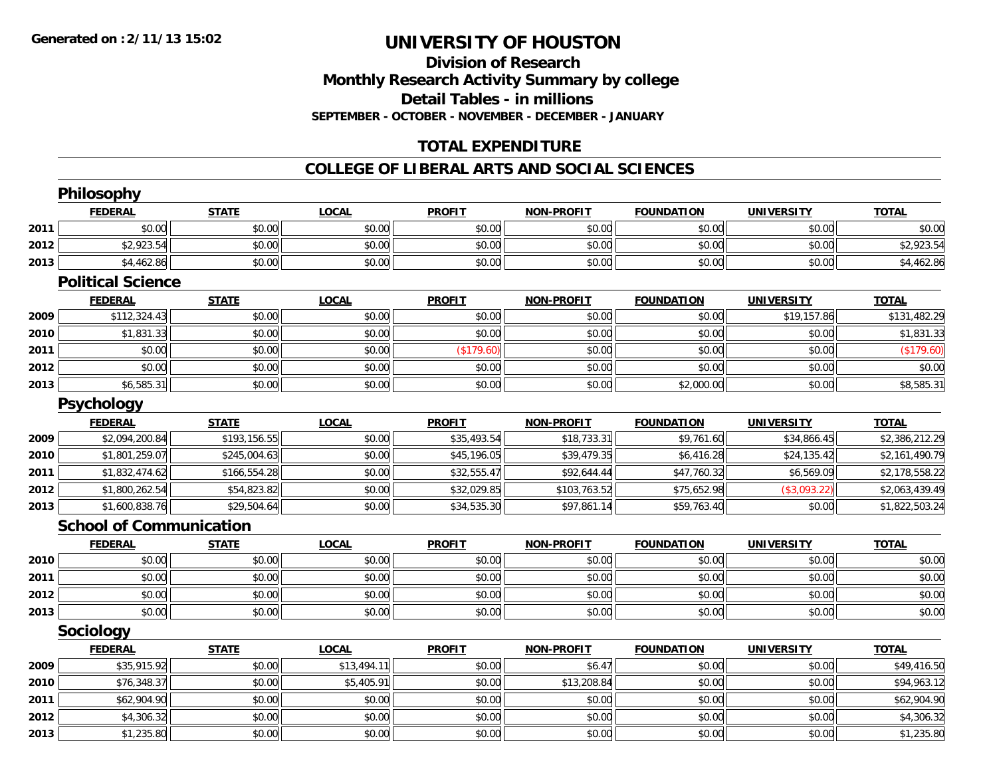# **Division of ResearchMonthly Research Activity Summary by college Detail Tables - in millions SEPTEMBER - OCTOBER - NOVEMBER - DECEMBER - JANUARY**

## **TOTAL EXPENDITURE**

### **COLLEGE OF LIBERAL ARTS AND SOCIAL SCIENCES**

|      | Philosophy                     |              |              |               |                   |                   |                   |                |
|------|--------------------------------|--------------|--------------|---------------|-------------------|-------------------|-------------------|----------------|
|      | <b>FEDERAL</b>                 | <b>STATE</b> | <b>LOCAL</b> | <b>PROFIT</b> | <b>NON-PROFIT</b> | <b>FOUNDATION</b> | <b>UNIVERSITY</b> | <b>TOTAL</b>   |
| 2011 | \$0.00                         | \$0.00       | \$0.00       | \$0.00        | \$0.00            | \$0.00            | \$0.00            | \$0.00         |
| 2012 | \$2,923.54                     | \$0.00       | \$0.00       | \$0.00        | \$0.00            | \$0.00            | \$0.00            | \$2,923.54     |
| 2013 | \$4,462.86                     | \$0.00       | \$0.00       | \$0.00        | \$0.00            | \$0.00            | \$0.00            | \$4,462.86     |
|      | <b>Political Science</b>       |              |              |               |                   |                   |                   |                |
|      | <b>FEDERAL</b>                 | <b>STATE</b> | <b>LOCAL</b> | <b>PROFIT</b> | <b>NON-PROFIT</b> | <b>FOUNDATION</b> | <b>UNIVERSITY</b> | <b>TOTAL</b>   |
| 2009 | \$112,324.43                   | \$0.00       | \$0.00       | \$0.00        | \$0.00            | \$0.00            | \$19,157.86       | \$131,482.29   |
| 2010 | \$1,831.33                     | \$0.00       | \$0.00       | \$0.00        | \$0.00            | \$0.00            | \$0.00            | \$1,831.33     |
| 2011 | \$0.00                         | \$0.00       | \$0.00       | (\$179.60)    | \$0.00            | \$0.00            | \$0.00            | (\$179.60)     |
| 2012 | \$0.00                         | \$0.00       | \$0.00       | \$0.00        | \$0.00            | \$0.00            | \$0.00            | \$0.00         |
| 2013 | \$6,585.31                     | \$0.00       | \$0.00       | \$0.00        | \$0.00            | \$2,000.00        | \$0.00            | \$8,585.31     |
|      | <b>Psychology</b>              |              |              |               |                   |                   |                   |                |
|      | <b>FEDERAL</b>                 | <b>STATE</b> | <b>LOCAL</b> | <b>PROFIT</b> | <b>NON-PROFIT</b> | <b>FOUNDATION</b> | <b>UNIVERSITY</b> | <b>TOTAL</b>   |
| 2009 | \$2,094,200.84                 | \$193,156.55 | \$0.00       | \$35,493.54   | \$18,733.31       | \$9,761.60        | \$34,866.45       | \$2,386,212.29 |
| 2010 | \$1,801,259.07                 | \$245,004.63 | \$0.00       | \$45,196.05   | \$39,479.35       | \$6,416.28        | \$24,135.42       | \$2,161,490.79 |
| 2011 | \$1,832,474.62                 | \$166,554.28 | \$0.00       | \$32,555.47   | \$92,644.44       | \$47,760.32       | \$6,569.09        | \$2,178,558.22 |
| 2012 | \$1,800,262.54                 | \$54,823.82  | \$0.00       | \$32,029.85   | \$103,763.52      | \$75,652.98       | (\$3,093.22)      | \$2,063,439.49 |
| 2013 | \$1,600,838.76                 | \$29,504.64  | \$0.00       | \$34,535.30   | \$97,861.14       | \$59,763.40       | \$0.00            | \$1,822,503.24 |
|      | <b>School of Communication</b> |              |              |               |                   |                   |                   |                |
|      | <b>FEDERAL</b>                 | <b>STATE</b> | <b>LOCAL</b> | <b>PROFIT</b> | <b>NON-PROFIT</b> | <b>FOUNDATION</b> | <b>UNIVERSITY</b> | <b>TOTAL</b>   |
| 2010 | \$0.00                         | \$0.00       | \$0.00       | \$0.00        | \$0.00            | \$0.00            | \$0.00            | \$0.00         |
| 2011 | \$0.00                         | \$0.00       | \$0.00       | \$0.00        | \$0.00            | \$0.00            | \$0.00            | \$0.00         |
| 2012 | \$0.00                         | \$0.00       | \$0.00       | \$0.00        | \$0.00            | \$0.00            | \$0.00            | \$0.00         |
| 2013 | \$0.00                         | \$0.00       | \$0.00       | \$0.00        | \$0.00            | \$0.00            | \$0.00            | \$0.00         |
|      | Sociology                      |              |              |               |                   |                   |                   |                |
|      | <b>FEDERAL</b>                 | <b>STATE</b> | <b>LOCAL</b> | <b>PROFIT</b> | <b>NON-PROFIT</b> | <b>FOUNDATION</b> | <b>UNIVERSITY</b> | <b>TOTAL</b>   |
| 2009 | \$35,915.92                    | \$0.00       | \$13,494.11  | \$0.00        | \$6.47            | \$0.00            | \$0.00            | \$49,416.50    |
| 2010 | \$76,348.37                    | \$0.00       | \$5,405.91   | \$0.00        | \$13,208.84       | \$0.00            | \$0.00            | \$94,963.12    |
| 2011 | \$62,904.90                    | \$0.00       | \$0.00       | \$0.00        | \$0.00            | \$0.00            | \$0.00            | \$62,904.90    |
| 2012 | \$4,306.32                     | \$0.00       | \$0.00       | \$0.00        | \$0.00            | \$0.00            | \$0.00            | \$4,306.32     |
| 2013 | \$1,235.80                     | \$0.00       | \$0.00       | \$0.00        | \$0.00            | \$0.00            | \$0.00            | \$1,235.80     |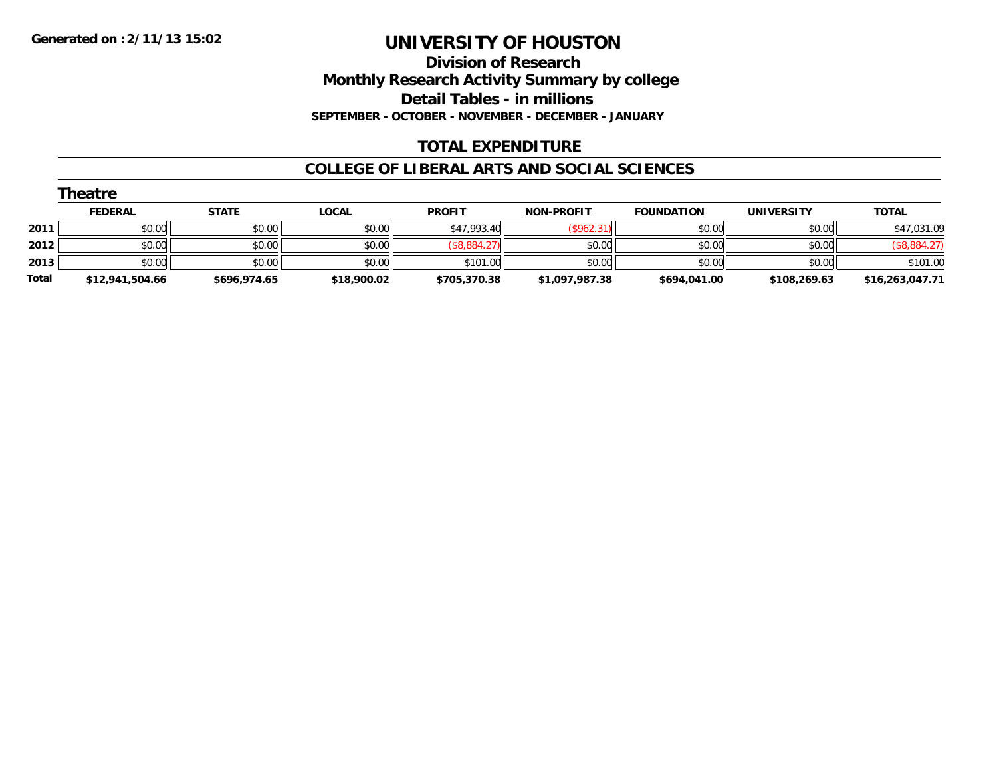**Division of Research Monthly Research Activity Summary by college Detail Tables - in millions SEPTEMBER - OCTOBER - NOVEMBER - DECEMBER - JANUARY**

## **TOTAL EXPENDITURE**

### **COLLEGE OF LIBERAL ARTS AND SOCIAL SCIENCES**

| Theatre |                 |              |              |               |                   |                   |              |                 |  |  |
|---------|-----------------|--------------|--------------|---------------|-------------------|-------------------|--------------|-----------------|--|--|
|         | <b>FEDERAL</b>  | <b>STATE</b> | <b>LOCAL</b> | <b>PROFIT</b> | <b>NON-PROFIT</b> | <b>FOUNDATION</b> | UNIVERSITY   | <b>TOTAL</b>    |  |  |
| 2011    | \$0.00          | \$0.00       | \$0.00       | \$47,993.40   | (\$962.31)        | \$0.00            | \$0.00       | \$47,031.09     |  |  |
| 2012    | \$0.00          | \$0.00       | \$0.00       | (\$8,884.27)  | \$0.00            | \$0.00            | \$0.00       | (\$8,884.27)    |  |  |
| 2013    | \$0.00          | \$0.00       | \$0.00       | \$101.00      | \$0.00            | \$0.00            | \$0.00       | \$101.00        |  |  |
| Total   | \$12,941,504.66 | \$696,974.65 | \$18,900.02  | \$705,370.38  | \$1,097,987.38    | \$694,041.00      | \$108,269.63 | \$16,263,047.71 |  |  |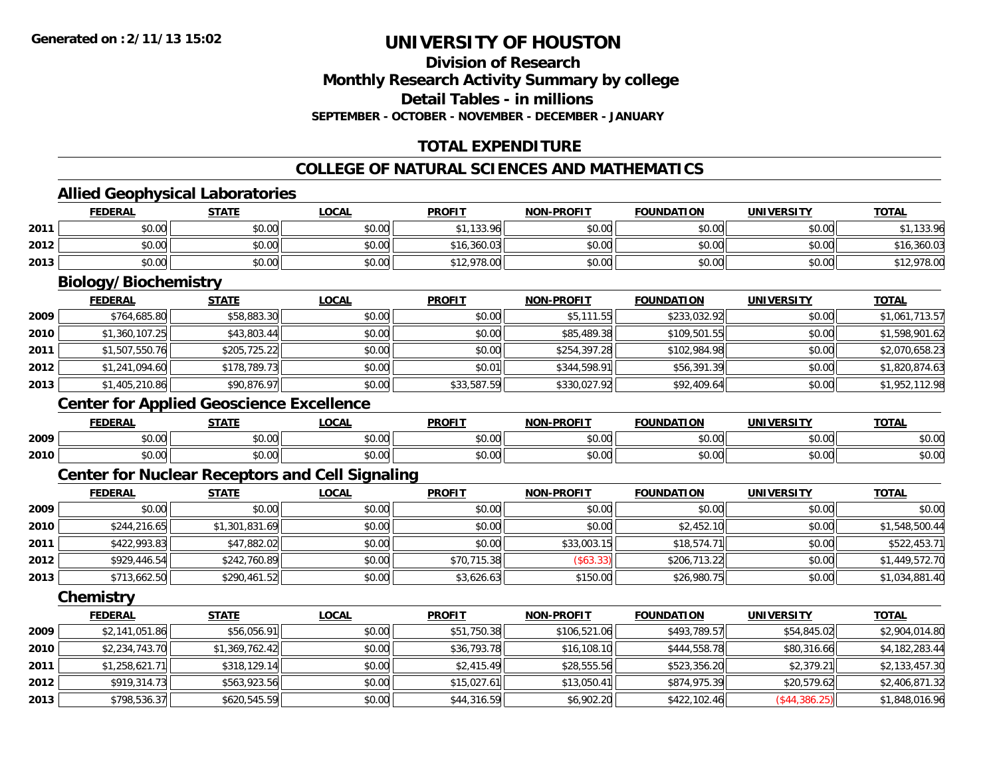## **Division of ResearchMonthly Research Activity Summary by college Detail Tables - in millionsSEPTEMBER - OCTOBER - NOVEMBER - DECEMBER - JANUARY**

## **TOTAL EXPENDITURE**

## **COLLEGE OF NATURAL SCIENCES AND MATHEMATICS**

## **Allied Geophysical Laboratories**

|      | <b>FEDERAL</b>                                  | <b>STATE</b> | <b>LOCAL</b> | <b>PROFIT</b> | <b>NON-PROFIT</b> | <b>FOUNDATION</b> | <b>UNIVERSITY</b> | <b>TOTAL</b>   |
|------|-------------------------------------------------|--------------|--------------|---------------|-------------------|-------------------|-------------------|----------------|
| 2011 | \$0.00                                          | \$0.00       | \$0.00       | \$1,133.96    | \$0.00            | \$0.00            | \$0.00            | \$1,133.96     |
| 2012 | \$0.00                                          | \$0.00       | \$0.00       | \$16,360.03   | \$0.00            | \$0.00            | \$0.00            | \$16,360.03    |
| 2013 | \$0.00                                          | \$0.00       | \$0.00       | \$12,978.00   | \$0.00            | \$0.00            | \$0.00            | \$12,978.00    |
|      | Biology/Biochemistry                            |              |              |               |                   |                   |                   |                |
|      | <b>FEDERAL</b>                                  | <b>STATE</b> | <b>LOCAL</b> | <b>PROFIT</b> | <b>NON-PROFIT</b> | <b>FOUNDATION</b> | <b>UNIVERSITY</b> | <b>TOTAL</b>   |
| 2009 | \$764,685.80                                    | \$58,883.30  | \$0.00       | \$0.00        | \$5,111.55        | \$233,032.92      | \$0.00            | \$1,061,713.57 |
| 2010 | \$1,360,107.25                                  | \$43,803.44  | \$0.00       | \$0.00        | \$85,489.38       | \$109,501.55      | \$0.00            | \$1,598,901.62 |
| 2011 | \$1,507,550.76                                  | \$205,725.22 | \$0.00       | \$0.00        | \$254,397.28      | \$102,984.98      | \$0.00            | \$2,070,658.23 |
| 2012 | \$1,241,094.60                                  | \$178,789.73 | \$0.00       | \$0.01        | \$344,598.91      | \$56,391.39       | \$0.00            | \$1,820,874.63 |
| 2013 | \$1,405,210.86                                  | \$90,876.97  | \$0.00       | \$33,587.59   | \$330,027.92      | \$92,409.64       | \$0.00            | \$1,952,112.98 |
|      | <b>Center for Applied Geoscience Excellence</b> |              |              |               |                   |                   |                   |                |
|      | <b>FEDERAL</b>                                  | <b>STATE</b> | <b>LOCAL</b> | <b>PROFIT</b> | <b>NON-PROFIT</b> | <b>FOUNDATION</b> | <b>UNIVERSITY</b> | <b>TOTAL</b>   |
| 2009 | \$0.00                                          | \$0.00       | \$0.00       | \$0.00        | \$0.00            | \$0.00            | \$0.00            | \$0.00         |

### **Center for Nuclear Receptors and Cell Signaling**

|      | <b>FEDERAL</b> | <b>STATE</b>   | <b>LOCAL</b> | <b>PROFIT</b> | <b>NON-PROFIT</b> | <b>FOUNDATION</b> | <b>UNIVERSITY</b> | <b>TOTAL</b>   |
|------|----------------|----------------|--------------|---------------|-------------------|-------------------|-------------------|----------------|
| 2009 | \$0.00         | \$0.00         | \$0.00       | \$0.00        | \$0.00            | \$0.00            | \$0.00            | \$0.00         |
| 2010 | \$244,216.65   | \$1,301,831.69 | \$0.00       | \$0.00        | \$0.00            | \$2,452.10        | \$0.00            | \$1,548,500.44 |
| 2011 | \$422,993.83   | \$47,882.02    | \$0.00       | \$0.00        | \$33,003.15       | \$18,574.71       | \$0.00            | \$522,453.71   |
| 2012 | \$929,446.54   | \$242,760.89   | \$0.00       | \$70,715.38   | $($ \$63.33) $ $  | \$206,713.22      | \$0.00            | \$1,449,572.70 |
| 2013 | \$713,662.50   | \$290,461.52   | \$0.00       | \$3,626.63    | \$150.00          | \$26,980.75       | \$0.00            | \$1,034,881.40 |

 $\, \mathsf{0} \, \vert \qquad \qquad \mathsf{0.00} \vert \qquad \qquad \mathsf{0.00} \vert \qquad \qquad \mathsf{0.00} \vert \qquad \qquad \mathsf{0.00} \vert \qquad \qquad \mathsf{0.00} \vert \qquad \qquad \mathsf{0.00} \vert \qquad \qquad \mathsf{0.00} \vert \qquad \qquad \mathsf{0.00} \vert \qquad \qquad \mathsf{0.00} \vert \qquad \qquad \mathsf{0.00} \vert \qquad \qquad \mathsf{0.01} \vert \qquad \qquad \mathsf{0.01} \vert \qquad \$ 

**Chemistry**

**2010**

|      | <b>FEDERAL</b> | <b>STATE</b>   | <u>LOCAL</u> | <b>PROFIT</b> | <b>NON-PROFIT</b> | <b>FOUNDATION</b> | <b>UNIVERSITY</b> | <b>TOTAL</b>   |
|------|----------------|----------------|--------------|---------------|-------------------|-------------------|-------------------|----------------|
| 2009 | \$2,141,051.86 | \$56,056.91    | \$0.00       | \$51,750.38   | \$106,521.06      | \$493,789.57      | \$54,845.02       | \$2,904,014.80 |
| 2010 | \$2,234,743.70 | \$1,369,762.42 | \$0.00       | \$36,793.78   | \$16,108.10       | \$444,558.78      | \$80,316.66       | \$4,182,283.44 |
| 2011 | \$1,258,621.71 | \$318,129.14   | \$0.00       | \$2,415.49    | \$28,555.56       | \$523,356.20      | \$2,379.21        | \$2,133,457.30 |
| 2012 | \$919,314.73   | \$563,923.56   | \$0.00       | \$15,027.61   | \$13,050.41       | \$874,975.39      | \$20,579.62       | \$2,406,871.32 |
| 2013 | \$798,536.37   | \$620,545.59   | \$0.00       | \$44,316.59   | \$6,902.20        | \$422,102.46      | (S44, 386.25)     | \$1,848,016.96 |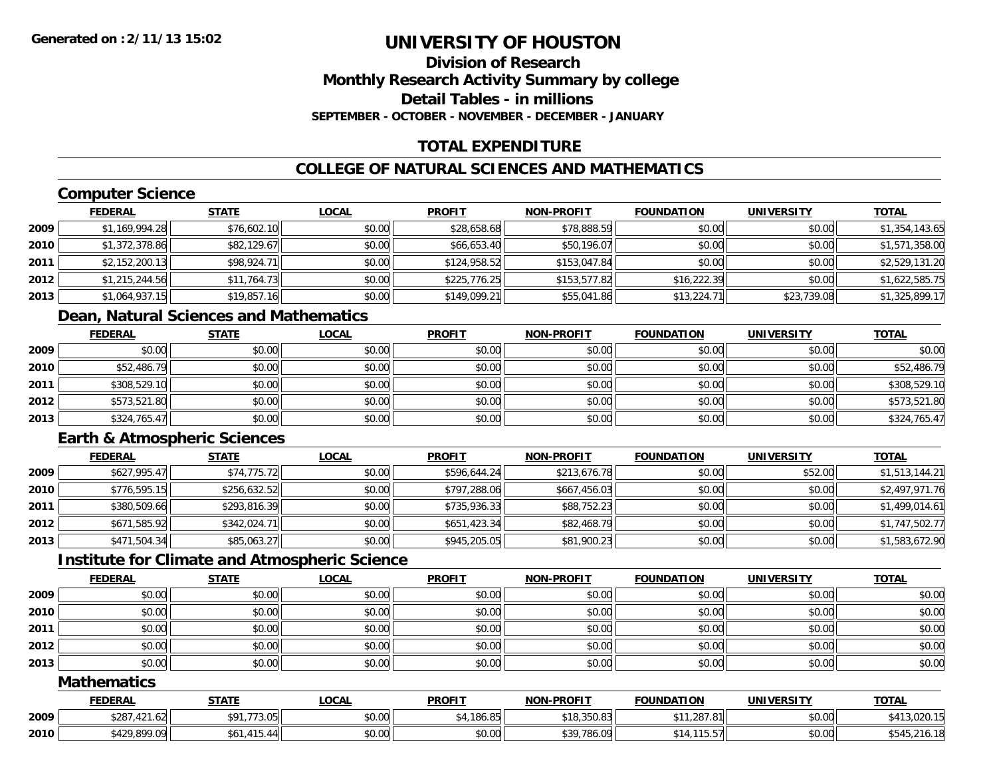## **Division of ResearchMonthly Research Activity Summary by college Detail Tables - in millionsSEPTEMBER - OCTOBER - NOVEMBER - DECEMBER - JANUARY**

## **TOTAL EXPENDITURE**

## **COLLEGE OF NATURAL SCIENCES AND MATHEMATICS**

## **Computer Science**

|      | <b>FEDERAL</b> | <b>STATE</b> | <u>LOCAL</u> | <b>PROFIT</b> | <b>NON-PROFIT</b> | <b>FOUNDATION</b> | <b>UNIVERSITY</b> | <u>TOTAL</u>   |
|------|----------------|--------------|--------------|---------------|-------------------|-------------------|-------------------|----------------|
| 2009 | \$1,169,994.28 | \$76,602.10  | \$0.00       | \$28,658.68   | \$78,888.59       | \$0.00            | \$0.00            | \$1,354,143.65 |
| 2010 | \$1,372,378.86 | \$82,129.67  | \$0.00       | \$66,653.40   | \$50,196.07       | \$0.00            | \$0.00            | \$1,571,358.00 |
| 2011 | \$2,152,200.13 | \$98,924.71  | \$0.00       | \$124,958.52  | \$153,047.84      | \$0.00            | \$0.00            | \$2,529,131.20 |
| 2012 | \$1,215,244.56 | \$11,764.73  | \$0.00       | \$225,776.25  | \$153,577.82      | \$16,222.39       | \$0.00            | \$1,622,585.75 |
| 2013 | \$1,064,937.15 | \$19,857.16  | \$0.00       | \$149,099.21  | \$55,041.86       | \$13,224.71       | \$23,739.08       | \$1,325,899.17 |

## **Dean, Natural Sciences and Mathematics**

|      | <b>FEDERAL</b> | <u>STATE</u> | <u>LOCAL</u> | <b>PROFIT</b> | <b>NON-PROFIT</b> | <b>FOUNDATION</b> | <b>UNIVERSITY</b> | <b>TOTAL</b> |
|------|----------------|--------------|--------------|---------------|-------------------|-------------------|-------------------|--------------|
| 2009 | \$0.00         | \$0.00       | \$0.00       | \$0.00        | \$0.00            | \$0.00            | \$0.00            | \$0.00       |
| 2010 | \$52,486.79    | \$0.00       | \$0.00       | \$0.00        | \$0.00            | \$0.00            | \$0.00            | \$52,486.79  |
| 2011 | \$308,529.10   | \$0.00       | \$0.00       | \$0.00        | \$0.00            | \$0.00            | \$0.00            | \$308,529.10 |
| 2012 | \$573,521.80   | \$0.00       | \$0.00       | \$0.00        | \$0.00            | \$0.00            | \$0.00            | \$573,521.80 |
| 2013 | \$324,765.47   | \$0.00       | \$0.00       | \$0.00        | \$0.00            | \$0.00            | \$0.00            | \$324,765.47 |

## **Earth & Atmospheric Sciences**

|      | <b>FEDERAL</b> | <b>STATE</b> | <b>LOCAL</b> | <b>PROFIT</b> | <b>NON-PROFIT</b> | <b>FOUNDATION</b> | <b>UNIVERSITY</b> | <b>TOTAL</b>   |
|------|----------------|--------------|--------------|---------------|-------------------|-------------------|-------------------|----------------|
| 2009 | \$627,995.47   | \$74,775.72  | \$0.00       | \$596,644.24  | \$213,676.78      | \$0.00            | \$52.00           | \$1,513,144.21 |
| 2010 | \$776,595.15   | \$256,632.52 | \$0.00       | \$797,288.06  | \$667,456.03      | \$0.00            | \$0.00            | \$2,497,971.76 |
| 2011 | \$380,509.66   | \$293,816.39 | \$0.00       | \$735,936.33  | \$88,752.23       | \$0.00            | \$0.00            | \$1,499,014.61 |
| 2012 | \$671,585.92   | \$342,024.71 | \$0.00       | \$651,423.34  | \$82,468.79       | \$0.00            | \$0.00            | \$1,747,502.77 |
| 2013 | \$471,504.34   | \$85,063.27  | \$0.00       | \$945,205.05  | \$81,900.23       | \$0.00            | \$0.00            | \$1,583,672.90 |

## **Institute for Climate and Atmospheric Science**

|      | <b>FEDERAL</b> | <b>STATE</b> | <u>LOCAL</u> | <b>PROFIT</b> | <b>NON-PROFIT</b> | <b>FOUNDATION</b> | <b>UNIVERSITY</b> | <b>TOTAL</b> |
|------|----------------|--------------|--------------|---------------|-------------------|-------------------|-------------------|--------------|
| 2009 | \$0.00         | \$0.00       | \$0.00       | \$0.00        | \$0.00            | \$0.00            | \$0.00            | \$0.00       |
| 2010 | \$0.00         | \$0.00       | \$0.00       | \$0.00        | \$0.00            | \$0.00            | \$0.00            | \$0.00       |
| 2011 | \$0.00         | \$0.00       | \$0.00       | \$0.00        | \$0.00            | \$0.00            | \$0.00            | \$0.00       |
| 2012 | \$0.00         | \$0.00       | \$0.00       | \$0.00        | \$0.00            | \$0.00            | \$0.00            | \$0.00       |
| 2013 | \$0.00         | \$0.00       | \$0.00       | \$0.00        | \$0.00            | \$0.00            | \$0.00            | \$0.00       |

### **Mathematics**

|      | <b>FEDERAL</b>                            | <u>STATE</u>              | LOCAI  | <b>PROFIT</b>    | <b>NON-PROFIT</b>             | <b>FOUNDATION</b>            | <b>UNIVERSITY</b> | <b>TOTAL</b> |
|------|-------------------------------------------|---------------------------|--------|------------------|-------------------------------|------------------------------|-------------------|--------------|
| 2009 | 007<br>$\sqrt{4}$<br>ا20. ا 24. ،<br>52 O | 772.05<br>ሖ へ<br>. 73.001 | \$0.00 | .186.85<br>1.186 | 0.10, 200, 00<br>5 18.350.831 | 1.287.81<br>$\sim$ $\sim$    | \$0.00            | \$413,020.15 |
| 2010 | \$429,899.09                              | 4.4.5<br>. 44<br>ÞО       | \$0.00 | \$0.00           | \$39.786<br>,786.09           | 2257<br><b>ЪІЧ.</b><br>10.OT | \$0.00            |              |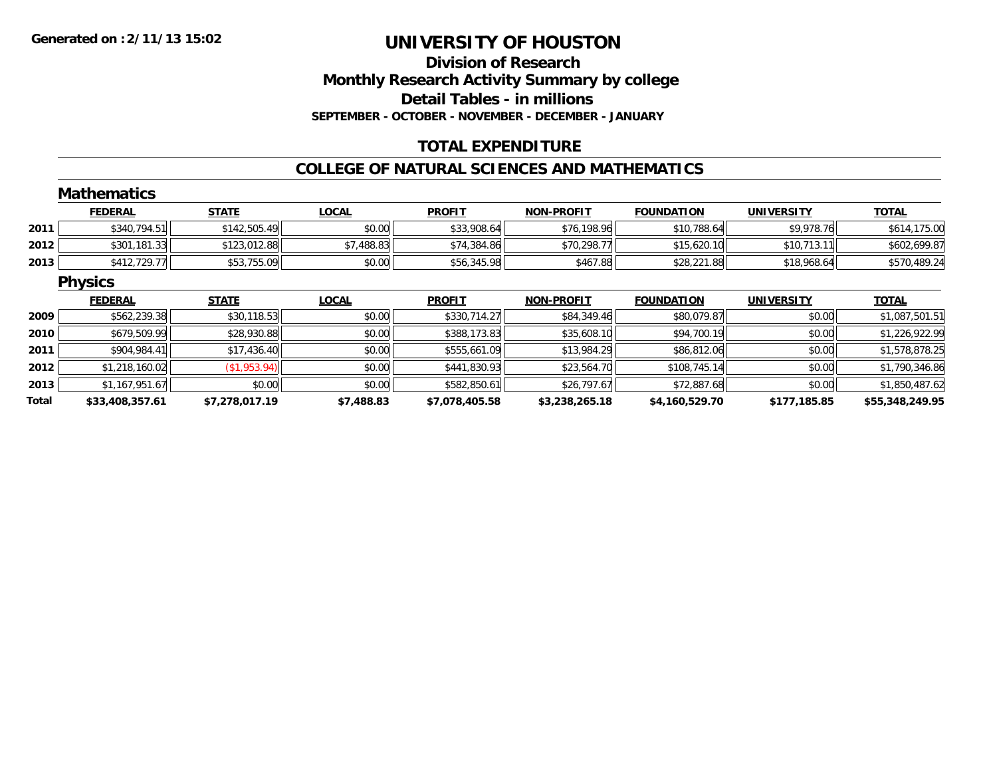## **Division of ResearchMonthly Research Activity Summary by college Detail Tables - in millions SEPTEMBER - OCTOBER - NOVEMBER - DECEMBER - JANUARY**

## **TOTAL EXPENDITURE**

#### **COLLEGE OF NATURAL SCIENCES AND MATHEMATICS**

|       | <b>Mathematics</b> |                |              |                |                   |                   |                   |                 |
|-------|--------------------|----------------|--------------|----------------|-------------------|-------------------|-------------------|-----------------|
|       | <b>FEDERAL</b>     | <b>STATE</b>   | <b>LOCAL</b> | <b>PROFIT</b>  | <b>NON-PROFIT</b> | <b>FOUNDATION</b> | <b>UNIVERSITY</b> | <b>TOTAL</b>    |
| 2011  | \$340,794.51       | \$142,505.49   | \$0.00       | \$33,908.64    | \$76,198.96       | \$10,788.64       | \$9,978.76        | \$614,175.00    |
| 2012  | \$301,181.33       | \$123,012.88   | \$7,488.83   | \$74,384.86    | \$70,298.77       | \$15,620.10       | \$10,713.11       | \$602,699.87    |
| 2013  | \$412,729.77       | \$53,755.09    | \$0.00       | \$56,345.98    | \$467.88          | \$28,221.88       | \$18,968.64       | \$570,489.24    |
|       | <b>Physics</b>     |                |              |                |                   |                   |                   |                 |
|       | <b>FEDERAL</b>     | <b>STATE</b>   | <b>LOCAL</b> | <b>PROFIT</b>  | <b>NON-PROFIT</b> | <b>FOUNDATION</b> | <b>UNIVERSITY</b> | <b>TOTAL</b>    |
| 2009  | \$562,239.38       | \$30,118.53    | \$0.00       | \$330,714.27   | \$84,349.46       | \$80,079.87       | \$0.00            | \$1,087,501.51  |
| 2010  | \$679,509.99       | \$28,930.88    | \$0.00       | \$388,173.83   | \$35,608.10       | \$94,700.19       | \$0.00            | \$1,226,922.99  |
| 2011  | \$904,984.41       | \$17,436.40    | \$0.00       | \$555,661.09   | \$13,984.29       | \$86,812.06       | \$0.00            | \$1,578,878.25  |
| 2012  | \$1,218,160.02     | (\$1,953.94)   | \$0.00       | \$441,830.93   | \$23,564.70       | \$108,745.14      | \$0.00            | \$1,790,346.86  |
| 2013  | \$1,167,951.67     | \$0.00         | \$0.00       | \$582,850.61   | \$26,797.67       | \$72,887.68       | \$0.00            | \$1,850,487.62  |
| Total | \$33,408,357.61    | \$7,278,017.19 | \$7,488.83   | \$7,078,405.58 | \$3,238,265.18    | \$4,160,529.70    | \$177,185.85      | \$55,348,249.95 |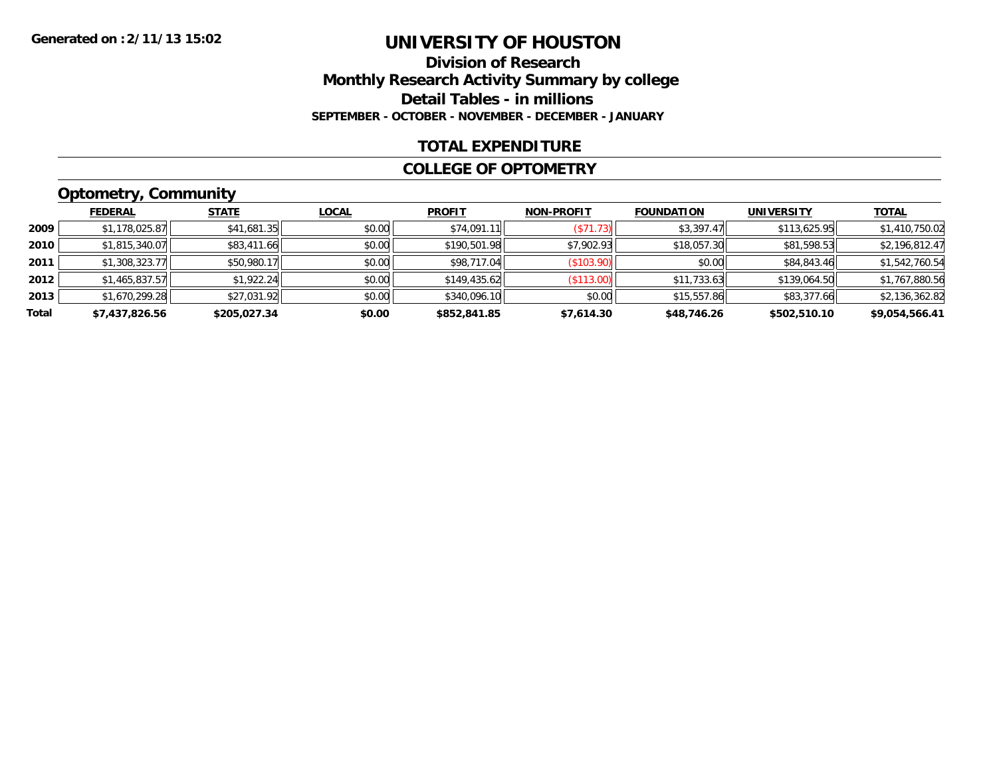### **Division of Research Monthly Research Activity Summary by college Detail Tables - in millions SEPTEMBER - OCTOBER - NOVEMBER - DECEMBER - JANUARY**

### **TOTAL EXPENDITURE**

#### **COLLEGE OF OPTOMETRY**

## **Optometry, Community**

|       | ___            |              |              |               |                   |                   |                   |                |
|-------|----------------|--------------|--------------|---------------|-------------------|-------------------|-------------------|----------------|
|       | <b>FEDERAL</b> | <b>STATE</b> | <u>LOCAL</u> | <b>PROFIT</b> | <b>NON-PROFIT</b> | <b>FOUNDATION</b> | <b>UNIVERSITY</b> | <b>TOTAL</b>   |
| 2009  | \$1,178,025.87 | \$41,681.35  | \$0.00       | \$74,091.11   | (S71.73)          | \$3,397.47        | \$113,625.95      | \$1,410,750.02 |
| 2010  | \$1,815,340.07 | \$83,411.66  | \$0.00       | \$190,501.98  | \$7.902.93        | \$18,057.30       | \$81,598.53       | \$2,196,812.47 |
| 2011  | \$1,308,323.77 | \$50,980.17  | \$0.00       | \$98,717.04   | (\$103.90)        | \$0.00            | \$84,843.46       | \$1,542,760.54 |
| 2012  | \$1,465,837.57 | \$1,922.24   | \$0.00       | \$149,435.62  | (S113.00)         | \$11,733.63       | \$139,064.50      | \$1,767,880.56 |
| 2013  | \$1,670,299.28 | \$27,031.92  | \$0.00       | \$340,096.10  | \$0.00            | \$15,557.86       | \$83,377.66       | \$2,136,362.82 |
| Total | \$7,437,826.56 | \$205,027.34 | \$0.00       | \$852,841.85  | \$7,614.30        | \$48,746.26       | \$502,510.10      | \$9,054,566.41 |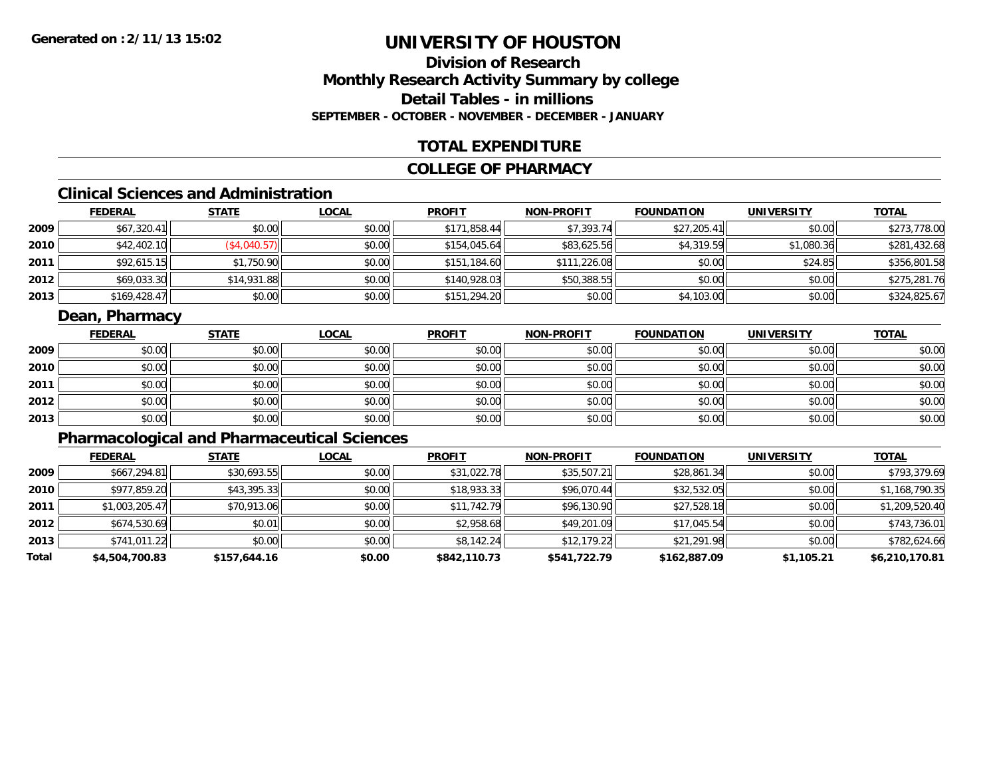## **Division of ResearchMonthly Research Activity Summary by college Detail Tables - in millionsSEPTEMBER - OCTOBER - NOVEMBER - DECEMBER - JANUARY**

### **TOTAL EXPENDITURE**

### **COLLEGE OF PHARMACY**

## **Clinical Sciences and Administration**

|      | <b>FEDERAL</b> | <b>STATE</b> | <b>LOCAL</b> | <b>PROFIT</b> | <b>NON-PROFIT</b> | <b>FOUNDATION</b> | <b>UNIVERSITY</b> | <u>TOTAL</u> |
|------|----------------|--------------|--------------|---------------|-------------------|-------------------|-------------------|--------------|
| 2009 | \$67,320.41    | \$0.00       | \$0.00       | \$171,858.44  | \$7,393.74        | \$27,205.41       | \$0.00            | \$273,778.00 |
| 2010 | \$42,402.10    | (\$4,040.57) | \$0.00       | \$154,045.64  | \$83,625.56       | \$4,319.59        | \$1,080.36        | \$281,432.68 |
| 2011 | \$92,615.15    | \$1,750.90   | \$0.00       | \$151,184.60  | \$111,226.08      | \$0.00            | \$24.85           | \$356,801.58 |
| 2012 | \$69,033.30    | \$14,931.88  | \$0.00       | \$140,928.03  | \$50,388.55       | \$0.00            | \$0.00            | \$275,281.76 |
| 2013 | \$169,428.47   | \$0.00       | \$0.00       | \$151,294.20  | \$0.00            | \$4,103.00        | \$0.00            | \$324,825.67 |

### **Dean, Pharmacy**

|      | <b>FEDERAL</b> | <b>STATE</b> | <b>LOCAL</b> | <b>PROFIT</b> | <b>NON-PROFIT</b> | <b>FOUNDATION</b> | <b>UNIVERSITY</b> | <b>TOTAL</b> |
|------|----------------|--------------|--------------|---------------|-------------------|-------------------|-------------------|--------------|
| 2009 | \$0.00         | \$0.00       | \$0.00       | \$0.00        | \$0.00            | \$0.00            | \$0.00            | \$0.00       |
| 2010 | \$0.00         | \$0.00       | \$0.00       | \$0.00        | \$0.00            | \$0.00            | \$0.00            | \$0.00       |
| 2011 | \$0.00         | \$0.00       | \$0.00       | \$0.00        | \$0.00            | \$0.00            | \$0.00            | \$0.00       |
| 2012 | \$0.00         | \$0.00       | \$0.00       | \$0.00        | \$0.00            | \$0.00            | \$0.00            | \$0.00       |
| 2013 | \$0.00         | \$0.00       | \$0.00       | \$0.00        | \$0.00            | \$0.00            | \$0.00            | \$0.00       |

## **Pharmacological and Pharmaceutical Sciences**

|       | <b>FEDERAL</b> | <b>STATE</b> | <b>LOCAL</b> | <b>PROFIT</b> | <b>NON-PROFIT</b> | <b>FOUNDATION</b> | <b>UNIVERSITY</b> | <u>TOTAL</u>   |
|-------|----------------|--------------|--------------|---------------|-------------------|-------------------|-------------------|----------------|
| 2009  | \$667,294.81   | \$30,693.55  | \$0.00       | \$31,022.78   | \$35,507.21       | \$28,861.34       | \$0.00            | \$793,379.69   |
| 2010  | \$977,859.20   | \$43,395.33  | \$0.00       | \$18,933.33   | \$96,070.44       | \$32,532.05       | \$0.00            | \$1,168,790.35 |
| 2011  | \$1,003,205.47 | \$70,913.06  | \$0.00       | \$11,742.79   | \$96,130.90       | \$27,528.18       | \$0.00            | \$1,209,520.40 |
| 2012  | \$674,530.69   | \$0.01       | \$0.00       | \$2,958.68    | \$49,201.09       | \$17,045.54       | \$0.00            | \$743,736.01   |
| 2013  | \$741,011.22   | \$0.00       | \$0.00       | \$8,142.24    | \$12,179.22       | \$21,291.98       | \$0.00            | \$782,624.66   |
| Total | \$4,504,700.83 | \$157,644.16 | \$0.00       | \$842,110.73  | \$541,722.79      | \$162,887.09      | \$1,105.21        | \$6,210,170.81 |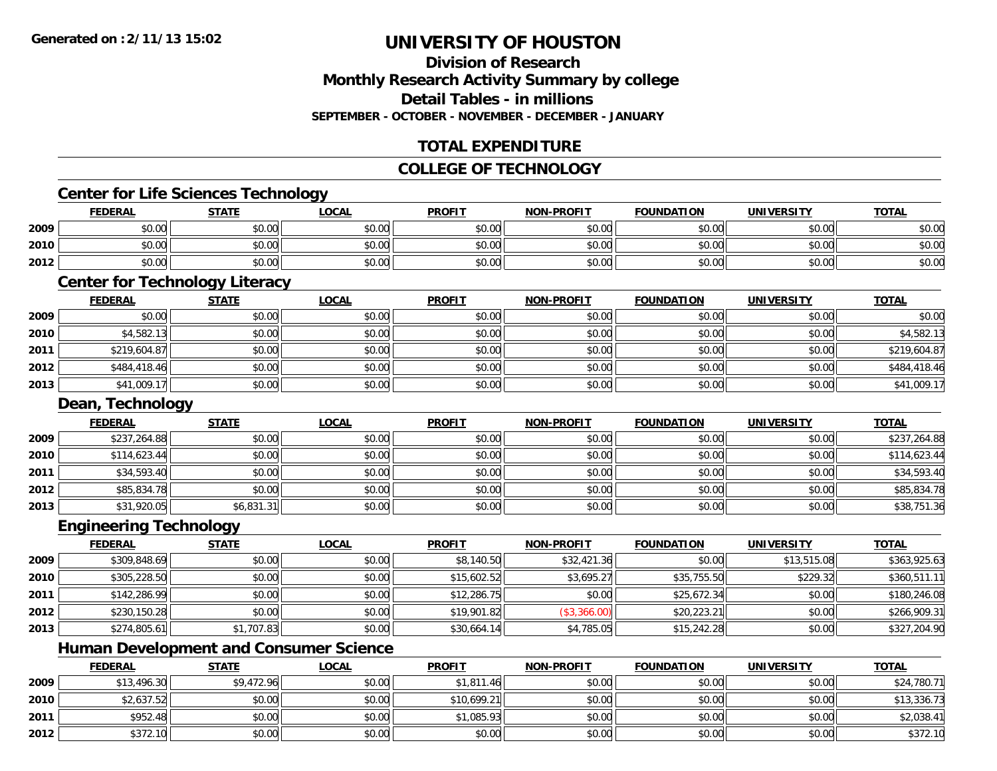## **Division of ResearchMonthly Research Activity Summary by college Detail Tables - in millionsSEPTEMBER - OCTOBER - NOVEMBER - DECEMBER - JANUARY**

## **TOTAL EXPENDITURE**

## **COLLEGE OF TECHNOLOGY**

## **Center for Life Sciences Technology**

|      | <b>FEDERAL</b> | <b>STATE</b> | <u>_OCAL</u> | <b>PROFIT</b> | <b>NON-PROFIT</b> | <b>FOUNDATION</b> | <b>UNIVERSITY</b> | <b>TOTAL</b> |
|------|----------------|--------------|--------------|---------------|-------------------|-------------------|-------------------|--------------|
| 2009 | \$0.00         | \$0.00       | \$0.00       | \$0.00        | \$0.00            | \$0.00            | \$0.00            | \$0.00       |
| 2010 | \$0.00         | \$0.00       | \$0.00       | \$0.00        | \$0.00            | \$0.00            | \$0.00            | \$0.00       |
| 2012 | \$0.00         | \$0.00       | \$0.00       | \$0.00        | \$0.00            | \$0.00            | \$0.00            | \$0.00       |

## **Center for Technology Literacy**

|      | <b>FEDERAL</b> | <b>STATE</b> | <u>LOCAL</u> | <b>PROFIT</b> | <b>NON-PROFIT</b> | <b>FOUNDATION</b> | <b>UNIVERSITY</b> | <b>TOTAL</b> |
|------|----------------|--------------|--------------|---------------|-------------------|-------------------|-------------------|--------------|
| 2009 | \$0.00         | \$0.00       | \$0.00       | \$0.00        | \$0.00            | \$0.00            | \$0.00            | \$0.00       |
| 2010 | \$4,582.13     | \$0.00       | \$0.00       | \$0.00        | \$0.00            | \$0.00            | \$0.00            | \$4,582.13   |
| 2011 | \$219,604.87   | \$0.00       | \$0.00       | \$0.00        | \$0.00            | \$0.00            | \$0.00            | \$219,604.87 |
| 2012 | \$484,418.46   | \$0.00       | \$0.00       | \$0.00        | \$0.00            | \$0.00            | \$0.00            | \$484,418.46 |
| 2013 | \$41,009.17    | \$0.00       | \$0.00       | \$0.00        | \$0.00            | \$0.00            | \$0.00            | \$41,009.17  |

### **Dean, Technology**

|      | <b>FEDERAL</b> | <b>STATE</b> | <b>LOCAL</b> | <b>PROFIT</b> | <b>NON-PROFIT</b> | <b>FOUNDATION</b> | <b>UNIVERSITY</b> | <b>TOTAL</b> |
|------|----------------|--------------|--------------|---------------|-------------------|-------------------|-------------------|--------------|
| 2009 | \$237,264.88   | \$0.00       | \$0.00       | \$0.00        | \$0.00            | \$0.00            | \$0.00            | \$237,264.88 |
| 2010 | \$114,623.44   | \$0.00       | \$0.00       | \$0.00        | \$0.00            | \$0.00            | \$0.00            | \$114,623.44 |
| 2011 | \$34,593.40    | \$0.00       | \$0.00       | \$0.00        | \$0.00            | \$0.00            | \$0.00            | \$34,593.40  |
| 2012 | \$85,834.78    | \$0.00       | \$0.00       | \$0.00        | \$0.00            | \$0.00            | \$0.00            | \$85,834.78  |
| 2013 | \$31,920.05    | \$6,831.31   | \$0.00       | \$0.00        | \$0.00            | \$0.00            | \$0.00            | \$38,751.36  |

#### **Engineering Technology**

|      | <u>FEDERAL</u> | <b>STATE</b> | <b>LOCAL</b> | <b>PROFIT</b> | <b>NON-PROFIT</b> | <b>FOUNDATION</b> | <b>UNIVERSITY</b> | <u>TOTAL</u> |
|------|----------------|--------------|--------------|---------------|-------------------|-------------------|-------------------|--------------|
| 2009 | \$309,848.69   | \$0.00       | \$0.00       | \$8,140.50    | \$32,421.36       | \$0.00            | \$13,515.08       | \$363,925.63 |
| 2010 | \$305,228.50   | \$0.00       | \$0.00       | \$15,602.52   | \$3,695.27        | \$35,755.50       | \$229.32          | \$360,511.11 |
| 2011 | \$142,286.99   | \$0.00       | \$0.00       | \$12,286.75   | \$0.00            | \$25,672.34       | \$0.00            | \$180,246.08 |
| 2012 | \$230,150.28   | \$0.00       | \$0.00       | \$19,901.82   | (\$3,366.00)      | \$20,223.21       | \$0.00            | \$266,909.31 |
| 2013 | \$274,805.61   | \$1,707.83   | \$0.00       | \$30,664.14   | \$4,785.05        | \$15,242.28       | \$0.00            | \$327,204.90 |

<u> 1989 - Johann Stoff, deutscher Stoffen und der Stoffen und der Stoffen und der Stoffen und der Stoffen und de</u>

## **Human Development and Consumer Science**

|      | <u>FEDERAL</u> | <b>STATE</b> | <u>LOCAL</u> | <b>PROFIT</b> | <b>NON-PROFIT</b> | <b>FOUNDATION</b> | <b>UNIVERSITY</b> | <b>TOTAL</b> |
|------|----------------|--------------|--------------|---------------|-------------------|-------------------|-------------------|--------------|
| 2009 | \$13,496.30    | \$9,472.96   | \$0.00       | \$1,811.46    | \$0.00            | \$0.00            | \$0.00            | \$24,780.71  |
| 2010 | \$2,637.52     | \$0.00       | \$0.00       | \$10,699.21   | \$0.00            | \$0.00            | \$0.00            | \$13,336.73  |
| 2011 | \$952.48       | \$0.00       | \$0.00       | \$1,085.93    | \$0.00            | \$0.00            | \$0.00            | \$2,038.41   |
| 2012 | \$372.10       | \$0.00       | \$0.00       | \$0.00        | \$0.00            | \$0.00            | \$0.00            | \$372.10     |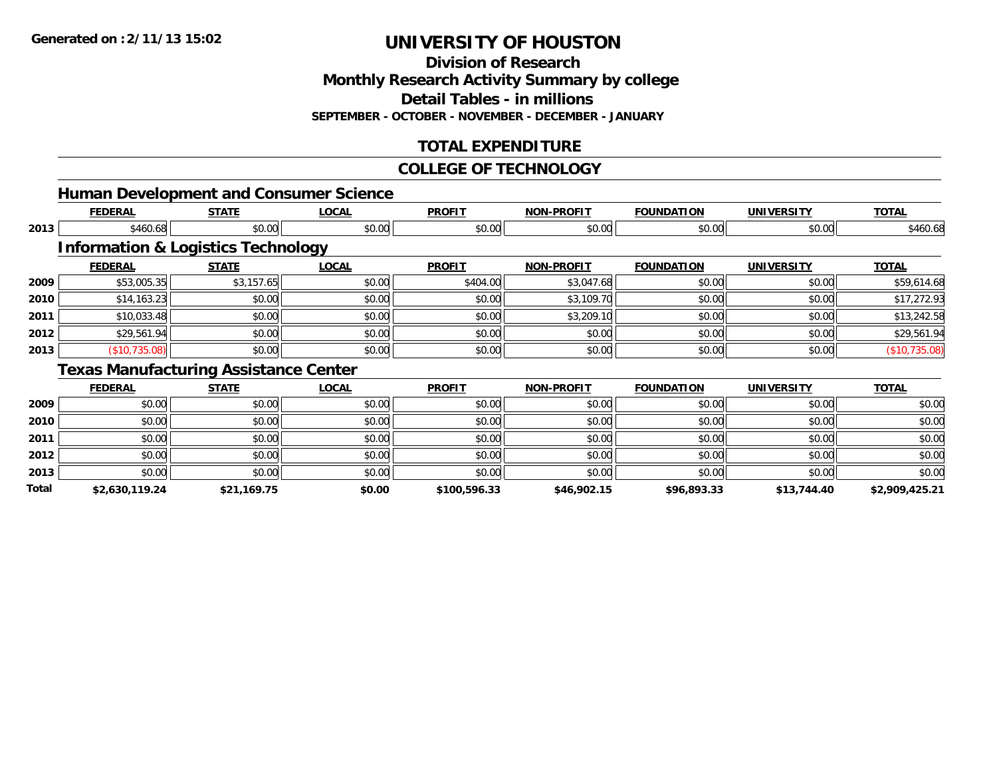**2013**

**Total**

## **UNIVERSITY OF HOUSTON**

**Division of Research**

**Monthly Research Activity Summary by college**

**Detail Tables - in millions**

**SEPTEMBER - OCTOBER - NOVEMBER - DECEMBER - JANUARY**

## **TOTAL EXPENDITURE**

#### **COLLEGE OF TECHNOLOGY**

|      |                |                                               | <b>Human Development and Consumer Science</b> |               |                   |                   |                   |               |
|------|----------------|-----------------------------------------------|-----------------------------------------------|---------------|-------------------|-------------------|-------------------|---------------|
|      | <b>FEDERAL</b> | <b>STATE</b>                                  | <b>LOCAL</b>                                  | <b>PROFIT</b> | <b>NON-PROFIT</b> | <b>FOUNDATION</b> | <b>UNIVERSITY</b> | <b>TOTAL</b>  |
| 2013 | \$460.68       | \$0.00                                        | \$0.00                                        | \$0.00        | \$0.00            | \$0.00            | \$0.00            | \$460.68      |
|      |                | <b>Information &amp; Logistics Technology</b> |                                               |               |                   |                   |                   |               |
|      | <b>FEDERAL</b> | <b>STATE</b>                                  | <b>LOCAL</b>                                  | <b>PROFIT</b> | <b>NON-PROFIT</b> | <b>FOUNDATION</b> | <b>UNIVERSITY</b> | <b>TOTAL</b>  |
| 2009 | \$53,005.35    | \$3,157.65                                    | \$0.00                                        | \$404.00      | \$3,047.68        | \$0.00            | \$0.00            | \$59,614.68   |
| 2010 | \$14,163.23    | \$0.00                                        | \$0.00                                        | \$0.00        | \$3,109.70        | \$0.00            | \$0.00            | \$17,272.93   |
| 2011 | \$10,033.48    | \$0.00                                        | \$0.00                                        | \$0.00        | \$3,209.10        | \$0.00            | \$0.00            | \$13,242.58   |
| 2012 | \$29,561.94    | \$0.00                                        | \$0.00                                        | \$0.00        | \$0.00            | \$0.00            | \$0.00            | \$29,561.94   |
| 2013 | (\$10,735.08)  | \$0.00                                        | \$0.00                                        | \$0.00        | \$0.00            | \$0.00            | \$0.00            | (\$10,735.08) |
|      |                | <b>Texas Manufacturing Assistance Center</b>  |                                               |               |                   |                   |                   |               |
|      | <b>FEDERAL</b> | <b>STATE</b>                                  | <b>LOCAL</b>                                  | <b>PROFIT</b> | <b>NON-PROFIT</b> | <b>FOUNDATION</b> | <b>UNIVERSITY</b> | <b>TOTAL</b>  |
| 2009 | \$0.00         | \$0.00                                        | \$0.00                                        | \$0.00        | \$0.00            | \$0.00            | \$0.00            | \$0.00        |
| 2010 | \$0.00         | \$0.00                                        | \$0.00                                        | \$0.00        | \$0.00            | \$0.00            | \$0.00            | \$0.00        |
| 2011 | \$0.00         | \$0.00                                        | \$0.00                                        | \$0.00        | \$0.00            | \$0.00            | \$0.00            | \$0.00        |
| 2012 | \$0.00         | \$0.00                                        | \$0.00                                        | \$0.00        | \$0.00            | \$0.00            | \$0.00            | \$0.00        |

\$0.00 \$0.00 \$0.00 \$0.00 \$0.00 \$0.00 \$0.00 \$0.00

**\$2,630,119.24 \$21,169.75 \$0.00 \$100,596.33 \$46,902.15 \$96,893.33 \$13,744.40 \$2,909,425.21**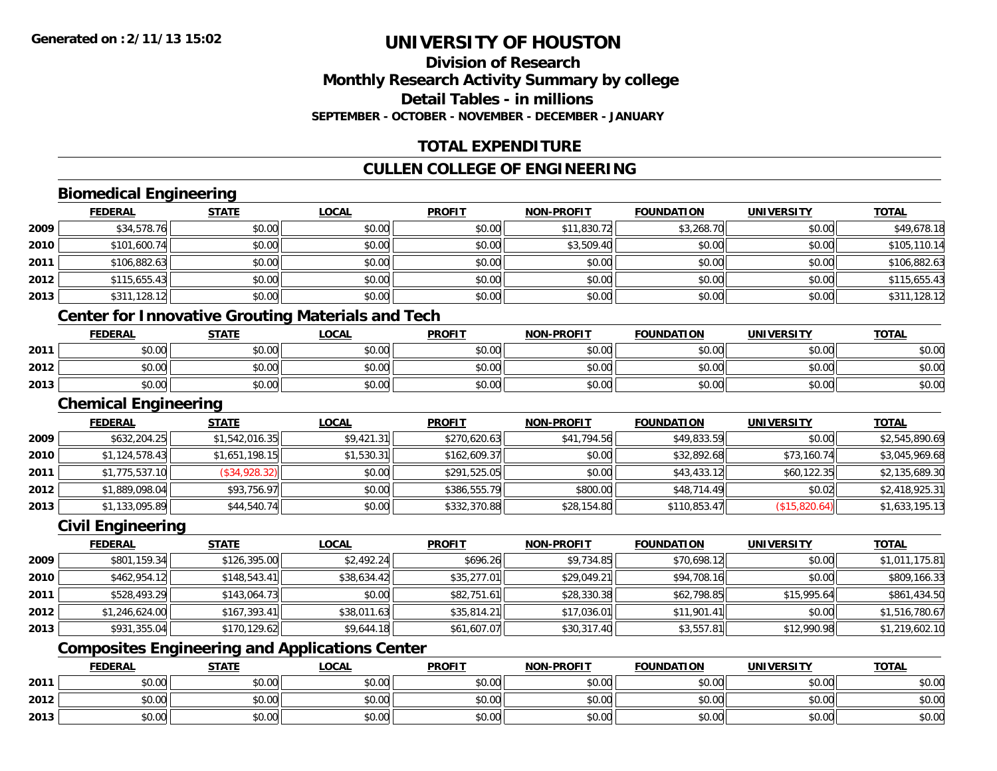## **Division of ResearchMonthly Research Activity Summary by college Detail Tables - in millions SEPTEMBER - OCTOBER - NOVEMBER - DECEMBER - JANUARY**

## **TOTAL EXPENDITURE**

## **CULLEN COLLEGE OF ENGINEERING**

## **Biomedical Engineering**

|      | <b>FEDERAL</b>                                                                                                                                               | <b>STATE</b> | <u>LOCAL</u> | <b>PROFIT</b> | <b>NON-PROFIT</b> | <b>FOUNDATION</b> | <b>UNIVERSITY</b> | <b>TOTAL</b> |
|------|--------------------------------------------------------------------------------------------------------------------------------------------------------------|--------------|--------------|---------------|-------------------|-------------------|-------------------|--------------|
| 2009 | \$34,578.76                                                                                                                                                  | \$0.00       | \$0.00       | \$0.00        | \$11,830.72       | \$3,268.70        | \$0.00            | \$49,678.18  |
| 2010 | \$101,600.74                                                                                                                                                 | \$0.00       | \$0.00       | \$0.00        | \$3,509.40        | \$0.00            | \$0.00            | \$105,110.14 |
| 2011 | \$106,882.63                                                                                                                                                 | \$0.00       | \$0.00       | \$0.00        | \$0.00            | \$0.00            | \$0.00            | \$106,882.63 |
| 2012 | \$115,655.43                                                                                                                                                 | \$0.00       | \$0.00       | \$0.00        | \$0.00            | \$0.00            | \$0.00            | \$115,655.43 |
| 2013 | \$311,128.12                                                                                                                                                 | \$0.00       | \$0.00       | \$0.00        | \$0.00            | \$0.00            | \$0.00            | \$311,128.12 |
|      | $\bigcap_{i=1}^n$ and $\bigcap_{i=1}^n$ is the set of $\bigcap_{i=1}^n$ in the set of $\bigcap_{i=1}^n$ is the set of $\bigcap_{i=1}^n$ in $\bigcap_{i=1}^n$ |              |              |               |                   |                   |                   |              |

#### **Center for Innovative Grouting Materials and Tech**

|      | <b>FEDERAL</b> | <b>STATE</b>   | <u>LOCAL</u>  | <b>PROFIT</b>                                        | <b>NON-PROFIT</b> | <b>FOUNDATION</b> | UNIVERSITY | <b>TOTAL</b> |
|------|----------------|----------------|---------------|------------------------------------------------------|-------------------|-------------------|------------|--------------|
| 2011 | 0000<br>DU.UU  | \$0.00         | 0000<br>JU.UU | ≮∩ ∩∩<br><b>SU.UU</b>                                | \$0.00            | \$0.00            | \$0.00     | \$0.00       |
| 2012 | \$0.00         | ≮N UU<br>PU.UU | \$0.00        | $\mathsf{A}\cap\mathsf{A}\cap\mathsf{A}$<br>$-40.06$ | \$0.00            | \$0.00            | \$0.00     | \$0.00       |
| 2013 | \$0.00         | \$0.00         | \$0.00        | ≮N UU<br><b>SU.UU</b>                                | \$0.00            | \$0.00            | \$0.00     | \$0.00       |

#### **Chemical Engineering**

|      | <b>FEDERAL</b> | <b>STATE</b>   | <b>LOCAL</b> | <b>PROFIT</b> | <b>NON-PROFIT</b> | <b>FOUNDATION</b> | <b>UNIVERSITY</b> | <b>TOTAL</b>   |
|------|----------------|----------------|--------------|---------------|-------------------|-------------------|-------------------|----------------|
| 2009 | \$632,204.25   | \$1,542,016.35 | \$9,421.31   | \$270,620.63  | \$41,794.56       | \$49,833.59       | \$0.00            | \$2,545,890.69 |
| 2010 | \$1,124,578.43 | \$1,651,198.15 | \$1,530.31   | \$162,609.37  | \$0.00            | \$32,892.68       | \$73,160.74       | \$3,045,969.68 |
| 2011 | \$1,775,537.10 | (\$34,928.32)  | \$0.00       | \$291,525.05  | \$0.00            | \$43,433.12       | \$60,122.35       | \$2,135,689.30 |
| 2012 | \$1,889,098.04 | \$93,756.97    | \$0.00       | \$386,555,79  | \$800.00          | \$48,714.49       | \$0.02            | \$2,418,925.31 |
| 2013 | \$1,133,095.89 | \$44,540.74    | \$0.00       | \$332,370.88  | \$28,154.80       | \$110,853.47      | (S15, 820.64)     | \$1,633,195.13 |

#### **Civil Engineering**

|      | <b>FEDERAL</b> | <b>STATE</b> | <u>LOCAL</u> | <b>PROFIT</b> | <b>NON-PROFIT</b> | <b>FOUNDATION</b> | <b>UNIVERSITY</b> | <b>TOTAL</b>   |
|------|----------------|--------------|--------------|---------------|-------------------|-------------------|-------------------|----------------|
| 2009 | \$801,159.34   | \$126,395.00 | \$2.492.24   | \$696.26      | \$9,734.85        | \$70,698.12       | \$0.00            | \$1,011,175.81 |
| 2010 | \$462,954.12   | \$148,543.41 | \$38,634.42  | \$35,277.01   | \$29,049.21       | \$94,708.16       | \$0.00            | \$809,166.33   |
| 2011 | \$528,493.29   | \$143,064.73 | \$0.00       | \$82,751.61   | \$28,330.38       | \$62,798.85       | \$15,995.64       | \$861,434.50   |
| 2012 | \$1,246,624.00 | \$167,393.41 | \$38,011.63  | \$35,814.21   | \$17,036.01       | \$11,901.41       | \$0.00            | \$1,516,780.67 |
| 2013 | \$931,355.04   | \$170,129.62 | \$9,644.18   | \$61,607.07   | \$30,317.40       | \$3,557.81        | \$12,990.98       | \$1,219,602.10 |

## **Composites Engineering and Applications Center**

|      | <b>FEDERAL</b> | <b>STATE</b> | <u>LOCAL</u>  | <b>PROFIT</b> | <b>NON-PROFIT</b> | <b>FOUNDATION</b> | UNIVERSITY | <b>TOTAL</b> |
|------|----------------|--------------|---------------|---------------|-------------------|-------------------|------------|--------------|
| 2011 | \$0.00         | \$0.00       | 0000<br>ง∪.∪บ | \$0.00        | \$0.00            | \$0.00            | \$0.00     | \$0.00       |
| 2012 | \$0.00         | \$0.00       | 0.00<br>ง∪.∪บ | \$0.00        | \$0.00            | \$0.00            | \$0.00     | \$0.00       |
| 2013 | \$0.00         | \$0.00       | 0000<br>ง∪.∪บ | \$0.00        | \$0.00            | \$0.00            | \$0.00     | \$0.00       |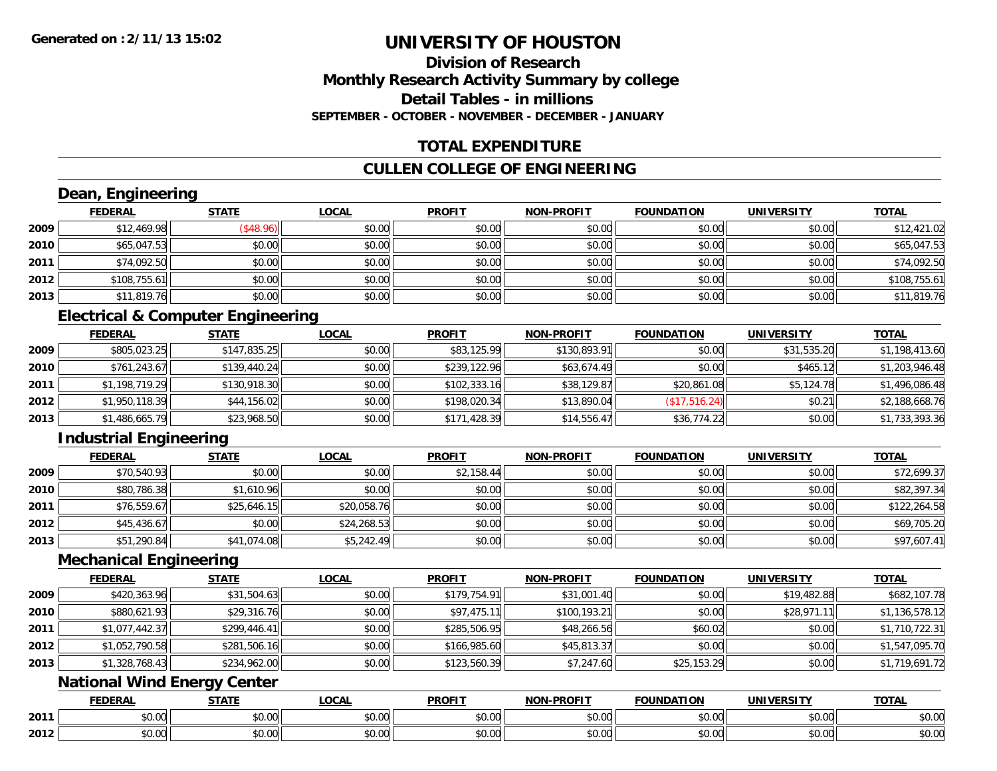## **Division of ResearchMonthly Research Activity Summary by college Detail Tables - in millionsSEPTEMBER - OCTOBER - NOVEMBER - DECEMBER - JANUARY**

## **TOTAL EXPENDITURE**

## **CULLEN COLLEGE OF ENGINEERING**

## **Dean, Engineering**

|      | <b>FEDERAL</b> | <b>STATE</b> | <b>LOCAL</b> | <b>PROFIT</b> | <b>NON-PROFIT</b> | <b>FOUNDATION</b> | <b>UNIVERSITY</b> | <b>TOTAL</b> |
|------|----------------|--------------|--------------|---------------|-------------------|-------------------|-------------------|--------------|
| 2009 | \$12,469.98    | $($ \$48.96) | \$0.00       | \$0.00        | \$0.00            | \$0.00            | \$0.00            | \$12,421.02  |
| 2010 | \$65,047.53    | \$0.00       | \$0.00       | \$0.00        | \$0.00            | \$0.00            | \$0.00            | \$65,047.53  |
| 2011 | \$74,092.50    | \$0.00       | \$0.00       | \$0.00        | \$0.00            | \$0.00            | \$0.00            | \$74,092.50  |
| 2012 | \$108,755.61   | \$0.00       | \$0.00       | \$0.00        | \$0.00            | \$0.00            | \$0.00            | \$108,755.61 |
| 2013 | \$11,819.76    | \$0.00       | \$0.00       | \$0.00        | \$0.00            | \$0.00            | \$0.00            | \$11,819.76  |

## **Electrical & Computer Engineering**

|      | <b>FEDERAL</b> | <b>STATE</b> | <b>LOCAL</b> | <b>PROFIT</b> | <b>NON-PROFIT</b> | <b>FOUNDATION</b> | <b>UNIVERSITY</b> | <u>TOTAL</u>   |
|------|----------------|--------------|--------------|---------------|-------------------|-------------------|-------------------|----------------|
| 2009 | \$805,023.25   | \$147,835.25 | \$0.00       | \$83,125.99   | \$130,893.91      | \$0.00            | \$31,535.20       | \$1,198,413.60 |
| 2010 | \$761,243.67   | \$139,440.24 | \$0.00       | \$239,122.96  | \$63,674.49       | \$0.00            | \$465.12          | \$1,203,946.48 |
| 2011 | \$1,198,719.29 | \$130,918.30 | \$0.00       | \$102,333.16  | \$38,129.87       | \$20,861.08       | \$5,124.78        | \$1,496,086.48 |
| 2012 | \$1,950,118.39 | \$44,156.02  | \$0.00       | \$198,020.34  | \$13,890.04       | (S17, 516.24)     | \$0.21            | \$2,188,668.76 |
| 2013 | \$1,486,665.79 | \$23,968.50  | \$0.00       | \$171,428.39  | \$14,556.47       | \$36,774.22       | \$0.00            | \$1,733,393.36 |

## **Industrial Engineering**

|      | <u>FEDERAL</u> | <u>STATE</u> | <u>LOCAL</u> | <b>PROFIT</b> | <b>NON-PROFIT</b> | <b>FOUNDATION</b> | <b>UNIVERSITY</b> | <b>TOTAL</b> |
|------|----------------|--------------|--------------|---------------|-------------------|-------------------|-------------------|--------------|
| 2009 | \$70,540.93    | \$0.00       | \$0.00       | \$2,158.44    | \$0.00            | \$0.00            | \$0.00            | \$72,699.37  |
| 2010 | \$80,786.38    | \$1,610.96   | \$0.00       | \$0.00        | \$0.00            | \$0.00            | \$0.00            | \$82,397.34  |
| 2011 | \$76,559.67    | \$25,646.15  | \$20,058.76  | \$0.00        | \$0.00            | \$0.00            | \$0.00            | \$122,264.58 |
| 2012 | \$45,436.67    | \$0.00       | \$24,268.53  | \$0.00        | \$0.00            | \$0.00            | \$0.00            | \$69,705.20  |
| 2013 | \$51,290.84    | \$41,074.08  | \$5,242.49   | \$0.00        | \$0.00            | \$0.00            | \$0.00            | \$97,607.41  |

#### **Mechanical Engineering**

|      | <b>FEDERAL</b> | <b>STATE</b> | <b>LOCAL</b> | <b>PROFIT</b> | <b>NON-PROFIT</b> | <b>FOUNDATION</b> | <b>UNIVERSITY</b> | <b>TOTAL</b>   |
|------|----------------|--------------|--------------|---------------|-------------------|-------------------|-------------------|----------------|
| 2009 | \$420,363.96   | \$31,504.63  | \$0.00       | \$179,754.91  | \$31,001.40       | \$0.00            | \$19,482.88       | \$682,107.78   |
| 2010 | \$880,621.93   | \$29,316.76  | \$0.00       | \$97,475.11   | \$100, 193.21     | \$0.00            | \$28,971.11       | \$1,136,578.12 |
| 2011 | \$1,077,442.37 | \$299,446.41 | \$0.00       | \$285,506.95  | \$48,266.56       | \$60.02           | \$0.00            | \$1,710,722.31 |
| 2012 | \$1,052,790.58 | \$281,506.16 | \$0.00       | \$166,985.60  | \$45,813.37       | \$0.00            | \$0.00            | \$1,547,095.70 |
| 2013 | \$1,328,768.43 | \$234,962.00 | \$0.00       | \$123,560.39  | \$7,247.60        | \$25,153.29       | \$0.00            | \$1,719,691.72 |

## **National Wind Energy Center**

|      | <b>FEDERAL</b> | <b>STATE</b>    | LOCAL              | <b>PROFIT</b> | <b>NON-DDOEIT</b> | <b>FOUNDATION</b> | <b>UNIVERSITY</b>    | <b>TOTA</b><br>UINI   |
|------|----------------|-----------------|--------------------|---------------|-------------------|-------------------|----------------------|-----------------------|
| 2011 | \$0.00         | ሖጣ<br>טט.       | $\sim$ 00<br>JU.UU | 0000<br>JU.UU | 0.00<br>DU.UU     | \$0.00            | 0.001<br>JU.UU       | 0000<br><b>JU.UU</b>  |
| 2012 | \$0.00         | $\sim$<br>טט.טע | $\sim$ 00<br>JU.UU | 0000<br>JU.UU | 0.00<br>JU.UU     | \$0.00            | 0000<br><b>JU.UU</b> | ልስ ሰሰ<br><b>JU.UU</b> |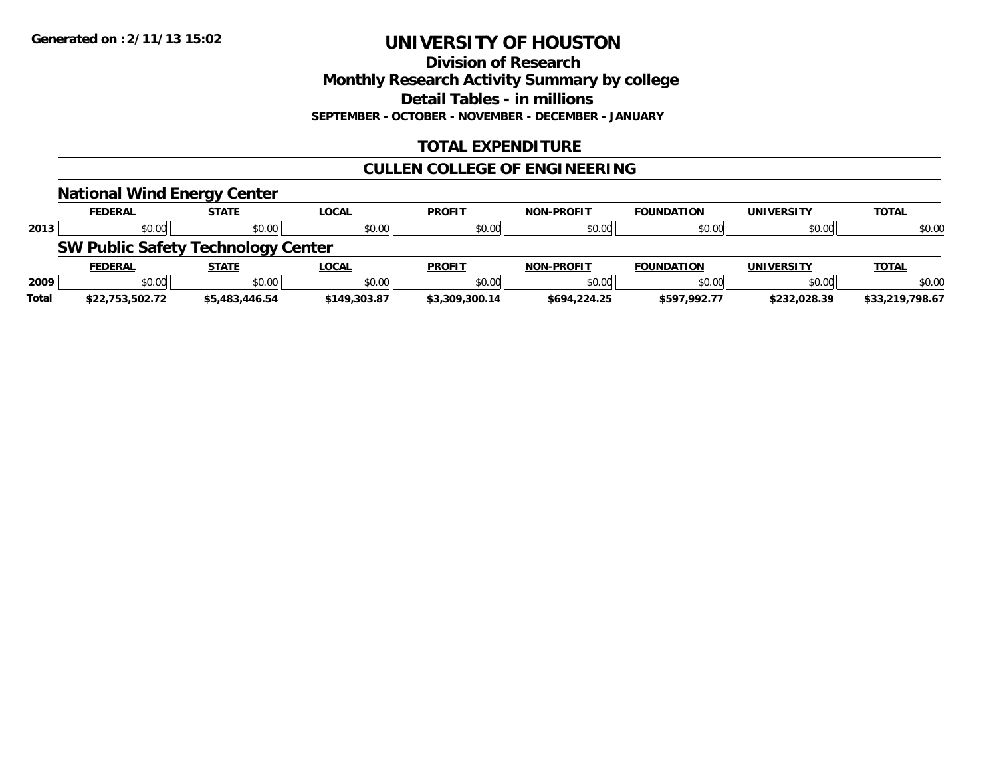**Division of Research Monthly Research Activity Summary by college Detail Tables - in millions SEPTEMBER - OCTOBER - NOVEMBER - DECEMBER - JANUARY**

## **TOTAL EXPENDITURE**

## **CULLEN COLLEGE OF ENGINEERING**

|              | <b>National Wind Energy Center</b>        |                |              |                |                   |                   |                   |                 |
|--------------|-------------------------------------------|----------------|--------------|----------------|-------------------|-------------------|-------------------|-----------------|
|              | <b>FEDERAL</b>                            | <b>STATE</b>   | <b>LOCAL</b> | <b>PROFIT</b>  | <b>NON-PROFIT</b> | <b>FOUNDATION</b> | <b>UNIVERSITY</b> | <b>TOTAL</b>    |
| 2013         | \$0.00                                    | \$0.00         | \$0.00       | \$0.00         | \$0.00            | \$0.00            | \$0.00            | \$0.00          |
|              | <b>SW Public Safety Technology Center</b> |                |              |                |                   |                   |                   |                 |
|              | <b>FEDERAL</b>                            | <b>STATE</b>   | <b>LOCAL</b> | <b>PROFIT</b>  | <b>NON-PROFIT</b> | <b>FOUNDATION</b> | <b>UNIVERSITY</b> | <b>TOTAL</b>    |
| 2009         | \$0.00                                    | \$0.00         | \$0.00       | \$0.00         | \$0.00            | \$0.00            | \$0.00            | \$0.00          |
| <b>Total</b> | \$22.753.502.72                           | \$5,483,446.54 | \$149,303.87 | \$3,309,300.14 | \$694,224.25      | \$597.992.77      | \$232,028.39      | \$33,219,798.67 |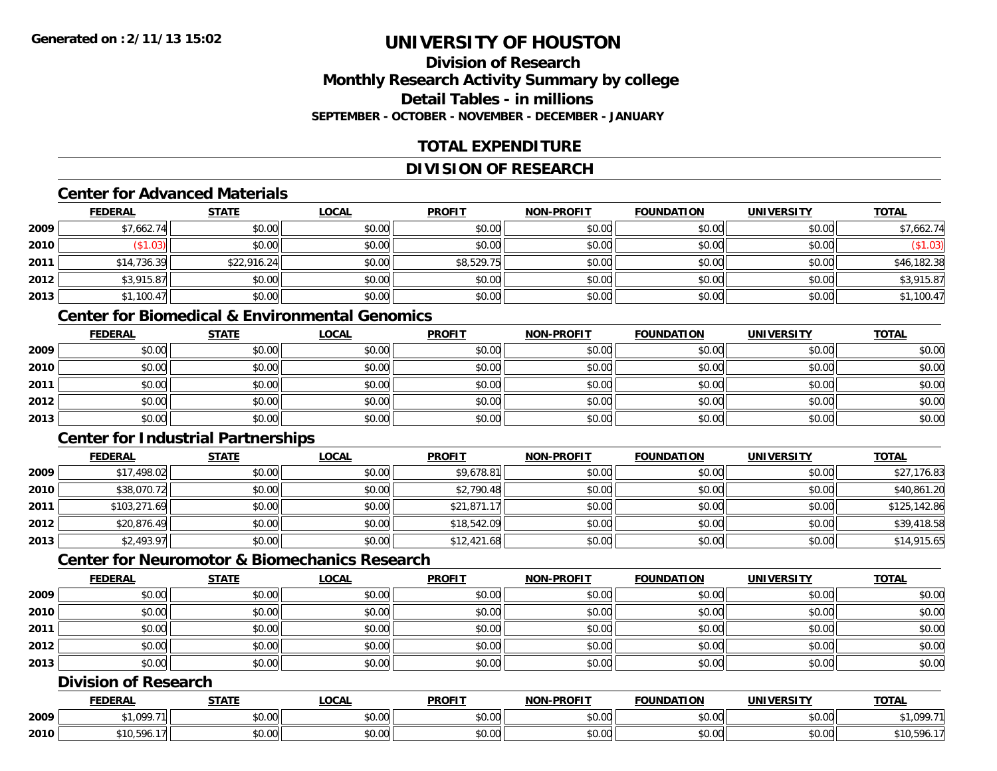## **Division of ResearchMonthly Research Activity Summary by college Detail Tables - in millionsSEPTEMBER - OCTOBER - NOVEMBER - DECEMBER - JANUARY**

## **TOTAL EXPENDITURE**

## **DIVISION OF RESEARCH**

#### **Center for Advanced Materials**

|      | <b>FEDERAL</b> | <b>STATE</b> | <u>LOCAL</u> | <b>PROFIT</b> | <b>NON-PROFIT</b> | <b>FOUNDATION</b> | <b>UNIVERSITY</b> | <b>TOTAL</b> |
|------|----------------|--------------|--------------|---------------|-------------------|-------------------|-------------------|--------------|
| 2009 | \$7,662.74     | \$0.00       | \$0.00       | \$0.00        | \$0.00            | \$0.00            | \$0.00            | \$7,662.74   |
| 2010 | \$1.03         | \$0.00       | \$0.00       | \$0.00        | \$0.00            | \$0.00            | \$0.00            | $(\$1.03)$   |
| 2011 | \$14,736.39    | \$22,916.24  | \$0.00       | \$8,529.75    | \$0.00            | \$0.00            | \$0.00            | \$46,182.38  |
| 2012 | \$3,915.87     | \$0.00       | \$0.00       | \$0.00        | \$0.00            | \$0.00            | \$0.00            | \$3,915.87   |
| 2013 | \$1,100.47     | \$0.00       | \$0.00       | \$0.00        | \$0.00            | \$0.00            | \$0.00            | \$1,100.47   |

#### **Center for Biomedical & Environmental Genomics**

|      | <u>FEDERAL</u> | <u>STATE</u> | <u>LOCAL</u> | <b>PROFIT</b> | <b>NON-PROFIT</b> | <b>FOUNDATION</b> | <b>UNIVERSITY</b> | <b>TOTAL</b> |
|------|----------------|--------------|--------------|---------------|-------------------|-------------------|-------------------|--------------|
| 2009 | \$0.00         | \$0.00       | \$0.00       | \$0.00        | \$0.00            | \$0.00            | \$0.00            | \$0.00       |
| 2010 | \$0.00         | \$0.00       | \$0.00       | \$0.00        | \$0.00            | \$0.00            | \$0.00            | \$0.00       |
| 2011 | \$0.00         | \$0.00       | \$0.00       | \$0.00        | \$0.00            | \$0.00            | \$0.00            | \$0.00       |
| 2012 | \$0.00         | \$0.00       | \$0.00       | \$0.00        | \$0.00            | \$0.00            | \$0.00            | \$0.00       |
| 2013 | \$0.00         | \$0.00       | \$0.00       | \$0.00        | \$0.00            | \$0.00            | \$0.00            | \$0.00       |

## **Center for Industrial Partnerships**

|      | <u>FEDERAL</u> | <b>STATE</b> | <b>LOCAL</b> | <b>PROFIT</b> | <b>NON-PROFIT</b> | <b>FOUNDATION</b> | <b>UNIVERSITY</b> | <b>TOTAL</b> |
|------|----------------|--------------|--------------|---------------|-------------------|-------------------|-------------------|--------------|
| 2009 | \$17,498.02    | \$0.00       | \$0.00       | \$9,678.81    | \$0.00            | \$0.00            | \$0.00            | \$27,176.83  |
| 2010 | \$38,070.72    | \$0.00       | \$0.00       | \$2,790.48    | \$0.00            | \$0.00            | \$0.00            | \$40,861.20  |
| 2011 | \$103,271.69   | \$0.00       | \$0.00       | \$21,871.17   | \$0.00            | \$0.00            | \$0.00            | \$125,142.86 |
| 2012 | \$20,876.49    | \$0.00       | \$0.00       | \$18,542.09   | \$0.00            | \$0.00            | \$0.00            | \$39,418.58  |
| 2013 | \$2,493.97     | \$0.00       | \$0.00       | \$12,421.68   | \$0.00            | \$0.00            | \$0.00            | \$14,915.65  |

## **Center for Neuromotor & Biomechanics Research**

|      | <b>FEDERAL</b> | <b>STATE</b> | <u>LOCAL</u> | <b>PROFIT</b> | <b>NON-PROFIT</b> | <b>FOUNDATION</b> | <b>UNIVERSITY</b> | <b>TOTAL</b> |
|------|----------------|--------------|--------------|---------------|-------------------|-------------------|-------------------|--------------|
| 2009 | \$0.00         | \$0.00       | \$0.00       | \$0.00        | \$0.00            | \$0.00            | \$0.00            | \$0.00       |
| 2010 | \$0.00         | \$0.00       | \$0.00       | \$0.00        | \$0.00            | \$0.00            | \$0.00            | \$0.00       |
| 2011 | \$0.00         | \$0.00       | \$0.00       | \$0.00        | \$0.00            | \$0.00            | \$0.00            | \$0.00       |
| 2012 | \$0.00         | \$0.00       | \$0.00       | \$0.00        | \$0.00            | \$0.00            | \$0.00            | \$0.00       |
| 2013 | \$0.00         | \$0.00       | \$0.00       | \$0.00        | \$0.00            | \$0.00            | \$0.00            | \$0.00       |

## **Division of Research**

|      | <b>FEDERAL</b>    | <b>CTATI</b><br>эIA.   | .OCAL              | <b>PROFIT</b> | J-PROFIT<br><b>NON</b> | TON<br><b>FOUNDAT</b> | JNIV           | <b>TOTAL</b> |
|------|-------------------|------------------------|--------------------|---------------|------------------------|-----------------------|----------------|--------------|
| 2009 | 1.0007<br>, , ∪ , | $\sim$ $\sim$<br>ง∪.∪บ | $\sim$ 00<br>PU.UU | 0000<br>DU.UG | 0.00<br>vu.vu          | \$0.00                | 0000<br>\$U.UU | - - -        |
| 2010 | \$10.596.         | $\sim$ $\sim$<br>vu.vu | $\sim$ 00<br>PU.UU | 0.00<br>DU.UG | 0.00<br><b>JU.UU</b>   | \$0.00                | 0000<br>\$U.UU | 10,596.      |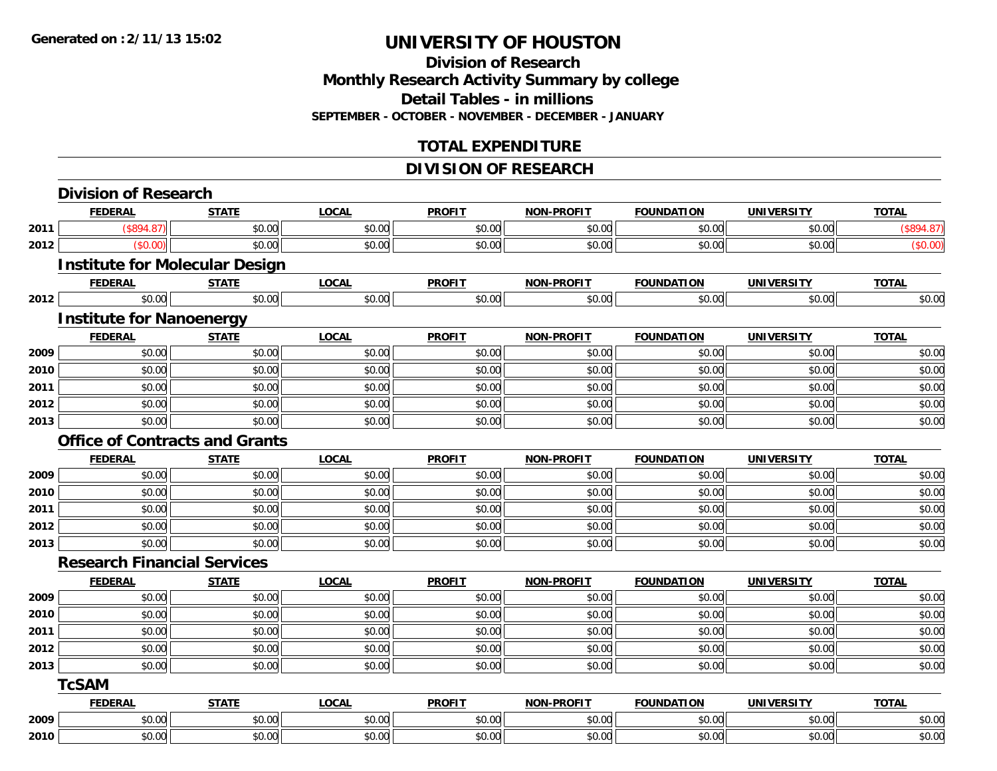### **Division of Research Monthly Research Activity Summary by college Detail Tables - in millions SEPTEMBER - OCTOBER - NOVEMBER - DECEMBER - JANUARY**

## **TOTAL EXPENDITURE**

## **DIVISION OF RESEARCH**

|      | <b>FEDERAL</b>                     | <b>STATE</b>                          | <b>LOCAL</b> | <b>PROFIT</b> | <b>NON-PROFIT</b> | <b>FOUNDATION</b> | <b>UNIVERSITY</b> | <b>TOTAL</b> |
|------|------------------------------------|---------------------------------------|--------------|---------------|-------------------|-------------------|-------------------|--------------|
| 2011 | (\$894.87)                         | \$0.00                                | \$0.00       | \$0.00        | \$0.00            | \$0.00            | \$0.00            | (\$894.87)   |
| 2012 | (\$0.00)                           | \$0.00                                | \$0.00       | \$0.00        | \$0.00            | \$0.00            | \$0.00            | (\$0.00)     |
|      |                                    | <b>Institute for Molecular Design</b> |              |               |                   |                   |                   |              |
|      | <b>FEDERAL</b>                     | <b>STATE</b>                          | <b>LOCAL</b> | <b>PROFIT</b> | <b>NON-PROFIT</b> | <b>FOUNDATION</b> | <b>UNIVERSITY</b> | <b>TOTAL</b> |
| 2012 | \$0.00                             | \$0.00                                | \$0.00       | \$0.00        | \$0.00            | \$0.00            | \$0.00            | \$0.00       |
|      | <b>Institute for Nanoenergy</b>    |                                       |              |               |                   |                   |                   |              |
|      | <b>FEDERAL</b>                     | <b>STATE</b>                          | <b>LOCAL</b> | <b>PROFIT</b> | <b>NON-PROFIT</b> | <b>FOUNDATION</b> | <b>UNIVERSITY</b> | <b>TOTAL</b> |
| 2009 | \$0.00                             | \$0.00                                | \$0.00       | \$0.00        | \$0.00            | \$0.00            | \$0.00            | \$0.00       |
| 2010 | \$0.00                             | \$0.00                                | \$0.00       | \$0.00        | \$0.00            | \$0.00            | \$0.00            | \$0.00       |
| 2011 | \$0.00                             | \$0.00                                | \$0.00       | \$0.00        | \$0.00            | \$0.00            | \$0.00            | \$0.00       |
| 2012 | \$0.00                             | \$0.00                                | \$0.00       | \$0.00        | \$0.00            | \$0.00            | \$0.00            | \$0.00       |
| 2013 | \$0.00                             | \$0.00                                | \$0.00       | \$0.00        | \$0.00            | \$0.00            | \$0.00            | \$0.00       |
|      |                                    | <b>Office of Contracts and Grants</b> |              |               |                   |                   |                   |              |
|      | <b>FEDERAL</b>                     | <b>STATE</b>                          | <b>LOCAL</b> | <b>PROFIT</b> | <b>NON-PROFIT</b> | <b>FOUNDATION</b> | <b>UNIVERSITY</b> | <b>TOTAL</b> |
| 2009 | \$0.00                             | \$0.00                                | \$0.00       | \$0.00        | \$0.00            | \$0.00            | \$0.00            | \$0.00       |
| 2010 | \$0.00                             | \$0.00                                | \$0.00       | \$0.00        | \$0.00            | \$0.00            | \$0.00            | \$0.00       |
| 2011 | \$0.00                             | \$0.00                                | \$0.00       | \$0.00        | \$0.00            | \$0.00            | \$0.00            | \$0.00       |
| 2012 | \$0.00                             | \$0.00                                | \$0.00       | \$0.00        | \$0.00            | \$0.00            | \$0.00            | \$0.00       |
| 2013 | \$0.00                             | \$0.00                                | \$0.00       | \$0.00        | \$0.00            | \$0.00            | \$0.00            | \$0.00       |
|      | <b>Research Financial Services</b> |                                       |              |               |                   |                   |                   |              |
|      | <b>FEDERAL</b>                     | <b>STATE</b>                          | <b>LOCAL</b> | <b>PROFIT</b> | <b>NON-PROFIT</b> | <b>FOUNDATION</b> | <b>UNIVERSITY</b> | <b>TOTAL</b> |
| 2009 | \$0.00                             | \$0.00                                | \$0.00       | \$0.00        | \$0.00            | \$0.00            | \$0.00            | \$0.00       |
| 2010 | \$0.00                             | \$0.00                                | \$0.00       | \$0.00        | \$0.00            | \$0.00            | \$0.00            | \$0.00       |
| 2011 | \$0.00                             | \$0.00                                | \$0.00       | \$0.00        | \$0.00            | \$0.00            | \$0.00            | \$0.00       |
| 2012 | \$0.00                             | \$0.00                                | \$0.00       | \$0.00        | \$0.00            | \$0.00            | \$0.00            | \$0.00       |
| 2013 | \$0.00                             | \$0.00                                | \$0.00       | \$0.00        | \$0.00            | \$0.00            | \$0.00            | \$0.00       |
|      | <b>TcSAM</b>                       |                                       |              |               |                   |                   |                   |              |
|      | <b>FEDERAL</b>                     | <b>STATE</b>                          | <b>LOCAL</b> | <b>PROFIT</b> | <b>NON-PROFIT</b> | <b>FOUNDATION</b> | <b>UNIVERSITY</b> | <b>TOTAL</b> |
| 2009 | \$0.00                             | \$0.00                                | \$0.00       | \$0.00        | \$0.00            | \$0.00            | \$0.00            | \$0.00       |
| 2010 | \$0.00                             | \$0.00                                | \$0.00       | \$0.00        | \$0.00            | \$0.00            | \$0.00            | \$0.00       |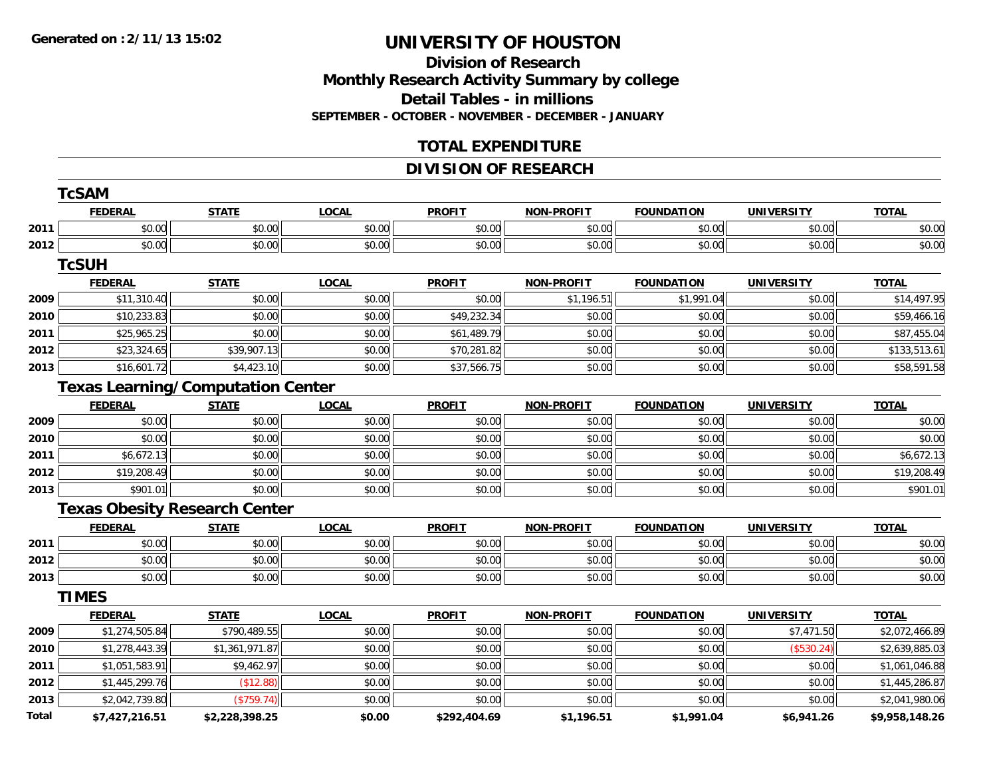### **Division of Research Monthly Research Activity Summary by college Detail Tables - in millions SEPTEMBER - OCTOBER - NOVEMBER - DECEMBER - JANUARY**

## **TOTAL EXPENDITURE**

## **DIVISION OF RESEARCH**

|       | <b>TcSAM</b>                             |                |              |               |                   |                   |                   |                |
|-------|------------------------------------------|----------------|--------------|---------------|-------------------|-------------------|-------------------|----------------|
|       | <b>FEDERAL</b>                           | <b>STATE</b>   | <b>LOCAL</b> | <b>PROFIT</b> | <b>NON-PROFIT</b> | <b>FOUNDATION</b> | <b>UNIVERSITY</b> | <b>TOTAL</b>   |
| 2011  | \$0.00                                   | \$0.00         | \$0.00       | \$0.00        | \$0.00            | \$0.00            | \$0.00            | \$0.00         |
| 2012  | \$0.00                                   | \$0.00         | \$0.00       | \$0.00        | \$0.00            | \$0.00            | \$0.00            | \$0.00         |
|       | <b>TcSUH</b>                             |                |              |               |                   |                   |                   |                |
|       | <b>FEDERAL</b>                           | <b>STATE</b>   | <b>LOCAL</b> | <b>PROFIT</b> | <b>NON-PROFIT</b> | <b>FOUNDATION</b> | <b>UNIVERSITY</b> | <b>TOTAL</b>   |
| 2009  | \$11,310.40                              | \$0.00         | \$0.00       | \$0.00        | \$1,196.51        | \$1,991.04        | \$0.00            | \$14,497.95    |
| 2010  | \$10,233.83                              | \$0.00         | \$0.00       | \$49,232.34   | \$0.00            | \$0.00            | \$0.00            | \$59,466.16    |
| 2011  | \$25,965.25                              | \$0.00         | \$0.00       | \$61,489.79   | \$0.00            | \$0.00            | \$0.00            | \$87,455.04    |
| 2012  | \$23,324.65                              | \$39,907.13    | \$0.00       | \$70,281.82   | \$0.00            | \$0.00            | \$0.00            | \$133,513.61   |
| 2013  | \$16,601.72                              | \$4,423.10     | \$0.00       | \$37,566.75   | \$0.00            | \$0.00            | \$0.00            | \$58,591.58    |
|       | <b>Texas Learning/Computation Center</b> |                |              |               |                   |                   |                   |                |
|       | <b>FEDERAL</b>                           | <b>STATE</b>   | <b>LOCAL</b> | <b>PROFIT</b> | <b>NON-PROFIT</b> | <b>FOUNDATION</b> | <b>UNIVERSITY</b> | <b>TOTAL</b>   |
| 2009  | \$0.00                                   | \$0.00         | \$0.00       | \$0.00        | \$0.00            | \$0.00            | \$0.00            | \$0.00         |
| 2010  | \$0.00                                   | \$0.00         | \$0.00       | \$0.00        | \$0.00            | \$0.00            | \$0.00            | \$0.00         |
| 2011  | \$6,672.13                               | \$0.00         | \$0.00       | \$0.00        | \$0.00            | \$0.00            | \$0.00            | \$6,672.13     |
| 2012  | \$19,208.49                              | \$0.00         | \$0.00       | \$0.00        | \$0.00            | \$0.00            | \$0.00            | \$19,208.49    |
| 2013  | \$901.01                                 | \$0.00         | \$0.00       | \$0.00        | \$0.00            | \$0.00            | \$0.00            | \$901.01       |
|       | <b>Texas Obesity Research Center</b>     |                |              |               |                   |                   |                   |                |
|       | <b>FEDERAL</b>                           | <b>STATE</b>   | <b>LOCAL</b> | <b>PROFIT</b> | <b>NON-PROFIT</b> | <b>FOUNDATION</b> | <b>UNIVERSITY</b> | <b>TOTAL</b>   |
| 2011  | \$0.00                                   | \$0.00         | \$0.00       | \$0.00        | \$0.00            | \$0.00            | \$0.00            | \$0.00         |
| 2012  | \$0.00                                   | \$0.00         | \$0.00       | \$0.00        | \$0.00            | \$0.00            | \$0.00            | \$0.00         |
| 2013  | \$0.00                                   | \$0.00         | \$0.00       | \$0.00        | \$0.00            | \$0.00            | \$0.00            | \$0.00         |
|       | <b>TIMES</b>                             |                |              |               |                   |                   |                   |                |
|       | <b>FEDERAL</b>                           | <b>STATE</b>   | <b>LOCAL</b> | <b>PROFIT</b> | <b>NON-PROFIT</b> | <b>FOUNDATION</b> | <b>UNIVERSITY</b> | <b>TOTAL</b>   |
| 2009  | \$1,274,505.84                           | \$790,489.55   | \$0.00       | \$0.00        | \$0.00            | \$0.00            | \$7,471.50        | \$2,072,466.89 |
| 2010  | \$1,278,443.39                           | \$1,361,971.87 | \$0.00       | \$0.00        | \$0.00            | \$0.00            | (\$530.24)        | \$2,639,885.03 |
| 2011  | \$1,051,583.91                           | \$9,462.97     | \$0.00       | \$0.00        | \$0.00            | \$0.00            | \$0.00            | \$1,061,046.88 |
| 2012  | \$1,445,299.76                           | (\$12.88)      | \$0.00       | \$0.00        | \$0.00            | \$0.00            | \$0.00            | \$1,445,286.87 |
| 2013  | \$2,042,739.80                           | (\$759.74)     | \$0.00       | \$0.00        | \$0.00            | \$0.00            | \$0.00            | \$2,041,980.06 |
| Total | \$7,427,216.51                           | \$2,228,398.25 | \$0.00       | \$292,404.69  | \$1,196.51        | \$1,991.04        | \$6,941.26        | \$9,958,148.26 |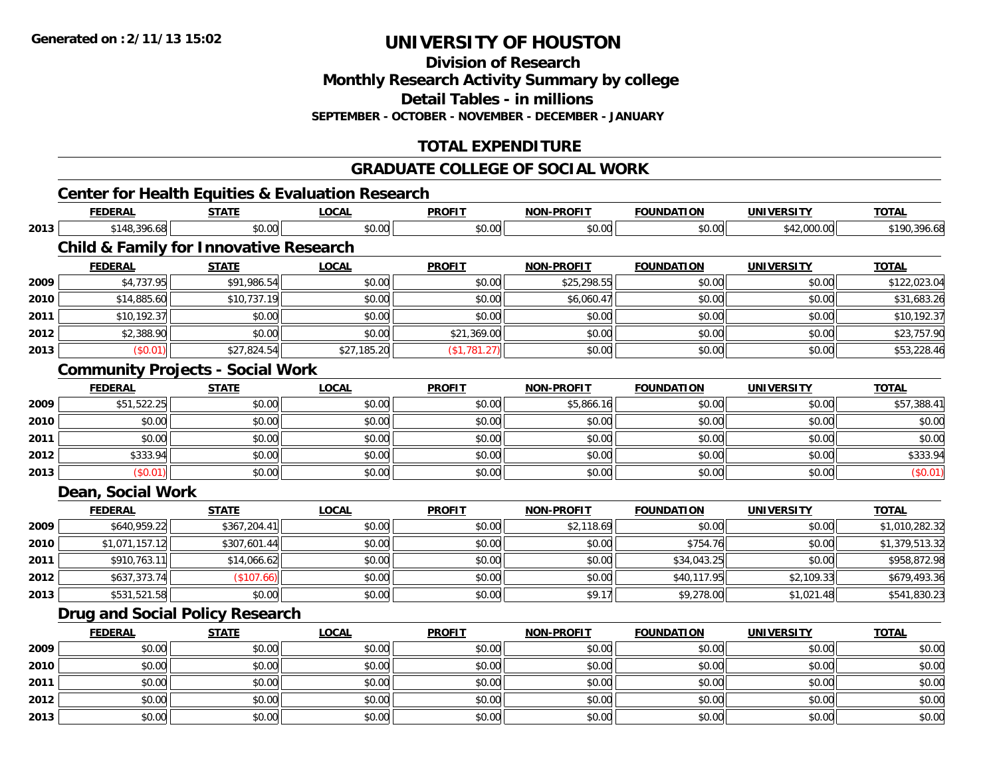**Division of Research**

**Monthly Research Activity Summary by college**

**Detail Tables - in millions**

**SEPTEMBER - OCTOBER - NOVEMBER - DECEMBER - JANUARY**

## **TOTAL EXPENDITURE**

### **GRADUATE COLLEGE OF SOCIAL WORK**

## **Center for Health Equities & Evaluation Research**

|      | <b>FEDERAL</b>    | <b>STATE</b>                                      | <b>LOCAL</b> | <b>PROFIT</b> | <b>NON-PROFIT</b> | <b>FOUNDATION</b> | <b>UNIVERSITY</b> | <b>TOTAL</b>   |
|------|-------------------|---------------------------------------------------|--------------|---------------|-------------------|-------------------|-------------------|----------------|
| 2013 | \$148,396.68      | \$0.00                                            | \$0.00       | \$0.00        | \$0.00            | \$0.00            | \$42,000.00       | \$190,396.68   |
|      |                   | <b>Child &amp; Family for Innovative Research</b> |              |               |                   |                   |                   |                |
|      | <b>FEDERAL</b>    | <b>STATE</b>                                      | <b>LOCAL</b> | <b>PROFIT</b> | <b>NON-PROFIT</b> | <b>FOUNDATION</b> | <b>UNIVERSITY</b> | <b>TOTAL</b>   |
| 2009 | \$4,737.95        | \$91,986.54                                       | \$0.00       | \$0.00        | \$25,298.55       | \$0.00            | \$0.00            | \$122,023.04   |
| 2010 | \$14,885.60       | \$10,737.19                                       | \$0.00       | \$0.00        | \$6,060.47        | \$0.00            | \$0.00            | \$31,683.26    |
| 2011 | \$10,192.37       | \$0.00                                            | \$0.00       | \$0.00        | \$0.00            | \$0.00            | \$0.00            | \$10,192.37    |
| 2012 | \$2,388.90        | \$0.00                                            | \$0.00       | \$21,369.00   | \$0.00            | \$0.00            | \$0.00            | \$23,757.90    |
| 2013 | (\$0.01)          | \$27,824.54                                       | \$27,185.20  | (\$1,781.27)  | \$0.00            | \$0.00            | \$0.00            | \$53,228.46    |
|      |                   | <b>Community Projects - Social Work</b>           |              |               |                   |                   |                   |                |
|      | <b>FEDERAL</b>    | <b>STATE</b>                                      | <b>LOCAL</b> | <b>PROFIT</b> | <b>NON-PROFIT</b> | <b>FOUNDATION</b> | <b>UNIVERSITY</b> | <b>TOTAL</b>   |
| 2009 | \$51,522.25       | \$0.00                                            | \$0.00       | \$0.00        | \$5,866.16        | \$0.00            | \$0.00            | \$57,388.41    |
| 2010 | \$0.00            | \$0.00                                            | \$0.00       | \$0.00        | \$0.00            | \$0.00            | \$0.00            | \$0.00         |
| 2011 | \$0.00            | \$0.00                                            | \$0.00       | \$0.00        | \$0.00            | \$0.00            | \$0.00            | \$0.00         |
| 2012 | \$333.94          | \$0.00                                            | \$0.00       | \$0.00        | \$0.00            | \$0.00            | \$0.00            | \$333.94       |
| 2013 | (\$0.01)          | \$0.00                                            | \$0.00       | \$0.00        | \$0.00            | \$0.00            | \$0.00            | (\$0.01)       |
|      | Dean, Social Work |                                                   |              |               |                   |                   |                   |                |
|      | <b>FEDERAL</b>    | <b>STATE</b>                                      | <b>LOCAL</b> | <b>PROFIT</b> | <b>NON-PROFIT</b> | <b>FOUNDATION</b> | <b>UNIVERSITY</b> | <b>TOTAL</b>   |
| 2009 | \$640,959.22      | \$367,204.41                                      | \$0.00       | \$0.00        | \$2,118.69        | \$0.00            | \$0.00            | \$1,010,282.32 |
| 2010 | \$1,071,157.12    | \$307,601.44                                      | \$0.00       | \$0.00        | \$0.00            | \$754.76          | \$0.00            | \$1,379,513.32 |
| 2011 | \$910,763.11      | \$14,066.62                                       | \$0.00       | \$0.00        | \$0.00            | \$34,043.25       | \$0.00            | \$958,872.98   |
| 2012 | \$637,373.74      | (\$107.66)                                        | \$0.00       | \$0.00        | \$0.00            | \$40,117.95       | \$2,109.33        | \$679,493.36   |
| 2013 | \$531,521.58      | \$0.00                                            | \$0.00       | \$0.00        | \$9.17            | \$9,278.00        | \$1,021.48        | \$541,830.23   |
|      |                   | <b>Drug and Social Policy Research</b>            |              |               |                   |                   |                   |                |
|      | <b>FEDERAL</b>    | <b>STATE</b>                                      | <b>LOCAL</b> | <b>PROFIT</b> | <b>NON-PROFIT</b> | <b>FOUNDATION</b> | <b>UNIVERSITY</b> | <b>TOTAL</b>   |
| 2009 | \$0.00            | \$0.00                                            | \$0.00       | \$0.00        | \$0.00            | \$0.00            | \$0.00            | \$0.00         |
| 2010 | \$0.00            | \$0.00                                            | \$0.00       | \$0.00        | \$0.00            | \$0.00            | \$0.00            | \$0.00         |
| 2011 | \$0.00            | \$0.00                                            | \$0.00       | \$0.00        | \$0.00            | \$0.00            | \$0.00            | \$0.00         |
| 2012 | \$0.00            | \$0.00                                            | \$0.00       | \$0.00        | \$0.00            | \$0.00            | \$0.00            | \$0.00         |
| 2013 | \$0.00            | \$0.00                                            | \$0.00       | \$0.00        | \$0.00            | \$0.00            | \$0.00            | \$0.00         |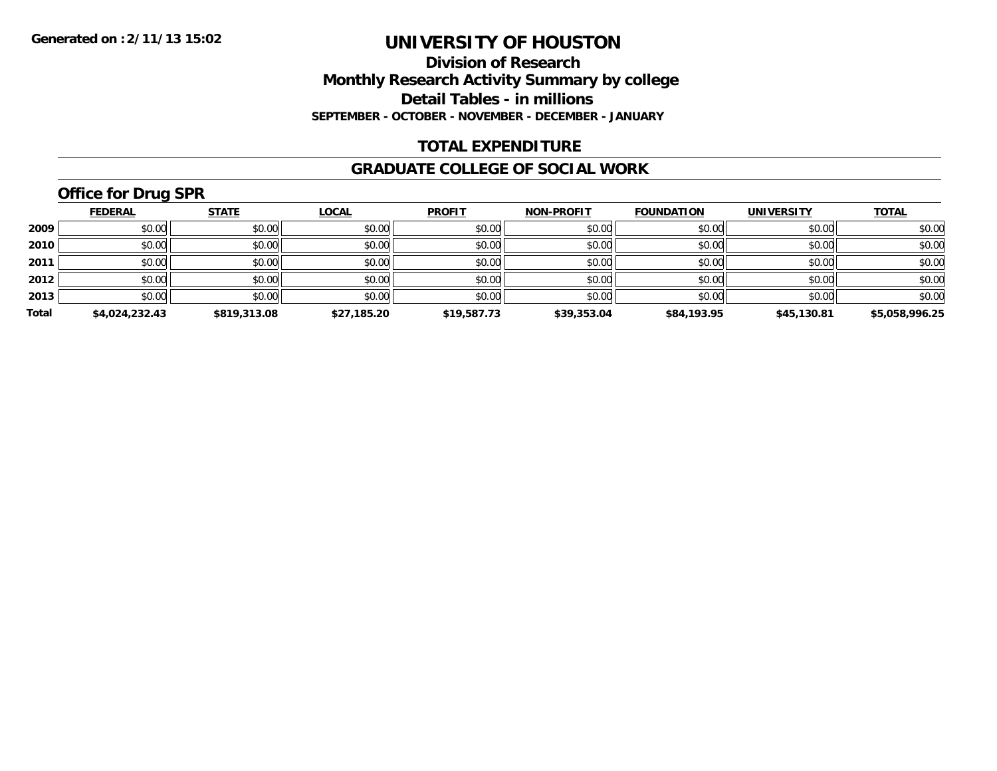### **Division of Research Monthly Research Activity Summary by college Detail Tables - in millions SEPTEMBER - OCTOBER - NOVEMBER - DECEMBER - JANUARY**

### **TOTAL EXPENDITURE**

#### **GRADUATE COLLEGE OF SOCIAL WORK**

## **Office for Drug SPR**

|       | <b>FEDERAL</b> | <b>STATE</b> | <u>LOCAL</u> | <b>PROFIT</b> | <b>NON-PROFIT</b> | <b>FOUNDATION</b> | <b>UNIVERSITY</b> | <b>TOTAL</b>   |
|-------|----------------|--------------|--------------|---------------|-------------------|-------------------|-------------------|----------------|
| 2009  | \$0.00         | \$0.00       | \$0.00       | \$0.00        | \$0.00            | \$0.00            | \$0.00            | \$0.00         |
| 2010  | \$0.00         | \$0.00       | \$0.00       | \$0.00        | \$0.00            | \$0.00            | \$0.00            | \$0.00         |
| 2011  | \$0.00         | \$0.00       | \$0.00       | \$0.00        | \$0.00            | \$0.00            | \$0.00            | \$0.00         |
| 2012  | \$0.00         | \$0.00       | \$0.00       | \$0.00        | \$0.00            | \$0.00            | \$0.00            | \$0.00         |
| 2013  | \$0.00         | \$0.00       | \$0.00       | \$0.00        | \$0.00            | \$0.00            | \$0.00            | \$0.00         |
| Total | \$4,024,232.43 | \$819,313.08 | \$27,185.20  | \$19,587.73   | \$39,353.04       | \$84,193.95       | \$45,130.81       | \$5,058,996.25 |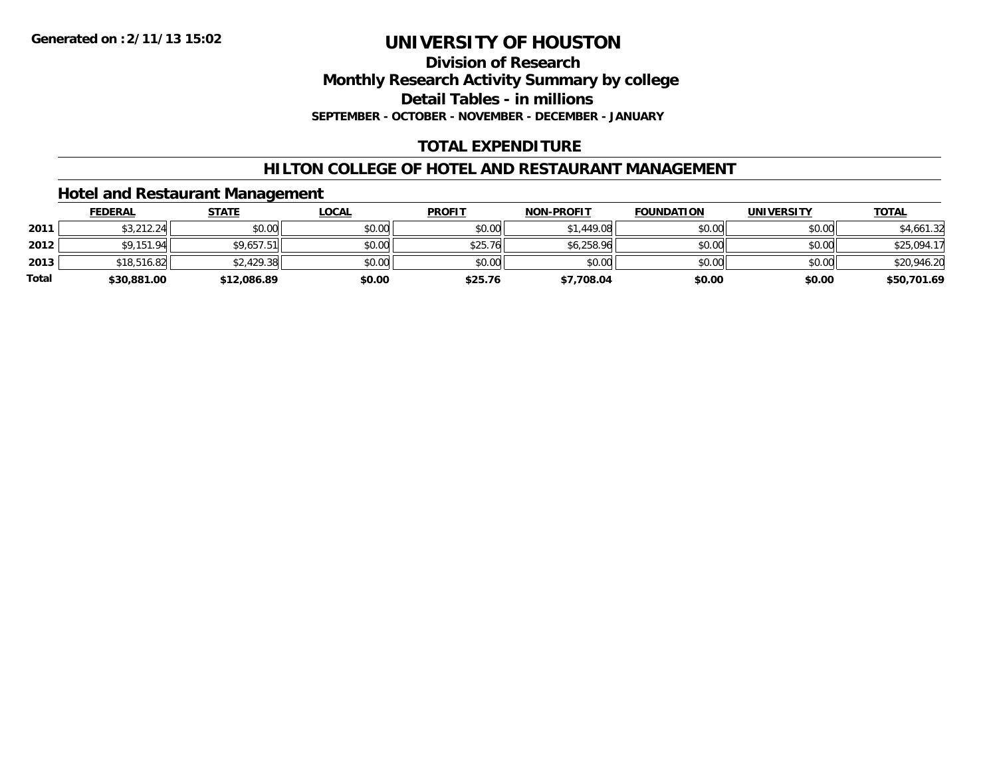### **Division of Research Monthly Research Activity Summary by college Detail Tables - in millions SEPTEMBER - OCTOBER - NOVEMBER - DECEMBER - JANUARY**

## **TOTAL EXPENDITURE**

## **HILTON COLLEGE OF HOTEL AND RESTAURANT MANAGEMENT**

### **Hotel and Restaurant Management**

|              | <u>FEDERAL</u> | <u>STATE</u> | <u>LOCAL</u> | <b>PROFIT</b> | <b>NON-PROFIT</b> | <b>FOUNDATION</b> | UNIVERSITY | <b>TOTAL</b> |
|--------------|----------------|--------------|--------------|---------------|-------------------|-------------------|------------|--------------|
| 2011         | \$3,212.24     | \$0.00       | \$0.00       | \$0.00        | \$1,449.08        | \$0.00            | \$0.00     | \$4,661.32   |
| 2012         | \$9,151.94     | \$9,657.51   | \$0.00       | \$25.76       | \$6,258.96        | \$0.00            | \$0.00     | \$25,094.17  |
| 2013         | \$18,516.82    | \$2,429.38   | \$0.00       | \$0.00        | \$0.00            | \$0.00            | \$0.00     | \$20,946.20  |
| <b>Total</b> | \$30,881.00    | \$12,086.89  | \$0.00       | \$25.76       | \$7,708.04        | \$0.00            | \$0.00     | \$50,701.69  |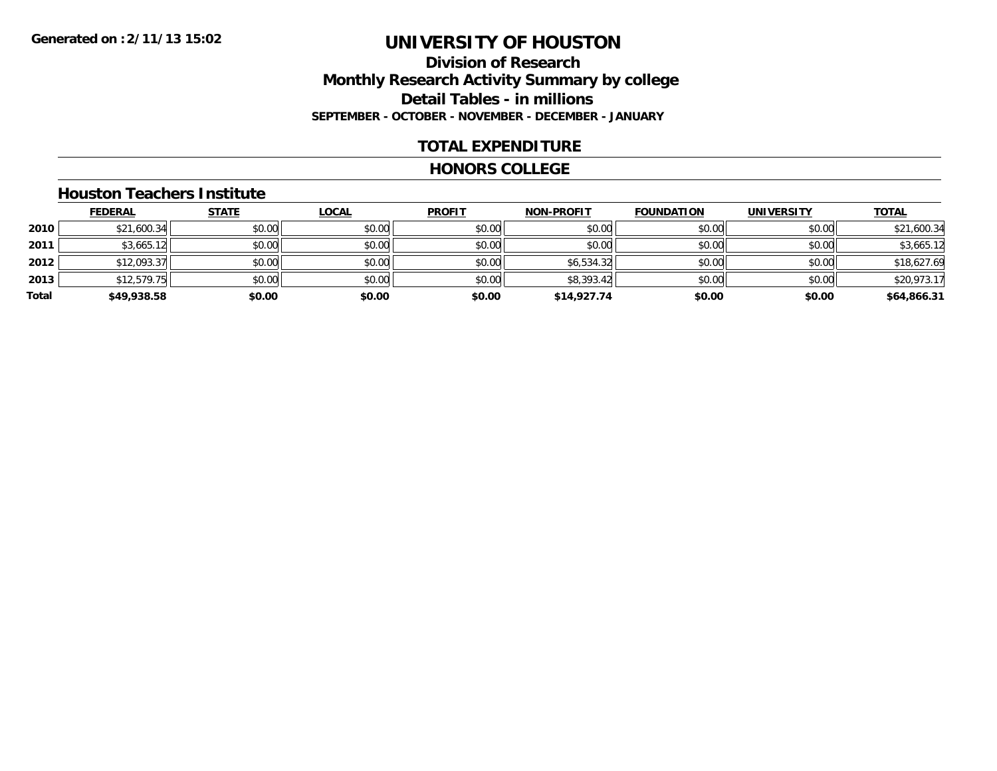### **Division of Research Monthly Research Activity Summary by college Detail Tables - in millions SEPTEMBER - OCTOBER - NOVEMBER - DECEMBER - JANUARY**

### **TOTAL EXPENDITURE**

#### **HONORS COLLEGE**

#### **Houston Teachers Institute**

|       | <b>FEDERAL</b> | <b>STATE</b> | <b>LOCAL</b> | <b>PROFIT</b> | <b>NON-PROFIT</b> | <b>FOUNDATION</b> | <b>UNIVERSITY</b> | <b>TOTAL</b> |
|-------|----------------|--------------|--------------|---------------|-------------------|-------------------|-------------------|--------------|
| 2010  | \$21,600.34    | \$0.00       | \$0.00       | \$0.00        | \$0.00            | \$0.00            | \$0.00            | \$21,600.34  |
| 2011  | \$3,665.12     | \$0.00       | \$0.00       | \$0.00        | \$0.00            | \$0.00            | \$0.00            | \$3,665.12   |
| 2012  | \$12,093.37    | \$0.00       | \$0.00       | \$0.00        | \$6,534.32        | \$0.00            | \$0.00            | \$18,627.69  |
| 2013  | \$12,579.75    | \$0.00       | \$0.00       | \$0.00        | \$8,393.42        | \$0.00            | \$0.00            | \$20,973.17  |
| Total | \$49,938.58    | \$0.00       | \$0.00       | \$0.00        | \$14,927.74       | \$0.00            | \$0.00            | \$64,866.31  |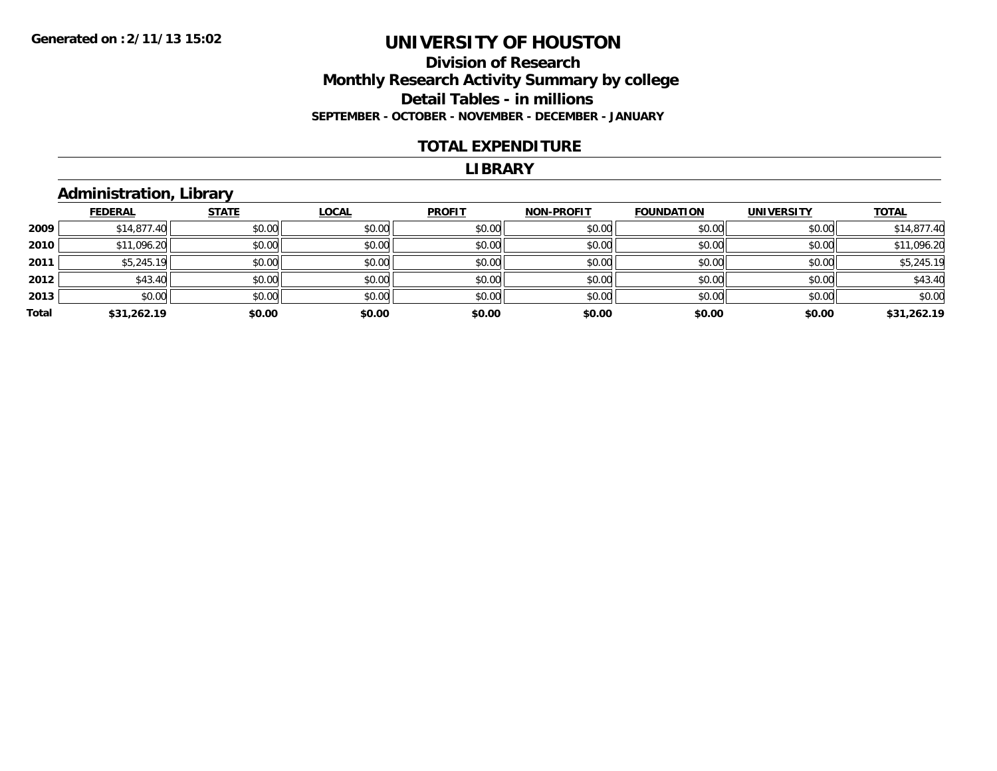### **Division of Research Monthly Research Activity Summary by college Detail Tables - in millions SEPTEMBER - OCTOBER - NOVEMBER - DECEMBER - JANUARY**

#### **TOTAL EXPENDITURE**

#### **LIBRARY**

## **Administration, Library**

|       | <b>FEDERAL</b> | <b>STATE</b> | <b>LOCAL</b> | <b>PROFIT</b> | <b>NON-PROFIT</b> | <b>FOUNDATION</b> | <b>UNIVERSITY</b> | <b>TOTAL</b> |
|-------|----------------|--------------|--------------|---------------|-------------------|-------------------|-------------------|--------------|
| 2009  | \$14,877.40    | \$0.00       | \$0.00       | \$0.00        | \$0.00            | \$0.00            | \$0.00            | \$14,877.40  |
| 2010  | \$11,096.20    | \$0.00       | \$0.00       | \$0.00        | \$0.00            | \$0.00            | \$0.00            | \$11,096.20  |
| 2011  | \$5,245.19     | \$0.00       | \$0.00       | \$0.00        | \$0.00            | \$0.00            | \$0.00            | \$5,245.19   |
| 2012  | \$43.40        | \$0.00       | \$0.00       | \$0.00        | \$0.00            | \$0.00            | \$0.00            | \$43.40      |
| 2013  | \$0.00         | \$0.00       | \$0.00       | \$0.00        | \$0.00            | \$0.00            | \$0.00            | \$0.00       |
| Total | \$31,262.19    | \$0.00       | \$0.00       | \$0.00        | \$0.00            | \$0.00            | \$0.00            | \$31,262.19  |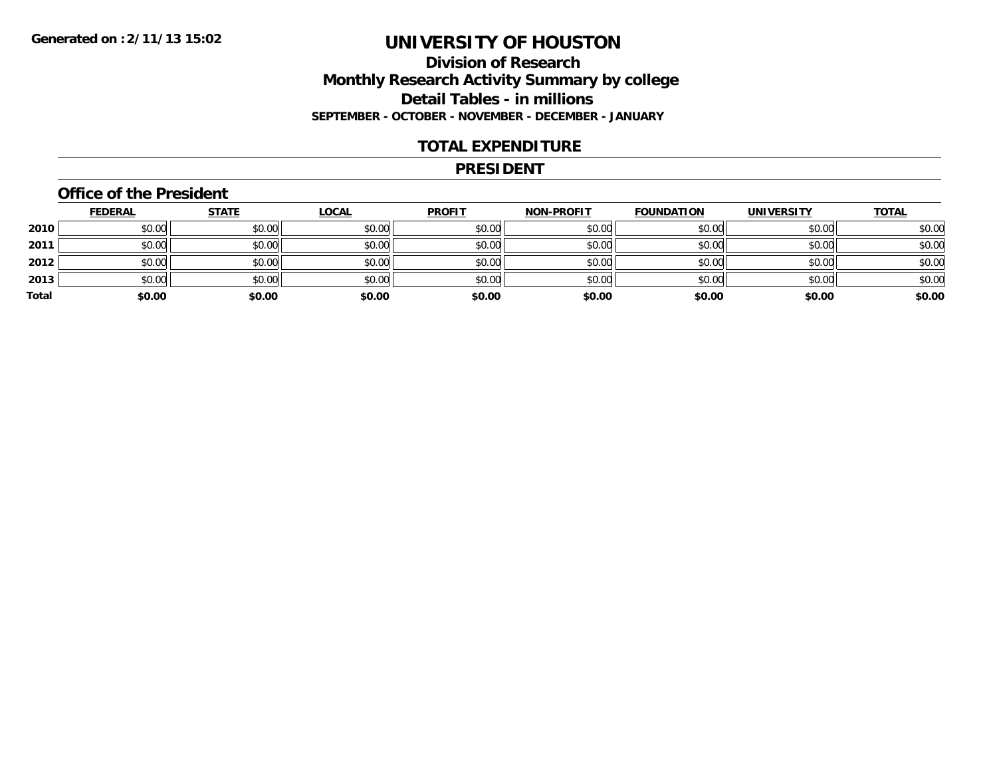## **Division of Research Monthly Research Activity Summary by college Detail Tables - in millions SEPTEMBER - OCTOBER - NOVEMBER - DECEMBER - JANUARY**

### **TOTAL EXPENDITURE**

#### **PRESIDENT**

### **Office of the President**

|       | <b>FEDERAL</b> | <b>STATE</b> | <b>LOCAL</b> | <b>PROFIT</b> | <b>NON-PROFIT</b> | <b>FOUNDATION</b> | <b>UNIVERSITY</b> | <b>TOTAL</b> |
|-------|----------------|--------------|--------------|---------------|-------------------|-------------------|-------------------|--------------|
| 2010  | \$0.00         | \$0.00       | \$0.00       | \$0.00        | \$0.00            | \$0.00            | \$0.00            | \$0.00       |
| 2011  | \$0.00         | \$0.00       | \$0.00       | \$0.00        | \$0.00            | \$0.00            | \$0.00            | \$0.00       |
| 2012  | \$0.00         | \$0.00       | \$0.00       | \$0.00        | \$0.00            | \$0.00            | \$0.00            | \$0.00       |
| 2013  | \$0.00         | \$0.00       | \$0.00       | \$0.00        | \$0.00            | \$0.00            | \$0.00            | \$0.00       |
| Total | \$0.00         | \$0.00       | \$0.00       | \$0.00        | \$0.00            | \$0.00            | \$0.00            | \$0.00       |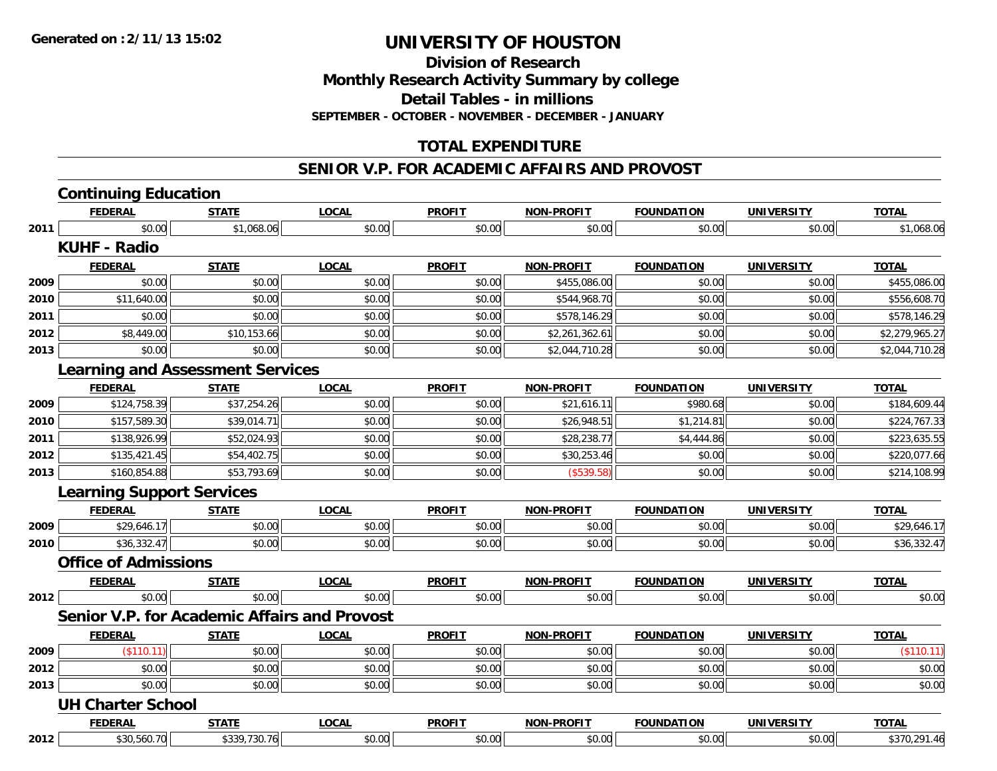**Division of Research**

**Monthly Research Activity Summary by college**

**Detail Tables - in millions**

**SEPTEMBER - OCTOBER - NOVEMBER - DECEMBER - JANUARY**

## **TOTAL EXPENDITURE**

#### **SENIOR V.P. FOR ACADEMIC AFFAIRS AND PROVOST**

|      | <b>Continuing Education</b>      |                                                     |              |               |                   |                   |                   |                |
|------|----------------------------------|-----------------------------------------------------|--------------|---------------|-------------------|-------------------|-------------------|----------------|
|      | <b>FEDERAL</b>                   | <b>STATE</b>                                        | <b>LOCAL</b> | <b>PROFIT</b> | <b>NON-PROFIT</b> | <b>FOUNDATION</b> | <b>UNIVERSITY</b> | <b>TOTAL</b>   |
| 2011 | \$0.00                           | \$1,068.06                                          | \$0.00       | \$0.00        | \$0.00            | \$0.00            | \$0.00            | \$1,068.06     |
|      | <b>KUHF - Radio</b>              |                                                     |              |               |                   |                   |                   |                |
|      | <b>FEDERAL</b>                   | <b>STATE</b>                                        | <b>LOCAL</b> | <b>PROFIT</b> | <b>NON-PROFIT</b> | <b>FOUNDATION</b> | <b>UNIVERSITY</b> | <b>TOTAL</b>   |
| 2009 | \$0.00                           | \$0.00                                              | \$0.00       | \$0.00        | \$455,086.00      | \$0.00            | \$0.00            | \$455,086.00   |
| 2010 | \$11,640.00                      | \$0.00                                              | \$0.00       | \$0.00        | \$544,968.70      | \$0.00            | \$0.00            | \$556,608.70   |
| 2011 | \$0.00                           | \$0.00                                              | \$0.00       | \$0.00        | \$578,146.29      | \$0.00            | \$0.00            | \$578,146.29   |
| 2012 | \$8,449.00                       | \$10,153.66                                         | \$0.00       | \$0.00        | \$2,261,362.61    | \$0.00            | \$0.00            | \$2,279,965.27 |
| 2013 | \$0.00                           | \$0.00                                              | \$0.00       | \$0.00        | \$2,044,710.28    | \$0.00            | \$0.00            | \$2,044,710.28 |
|      |                                  | <b>Learning and Assessment Services</b>             |              |               |                   |                   |                   |                |
|      | <b>FEDERAL</b>                   | <b>STATE</b>                                        | <b>LOCAL</b> | <b>PROFIT</b> | <b>NON-PROFIT</b> | <b>FOUNDATION</b> | <b>UNIVERSITY</b> | <b>TOTAL</b>   |
| 2009 | \$124,758.39                     | \$37,254.26                                         | \$0.00       | \$0.00        | \$21,616.11       | \$980.68          | \$0.00            | \$184,609.44   |
| 2010 | \$157,589.30                     | \$39,014.71                                         | \$0.00       | \$0.00        | \$26,948.51       | \$1,214.81        | \$0.00            | \$224,767.33   |
| 2011 | \$138,926.99                     | \$52,024.93                                         | \$0.00       | \$0.00        | \$28,238.77       | \$4,444.86        | \$0.00            | \$223,635.55   |
| 2012 | \$135,421.45                     | \$54,402.75                                         | \$0.00       | \$0.00        | \$30,253.46       | \$0.00            | \$0.00            | \$220,077.66   |
| 2013 | \$160,854.88                     | \$53,793.69                                         | \$0.00       | \$0.00        | (\$539.58)        | \$0.00            | \$0.00            | \$214,108.99   |
|      | <b>Learning Support Services</b> |                                                     |              |               |                   |                   |                   |                |
|      | <b>FEDERAL</b>                   | <b>STATE</b>                                        | <b>LOCAL</b> | <b>PROFIT</b> | NON-PROFIT        | <b>FOUNDATION</b> | <b>UNIVERSITY</b> | <b>TOTAL</b>   |
| 2009 | \$29,646.17                      | \$0.00                                              | \$0.00       | \$0.00        | \$0.00            | \$0.00            | \$0.00            | \$29,646.17    |
| 2010 | \$36,332.47                      | \$0.00                                              | \$0.00       | \$0.00        | \$0.00            | \$0.00            | \$0.00            | \$36,332.47    |
|      | <b>Office of Admissions</b>      |                                                     |              |               |                   |                   |                   |                |
|      | <b>FEDERAL</b>                   | <b>STATE</b>                                        | <b>LOCAL</b> | <b>PROFIT</b> | <b>NON-PROFIT</b> | <b>FOUNDATION</b> | <b>UNIVERSITY</b> | <b>TOTAL</b>   |
| 2012 | \$0.00                           | \$0.00                                              | \$0.00       | \$0.00        | \$0.00            | \$0.00            | \$0.00            | \$0.00         |
|      |                                  | <b>Senior V.P. for Academic Affairs and Provost</b> |              |               |                   |                   |                   |                |
|      | <b>FEDERAL</b>                   | <b>STATE</b>                                        | <b>LOCAL</b> | <b>PROFIT</b> | <b>NON-PROFIT</b> | <b>FOUNDATION</b> | <b>UNIVERSITY</b> | <b>TOTAL</b>   |
| 2009 | (\$110.11)                       | \$0.00                                              | \$0.00       | \$0.00        | \$0.00            | \$0.00            | \$0.00            | (\$110.11)     |
| 2012 | \$0.00                           | \$0.00                                              | \$0.00       | \$0.00        | \$0.00            | \$0.00            | \$0.00            | \$0.00         |
| 2013 | \$0.00                           | \$0.00                                              | \$0.00       | \$0.00        | \$0.00            | \$0.00            | \$0.00            | \$0.00         |
|      | <b>UH Charter School</b>         |                                                     |              |               |                   |                   |                   |                |
|      | <b>FEDERAL</b>                   | <b>STATE</b>                                        | <b>LOCAL</b> | <b>PROFIT</b> | <b>NON-PROFIT</b> | <b>FOUNDATION</b> | <b>UNIVERSITY</b> | <b>TOTAL</b>   |
| 2012 | \$30,560.70                      | \$339,730.76                                        | \$0.00       | \$0.00        | \$0.00            | \$0.00            | \$0.00            | \$370,291.46   |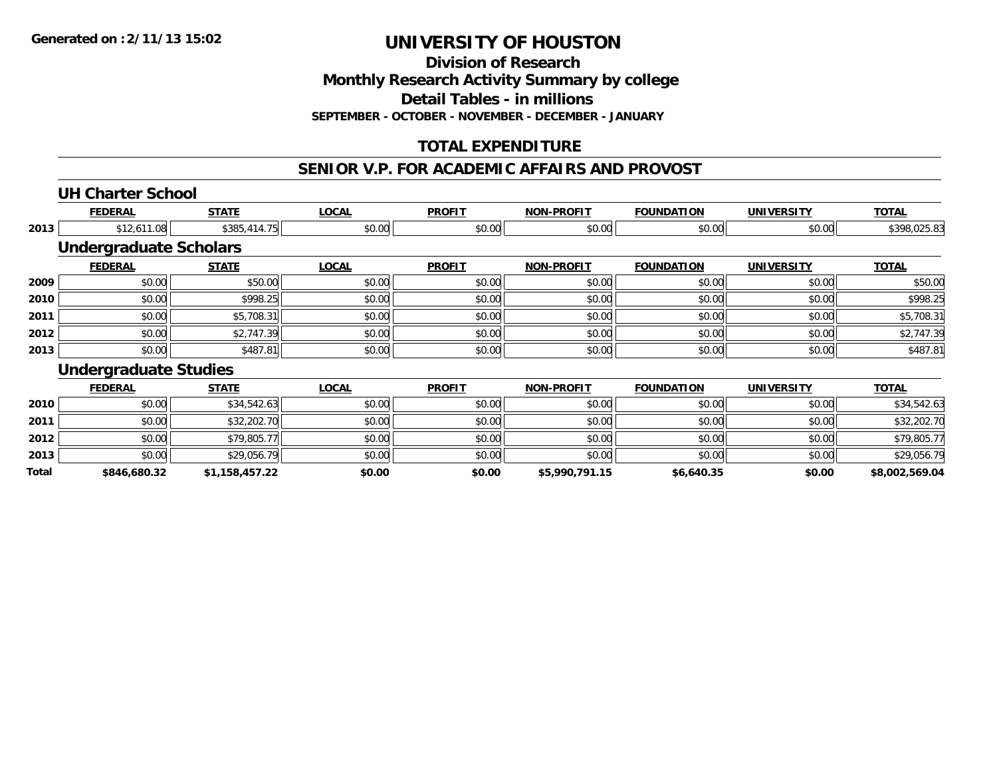**Division of Research**

**Monthly Research Activity Summary by college**

**Detail Tables - in millions**

**SEPTEMBER - OCTOBER - NOVEMBER - DECEMBER - JANUARY**

## **TOTAL EXPENDITURE**

### **SENIOR V.P. FOR ACADEMIC AFFAIRS AND PROVOST**

## **UH Charter School**

**2013**

**Total**

|      | <b>FEDERAL</b>                | <b>STATE</b> | <b>LOCAL</b> | <b>PROFIT</b> | <b>NON-PROFIT</b> | <b>FOUNDATION</b> | <b>UNIVERSITY</b> | <b>TOTAL</b> |
|------|-------------------------------|--------------|--------------|---------------|-------------------|-------------------|-------------------|--------------|
| 2013 | \$12,611.08                   | \$385,414.75 | \$0.00       | \$0.00        | \$0.00            | \$0.00            | \$0.00            | \$398,025.83 |
|      | <b>Undergraduate Scholars</b> |              |              |               |                   |                   |                   |              |
|      | <b>FEDERAL</b>                | <b>STATE</b> | <b>LOCAL</b> | <b>PROFIT</b> | <b>NON-PROFIT</b> | <b>FOUNDATION</b> | <b>UNIVERSITY</b> | <b>TOTAL</b> |
| 2009 | \$0.00                        | \$50.00      | \$0.00       | \$0.00        | \$0.00            | \$0.00            | \$0.00            | \$50.00      |
| 2010 | \$0.00                        | \$998.25     | \$0.00       | \$0.00        | \$0.00            | \$0.00            | \$0.00            | \$998.25     |
| 2011 | \$0.00                        | \$5,708.31   | \$0.00       | \$0.00        | \$0.00            | \$0.00            | \$0.00            | \$5,708.31   |
| 2012 | \$0.00                        | \$2,747.39   | \$0.00       | \$0.00        | \$0.00            | \$0.00            | \$0.00            | \$2,747.39   |
| 2013 | \$0.00                        | \$487.81     | \$0.00       | \$0.00        | \$0.00            | \$0.00            | \$0.00            | \$487.81     |
|      | <b>Undergraduate Studies</b>  |              |              |               |                   |                   |                   |              |
|      | <b>FEDERAL</b>                | <b>STATE</b> | <b>LOCAL</b> | <b>PROFIT</b> | <b>NON-PROFIT</b> | <b>FOUNDATION</b> | <b>UNIVERSITY</b> | <b>TOTAL</b> |
| 2010 | \$0.00                        | \$34,542.63  | \$0.00       | \$0.00        | \$0.00            | \$0.00            | \$0.00            | \$34,542.63  |
| 2011 | \$0.00                        | \$32,202.70  | \$0.00       | \$0.00        | \$0.00            | \$0.00            | \$0.00            | \$32,202.70  |
| 2012 | \$0.00                        | \$79,805.77  | \$0.00       | \$0.00        | \$0.00            | \$0.00            | \$0.00            | \$79,805.77  |

\$0.00 \$29,056.79 \$0.00 \$0.00 \$0.00 \$0.00 \$0.00 \$29,056.79

**\$846,680.32 \$1,158,457.22 \$0.00 \$0.00 \$5,990,791.15 \$6,640.35 \$0.00 \$8,002,569.04**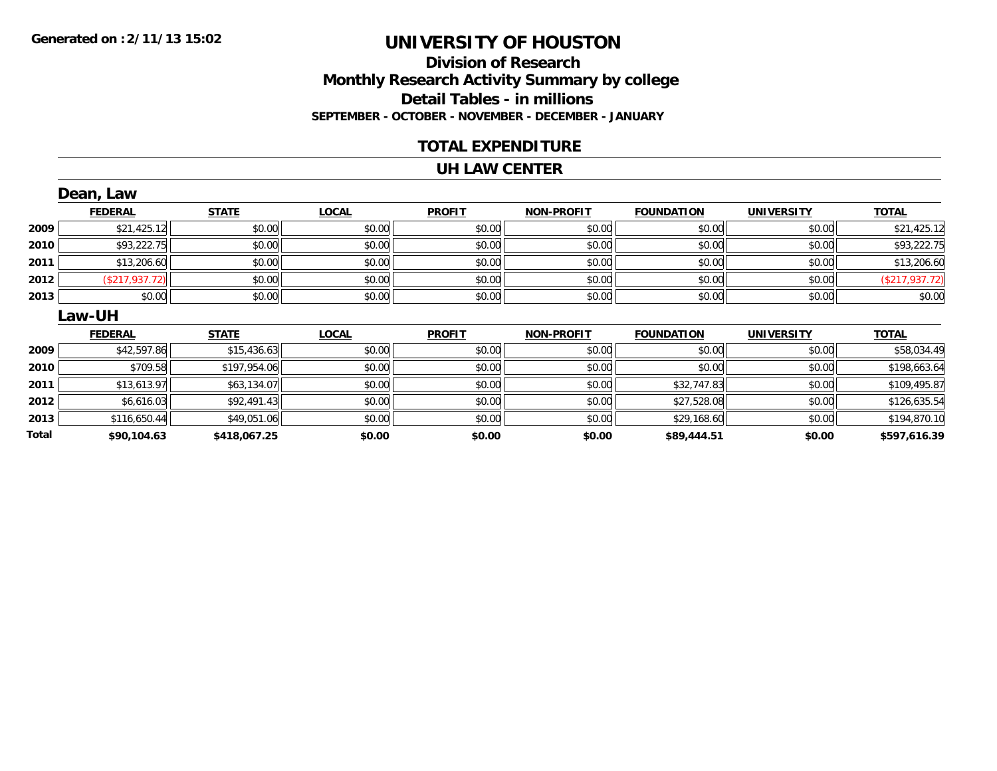### **Division of Research Monthly Research Activity Summary by college Detail Tables - in millions SEPTEMBER - OCTOBER - NOVEMBER - DECEMBER - JANUARY**

### **TOTAL EXPENDITURE**

#### **UH LAW CENTER**

|       | Dean, Law      |              |              |               |                   |                   |                   |                |
|-------|----------------|--------------|--------------|---------------|-------------------|-------------------|-------------------|----------------|
|       | <b>FEDERAL</b> | <b>STATE</b> | <b>LOCAL</b> | <b>PROFIT</b> | <b>NON-PROFIT</b> | <b>FOUNDATION</b> | <b>UNIVERSITY</b> | <b>TOTAL</b>   |
| 2009  | \$21,425.12    | \$0.00       | \$0.00       | \$0.00        | \$0.00            | \$0.00            | \$0.00            | \$21,425.12    |
| 2010  | \$93,222.75    | \$0.00       | \$0.00       | \$0.00        | \$0.00            | \$0.00            | \$0.00            | \$93,222.75    |
| 2011  | \$13,206.60    | \$0.00       | \$0.00       | \$0.00        | \$0.00            | \$0.00            | \$0.00            | \$13,206.60    |
| 2012  | (\$217,937.72) | \$0.00       | \$0.00       | \$0.00        | \$0.00            | \$0.00            | \$0.00            | (\$217,937.72) |
| 2013  | \$0.00         | \$0.00       | \$0.00       | \$0.00        | \$0.00            | \$0.00            | \$0.00            | \$0.00         |
|       | <b>Law-UH</b>  |              |              |               |                   |                   |                   |                |
|       | <b>FEDERAL</b> | <b>STATE</b> | <b>LOCAL</b> | <b>PROFIT</b> | <b>NON-PROFIT</b> | <b>FOUNDATION</b> | <b>UNIVERSITY</b> | <b>TOTAL</b>   |
| 2009  | \$42,597.86    | \$15,436.63  | \$0.00       | \$0.00        | \$0.00            | \$0.00            | \$0.00            | \$58,034.49    |
| 2010  | \$709.58       | \$197,954.06 | \$0.00       | \$0.00        | \$0.00            | \$0.00            | \$0.00            | \$198,663.64   |
| 2011  | \$13,613.97    | \$63,134.07  | \$0.00       | \$0.00        | \$0.00            | \$32,747.83       | \$0.00            | \$109,495.87   |
| 2012  | \$6,616.03     | \$92,491.43  | \$0.00       | \$0.00        | \$0.00            | \$27,528.08       | \$0.00            | \$126,635.54   |
| 2013  | \$116,650.44   | \$49,051.06  | \$0.00       | \$0.00        | \$0.00            | \$29,168.60       | \$0.00            | \$194,870.10   |
| Total | \$90,104.63    | \$418,067.25 | \$0.00       | \$0.00        | \$0.00            | \$89,444.51       | \$0.00            | \$597,616.39   |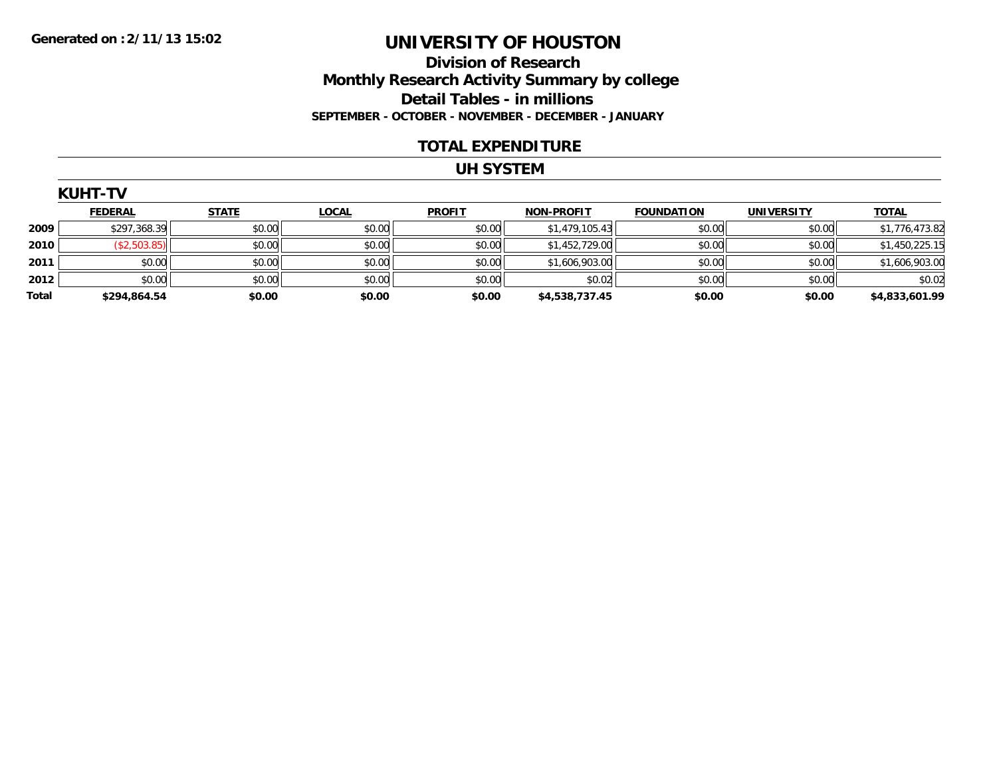### **Division of Research Monthly Research Activity Summary by college Detail Tables - in millions SEPTEMBER - OCTOBER - NOVEMBER - DECEMBER - JANUARY**

#### **TOTAL EXPENDITURE**

#### **UH SYSTEM**

|       | <b>KUHT-TV</b> |              |              |               |                   |                   |                   |                |  |  |  |
|-------|----------------|--------------|--------------|---------------|-------------------|-------------------|-------------------|----------------|--|--|--|
|       | <b>FEDERAL</b> | <b>STATE</b> | <u>LOCAL</u> | <b>PROFIT</b> | <b>NON-PROFIT</b> | <b>FOUNDATION</b> | <b>UNIVERSITY</b> | <b>TOTAL</b>   |  |  |  |
| 2009  | \$297,368.39   | \$0.00       | \$0.00       | \$0.00        | \$1,479,105.43    | \$0.00            | \$0.00            | \$1,776,473.82 |  |  |  |
| 2010  | (\$2,503.85)   | \$0.00       | \$0.00       | \$0.00        | \$1,452,729.00    | \$0.00            | \$0.00            | \$1,450,225.15 |  |  |  |
| 2011  | \$0.00         | \$0.00       | \$0.00       | \$0.00        | \$1,606,903.00    | \$0.00            | \$0.00            | \$1,606,903.00 |  |  |  |
| 2012  | \$0.00         | \$0.00       | \$0.00       | \$0.00        | \$0.02            | \$0.00            | \$0.00            | \$0.02         |  |  |  |
| Total | \$294,864.54   | \$0.00       | \$0.00       | \$0.00        | \$4,538,737.45    | \$0.00            | \$0.00            | \$4,833,601.99 |  |  |  |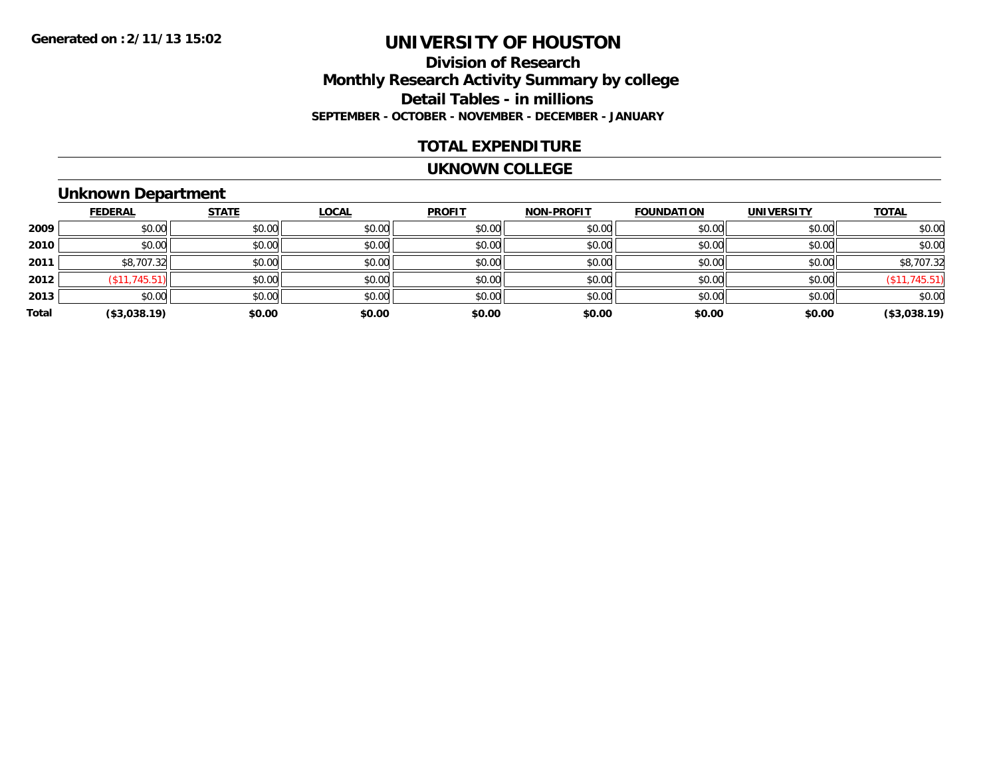### **Division of Research Monthly Research Activity Summary by college Detail Tables - in millions SEPTEMBER - OCTOBER - NOVEMBER - DECEMBER - JANUARY**

### **TOTAL EXPENDITURE**

#### **UKNOWN COLLEGE**

## **Unknown Department**

|       | <b>FEDERAL</b> | <b>STATE</b> | <b>LOCAL</b> | <b>PROFIT</b> | <b>NON-PROFIT</b> | <b>FOUNDATION</b> | <b>UNIVERSITY</b> | <b>TOTAL</b>   |
|-------|----------------|--------------|--------------|---------------|-------------------|-------------------|-------------------|----------------|
| 2009  | \$0.00         | \$0.00       | \$0.00       | \$0.00        | \$0.00            | \$0.00            | \$0.00            | \$0.00         |
| 2010  | \$0.00         | \$0.00       | \$0.00       | \$0.00        | \$0.00            | \$0.00            | \$0.00            | \$0.00         |
| 2011  | \$8,707.32     | \$0.00       | \$0.00       | \$0.00        | \$0.00            | \$0.00            | \$0.00            | \$8,707.32     |
| 2012  | (\$11,745.51)  | \$0.00       | \$0.00       | \$0.00        | \$0.00            | \$0.00            | \$0.00            | (\$11, 745.51) |
| 2013  | \$0.00         | \$0.00       | \$0.00       | \$0.00        | \$0.00            | \$0.00            | \$0.00            | \$0.00         |
| Total | (\$3,038.19)   | \$0.00       | \$0.00       | \$0.00        | \$0.00            | \$0.00            | \$0.00            | (\$3,038.19)   |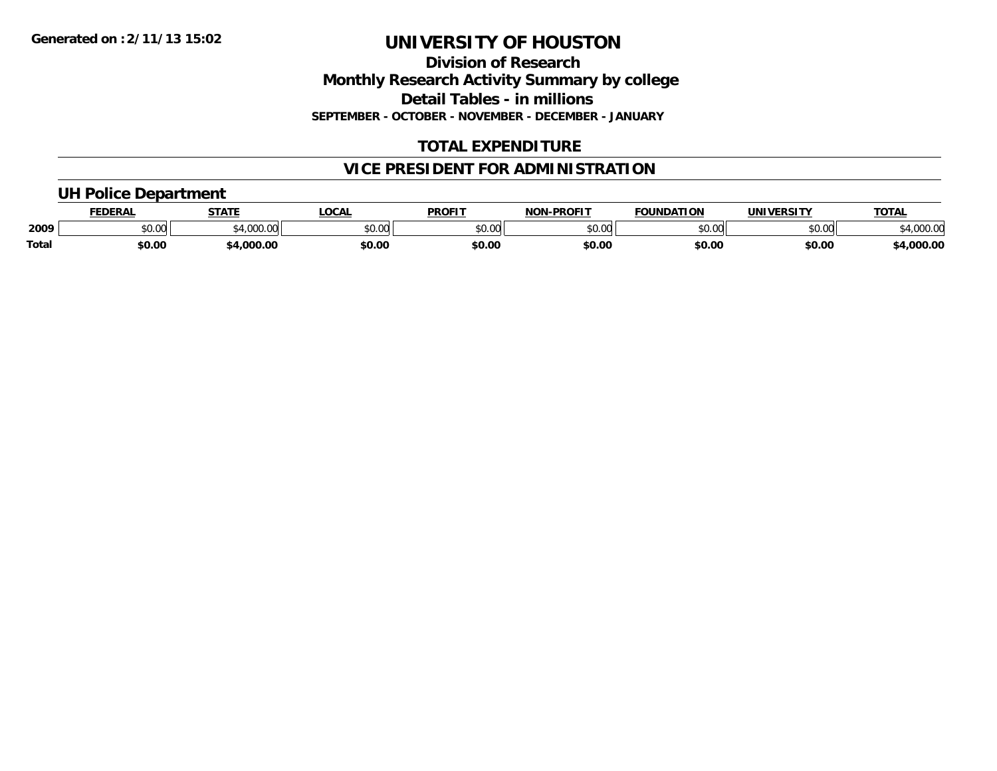**Division of Research Monthly Research Activity Summary by college Detail Tables - in millions SEPTEMBER - OCTOBER - NOVEMBER - DECEMBER - JANUARY**

## **TOTAL EXPENDITURE**

## **VICE PRESIDENT FOR ADMINISTRATION**

### **UH Police Department**

|              | <b>FEDERAL</b> | <b>STATE</b>                                                      | LOCAL  | <b>PROFIT</b>  | <b>NON-PROFIT</b> | <b>FOUNDATION</b> | <b>UNIVERSITY</b> | <b>TOTAL</b>        |
|--------------|----------------|-------------------------------------------------------------------|--------|----------------|-------------------|-------------------|-------------------|---------------------|
| 2009         | <b>JU.UU</b>   | $^{\circ}$ $^{\circ}$ $^{\circ}$ $^{\circ}$ $^{\circ}$ $^{\circ}$ | \$0.00 | ≮N UV<br>JU.UU | \$0.00            | \$0.00            | \$0.00            | 00000<br>\$4,000.00 |
| <b>Total</b> | \$0.00         | \$4,000.00                                                        | \$0.00 | \$0.00         | \$0.00            | \$0.00            | \$0.00            | \$4,000.00          |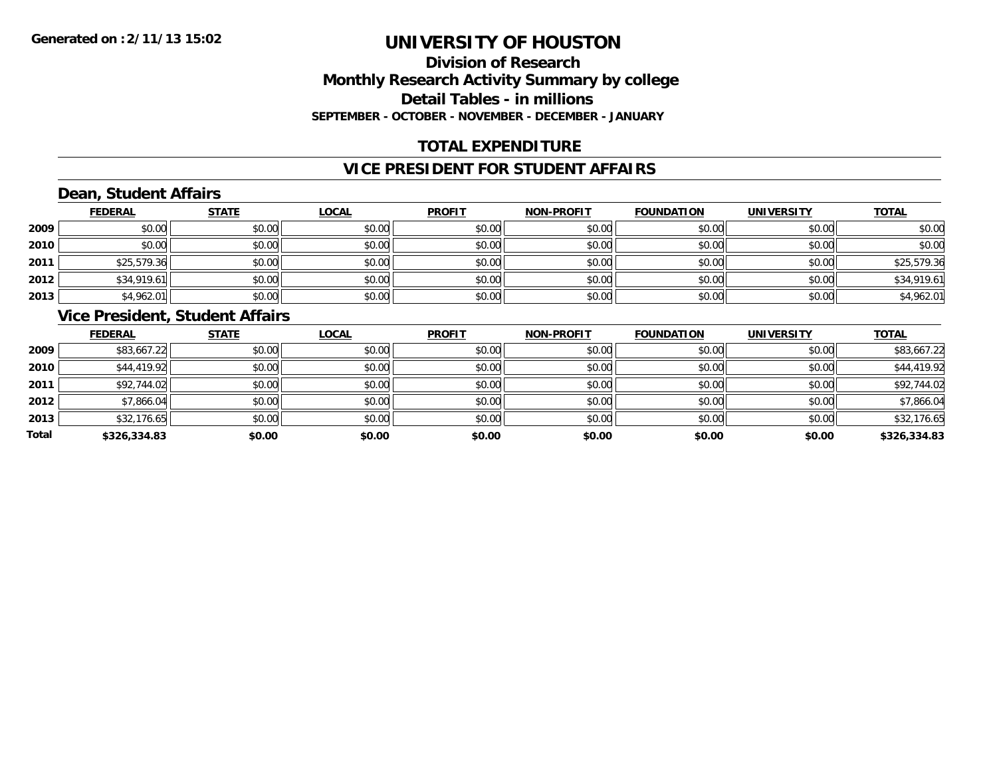## **Division of ResearchMonthly Research Activity Summary by college Detail Tables - in millions SEPTEMBER - OCTOBER - NOVEMBER - DECEMBER - JANUARY**

## **TOTAL EXPENDITURE**

### **VICE PRESIDENT FOR STUDENT AFFAIRS**

## **Dean, Student Affairs**

|      | <b>FEDERAL</b> | <b>STATE</b> | <b>LOCAL</b> | <b>PROFIT</b> | <b>NON-PROFIT</b> | <b>FOUNDATION</b> | <b>UNIVERSITY</b> | <b>TOTAL</b> |
|------|----------------|--------------|--------------|---------------|-------------------|-------------------|-------------------|--------------|
| 2009 | \$0.00         | \$0.00       | \$0.00       | \$0.00        | \$0.00            | \$0.00            | \$0.00            | \$0.00       |
| 2010 | \$0.00         | \$0.00       | \$0.00       | \$0.00        | \$0.00            | \$0.00            | \$0.00            | \$0.00       |
| 2011 | \$25,579.36    | \$0.00       | \$0.00       | \$0.00        | \$0.00            | \$0.00            | \$0.00            | \$25,579.36  |
| 2012 | \$34,919.61    | \$0.00       | \$0.00       | \$0.00        | \$0.00            | \$0.00            | \$0.00            | \$34,919.61  |
| 2013 | \$4,962.01     | \$0.00       | \$0.00       | \$0.00        | \$0.00            | \$0.00            | \$0.00            | \$4,962.01   |

## **Vice President, Student Affairs**

|       | <b>FEDERAL</b> | <b>STATE</b> | <b>LOCAL</b> | <b>PROFIT</b> | <b>NON-PROFIT</b> | <b>FOUNDATION</b> | <b>UNIVERSITY</b> | <b>TOTAL</b> |
|-------|----------------|--------------|--------------|---------------|-------------------|-------------------|-------------------|--------------|
| 2009  | \$83,667.22    | \$0.00       | \$0.00       | \$0.00        | \$0.00            | \$0.00            | \$0.00            | \$83,667.22  |
| 2010  | \$44,419.92    | \$0.00       | \$0.00       | \$0.00        | \$0.00            | \$0.00            | \$0.00            | \$44,419.92  |
| 2011  | \$92,744.02    | \$0.00       | \$0.00       | \$0.00        | \$0.00            | \$0.00            | \$0.00            | \$92,744.02  |
| 2012  | \$7,866.04     | \$0.00       | \$0.00       | \$0.00        | \$0.00            | \$0.00            | \$0.00            | \$7,866.04   |
| 2013  | \$32,176.65    | \$0.00       | \$0.00       | \$0.00        | \$0.00            | \$0.00            | \$0.00            | \$32,176.65  |
| Total | \$326,334.83   | \$0.00       | \$0.00       | \$0.00        | \$0.00            | \$0.00            | \$0.00            | \$326,334.83 |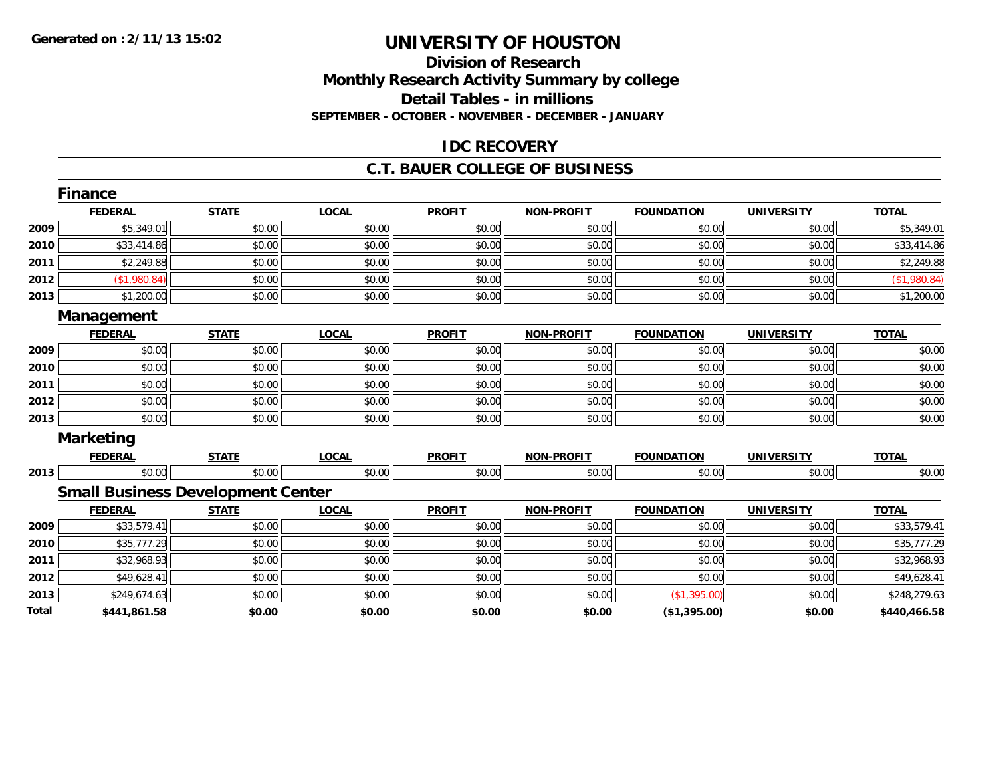### **Division of Research Monthly Research Activity Summary by college Detail Tables - in millions SEPTEMBER - OCTOBER - NOVEMBER - DECEMBER - JANUARY**

### **IDC RECOVERY**

#### **C.T. BAUER COLLEGE OF BUSINESS**

|              | <b>Finance</b>                           |              |              |               |                   |                   |                   |              |
|--------------|------------------------------------------|--------------|--------------|---------------|-------------------|-------------------|-------------------|--------------|
|              | <b>FEDERAL</b>                           | <b>STATE</b> | <b>LOCAL</b> | <b>PROFIT</b> | NON-PROFIT        | <b>FOUNDATION</b> | <b>UNIVERSITY</b> | <b>TOTAL</b> |
| 2009         | \$5,349.01                               | \$0.00       | \$0.00       | \$0.00        | \$0.00            | \$0.00            | \$0.00            | \$5,349.01   |
| 2010         | \$33,414.86                              | \$0.00       | \$0.00       | \$0.00        | \$0.00            | \$0.00            | \$0.00            | \$33,414.86  |
| 2011         | \$2,249.88                               | \$0.00       | \$0.00       | \$0.00        | \$0.00            | \$0.00            | \$0.00            | \$2,249.88   |
| 2012         | (\$1,980.84)                             | \$0.00       | \$0.00       | \$0.00        | \$0.00            | \$0.00            | \$0.00            | (\$1,980.84) |
| 2013         | \$1,200.00                               | \$0.00       | \$0.00       | \$0.00        | \$0.00            | \$0.00            | \$0.00            | \$1,200.00   |
|              | Management                               |              |              |               |                   |                   |                   |              |
|              | <b>FEDERAL</b>                           | <b>STATE</b> | <b>LOCAL</b> | <b>PROFIT</b> | <b>NON-PROFIT</b> | <b>FOUNDATION</b> | <b>UNIVERSITY</b> | <b>TOTAL</b> |
| 2009         | \$0.00                                   | \$0.00       | \$0.00       | \$0.00        | \$0.00            | \$0.00            | \$0.00            | \$0.00       |
| 2010         | \$0.00                                   | \$0.00       | \$0.00       | \$0.00        | \$0.00            | \$0.00            | \$0.00            | \$0.00       |
| 2011         | \$0.00                                   | \$0.00       | \$0.00       | \$0.00        | \$0.00            | \$0.00            | \$0.00            | \$0.00       |
| 2012         | \$0.00                                   | \$0.00       | \$0.00       | \$0.00        | \$0.00            | \$0.00            | \$0.00            | \$0.00       |
| 2013         | \$0.00                                   | \$0.00       | \$0.00       | \$0.00        | \$0.00            | \$0.00            | \$0.00            | \$0.00       |
|              | <b>Marketing</b>                         |              |              |               |                   |                   |                   |              |
|              | <b>FEDERAL</b>                           | <b>STATE</b> | <b>LOCAL</b> | <b>PROFIT</b> | <b>NON-PROFIT</b> | <b>FOUNDATION</b> | <b>UNIVERSITY</b> | <b>TOTAL</b> |
| 2013         | \$0.00                                   | \$0.00       | \$0.00       | \$0.00        | \$0.00            | \$0.00            | \$0.00            | \$0.00       |
|              | <b>Small Business Development Center</b> |              |              |               |                   |                   |                   |              |
|              | <b>FEDERAL</b>                           | <b>STATE</b> | <b>LOCAL</b> | <b>PROFIT</b> | NON-PROFIT        | <b>FOUNDATION</b> | <b>UNIVERSITY</b> | <b>TOTAL</b> |
| 2009         | \$33,579.41                              | \$0.00       | \$0.00       | \$0.00        | \$0.00            | \$0.00            | \$0.00            | \$33,579.41  |
| 2010         | \$35,777.29                              | \$0.00       | \$0.00       | \$0.00        | \$0.00            | \$0.00            | \$0.00            | \$35,777.29  |
| 2011         | \$32,968.93                              | \$0.00       | \$0.00       | \$0.00        | \$0.00            | \$0.00            | \$0.00            | \$32,968.93  |
| 2012         | \$49,628.41                              | \$0.00       | \$0.00       | \$0.00        | \$0.00            | \$0.00            | \$0.00            | \$49,628.41  |
| 2013         | \$249,674.63                             | \$0.00       | \$0.00       | \$0.00        | \$0.00            | (\$1,395.00)      | \$0.00            | \$248,279.63 |
| <b>Total</b> | \$441,861.58                             | \$0.00       | \$0.00       | \$0.00        | \$0.00            | (\$1,395.00)      | \$0.00            | \$440,466.58 |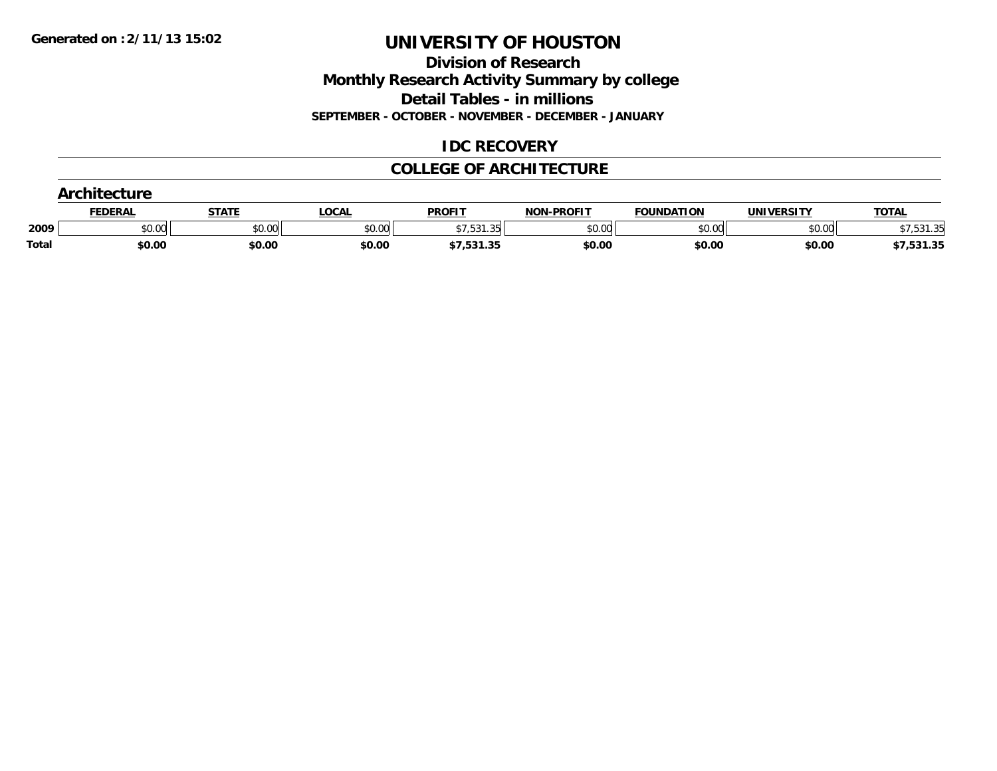**Division of Research Monthly Research Activity Summary by college Detail Tables - in millions SEPTEMBER - OCTOBER - NOVEMBER - DECEMBER - JANUARY**

## **IDC RECOVERY**

### **COLLEGE OF ARCHITECTURE**

|              | <u>FEDERAL</u> | <u>STATE</u> | <b>LOCAL</b> | <b>PROFIT</b>           | <b>NON-PROFIT</b> | <b>FOUNDATION</b> | <b>UNIVERSITY</b> | <b>TOTAL</b> |
|--------------|----------------|--------------|--------------|-------------------------|-------------------|-------------------|-------------------|--------------|
| 2009         | \$0.00         | \$0.00       | \$0.00       | 1 25<br>, , J J I . J J | \$0.00            | \$0.00            | \$0.00            | 521 25<br>.  |
| <b>Total</b> | \$0.00         | \$0.00       | \$0.00       | \$7,531.35              | \$0.00            | \$0.00            | \$0.00            | \$7,531.35   |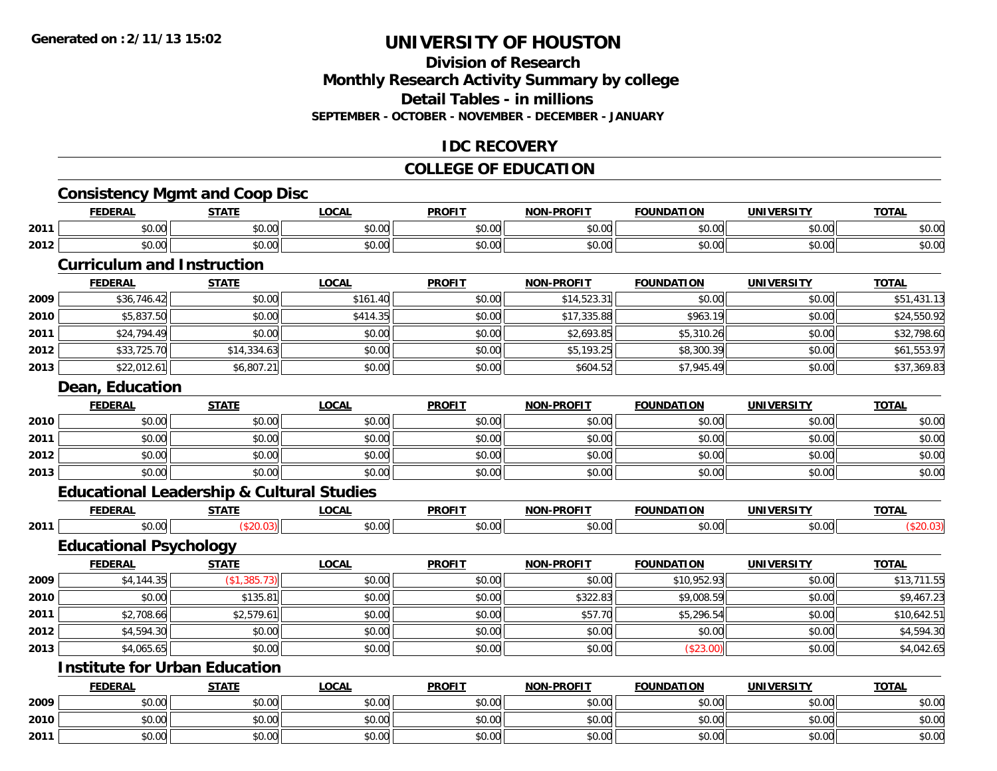**2010**

**2011**

## **UNIVERSITY OF HOUSTON**

## **Division of ResearchMonthly Research Activity Summary by college Detail Tables - in millions SEPTEMBER - OCTOBER - NOVEMBER - DECEMBER - JANUARY**

## **IDC RECOVERY**

## **COLLEGE OF EDUCATION**

## **Consistency Mgmt and Coop Disc**

|      | <b>FEDERAL</b>                                       | <b>STATE</b> | <b>LOCAL</b> | <b>PROFIT</b> | <b>NON-PROFIT</b> | <b>FOUNDATION</b> | <b>UNIVERSITY</b> | <b>TOTAL</b> |
|------|------------------------------------------------------|--------------|--------------|---------------|-------------------|-------------------|-------------------|--------------|
| 2011 | \$0.00                                               | \$0.00       | \$0.00       | \$0.00        | \$0.00            | \$0.00            | \$0.00            | \$0.00       |
| 2012 | \$0.00                                               | \$0.00       | \$0.00       | \$0.00        | \$0.00            | \$0.00            | \$0.00            | \$0.00       |
|      | <b>Curriculum and Instruction</b>                    |              |              |               |                   |                   |                   |              |
|      | <b>FEDERAL</b>                                       | <b>STATE</b> | <b>LOCAL</b> | <b>PROFIT</b> | <b>NON-PROFIT</b> | <b>FOUNDATION</b> | <b>UNIVERSITY</b> | <b>TOTAL</b> |
| 2009 | \$36,746.42                                          | \$0.00       | \$161.40     | \$0.00        | \$14,523.31       | \$0.00            | \$0.00            | \$51,431.13  |
| 2010 | \$5,837.50                                           | \$0.00       | \$414.35     | \$0.00        | \$17,335.88       | \$963.19          | \$0.00            | \$24,550.92  |
| 2011 | \$24,794.49                                          | \$0.00       | \$0.00       | \$0.00        | \$2,693.85        | \$5,310.26        | \$0.00            | \$32,798.60  |
| 2012 | \$33,725.70                                          | \$14,334.63  | \$0.00       | \$0.00        | \$5,193.25        | \$8,300.39        | \$0.00            | \$61,553.97  |
| 2013 | \$22,012.61                                          | \$6,807.21   | \$0.00       | \$0.00        | \$604.52          | \$7,945.49        | \$0.00            | \$37,369.83  |
|      | Dean, Education                                      |              |              |               |                   |                   |                   |              |
|      | <b>FEDERAL</b>                                       | <b>STATE</b> | <b>LOCAL</b> | <b>PROFIT</b> | <b>NON-PROFIT</b> | <b>FOUNDATION</b> | <b>UNIVERSITY</b> | <b>TOTAL</b> |
| 2010 | \$0.00                                               | \$0.00       | \$0.00       | \$0.00        | \$0.00            | \$0.00            | \$0.00            | \$0.00       |
| 2011 | \$0.00                                               | \$0.00       | \$0.00       | \$0.00        | \$0.00            | \$0.00            | \$0.00            | \$0.00       |
| 2012 | \$0.00                                               | \$0.00       | \$0.00       | \$0.00        | \$0.00            | \$0.00            | \$0.00            | \$0.00       |
| 2013 | \$0.00                                               | \$0.00       | \$0.00       | \$0.00        | \$0.00            | \$0.00            | \$0.00            | \$0.00       |
|      | <b>Educational Leadership &amp; Cultural Studies</b> |              |              |               |                   |                   |                   |              |
|      | <b>FEDERAL</b>                                       | <b>STATE</b> | <b>LOCAL</b> | <b>PROFIT</b> | NON-PROFIT        | <b>FOUNDATION</b> | <b>UNIVERSITY</b> | <b>TOTAL</b> |
| 2011 | \$0.00                                               | (\$20.03)    | \$0.00       | \$0.00        | \$0.00            | \$0.00            | \$0.00            | (\$20.03)    |
|      | <b>Educational Psychology</b>                        |              |              |               |                   |                   |                   |              |
|      | <b>FEDERAL</b>                                       | <b>STATE</b> | <b>LOCAL</b> | <b>PROFIT</b> | <b>NON-PROFIT</b> | <b>FOUNDATION</b> | <b>UNIVERSITY</b> | <b>TOTAL</b> |
| 2009 | \$4,144.35                                           | (\$1,385.73) | \$0.00       | \$0.00        | \$0.00            | \$10,952.93       | \$0.00            | \$13,711.55  |
| 2010 | \$0.00                                               | \$135.81     | \$0.00       | \$0.00        | \$322.83          | \$9,008.59        | \$0.00            | \$9,467.23   |
| 2011 | \$2,708.66                                           | \$2,579.61   | \$0.00       | \$0.00        | \$57.70           | \$5,296.54        | \$0.00            | \$10,642.51  |
| 2012 | \$4,594.30                                           | \$0.00       | \$0.00       | \$0.00        | \$0.00            | \$0.00            | \$0.00            | \$4,594.30   |
| 2013 | \$4,065.65                                           | \$0.00       | \$0.00       | \$0.00        | \$0.00            | (\$23.00)         | \$0.00            | \$4,042.65   |
|      | <b>Institute for Urban Education</b>                 |              |              |               |                   |                   |                   |              |
|      | <b>FEDERAL</b>                                       | <b>STATE</b> | <b>LOCAL</b> | <b>PROFIT</b> | <b>NON-PROFIT</b> | <b>FOUNDATION</b> | <b>UNIVERSITY</b> | <b>TOTAL</b> |
| 2009 | \$0.00                                               | \$0.00       | \$0.00       | \$0.00        | \$0.00            | \$0.00            | \$0.00            | \$0.00       |

0 \$0.00 \$0.00 \$0.00 \$0.00 \$0.00 \$0.00 \$0.00 \$0.00 \$0.00 \$0.00 \$0.00 \$0.00 \$0.00 \$0.00 \$0.00 \$0.00 \$0.00 \$0.00

\$0.00 \$0.00 \$0.00 \$0.00 \$0.00 \$0.00 \$0.00 \$0.00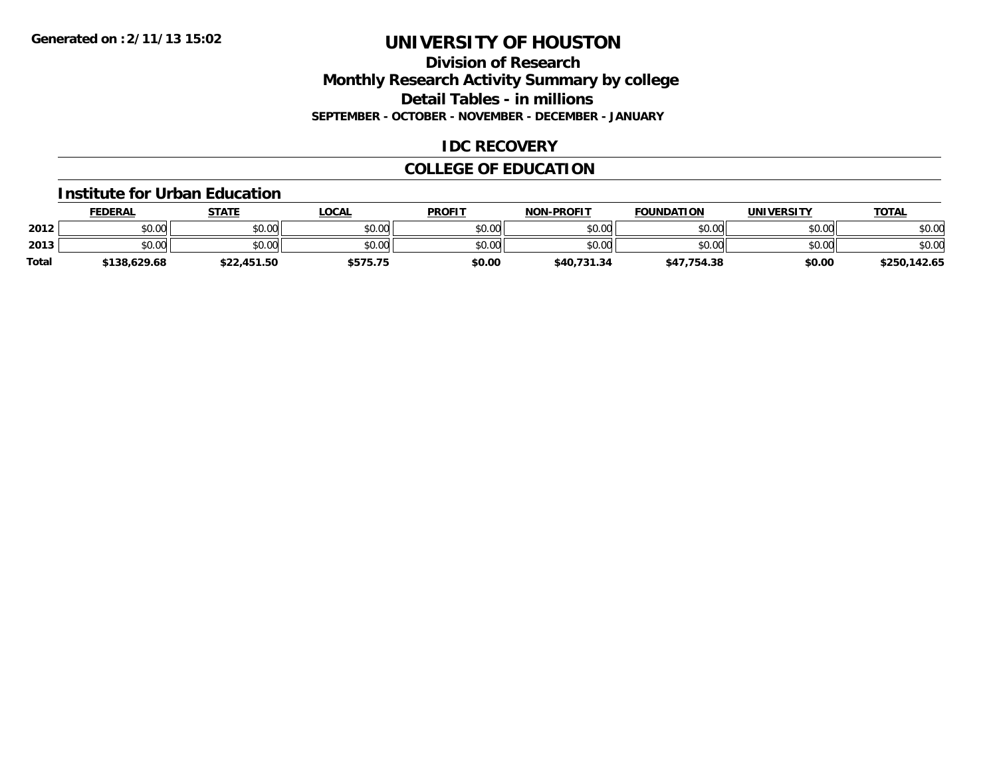### **Division of Research Monthly Research Activity Summary by college Detail Tables - in millions SEPTEMBER - OCTOBER - NOVEMBER - DECEMBER - JANUARY**

### **IDC RECOVERY**

## **COLLEGE OF EDUCATION**

#### **Institute for Urban Education**

|              | <b>FEDERAL</b> | STATE       | <b>LOCAL</b> | <b>PROFIT</b> | <b>NON-PROFIT</b> | <b>FOUNDATION</b> | <b>UNIVERSITY</b> | <u>TOTAL</u> |
|--------------|----------------|-------------|--------------|---------------|-------------------|-------------------|-------------------|--------------|
| 2012         | \$0.00         | \$0.00      | \$0.00       | \$0.00        | \$0.00            | \$0.00            | \$0.00            | \$0.00       |
| 2013         | \$0.00         | \$0.00      | \$0.00       | \$0.00        | \$0.00            | \$0.00            | \$0.00            | \$0.00       |
| <b>Total</b> | \$138,629.68   | \$22,451.50 | \$575.75     | \$0.00        | \$40,731.34       | \$47,754.38       | \$0.00            | \$250,142.65 |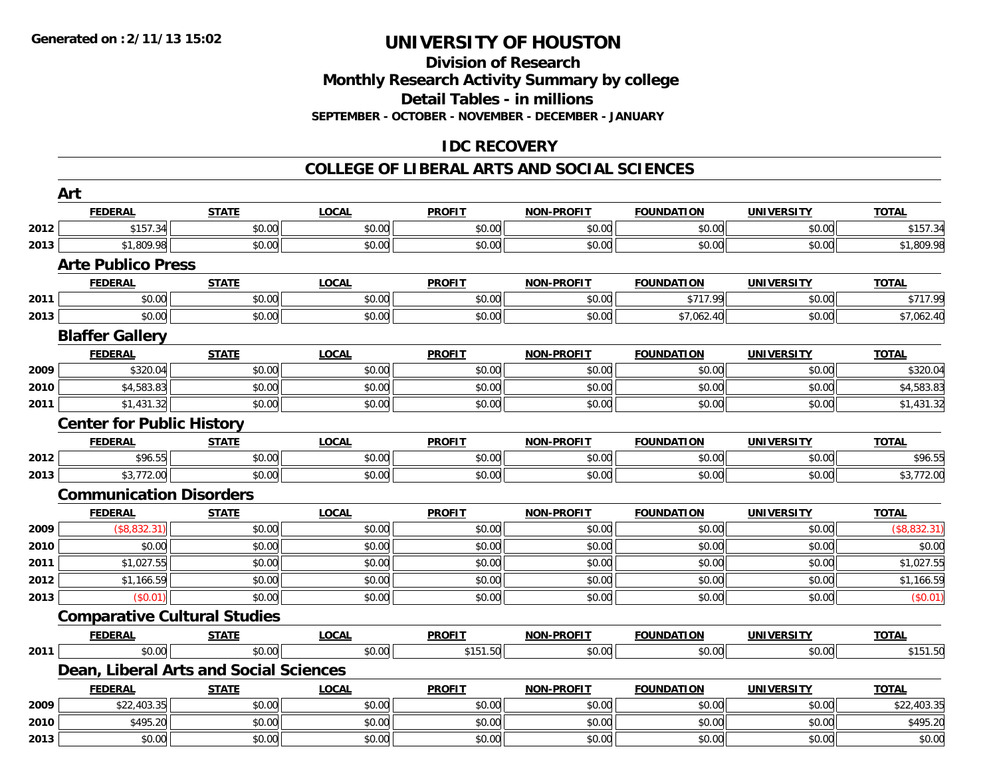#### **Division of Research Monthly Research Activity Summary by college**

**Detail Tables - in millions**

**SEPTEMBER - OCTOBER - NOVEMBER - DECEMBER - JANUARY**

## **IDC RECOVERY**

### **COLLEGE OF LIBERAL ARTS AND SOCIAL SCIENCES**

|      | Art                                    |              |              |               |                   |                   |                   |              |  |  |
|------|----------------------------------------|--------------|--------------|---------------|-------------------|-------------------|-------------------|--------------|--|--|
|      | <b>FEDERAL</b>                         | <b>STATE</b> | <b>LOCAL</b> | <b>PROFIT</b> | <b>NON-PROFIT</b> | <b>FOUNDATION</b> | <b>UNIVERSITY</b> | <b>TOTAL</b> |  |  |
| 2012 | \$157.34                               | \$0.00       | \$0.00       | \$0.00        | \$0.00            | \$0.00            | \$0.00            | \$157.34     |  |  |
| 2013 | \$1,809.98                             | \$0.00       | \$0.00       | \$0.00        | \$0.00            | \$0.00            | \$0.00            | \$1,809.98   |  |  |
|      | <b>Arte Publico Press</b>              |              |              |               |                   |                   |                   |              |  |  |
|      | <b>FEDERAL</b>                         | <b>STATE</b> | <b>LOCAL</b> | <b>PROFIT</b> | <b>NON-PROFIT</b> | <b>FOUNDATION</b> | <b>UNIVERSITY</b> | <b>TOTAL</b> |  |  |
| 2011 | \$0.00                                 | \$0.00       | \$0.00       | \$0.00        | \$0.00            | \$717.99          | \$0.00            | \$717.99     |  |  |
| 2013 | \$0.00                                 | \$0.00       | \$0.00       | \$0.00        | \$0.00            | \$7,062.40        | \$0.00            | \$7,062.40   |  |  |
|      | <b>Blaffer Gallery</b>                 |              |              |               |                   |                   |                   |              |  |  |
|      | <b>FEDERAL</b>                         | <b>STATE</b> | <b>LOCAL</b> | <b>PROFIT</b> | <b>NON-PROFIT</b> | <b>FOUNDATION</b> | <b>UNIVERSITY</b> | <b>TOTAL</b> |  |  |
| 2009 | \$320.04                               | \$0.00       | \$0.00       | \$0.00        | \$0.00            | \$0.00            | \$0.00            | \$320.04     |  |  |
| 2010 | \$4,583.83                             | \$0.00       | \$0.00       | \$0.00        | \$0.00            | \$0.00            | \$0.00            | \$4,583.83   |  |  |
| 2011 | \$1,431.32                             | \$0.00       | \$0.00       | \$0.00        | \$0.00            | \$0.00            | \$0.00            | \$1,431.32   |  |  |
|      | <b>Center for Public History</b>       |              |              |               |                   |                   |                   |              |  |  |
|      | <b>FEDERAL</b>                         | <b>STATE</b> | <b>LOCAL</b> | <b>PROFIT</b> | <b>NON-PROFIT</b> | <b>FOUNDATION</b> | <b>UNIVERSITY</b> | <b>TOTAL</b> |  |  |
| 2012 | \$96.55                                | \$0.00       | \$0.00       | \$0.00        | \$0.00            | \$0.00            | \$0.00            | \$96.55      |  |  |
| 2013 | \$3,772.00                             | \$0.00       | \$0.00       | \$0.00        | \$0.00            | \$0.00            | \$0.00            | \$3,772.00   |  |  |
|      | <b>Communication Disorders</b>         |              |              |               |                   |                   |                   |              |  |  |
|      | <b>FEDERAL</b>                         | <b>STATE</b> | <b>LOCAL</b> | <b>PROFIT</b> | <b>NON-PROFIT</b> | <b>FOUNDATION</b> | <b>UNIVERSITY</b> | <b>TOTAL</b> |  |  |
| 2009 | (\$8,832.31)                           | \$0.00       | \$0.00       | \$0.00        | \$0.00            | \$0.00            | \$0.00            | (\$8,832.31) |  |  |
| 2010 | \$0.00                                 | \$0.00       | \$0.00       | \$0.00        | \$0.00            | \$0.00            | \$0.00            | \$0.00       |  |  |
| 2011 | \$1,027.55                             | \$0.00       | \$0.00       | \$0.00        | \$0.00            | \$0.00            | \$0.00            | \$1,027.55   |  |  |
| 2012 | \$1,166.59                             | \$0.00       | \$0.00       | \$0.00        | \$0.00            | \$0.00            | \$0.00            | \$1,166.59   |  |  |
| 2013 | (\$0.01)                               | \$0.00       | \$0.00       | \$0.00        | \$0.00            | \$0.00            | \$0.00            | (\$0.01)     |  |  |
|      | <b>Comparative Cultural Studies</b>    |              |              |               |                   |                   |                   |              |  |  |
|      | <b>FEDERAL</b>                         | <b>STATE</b> | <b>LOCAL</b> | <b>PROFIT</b> | <b>NON-PROFIT</b> | <b>FOUNDATION</b> | <b>UNIVERSITY</b> | <b>TOTAL</b> |  |  |
| 2011 | \$0.00                                 | \$0.00       | \$0.00       | \$151.50      | \$0.00            | \$0.00            | \$0.00            | \$151.50     |  |  |
|      | Dean, Liberal Arts and Social Sciences |              |              |               |                   |                   |                   |              |  |  |
|      | <b>FEDERAL</b>                         | <b>STATE</b> | <b>LOCAL</b> | <b>PROFIT</b> | <b>NON-PROFIT</b> | <b>FOUNDATION</b> | <b>UNIVERSITY</b> | <b>TOTAL</b> |  |  |
| 2009 | \$22,403.35                            | \$0.00       | \$0.00       | \$0.00        | \$0.00            | \$0.00            | \$0.00            | \$22,403.35  |  |  |
| 2010 | \$495.20                               | \$0.00       | \$0.00       | \$0.00        | \$0.00            | \$0.00            | \$0.00            | \$495.20     |  |  |
| 2013 | \$0.00                                 | \$0.00       | \$0.00       | \$0.00        | \$0.00            | \$0.00            | \$0.00            | \$0.00       |  |  |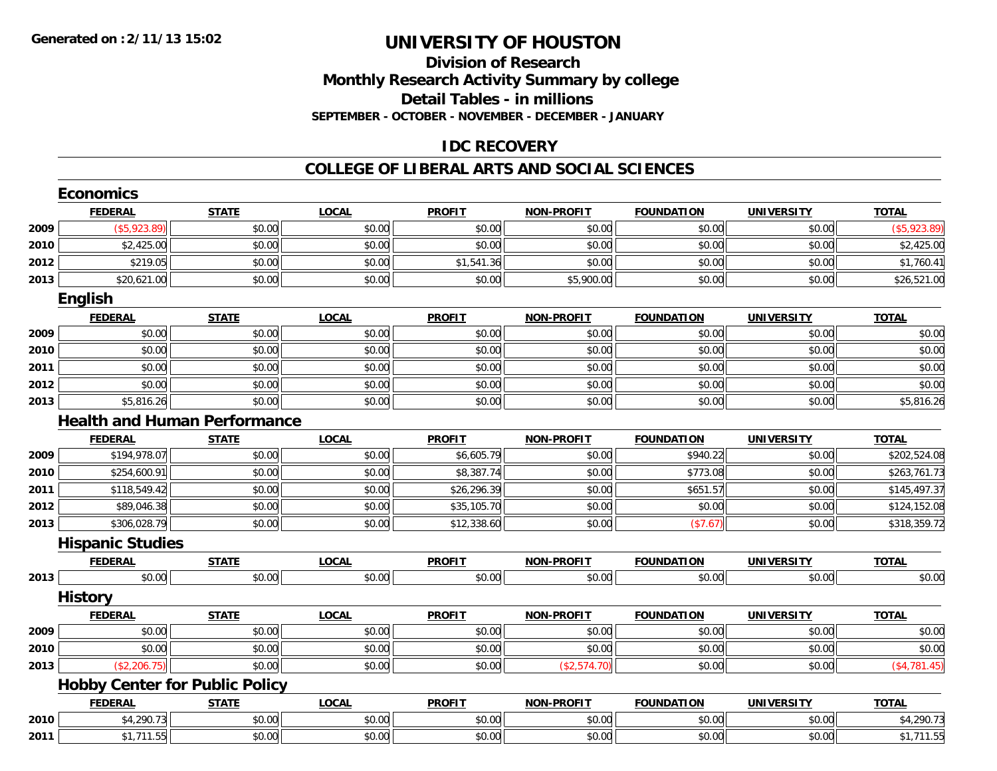### **Division of Research Monthly Research Activity Summary by college Detail Tables - in millions SEPTEMBER - OCTOBER - NOVEMBER - DECEMBER - JANUARY**

### **IDC RECOVERY**

#### **COLLEGE OF LIBERAL ARTS AND SOCIAL SCIENCES**

|      | <b>Economics</b>                      |              |              |               |                   |                   |                   |               |
|------|---------------------------------------|--------------|--------------|---------------|-------------------|-------------------|-------------------|---------------|
|      | <b>FEDERAL</b>                        | <b>STATE</b> | <b>LOCAL</b> | <b>PROFIT</b> | <b>NON-PROFIT</b> | <b>FOUNDATION</b> | <b>UNIVERSITY</b> | <b>TOTAL</b>  |
| 2009 | $($ \$5,923.89)                       | \$0.00       | \$0.00       | \$0.00        | \$0.00            | \$0.00            | \$0.00            | ( \$5,923.89) |
| 2010 | \$2,425.00                            | \$0.00       | \$0.00       | \$0.00        | \$0.00            | \$0.00            | \$0.00            | \$2,425.00    |
| 2012 | \$219.05                              | \$0.00       | \$0.00       | \$1,541.36    | \$0.00            | \$0.00            | \$0.00            | \$1,760.41    |
| 2013 | \$20,621.00                           | \$0.00       | \$0.00       | \$0.00        | \$5,900.00        | \$0.00            | \$0.00            | \$26,521.00   |
|      | English                               |              |              |               |                   |                   |                   |               |
|      | <b>FEDERAL</b>                        | <b>STATE</b> | <b>LOCAL</b> | <b>PROFIT</b> | <b>NON-PROFIT</b> | <b>FOUNDATION</b> | <b>UNIVERSITY</b> | <b>TOTAL</b>  |
| 2009 | \$0.00                                | \$0.00       | \$0.00       | \$0.00        | \$0.00            | \$0.00            | \$0.00            | \$0.00        |
| 2010 | \$0.00                                | \$0.00       | \$0.00       | \$0.00        | \$0.00            | \$0.00            | \$0.00            | \$0.00        |
| 2011 | \$0.00                                | \$0.00       | \$0.00       | \$0.00        | \$0.00            | \$0.00            | \$0.00            | \$0.00        |
| 2012 | \$0.00                                | \$0.00       | \$0.00       | \$0.00        | \$0.00            | \$0.00            | \$0.00            | \$0.00        |
| 2013 | \$5,816.26                            | \$0.00       | \$0.00       | \$0.00        | \$0.00            | \$0.00            | \$0.00            | \$5,816.26    |
|      | <b>Health and Human Performance</b>   |              |              |               |                   |                   |                   |               |
|      | <b>FEDERAL</b>                        | <b>STATE</b> | <b>LOCAL</b> | <b>PROFIT</b> | <b>NON-PROFIT</b> | <b>FOUNDATION</b> | <b>UNIVERSITY</b> | <b>TOTAL</b>  |
| 2009 | \$194,978.07                          | \$0.00       | \$0.00       | \$6,605.79    | \$0.00            | \$940.22          | \$0.00            | \$202,524.08  |
| 2010 | \$254,600.91                          | \$0.00       | \$0.00       | \$8,387.74    | \$0.00            | \$773.08          | \$0.00            | \$263,761.73  |
| 2011 | \$118,549.42                          | \$0.00       | \$0.00       | \$26,296.39   | \$0.00            | \$651.57          | \$0.00            | \$145,497.37  |
| 2012 | \$89,046.38                           | \$0.00       | \$0.00       | \$35,105.70   | \$0.00            | \$0.00            | \$0.00            | \$124,152.08  |
| 2013 | \$306,028.79                          | \$0.00       | \$0.00       | \$12,338.60   | \$0.00            | (\$7.67)          | \$0.00            | \$318,359.72  |
|      | <b>Hispanic Studies</b>               |              |              |               |                   |                   |                   |               |
|      | <b>FEDERAL</b>                        | <b>STATE</b> | <b>LOCAL</b> | <b>PROFIT</b> | <b>NON-PROFIT</b> | <b>FOUNDATION</b> | <b>UNIVERSITY</b> | <b>TOTAL</b>  |
| 2013 | \$0.00                                | \$0.00       | \$0.00       | \$0.00        | \$0.00            | \$0.00            | \$0.00            | \$0.00        |
|      | <b>History</b>                        |              |              |               |                   |                   |                   |               |
|      | <b>FEDERAL</b>                        | <b>STATE</b> | <b>LOCAL</b> | <b>PROFIT</b> | <b>NON-PROFIT</b> | <b>FOUNDATION</b> | <b>UNIVERSITY</b> | <b>TOTAL</b>  |
| 2009 | \$0.00                                | \$0.00       | \$0.00       | \$0.00        | \$0.00            | \$0.00            | \$0.00            | \$0.00        |
| 2010 | \$0.00                                | \$0.00       | \$0.00       | \$0.00        | \$0.00            | \$0.00            | \$0.00            | \$0.00        |
| 2013 | (\$2,206.75)                          | \$0.00       | \$0.00       | \$0.00        | (\$2,574.70)      | \$0.00            | \$0.00            | (\$4,781.45)  |
|      | <b>Hobby Center for Public Policy</b> |              |              |               |                   |                   |                   |               |
|      | <b>FEDERAL</b>                        | <b>STATE</b> | <b>LOCAL</b> | <b>PROFIT</b> | <b>NON-PROFIT</b> | <b>FOUNDATION</b> | <b>UNIVERSITY</b> | <b>TOTAL</b>  |
| 2010 | \$4,290.73                            | \$0.00       | \$0.00       | \$0.00        | \$0.00            | \$0.00            | \$0.00            | \$4,290.73    |
| 2011 | \$1,711.55                            | \$0.00       | \$0.00       | \$0.00        | \$0.00            | \$0.00            | \$0.00            | \$1,711.55    |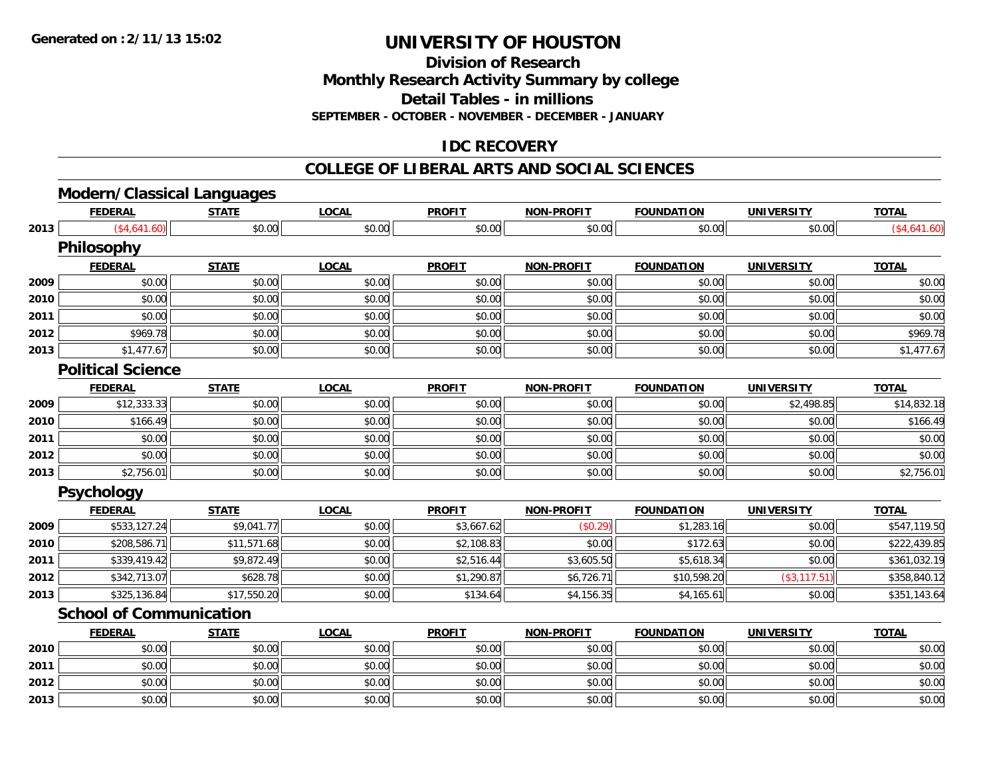**Division of Research**

**Monthly Research Activity Summary by college**

**Detail Tables - in millions**

**SEPTEMBER - OCTOBER - NOVEMBER - DECEMBER - JANUARY**

## **IDC RECOVERY**

#### **COLLEGE OF LIBERAL ARTS AND SOCIAL SCIENCES**

# **Modern/Classical Languages**

|      | <b>FEDERAL</b>                 | <b>STATE</b> | <b>LOCAL</b> | <b>PROFIT</b> | <b>NON-PROFIT</b> | <b>FOUNDATION</b> | <b>UNIVERSITY</b> | <b>TOTAL</b> |
|------|--------------------------------|--------------|--------------|---------------|-------------------|-------------------|-------------------|--------------|
| 2013 | (\$4,641.60)                   | \$0.00       | \$0.00       | \$0.00        | \$0.00            | \$0.00            | \$0.00            | (\$4,641.60) |
|      | <b>Philosophy</b>              |              |              |               |                   |                   |                   |              |
|      | <b>FEDERAL</b>                 | <b>STATE</b> | <b>LOCAL</b> | <b>PROFIT</b> | <b>NON-PROFIT</b> | <b>FOUNDATION</b> | <b>UNIVERSITY</b> | <b>TOTAL</b> |
| 2009 | \$0.00                         | \$0.00       | \$0.00       | \$0.00        | \$0.00            | \$0.00            | \$0.00            | \$0.00       |
| 2010 | \$0.00                         | \$0.00       | \$0.00       | \$0.00        | \$0.00            | \$0.00            | \$0.00            | \$0.00       |
| 2011 | \$0.00                         | \$0.00       | \$0.00       | \$0.00        | \$0.00            | \$0.00            | \$0.00            | \$0.00       |
| 2012 | \$969.78                       | \$0.00       | \$0.00       | \$0.00        | \$0.00            | \$0.00            | \$0.00            | \$969.78     |
| 2013 | \$1,477.67                     | \$0.00       | \$0.00       | \$0.00        | \$0.00            | \$0.00            | \$0.00            | \$1,477.67   |
|      | <b>Political Science</b>       |              |              |               |                   |                   |                   |              |
|      | <b>FEDERAL</b>                 | <b>STATE</b> | <b>LOCAL</b> | <b>PROFIT</b> | <b>NON-PROFIT</b> | <b>FOUNDATION</b> | <b>UNIVERSITY</b> | <b>TOTAL</b> |
| 2009 | \$12,333.33                    | \$0.00       | \$0.00       | \$0.00        | \$0.00            | \$0.00            | \$2,498.85        | \$14,832.18  |
| 2010 | \$166.49                       | \$0.00       | \$0.00       | \$0.00        | \$0.00            | \$0.00            | \$0.00            | \$166.49     |
| 2011 | \$0.00                         | \$0.00       | \$0.00       | \$0.00        | \$0.00            | \$0.00            | \$0.00            | \$0.00       |
| 2012 | \$0.00                         | \$0.00       | \$0.00       | \$0.00        | \$0.00            | \$0.00            | \$0.00            | \$0.00       |
| 2013 | \$2,756.01                     | \$0.00       | \$0.00       | \$0.00        | \$0.00            | \$0.00            | \$0.00            | \$2,756.01   |
|      | <b>Psychology</b>              |              |              |               |                   |                   |                   |              |
|      | <b>FEDERAL</b>                 | <b>STATE</b> | <b>LOCAL</b> | <b>PROFIT</b> | <b>NON-PROFIT</b> | <b>FOUNDATION</b> | <b>UNIVERSITY</b> | <b>TOTAL</b> |
| 2009 | \$533,127.24                   | \$9,041.77   | \$0.00       | \$3,667.62    | (\$0.29)          | \$1,283.16        | \$0.00            | \$547,119.50 |
| 2010 | \$208,586.71                   | \$11,571.68  | \$0.00       | \$2,108.83    | \$0.00            | \$172.63          | \$0.00            | \$222,439.85 |
| 2011 | \$339,419.42                   | \$9,872.49   | \$0.00       | \$2,516.44    | \$3,605.50        | \$5,618.34        | \$0.00            | \$361,032.19 |
| 2012 | \$342,713.07                   | \$628.78     | \$0.00       | \$1,290.87    | \$6,726.71        | \$10,598.20       | (\$3, 117.51)     | \$358,840.12 |
| 2013 | \$325,136.84                   | \$17,550.20  | \$0.00       | \$134.64      | \$4,156.35        | \$4,165.61        | \$0.00            | \$351,143.64 |
|      | <b>School of Communication</b> |              |              |               |                   |                   |                   |              |
|      | <b>FEDERAL</b>                 | <b>STATE</b> | <b>LOCAL</b> | <b>PROFIT</b> | <b>NON-PROFIT</b> | <b>FOUNDATION</b> | <b>UNIVERSITY</b> | <b>TOTAL</b> |
| 2010 | \$0.00                         | \$0.00       | \$0.00       | \$0.00        | \$0.00            | \$0.00            | \$0.00            | \$0.00       |
| 2011 | \$0.00                         | \$0.00       | \$0.00       | \$0.00        | \$0.00            | \$0.00            | \$0.00            | \$0.00       |
| 2012 | \$0.00                         | \$0.00       | \$0.00       | \$0.00        | \$0.00            | \$0.00            | \$0.00            | \$0.00       |
| 2013 | \$0.00                         | \$0.00       | \$0.00       | \$0.00        | \$0.00            | \$0.00            | \$0.00            | \$0.00       |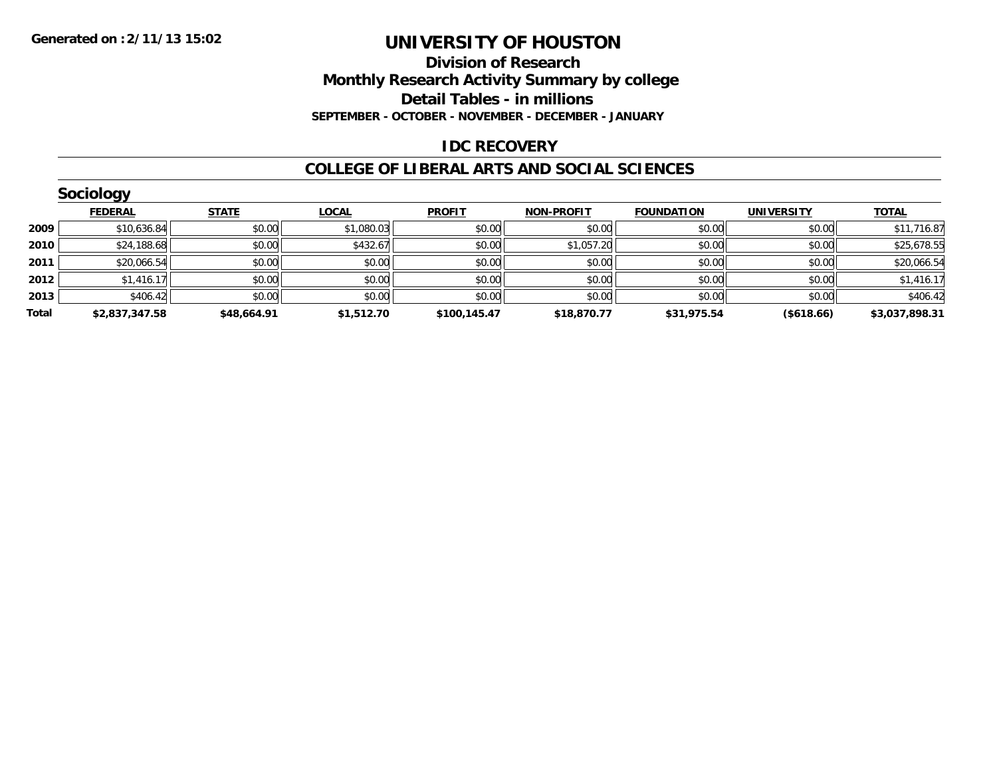### **Division of Research Monthly Research Activity Summary by college Detail Tables - in millions SEPTEMBER - OCTOBER - NOVEMBER - DECEMBER - JANUARY**

### **IDC RECOVERY**

#### **COLLEGE OF LIBERAL ARTS AND SOCIAL SCIENCES**

|       | <b>Sociology</b> |              |              |               |                   |                   |                   |                |
|-------|------------------|--------------|--------------|---------------|-------------------|-------------------|-------------------|----------------|
|       | <b>FEDERAL</b>   | <b>STATE</b> | <b>LOCAL</b> | <b>PROFIT</b> | <b>NON-PROFIT</b> | <b>FOUNDATION</b> | <b>UNIVERSITY</b> | <b>TOTAL</b>   |
| 2009  | \$10,636.84      | \$0.00       | \$1,080.03   | \$0.00        | \$0.00            | \$0.00            | \$0.00            | \$11,716.87    |
| 2010  | \$24,188.68      | \$0.00       | \$432.67     | \$0.00        | \$1,057.20        | \$0.00            | \$0.00            | \$25,678.55    |
| 2011  | \$20,066.54      | \$0.00       | \$0.00       | \$0.00        | \$0.00            | \$0.00            | \$0.00            | \$20,066.54    |
| 2012  | \$1,416.17       | \$0.00       | \$0.00       | \$0.00        | \$0.00            | \$0.00            | \$0.00            | \$1,416.17     |
| 2013  | \$406.42         | \$0.00       | \$0.00       | \$0.00        | \$0.00            | \$0.00            | \$0.00            | \$406.42       |
| Total | \$2,837,347.58   | \$48,664.91  | \$1,512.70   | \$100,145.47  | \$18,870.77       | \$31,975.54       | (\$618.66)        | \$3,037,898.31 |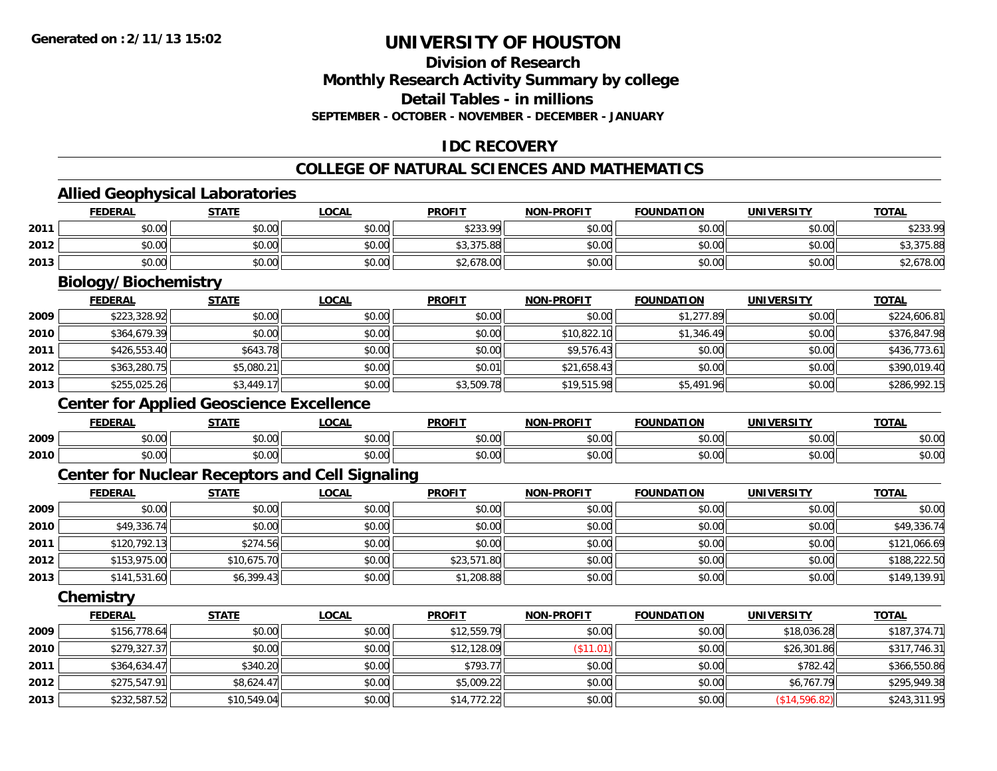## **Division of ResearchMonthly Research Activity Summary by college Detail Tables - in millions**

**SEPTEMBER - OCTOBER - NOVEMBER - DECEMBER - JANUARY**

## **IDC RECOVERY**

### **COLLEGE OF NATURAL SCIENCES AND MATHEMATICS**

## **Allied Geophysical Laboratories**

|      | <b>FEDERAL</b>                                         | <b>STATE</b> | <b>LOCAL</b> | <b>PROFIT</b> | <b>NON-PROFIT</b> | <b>FOUNDATION</b> | <b>UNIVERSITY</b> | <b>TOTAL</b> |
|------|--------------------------------------------------------|--------------|--------------|---------------|-------------------|-------------------|-------------------|--------------|
| 2011 | \$0.00                                                 | \$0.00       | \$0.00       | \$233.99      | \$0.00            | \$0.00            | \$0.00            | \$233.99     |
| 2012 | \$0.00                                                 | \$0.00       | \$0.00       | \$3,375.88    | \$0.00            | \$0.00            | \$0.00            | \$3,375.88   |
| 2013 | \$0.00                                                 | \$0.00       | \$0.00       | \$2,678.00    | \$0.00            | \$0.00            | \$0.00            | \$2,678.00   |
|      | <b>Biology/Biochemistry</b>                            |              |              |               |                   |                   |                   |              |
|      | <b>FEDERAL</b>                                         | <b>STATE</b> | <b>LOCAL</b> | <b>PROFIT</b> | <b>NON-PROFIT</b> | <b>FOUNDATION</b> | <b>UNIVERSITY</b> | <b>TOTAL</b> |
| 2009 | \$223,328.92                                           | \$0.00       | \$0.00       | \$0.00        | \$0.00            | \$1,277.89        | \$0.00            | \$224,606.81 |
| 2010 | \$364,679.39                                           | \$0.00       | \$0.00       | \$0.00        | \$10,822.10       | \$1,346.49        | \$0.00            | \$376,847.98 |
| 2011 | \$426,553.40                                           | \$643.78     | \$0.00       | \$0.00        | \$9,576.43        | \$0.00            | \$0.00            | \$436,773.61 |
| 2012 | \$363,280.75                                           | \$5,080.21   | \$0.00       | \$0.01        | \$21,658.43       | \$0.00            | \$0.00            | \$390,019.40 |
| 2013 | \$255,025.26                                           | \$3,449.17   | \$0.00       | \$3,509.78    | \$19,515.98       | \$5,491.96        | \$0.00            | \$286,992.15 |
|      | <b>Center for Applied Geoscience Excellence</b>        |              |              |               |                   |                   |                   |              |
|      | <b>FEDERAL</b>                                         | <b>STATE</b> | <b>LOCAL</b> | <b>PROFIT</b> | <b>NON-PROFIT</b> | <b>FOUNDATION</b> | <b>UNIVERSITY</b> | <b>TOTAL</b> |
| 2009 | \$0.00                                                 | \$0.00       | \$0.00       | \$0.00        | \$0.00            | \$0.00            | \$0.00            | \$0.00       |
| 2010 | \$0.00                                                 | \$0.00       | \$0.00       | \$0.00        | \$0.00            | \$0.00            | \$0.00            | \$0.00       |
|      | <b>Center for Nuclear Receptors and Cell Signaling</b> |              |              |               |                   |                   |                   |              |
|      | <b>FEDERAL</b>                                         | <b>STATE</b> | <b>LOCAL</b> | <b>PROFIT</b> | <b>NON-PROFIT</b> | <b>FOUNDATION</b> | <b>UNIVERSITY</b> | <b>TOTAL</b> |
| 2009 | \$0.00                                                 | \$0.00       | \$0.00       | \$0.00        | \$0.00            | \$0.00            | \$0.00            | \$0.00       |
| 2010 | \$49,336.74                                            | \$0.00       | \$0.00       | \$0.00        | \$0.00            | \$0.00            | \$0.00            | \$49,336.74  |
| 2011 | \$120,792.13                                           | \$274.56     | \$0.00       | \$0.00        | \$0.00            | \$0.00            | \$0.00            | \$121,066.69 |
| 2012 | \$153,975.00                                           | \$10,675.70  | \$0.00       | \$23,571.80   | \$0.00            | \$0.00            | \$0.00            | \$188,222.50 |
| 2013 | \$141,531.60                                           | \$6,399.43   | \$0.00       | \$1,208.88    | \$0.00            | \$0.00            | \$0.00            | \$149,139.91 |
|      | Chemistry                                              |              |              |               |                   |                   |                   |              |
|      | <b>FEDERAL</b>                                         | <b>STATE</b> | <b>LOCAL</b> | <b>PROFIT</b> | <b>NON-PROFIT</b> | <b>FOUNDATION</b> | <b>UNIVERSITY</b> | <b>TOTAL</b> |
| 2009 | \$156,778.64                                           | \$0.00       | \$0.00       | \$12,559.79   | \$0.00            | \$0.00            | \$18,036.28       | \$187,374.71 |
| 2010 | \$279,327.37                                           | \$0.00       | \$0.00       | \$12,128.09   | (\$11.01)         | \$0.00            | \$26,301.86       | \$317,746.31 |
| 2011 | \$364,634.47                                           | \$340.20     | \$0.00       | \$793.77      | \$0.00            | \$0.00            | \$782.42          | \$366,550.86 |
| 2012 | \$275,547.91                                           | \$8,624.47   | \$0.00       | \$5,009.22    | \$0.00            | \$0.00            | \$6,767.79        | \$295,949.38 |
| 2013 | \$232,587.52                                           | \$10,549.04  | \$0.00       | \$14,772.22   | \$0.00            | \$0.00            | (\$14,596.82)     | \$243,311.95 |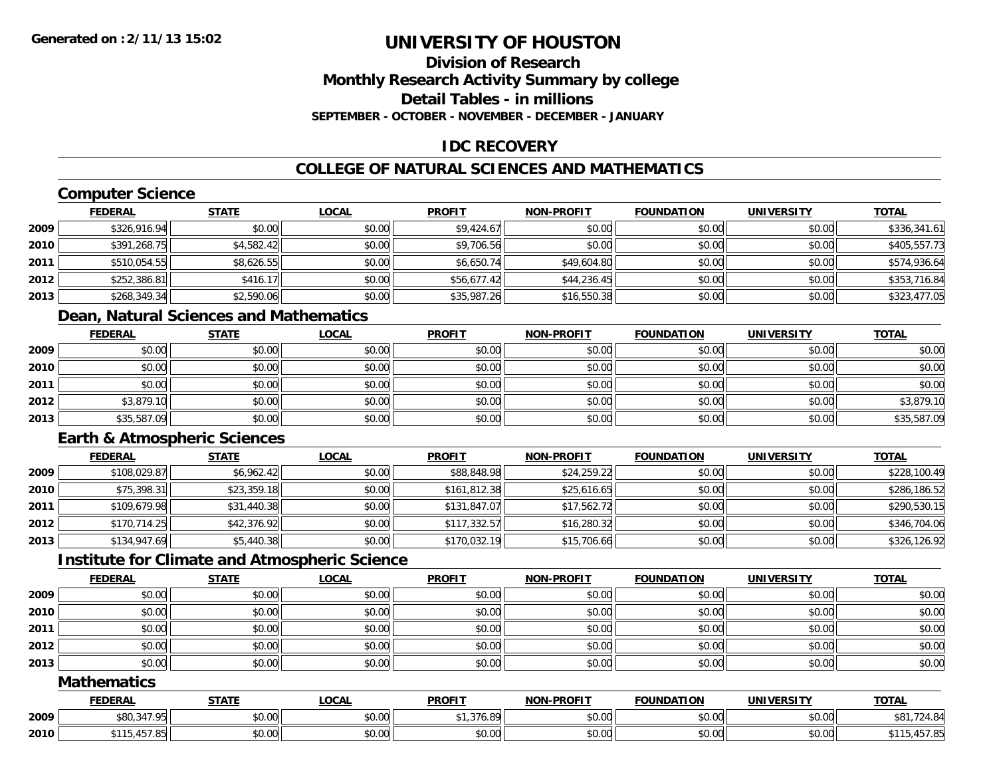## **Division of ResearchMonthly Research Activity Summary by college Detail Tables - in millionsSEPTEMBER - OCTOBER - NOVEMBER - DECEMBER - JANUARY**

## **IDC RECOVERY**

## **COLLEGE OF NATURAL SCIENCES AND MATHEMATICS**

## **Computer Science**

|      | <b>FEDERAL</b> | <b>STATE</b> | <b>LOCAL</b> | <b>PROFIT</b> | <b>NON-PROFIT</b> | <b>FOUNDATION</b> | <b>UNIVERSITY</b> | <b>TOTAL</b> |
|------|----------------|--------------|--------------|---------------|-------------------|-------------------|-------------------|--------------|
| 2009 | \$326,916.94   | \$0.00       | \$0.00       | \$9,424.67    | \$0.00            | \$0.00            | \$0.00            | \$336,341.61 |
| 2010 | \$391,268.75   | \$4,582.42   | \$0.00       | \$9,706.56    | \$0.00            | \$0.00            | \$0.00            | \$405,557.73 |
| 2011 | \$510,054.55   | \$8,626.55   | \$0.00       | \$6,650.74    | \$49,604.80       | \$0.00            | \$0.00            | \$574,936.64 |
| 2012 | \$252,386.81   | \$416.17     | \$0.00       | \$56,677.42   | \$44,236.45       | \$0.00            | \$0.00            | \$353,716.84 |
| 2013 | \$268,349.34   | \$2,590.06   | \$0.00       | \$35,987.26   | \$16,550.38       | \$0.00            | \$0.00            | \$323,477.05 |

## **Dean, Natural Sciences and Mathematics**

|      | <u>FEDERAL</u> | <b>STATE</b> | <b>LOCAL</b> | <b>PROFIT</b> | <b>NON-PROFIT</b> | <b>FOUNDATION</b> | <b>UNIVERSITY</b> | <b>TOTAL</b> |
|------|----------------|--------------|--------------|---------------|-------------------|-------------------|-------------------|--------------|
| 2009 | \$0.00         | \$0.00       | \$0.00       | \$0.00        | \$0.00            | \$0.00            | \$0.00            | \$0.00       |
| 2010 | \$0.00         | \$0.00       | \$0.00       | \$0.00        | \$0.00            | \$0.00            | \$0.00            | \$0.00       |
| 2011 | \$0.00         | \$0.00       | \$0.00       | \$0.00        | \$0.00            | \$0.00            | \$0.00            | \$0.00       |
| 2012 | \$3,879.10     | \$0.00       | \$0.00       | \$0.00        | \$0.00            | \$0.00            | \$0.00            | \$3,879.10   |
| 2013 | \$35,587.09    | \$0.00       | \$0.00       | \$0.00        | \$0.00            | \$0.00            | \$0.00            | \$35,587.09  |

## **Earth & Atmospheric Sciences**

|      | <b>FEDERAL</b> | <b>STATE</b> | <u>LOCAL</u> | <b>PROFIT</b> | <b>NON-PROFIT</b> | <b>FOUNDATION</b> | <b>UNIVERSITY</b> | <b>TOTAL</b> |
|------|----------------|--------------|--------------|---------------|-------------------|-------------------|-------------------|--------------|
| 2009 | \$108,029.87   | \$6,962.42   | \$0.00       | \$88,848.98   | \$24,259.22       | \$0.00            | \$0.00            | \$228,100.49 |
| 2010 | \$75,398.31    | \$23,359.18  | \$0.00       | \$161,812.38  | \$25,616.65       | \$0.00            | \$0.00            | \$286,186.52 |
| 2011 | \$109,679.98   | \$31,440.38  | \$0.00       | \$131,847.07  | \$17,562.72       | \$0.00            | \$0.00            | \$290,530.15 |
| 2012 | \$170.714.25   | \$42,376.92  | \$0.00       | \$117.332.57  | \$16,280.32       | \$0.00            | \$0.00            | \$346,704.06 |
| 2013 | \$134,947.69   | \$5,440.38   | \$0.00       | \$170,032.19  | \$15,706.66       | \$0.00            | \$0.00            | \$326,126.92 |

## **Institute for Climate and Atmospheric Science**

|      | <u>FEDERAL</u> | <b>STATE</b> | <u>LOCAL</u> | <b>PROFIT</b> | <b>NON-PROFIT</b> | <b>FOUNDATION</b> | <b>UNIVERSITY</b> | <b>TOTAL</b> |
|------|----------------|--------------|--------------|---------------|-------------------|-------------------|-------------------|--------------|
| 2009 | \$0.00         | \$0.00       | \$0.00       | \$0.00        | \$0.00            | \$0.00            | \$0.00            | \$0.00       |
| 2010 | \$0.00         | \$0.00       | \$0.00       | \$0.00        | \$0.00            | \$0.00            | \$0.00            | \$0.00       |
| 2011 | \$0.00         | \$0.00       | \$0.00       | \$0.00        | \$0.00            | \$0.00            | \$0.00            | \$0.00       |
| 2012 | \$0.00         | \$0.00       | \$0.00       | \$0.00        | \$0.00            | \$0.00            | \$0.00            | \$0.00       |
| 2013 | \$0.00         | \$0.00       | \$0.00       | \$0.00        | \$0.00            | \$0.00            | \$0.00            | \$0.00       |

### **Mathematics**

|      | <b>FEDERAL</b>       | <b>STATE</b>                  | .OCAI          | <b>PROFIT</b>                                          | <b>-PROFIT</b><br><b>NON</b> | .<br><b>FOUNDAT</b> | <b>IINIVERSIT</b>      | <b>TOTAL</b> |
|------|----------------------|-------------------------------|----------------|--------------------------------------------------------|------------------------------|---------------------|------------------------|--------------|
| 2009 | 0.470<br><b>ሐሰሰ</b>  | 0000<br>10.U                  | ሶስ ስስ<br>DU.UU | $\sim$ $\sim$ $\sim$<br>90<br>$\overline{\phantom{a}}$ | \$0.00                       | 0000<br>JU.UU       | $\sim$ $\sim$<br>vv.vv |              |
| 2010 | 1570<br>.<br>.437.03 | ሖ へ<br>$\sim$ $\sim$<br>JU.UU | ሶስ ስስ<br>JU.UU | \$0.00                                                 | \$0.00                       | 0000<br>JU.UU       | \$0.00                 | 47.0<br>,,,, |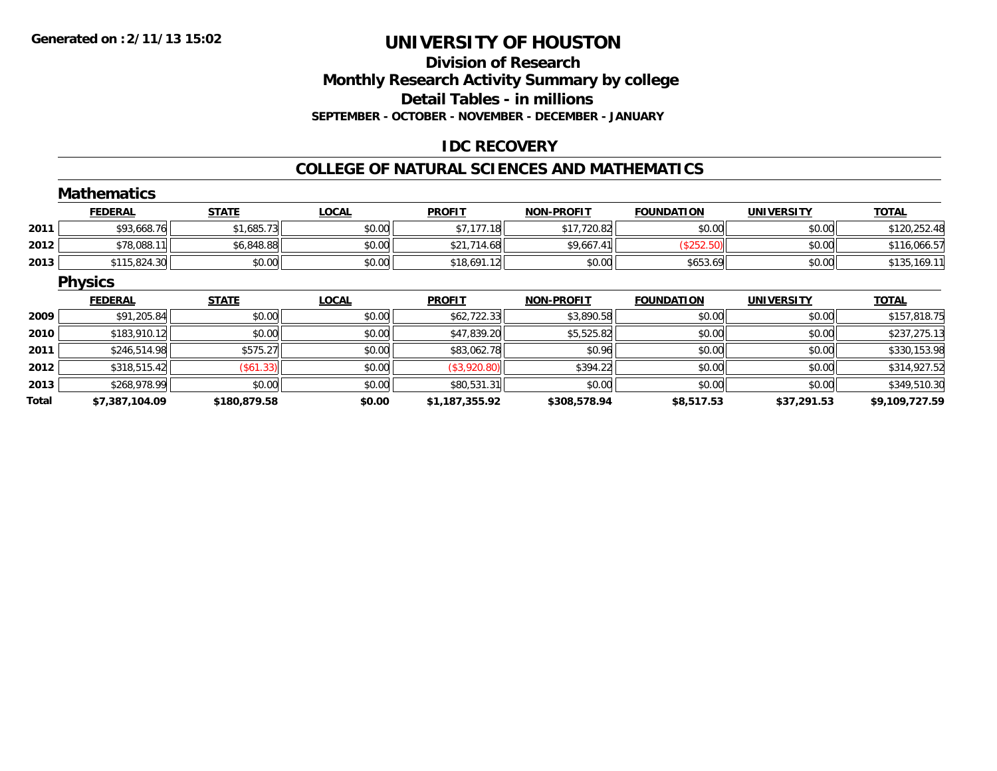#### **Division of ResearchMonthly Research Activity Summary by college Detail Tables - in millions SEPTEMBER - OCTOBER - NOVEMBER - DECEMBER - JANUARY**

#### **IDC RECOVERY**

#### **COLLEGE OF NATURAL SCIENCES AND MATHEMATICS**

|       | <b>Mathematics</b> |              |              |                |                   |                   |                   |                |
|-------|--------------------|--------------|--------------|----------------|-------------------|-------------------|-------------------|----------------|
|       | <b>FEDERAL</b>     | <b>STATE</b> | <b>LOCAL</b> | <b>PROFIT</b>  | <b>NON-PROFIT</b> | <b>FOUNDATION</b> | <b>UNIVERSITY</b> | <b>TOTAL</b>   |
| 2011  | \$93,668.76        | \$1,685.73   | \$0.00       | \$7,177.18     | \$17,720.82       | \$0.00            | \$0.00            | \$120,252.48   |
| 2012  | \$78,088.11        | \$6,848.88   | \$0.00       | \$21,714.68    | \$9,667.41        | (\$252.50)        | \$0.00            | \$116,066.57   |
| 2013  | \$115,824.30       | \$0.00       | \$0.00       | \$18,691.12    | \$0.00            | \$653.69          | \$0.00            | \$135,169.11   |
|       | <b>Physics</b>     |              |              |                |                   |                   |                   |                |
|       | <b>FEDERAL</b>     | <b>STATE</b> | <b>LOCAL</b> | <b>PROFIT</b>  | <b>NON-PROFIT</b> | <b>FOUNDATION</b> | <b>UNIVERSITY</b> | <b>TOTAL</b>   |
| 2009  | \$91,205.84        | \$0.00       | \$0.00       | \$62,722.33    | \$3,890.58        | \$0.00            | \$0.00            | \$157,818.75   |
| 2010  | \$183,910.12       | \$0.00       | \$0.00       | \$47,839.20    | \$5,525.82        | \$0.00            | \$0.00            | \$237,275.13   |
| 2011  | \$246,514.98       | \$575.27     | \$0.00       | \$83,062.78    | \$0.96            | \$0.00            | \$0.00            | \$330,153.98   |
| 2012  | \$318,515.42       | (\$61.33)    | \$0.00       | (\$3,920.80)   | \$394.22          | \$0.00            | \$0.00            | \$314,927.52   |
| 2013  | \$268,978.99       | \$0.00       | \$0.00       | \$80,531.31    | \$0.00            | \$0.00            | \$0.00            | \$349,510.30   |
| Total | \$7,387,104.09     | \$180,879.58 | \$0.00       | \$1,187,355.92 | \$308,578.94      | \$8,517.53        | \$37,291.53       | \$9,109,727.59 |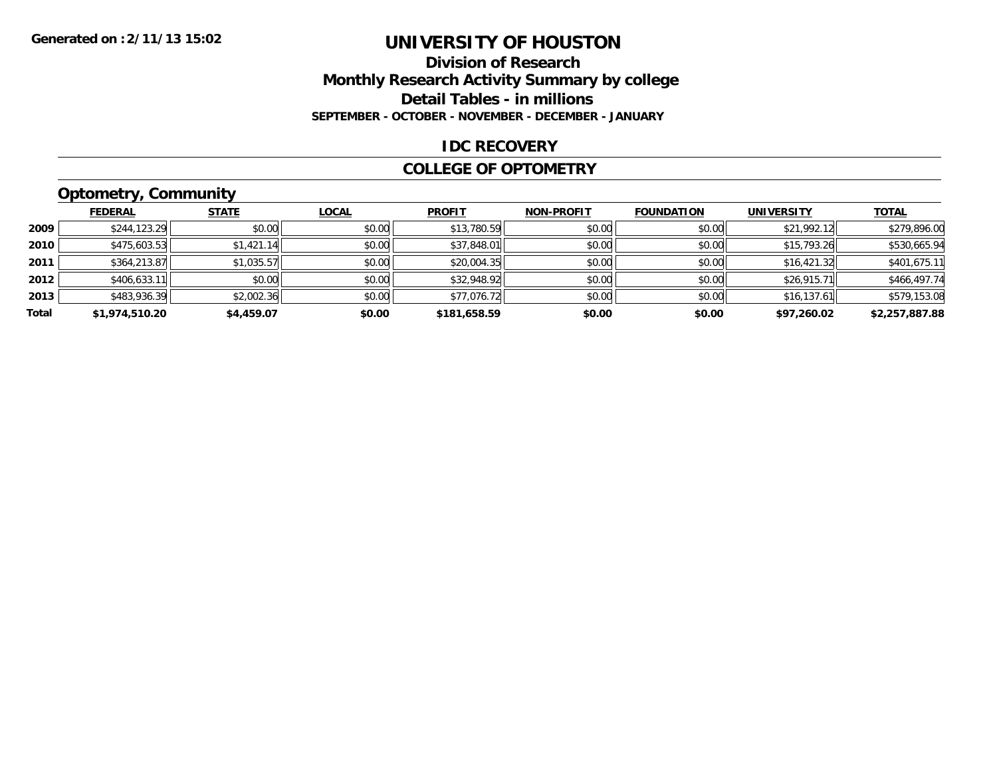#### **Division of Research Monthly Research Activity Summary by college Detail Tables - in millions SEPTEMBER - OCTOBER - NOVEMBER - DECEMBER - JANUARY**

#### **IDC RECOVERY**

#### **COLLEGE OF OPTOMETRY**

### **Optometry, Community**

|       | .              |              |              |               |                   |                   |                   |                |
|-------|----------------|--------------|--------------|---------------|-------------------|-------------------|-------------------|----------------|
|       | <b>FEDERAL</b> | <b>STATE</b> | <b>LOCAL</b> | <b>PROFIT</b> | <b>NON-PROFIT</b> | <b>FOUNDATION</b> | <b>UNIVERSITY</b> | <b>TOTAL</b>   |
| 2009  | \$244,123.29   | \$0.00       | \$0.00       | \$13,780.59   | \$0.00            | \$0.00            | \$21,992.12       | \$279,896.00   |
| 2010  | \$475,603.53   | \$1,421.14   | \$0.00       | \$37,848.01   | \$0.00            | \$0.00            | \$15,793.26       | \$530,665.94   |
| 2011  | \$364,213.87   | \$1,035.57   | \$0.00       | \$20,004.35   | \$0.00            | \$0.00            | \$16,421.32       | \$401,675.11   |
| 2012  | \$406,633.11   | \$0.00       | \$0.00       | \$32,948.92   | \$0.00            | \$0.00            | \$26,915.71       | \$466,497.74   |
| 2013  | \$483,936.39   | \$2,002.36   | \$0.00       | \$77,076.72   | \$0.00            | \$0.00            | \$16,137.61       | \$579,153.08   |
| Total | \$1,974,510.20 | \$4,459.07   | \$0.00       | \$181,658.59  | \$0.00            | \$0.00            | \$97,260.02       | \$2,257,887.88 |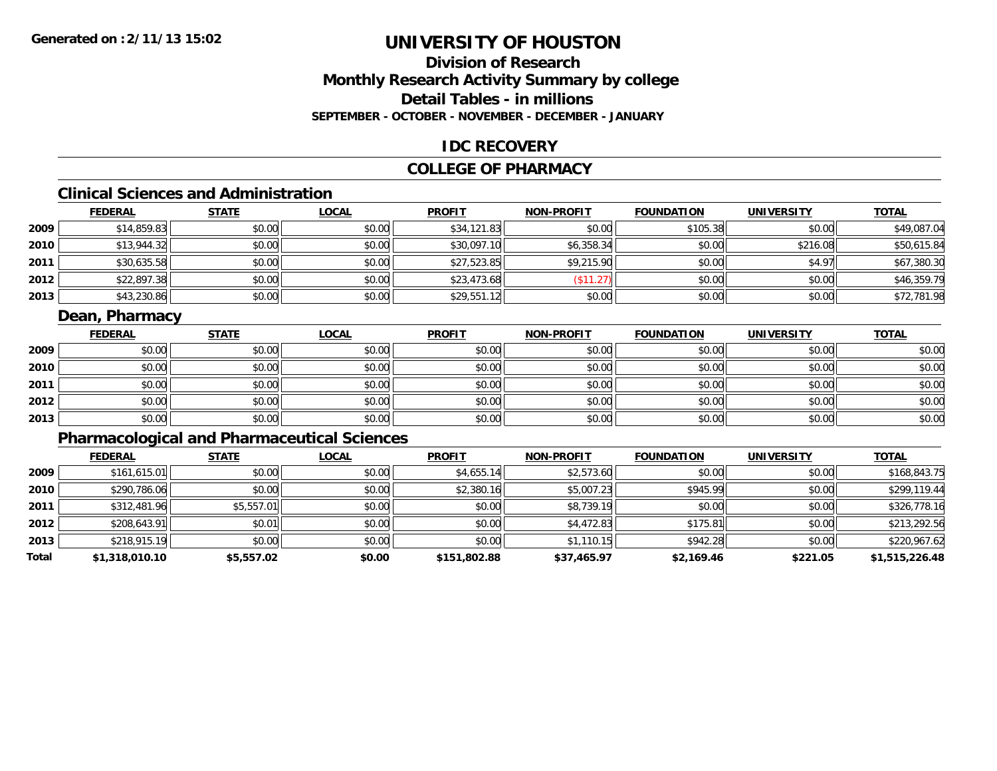#### **Division of ResearchMonthly Research Activity Summary by college Detail Tables - in millionsSEPTEMBER - OCTOBER - NOVEMBER - DECEMBER - JANUARY**

#### **IDC RECOVERY**

#### **COLLEGE OF PHARMACY**

# **Clinical Sciences and Administration**

|      | <b>FEDERAL</b> | <b>STATE</b> | <b>LOCAL</b> | <b>PROFIT</b> | <b>NON-PROFIT</b> | <b>FOUNDATION</b> | <b>UNIVERSITY</b> | <b>TOTAL</b> |
|------|----------------|--------------|--------------|---------------|-------------------|-------------------|-------------------|--------------|
| 2009 | \$14,859.83    | \$0.00       | \$0.00       | \$34,121.83   | \$0.00            | \$105.38          | \$0.00            | \$49,087.04  |
| 2010 | \$13,944.32    | \$0.00       | \$0.00       | \$30,097.10   | \$6,358.34        | \$0.00            | \$216.08          | \$50,615.84  |
| 2011 | \$30,635.58    | \$0.00       | \$0.00       | \$27,523.85   | \$9,215.90        | \$0.00            | \$4.97            | \$67,380.30  |
| 2012 | \$22,897.38    | \$0.00       | \$0.00       | \$23,473.68   | 2.071<br>ن کے ا   | \$0.00            | \$0.00            | \$46,359.79  |
| 2013 | \$43,230.86    | \$0.00       | \$0.00       | \$29,551.12   | \$0.00            | \$0.00            | \$0.00            | \$72,781.98  |

#### **Dean, Pharmacy**

|      | <b>FEDERAL</b> | <b>STATE</b> | <u>LOCAL</u> | <b>PROFIT</b> | <b>NON-PROFIT</b> | <b>FOUNDATION</b> | <b>UNIVERSITY</b> | <b>TOTAL</b> |
|------|----------------|--------------|--------------|---------------|-------------------|-------------------|-------------------|--------------|
| 2009 | \$0.00         | \$0.00       | \$0.00       | \$0.00        | \$0.00            | \$0.00            | \$0.00            | \$0.00       |
| 2010 | \$0.00         | \$0.00       | \$0.00       | \$0.00        | \$0.00            | \$0.00            | \$0.00            | \$0.00       |
| 2011 | \$0.00         | \$0.00       | \$0.00       | \$0.00        | \$0.00            | \$0.00            | \$0.00            | \$0.00       |
| 2012 | \$0.00         | \$0.00       | \$0.00       | \$0.00        | \$0.00            | \$0.00            | \$0.00            | \$0.00       |
| 2013 | \$0.00         | \$0.00       | \$0.00       | \$0.00        | \$0.00            | \$0.00            | \$0.00            | \$0.00       |

#### **Pharmacological and Pharmaceutical Sciences**

|       | <b>FEDERAL</b> | <b>STATE</b> | <b>LOCAL</b> | <b>PROFIT</b> | <b>NON-PROFIT</b> | <b>FOUNDATION</b> | <b>UNIVERSITY</b> | <u>TOTAL</u>   |
|-------|----------------|--------------|--------------|---------------|-------------------|-------------------|-------------------|----------------|
| 2009  | \$161,615.01   | \$0.00       | \$0.00       | \$4,655.14    | \$2,573.60        | \$0.00            | \$0.00            | \$168,843.75   |
| 2010  | \$290,786.06   | \$0.00       | \$0.00       | \$2,380.16    | \$5,007.23        | \$945.99          | \$0.00            | \$299,119.44   |
| 2011  | \$312,481.96   | \$5,557.01   | \$0.00       | \$0.00        | \$8,739.19        | \$0.00            | \$0.00            | \$326,778.16   |
| 2012  | \$208,643.91   | \$0.01       | \$0.00       | \$0.00        | \$4,472.83        | \$175.81          | \$0.00            | \$213,292.56   |
| 2013  | \$218,915.19   | \$0.00       | \$0.00       | \$0.00        | \$1,110.15        | \$942.28          | \$0.00            | \$220,967.62   |
| Total | \$1,318,010.10 | \$5,557.02   | \$0.00       | \$151,802.88  | \$37,465.97       | \$2,169.46        | \$221.05          | \$1,515,226.48 |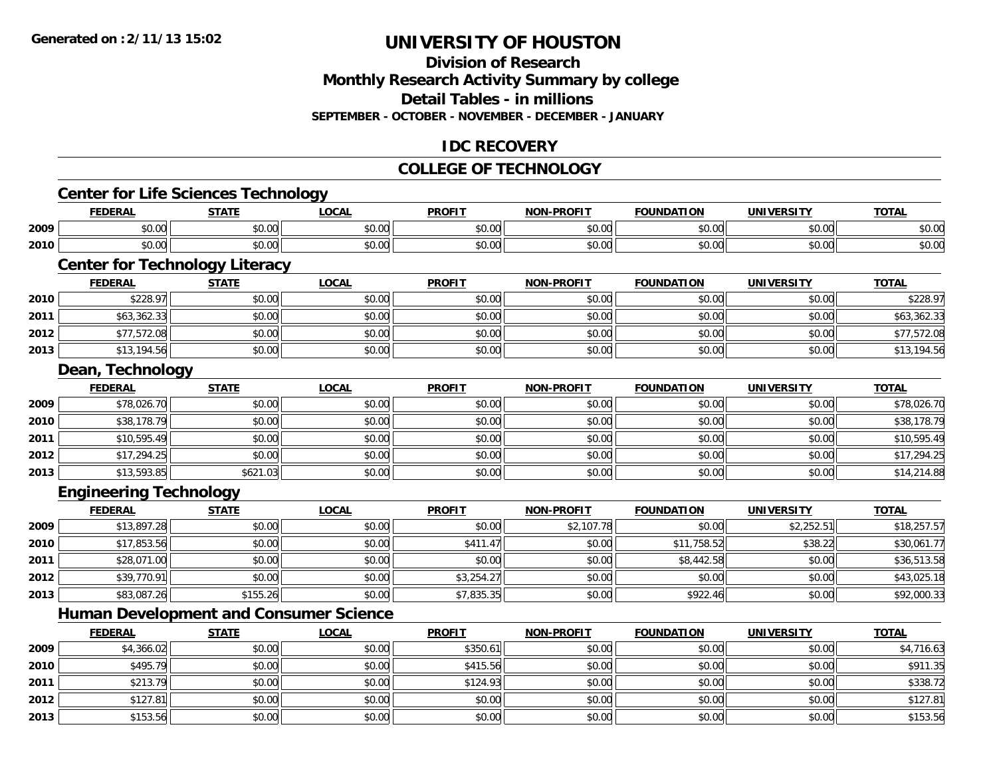**2013**

# **UNIVERSITY OF HOUSTON**

#### **Division of ResearchMonthly Research Activity Summary by college Detail Tables - in millions SEPTEMBER - OCTOBER - NOVEMBER - DECEMBER - JANUARY**

#### **IDC RECOVERY**

#### **COLLEGE OF TECHNOLOGY**

|      | <b>Center for Life Sciences Technology</b>    |              |              |               |                   |                   |                   |              |
|------|-----------------------------------------------|--------------|--------------|---------------|-------------------|-------------------|-------------------|--------------|
|      | <b>FEDERAL</b>                                | <b>STATE</b> | <b>LOCAL</b> | <b>PROFIT</b> | <b>NON-PROFIT</b> | <b>FOUNDATION</b> | <b>UNIVERSITY</b> | <b>TOTAL</b> |
| 2009 | \$0.00                                        | \$0.00       | \$0.00       | \$0.00        | \$0.00            | \$0.00            | \$0.00            | \$0.00       |
| 2010 | \$0.00                                        | \$0.00       | \$0.00       | \$0.00        | \$0.00            | \$0.00            | \$0.00            | \$0.00       |
|      | <b>Center for Technology Literacy</b>         |              |              |               |                   |                   |                   |              |
|      | <b>FEDERAL</b>                                | <b>STATE</b> | <b>LOCAL</b> | <b>PROFIT</b> | <b>NON-PROFIT</b> | <b>FOUNDATION</b> | <b>UNIVERSITY</b> | <b>TOTAL</b> |
| 2010 | \$228.97                                      | \$0.00       | \$0.00       | \$0.00        | \$0.00            | \$0.00            | \$0.00            | \$228.97     |
| 2011 | \$63,362.33                                   | \$0.00       | \$0.00       | \$0.00        | \$0.00            | \$0.00            | \$0.00            | \$63,362.33  |
| 2012 | \$77,572.08                                   | \$0.00       | \$0.00       | \$0.00        | \$0.00            | \$0.00            | \$0.00            | \$77,572.08  |
| 2013 | \$13,194.56                                   | \$0.00       | \$0.00       | \$0.00        | \$0.00            | \$0.00            | \$0.00            | \$13,194.56  |
|      | Dean, Technology                              |              |              |               |                   |                   |                   |              |
|      | <b>FEDERAL</b>                                | <b>STATE</b> | <b>LOCAL</b> | <b>PROFIT</b> | <b>NON-PROFIT</b> | <b>FOUNDATION</b> | <b>UNIVERSITY</b> | <b>TOTAL</b> |
| 2009 | \$78,026.70                                   | \$0.00       | \$0.00       | \$0.00        | \$0.00            | \$0.00            | \$0.00            | \$78,026.70  |
| 2010 | \$38,178.79                                   | \$0.00       | \$0.00       | \$0.00        | \$0.00            | \$0.00            | \$0.00            | \$38,178.79  |
| 2011 | \$10,595.49                                   | \$0.00       | \$0.00       | \$0.00        | \$0.00            | \$0.00            | \$0.00            | \$10,595.49  |
| 2012 | \$17,294.25                                   | \$0.00       | \$0.00       | \$0.00        | \$0.00            | \$0.00            | \$0.00            | \$17,294.25  |
| 2013 | \$13,593.85                                   | \$621.03     | \$0.00       | \$0.00        | \$0.00            | \$0.00            | \$0.00            | \$14,214.88  |
|      | <b>Engineering Technology</b>                 |              |              |               |                   |                   |                   |              |
|      | <b>FEDERAL</b>                                | <b>STATE</b> | <b>LOCAL</b> | <b>PROFIT</b> | <b>NON-PROFIT</b> | <b>FOUNDATION</b> | <b>UNIVERSITY</b> | <b>TOTAL</b> |
| 2009 | \$13,897.28                                   | \$0.00       | \$0.00       | \$0.00        | \$2,107.78        | \$0.00            | \$2,252.51        | \$18,257.57  |
| 2010 | \$17,853.56                                   | \$0.00       | \$0.00       | \$411.47      | \$0.00            | \$11,758.52       | \$38.22           | \$30,061.77  |
| 2011 | \$28,071.00                                   | \$0.00       | \$0.00       | \$0.00        | \$0.00            | \$8,442.58        | \$0.00            | \$36,513.58  |
| 2012 | \$39,770.91                                   | \$0.00       | \$0.00       | \$3,254.27    | \$0.00            | \$0.00            | \$0.00            | \$43,025.18  |
| 2013 | \$83,087.26                                   | \$155.26     | \$0.00       | \$7,835.35    | \$0.00            | \$922.46          | \$0.00            | \$92,000.33  |
|      | <b>Human Development and Consumer Science</b> |              |              |               |                   |                   |                   |              |
|      | <b>FEDERAL</b>                                | <b>STATE</b> | <b>LOCAL</b> | <b>PROFIT</b> | <b>NON-PROFIT</b> | <b>FOUNDATION</b> | <b>UNIVERSITY</b> | <b>TOTAL</b> |
| 2009 | \$4,366.02                                    | \$0.00       | \$0.00       | \$350.61      | \$0.00            | \$0.00            | \$0.00            | \$4,716.63   |
| 2010 | \$495.79                                      | \$0.00       | \$0.00       | \$415.56      | \$0.00            | \$0.00            | \$0.00            | \$911.35     |
| 2011 | \$213.79                                      | \$0.00       | \$0.00       | \$124.93      | \$0.00            | \$0.00            | \$0.00            | \$338.72     |
| 2012 | \$127.81                                      | \$0.00       | \$0.00       | \$0.00        | \$0.00            | \$0.00            | \$0.00            | \$127.81     |

 $\textbf{3} \hspace{14mm} |\hspace{14mm} \text{$0.00]} \hspace{14mm} \text{$0.5.56}$   $\text{$0.00]} \hspace{14mm} \text{$0.00}$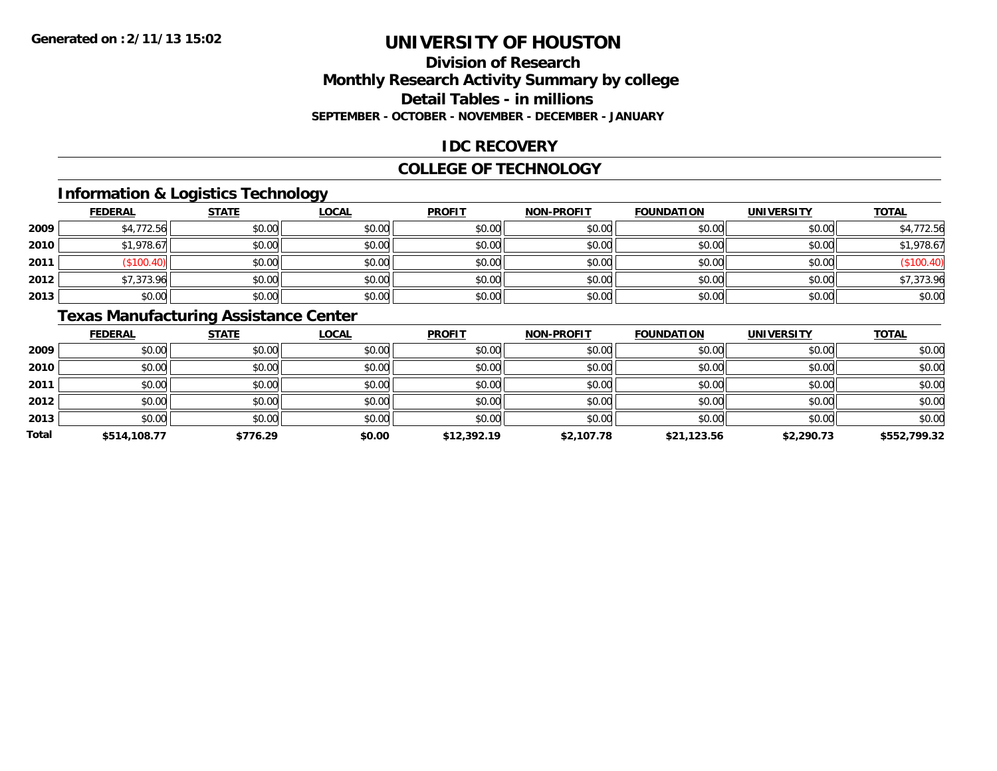#### **Division of ResearchMonthly Research Activity Summary by college Detail Tables - in millions SEPTEMBER - OCTOBER - NOVEMBER - DECEMBER - JANUARY**

#### **IDC RECOVERY**

#### **COLLEGE OF TECHNOLOGY**

#### **Information & Logistics Technology**

|      | <b>FEDERAL</b> | <b>STATE</b> | <u>LOCAL</u> | <b>PROFIT</b> | <b>NON-PROFIT</b> | <b>FOUNDATION</b> | <b>UNIVERSITY</b> | <b>TOTAL</b> |
|------|----------------|--------------|--------------|---------------|-------------------|-------------------|-------------------|--------------|
| 2009 | \$4,772.56     | \$0.00       | \$0.00       | \$0.00        | \$0.00            | \$0.00            | \$0.00            | \$4,772.56   |
| 2010 | \$1,978.67     | \$0.00       | \$0.00       | \$0.00        | \$0.00            | \$0.00            | \$0.00            | \$1,978.67   |
| 2011 | \$100.4        | \$0.00       | \$0.00       | \$0.00        | \$0.00            | \$0.00            | \$0.00            | \$100.40     |
| 2012 | \$7,373.96     | \$0.00       | \$0.00       | \$0.00        | \$0.00            | \$0.00            | \$0.00            | \$7,373.96   |
| 2013 | \$0.00         | \$0.00       | \$0.00       | \$0.00        | \$0.00            | \$0.00            | \$0.00            | \$0.00       |

### **Texas Manufacturing Assistance Center**

|              | <b>FEDERAL</b> | <b>STATE</b> | <b>LOCAL</b> | <b>PROFIT</b> | <b>NON-PROFIT</b> | <b>FOUNDATION</b> | <b>UNIVERSITY</b> | <b>TOTAL</b> |
|--------------|----------------|--------------|--------------|---------------|-------------------|-------------------|-------------------|--------------|
| 2009         | \$0.00         | \$0.00       | \$0.00       | \$0.00        | \$0.00            | \$0.00            | \$0.00            | \$0.00       |
| 2010         | \$0.00         | \$0.00       | \$0.00       | \$0.00        | \$0.00            | \$0.00            | \$0.00            | \$0.00       |
| 2011         | \$0.00         | \$0.00       | \$0.00       | \$0.00        | \$0.00            | \$0.00            | \$0.00            | \$0.00       |
| 2012         | \$0.00         | \$0.00       | \$0.00       | \$0.00        | \$0.00            | \$0.00            | \$0.00            | \$0.00       |
| 2013         | \$0.00         | \$0.00       | \$0.00       | \$0.00        | \$0.00            | \$0.00            | \$0.00            | \$0.00       |
| <b>Total</b> | \$514,108.77   | \$776.29     | \$0.00       | \$12,392.19   | \$2,107.78        | \$21,123.56       | \$2,290.73        | \$552,799.32 |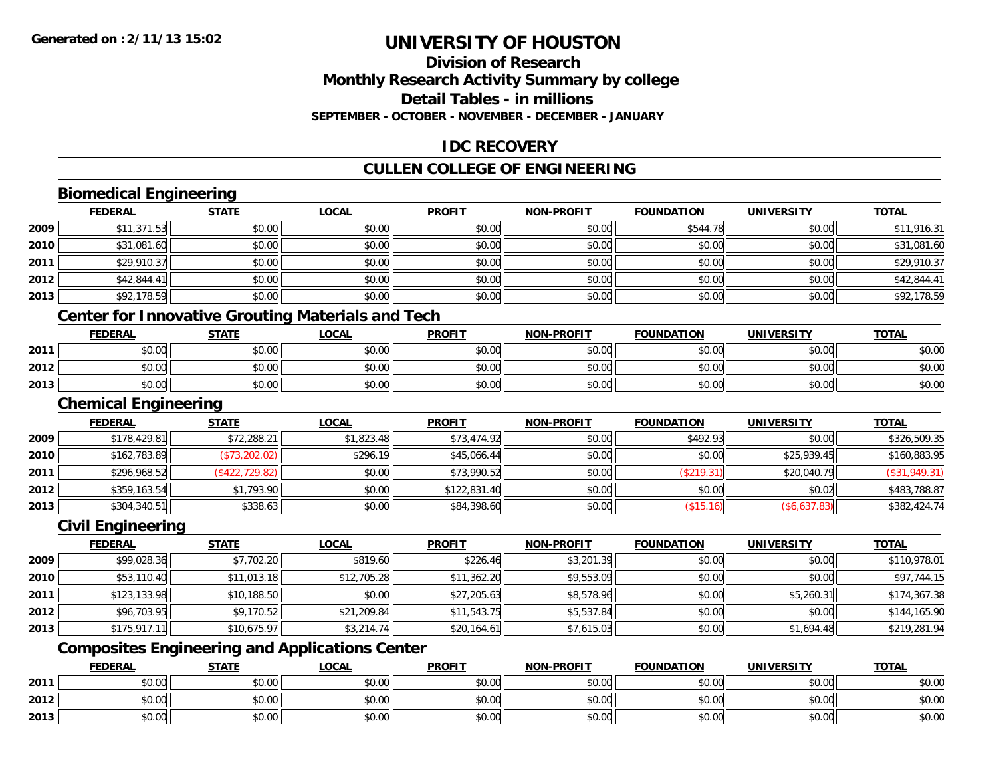#### **Division of ResearchMonthly Research Activity Summary by college Detail Tables - in millionsSEPTEMBER - OCTOBER - NOVEMBER - DECEMBER - JANUARY**

#### **IDC RECOVERY**

#### **CULLEN COLLEGE OF ENGINEERING**

#### **Biomedical Engineering**

|      | <b>FEDERAL</b>              | <b>STATE</b>                                             | <b>LOCAL</b> | <b>PROFIT</b> | <b>NON-PROFIT</b> | <b>FOUNDATION</b> | <b>UNIVERSITY</b> | <b>TOTAL</b>  |
|------|-----------------------------|----------------------------------------------------------|--------------|---------------|-------------------|-------------------|-------------------|---------------|
| 2009 | \$11,371.53                 | \$0.00                                                   | \$0.00       | \$0.00        | \$0.00            | \$544.78          | \$0.00            | \$11,916.31   |
| 2010 | \$31,081.60                 | \$0.00                                                   | \$0.00       | \$0.00        | \$0.00            | \$0.00            | \$0.00            | \$31,081.60   |
| 2011 | \$29,910.37                 | \$0.00                                                   | \$0.00       | \$0.00        | \$0.00            | \$0.00            | \$0.00            | \$29,910.37   |
| 2012 | \$42,844.41                 | \$0.00                                                   | \$0.00       | \$0.00        | \$0.00            | \$0.00            | \$0.00            | \$42,844.41   |
| 2013 | \$92,178.59                 | \$0.00                                                   | \$0.00       | \$0.00        | \$0.00            | \$0.00            | \$0.00            | \$92,178.59   |
|      |                             | <b>Center for Innovative Grouting Materials and Tech</b> |              |               |                   |                   |                   |               |
|      | <b>FEDERAL</b>              | <b>STATE</b>                                             | <b>LOCAL</b> | <b>PROFIT</b> | <b>NON-PROFIT</b> | <b>FOUNDATION</b> | <b>UNIVERSITY</b> | <b>TOTAL</b>  |
| 2011 | \$0.00                      | \$0.00                                                   | \$0.00       | \$0.00        | \$0.00            | \$0.00            | \$0.00            | \$0.00        |
| 2012 | \$0.00                      | \$0.00                                                   | \$0.00       | \$0.00        | \$0.00            | \$0.00            | \$0.00            | \$0.00        |
| 2013 | \$0.00                      | \$0.00                                                   | \$0.00       | \$0.00        | \$0.00            | \$0.00            | \$0.00            | \$0.00        |
|      | <b>Chemical Engineering</b> |                                                          |              |               |                   |                   |                   |               |
|      | <b>FEDERAL</b>              | <b>STATE</b>                                             | <b>LOCAL</b> | <b>PROFIT</b> | <b>NON-PROFIT</b> | <b>FOUNDATION</b> | <b>UNIVERSITY</b> | <b>TOTAL</b>  |
| 2009 | \$178,429.81                | \$72,288.21                                              | \$1,823.48   | \$73,474.92   | \$0.00            | \$492.93          | \$0.00            | \$326,509.35  |
| 2010 | \$162,783.89                | (\$73,202.02)                                            | \$296.19     | \$45,066.44   | \$0.00            | \$0.00            | \$25,939.45       | \$160,883.95  |
| 2011 | \$296,968.52                | (\$422, 729.82)                                          | \$0.00       | \$73,990.52   | \$0.00            | (\$219.31)        | \$20,040.79       | (\$31,949.31) |
| 2012 | \$359,163.54                | \$1,793.90                                               | \$0.00       | \$122,831.40  | \$0.00            | \$0.00            | \$0.02            | \$483,788.87  |

#### **Civil Engineering**

**2013**

|      | <b>FEDERAL</b> | <b>STATE</b> | <b>LOCAL</b> | <b>PROFIT</b> | <b>NON-PROFIT</b> | <b>FOUNDATION</b> | <b>UNIVERSITY</b> | <b>TOTAL</b> |
|------|----------------|--------------|--------------|---------------|-------------------|-------------------|-------------------|--------------|
| 2009 | \$99,028.36    | \$7,702.20   | \$819.60     | \$226.46      | \$3,201.39        | \$0.00            | \$0.00            | \$110,978.01 |
| 2010 | \$53,110.40    | \$11,013.18  | \$12,705.28  | \$11,362.20   | \$9,553.09        | \$0.00            | \$0.00            | \$97,744.15  |
| 2011 | \$123,133.98   | \$10,188.50  | \$0.00       | \$27,205.63   | \$8,578.96        | \$0.00            | \$5,260.31        | \$174,367.38 |
| 2012 | \$96,703.95    | \$9,170.52   | \$21,209.84  | \$11,543.75   | \$5,537.84        | \$0.00            | \$0.00            | \$144,165.90 |
| 2013 | \$175,917.11   | \$10,675.97  | \$3,214.74   | \$20,164.61   | \$7,615.03        | \$0.00            | \$1,694.48        | \$219,281.94 |

\$304,340.51 \$338.63 \$0.00 \$84,398.60 \$0.00 (\$15.16) (\$6,637.83) \$382,424.74

# **Composites Engineering and Applications Center**

|      | <b>FEDERAL</b>               | <b>STATE</b> | _OCAL          | <b>PROFIT</b> | MON-PROFIT | <b>FOUNDATION</b> | <b>UNIVERSITY</b> | <b>TOTAL</b> |
|------|------------------------------|--------------|----------------|---------------|------------|-------------------|-------------------|--------------|
| 2011 | טע.טע                        | \$0.00       | ስስ ስስ<br>JU.UU | \$0.00        | \$0.00     | \$0.00            | \$0.00            | \$0.00       |
| 2012 | <b>↑∩</b><br>$\sim$<br>וטטוע | \$0.00       | ስስ ስስ<br>DU.UU | \$0.00        | \$0.00     | \$0.00            | \$0.00            | \$0.00       |
| 2013 | <b>↑^</b><br>$\sim$<br>וטטוע | \$0.00       | \$0.00         | \$0.00        | \$0.00     | \$0.00            | \$0.00            | \$0.00       |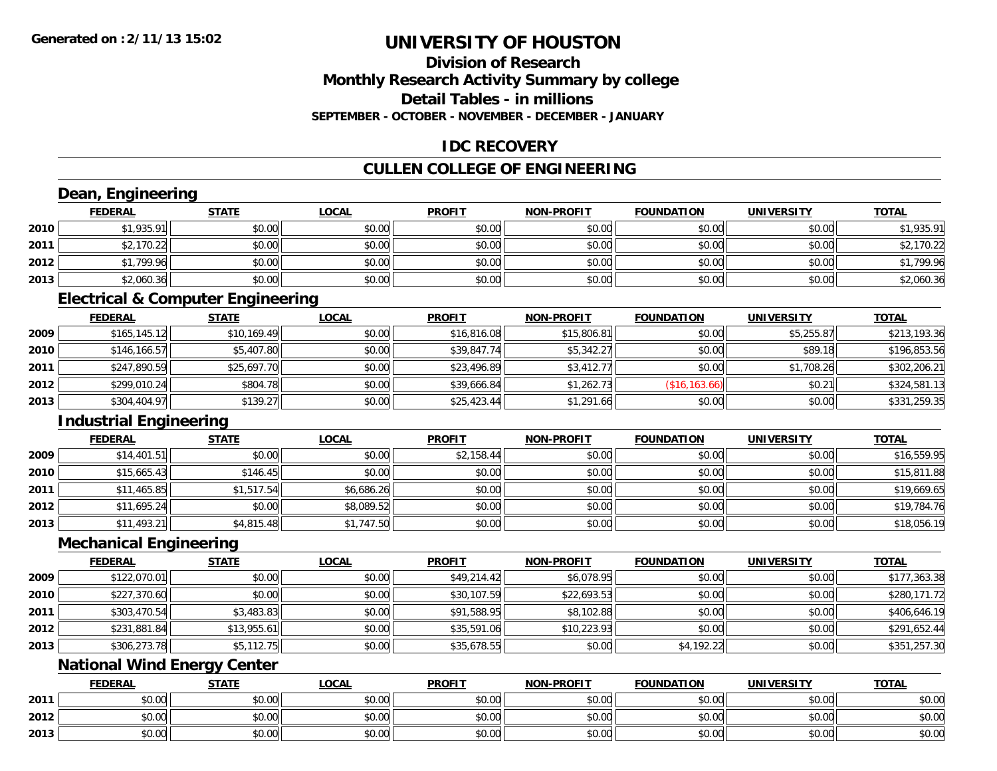**2013**

# **UNIVERSITY OF HOUSTON**

#### **Division of ResearchMonthly Research Activity Summary by college Detail Tables - in millions SEPTEMBER - OCTOBER - NOVEMBER - DECEMBER - JANUARY**

#### **IDC RECOVERY**

# **CULLEN COLLEGE OF ENGINEERING**

|      | Dean, Engineering             |                                              |              |               |                   |                   |                   |              |
|------|-------------------------------|----------------------------------------------|--------------|---------------|-------------------|-------------------|-------------------|--------------|
|      | <b>FEDERAL</b>                | <b>STATE</b>                                 | <b>LOCAL</b> | <b>PROFIT</b> | <b>NON-PROFIT</b> | <b>FOUNDATION</b> | <b>UNIVERSITY</b> | <b>TOTAL</b> |
| 2010 | \$1,935.91                    | \$0.00                                       | \$0.00       | \$0.00        | \$0.00            | \$0.00            | \$0.00            | \$1,935.91   |
| 2011 | \$2,170.22                    | \$0.00                                       | \$0.00       | \$0.00        | \$0.00            | \$0.00            | \$0.00            | \$2,170.22   |
| 2012 | \$1,799.96                    | \$0.00                                       | \$0.00       | \$0.00        | \$0.00            | \$0.00            | \$0.00            | \$1,799.96   |
| 2013 | \$2,060.36                    | \$0.00                                       | \$0.00       | \$0.00        | \$0.00            | \$0.00            | \$0.00            | \$2,060.36   |
|      |                               | <b>Electrical &amp; Computer Engineering</b> |              |               |                   |                   |                   |              |
|      | <b>FEDERAL</b>                | <b>STATE</b>                                 | <b>LOCAL</b> | <b>PROFIT</b> | <b>NON-PROFIT</b> | <b>FOUNDATION</b> | <b>UNIVERSITY</b> | <b>TOTAL</b> |
| 2009 | \$165,145.12                  | \$10,169.49                                  | \$0.00       | \$16,816.08   | \$15,806.81       | \$0.00            | \$5,255.87        | \$213,193.36 |
| 2010 | \$146,166.57                  | \$5,407.80                                   | \$0.00       | \$39,847.74   | \$5,342.27        | \$0.00            | \$89.18           | \$196,853.56 |
| 2011 | \$247,890.59                  | \$25,697.70                                  | \$0.00       | \$23,496.89   | \$3,412.77        | \$0.00            | \$1,708.26        | \$302,206.21 |
| 2012 | \$299,010.24                  | \$804.78                                     | \$0.00       | \$39,666.84   | \$1,262.73        | (\$16, 163.66)    | \$0.21            | \$324,581.13 |
| 2013 | \$304,404.97                  | \$139.27                                     | \$0.00       | \$25,423.44   | \$1,291.66        | \$0.00            | \$0.00            | \$331,259.35 |
|      | <b>Industrial Engineering</b> |                                              |              |               |                   |                   |                   |              |
|      | <b>FEDERAL</b>                | <b>STATE</b>                                 | <b>LOCAL</b> | <b>PROFIT</b> | <b>NON-PROFIT</b> | <b>FOUNDATION</b> | <b>UNIVERSITY</b> | <b>TOTAL</b> |
| 2009 | \$14,401.51                   | \$0.00                                       | \$0.00       | \$2,158.44    | \$0.00            | \$0.00            | \$0.00            | \$16,559.95  |
| 2010 | \$15,665.43                   | \$146.45                                     | \$0.00       | \$0.00        | \$0.00            | \$0.00            | \$0.00            | \$15,811.88  |
| 2011 | \$11,465.85                   | \$1,517.54                                   | \$6,686.26   | \$0.00        | \$0.00            | \$0.00            | \$0.00            | \$19,669.65  |
| 2012 | \$11,695.24                   | \$0.00                                       | \$8,089.52   | \$0.00        | \$0.00            | \$0.00            | \$0.00            | \$19,784.76  |
| 2013 | \$11,493.21                   | \$4,815.48                                   | \$1,747.50   | \$0.00        | \$0.00            | \$0.00            | \$0.00            | \$18,056.19  |
|      | <b>Mechanical Engineering</b> |                                              |              |               |                   |                   |                   |              |
|      | <b>FEDERAL</b>                | <b>STATE</b>                                 | <b>LOCAL</b> | <b>PROFIT</b> | <b>NON-PROFIT</b> | <b>FOUNDATION</b> | <b>UNIVERSITY</b> | <b>TOTAL</b> |
| 2009 | \$122,070.01                  | \$0.00                                       | \$0.00       | \$49,214.42   | \$6,078.95        | \$0.00            | \$0.00            | \$177,363.38 |
| 2010 | \$227,370.60                  | \$0.00                                       | \$0.00       | \$30,107.59   | \$22,693.53       | \$0.00            | \$0.00            | \$280,171.72 |
| 2011 | \$303,470.54                  | \$3,483.83                                   | \$0.00       | \$91,588.95   | \$8,102.88        | \$0.00            | \$0.00            | \$406,646.19 |
| 2012 | \$231,881.84                  | \$13,955.61                                  | \$0.00       | \$35,591.06   | \$10,223.93       | \$0.00            | \$0.00            | \$291,652.44 |
| 2013 | \$306,273.78                  | \$5,112.75                                   | \$0.00       | \$35,678.55   | \$0.00            | \$4,192.22        | \$0.00            | \$351,257.30 |
|      |                               | <b>National Wind Energy Center</b>           |              |               |                   |                   |                   |              |
|      | <b>FEDERAL</b>                | <b>STATE</b>                                 | <b>LOCAL</b> | <b>PROFIT</b> | NON-PROFIT        | <b>FOUNDATION</b> | <b>UNIVERSITY</b> | <b>TOTAL</b> |
| 2011 | \$0.00                        | \$0.00                                       | \$0.00       | \$0.00        | \$0.00            | \$0.00            | \$0.00            | \$0.00       |
| 2012 | \$0.00                        | \$0.00                                       | \$0.00       | \$0.00        | \$0.00            | \$0.00            | \$0.00            | \$0.00       |

 $\textbf{3} \mid \textbf{3} \mid \textbf{5} \mid \textbf{5} \mid \textbf{6} \mid \textbf{7} \mid \textbf{8} \mid \textbf{1} \mid \textbf{1} \mid \textbf{1} \mid \textbf{1} \mid \textbf{1} \mid \textbf{1} \mid \textbf{1} \mid \textbf{1} \mid \textbf{1} \mid \textbf{1} \mid \textbf{1} \mid \textbf{1} \mid \textbf{1} \mid \textbf{1} \mid \textbf{1} \mid \textbf{1} \mid \textbf{1} \mid \textbf{1} \mid \textbf{1} \mid \textbf{1} \mid \textbf{$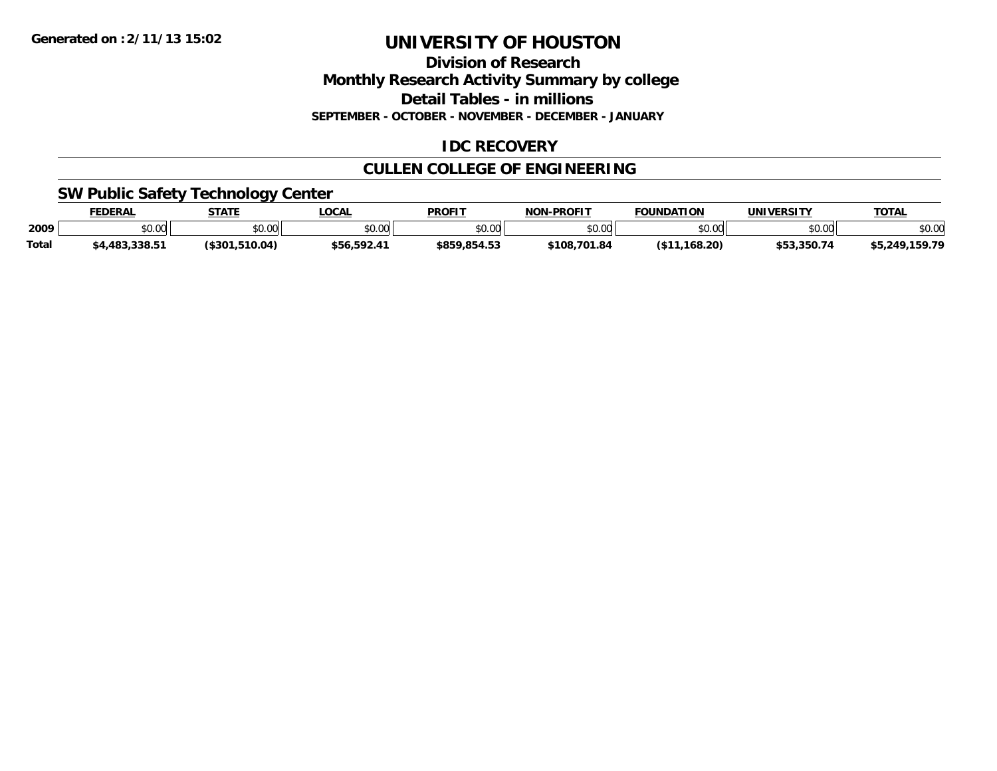**Division of Research Monthly Research Activity Summary by college Detail Tables - in millions**

**SEPTEMBER - OCTOBER - NOVEMBER - DECEMBER - JANUARY**

#### **IDC RECOVERY**

# **CULLEN COLLEGE OF ENGINEERING**

#### **SW Public Safety Technology Center**

|       | <b>FEDERAL</b> | <b>STATE</b>   | <b>LOCAL</b> | <b>PROFIT</b>          | <b>NON-PROFIT</b> | <b>FOUNDATION</b> | <b>UNIVERSITY</b> | <b>TOTAL</b>        |
|-------|----------------|----------------|--------------|------------------------|-------------------|-------------------|-------------------|---------------------|
| 2009  | ስስ ስስ<br>, שט  | \$0.00         | \$0.00       | $n \cap \neg$<br>DU.UU | \$0.00            | \$0.00            | nn nn<br>וטט.טע   | \$0.00              |
| Total | \$4.483.338.51 | (\$301.510.04) | \$56,592.41  | \$859.854.53           | \$108,701.84      | .168.20)          | \$53.350.74       | ,159.79<br>\$5,249, |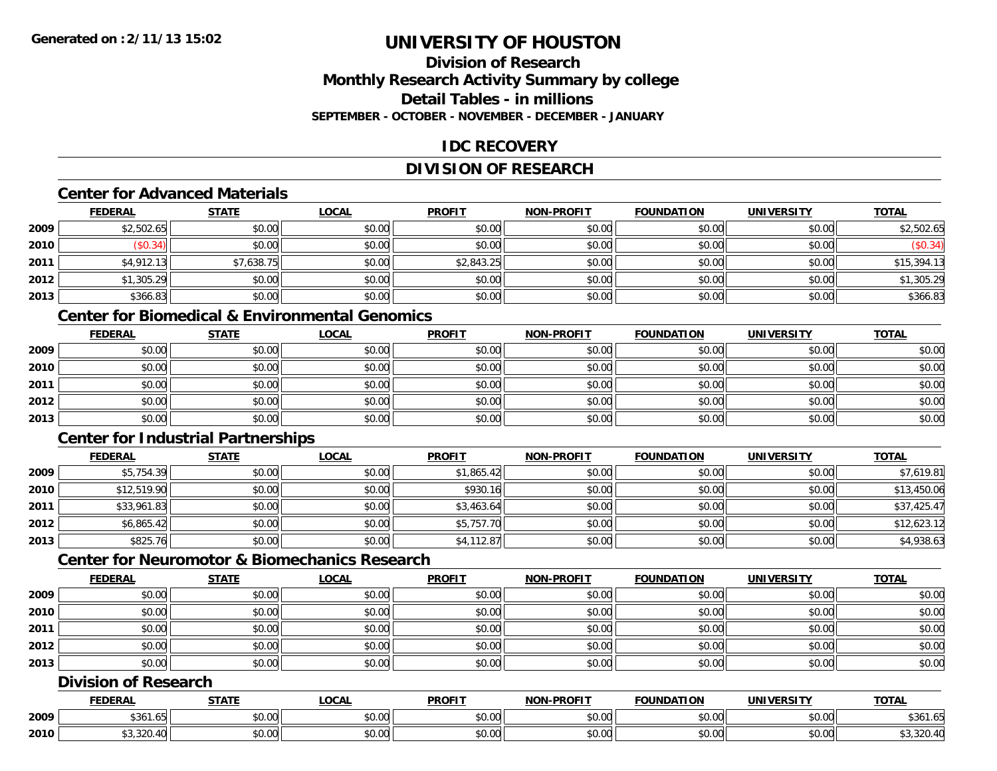#### **Division of ResearchMonthly Research Activity Summary by college Detail Tables - in millionsSEPTEMBER - OCTOBER - NOVEMBER - DECEMBER - JANUARY**

#### **IDC RECOVERY**

#### **DIVISION OF RESEARCH**

#### **Center for Advanced Materials**

|      | <b>FEDERAL</b> | <b>STATE</b> | <b>LOCAL</b> | <b>PROFIT</b> | <b>NON-PROFIT</b> | <b>FOUNDATION</b> | <b>UNIVERSITY</b> | <b>TOTAL</b> |
|------|----------------|--------------|--------------|---------------|-------------------|-------------------|-------------------|--------------|
| 2009 | \$2,502.65     | \$0.00       | \$0.00       | \$0.00        | \$0.00            | \$0.00            | \$0.00            | \$2,502.65   |
| 2010 | \$0.34)        | \$0.00       | \$0.00       | \$0.00        | \$0.00            | \$0.00            | \$0.00            | (\$0.34)     |
| 2011 | \$4,912.13     | \$7,638.75   | \$0.00       | \$2,843.25    | \$0.00            | \$0.00            | \$0.00            | \$15,394.13  |
| 2012 | \$1,305.29     | \$0.00       | \$0.00       | \$0.00        | \$0.00            | \$0.00            | \$0.00            | \$1,305.29   |
| 2013 | \$366.83       | \$0.00       | \$0.00       | \$0.00        | \$0.00            | \$0.00            | \$0.00            | \$366.83     |

#### **Center for Biomedical & Environmental Genomics**

|      | <u>FEDERAL</u> | <u>STATE</u> | <u>LOCAL</u> | <b>PROFIT</b> | <b>NON-PROFIT</b> | <b>FOUNDATION</b> | <b>UNIVERSITY</b> | <b>TOTAL</b> |
|------|----------------|--------------|--------------|---------------|-------------------|-------------------|-------------------|--------------|
| 2009 | \$0.00         | \$0.00       | \$0.00       | \$0.00        | \$0.00            | \$0.00            | \$0.00            | \$0.00       |
| 2010 | \$0.00         | \$0.00       | \$0.00       | \$0.00        | \$0.00            | \$0.00            | \$0.00            | \$0.00       |
| 2011 | \$0.00         | \$0.00       | \$0.00       | \$0.00        | \$0.00            | \$0.00            | \$0.00            | \$0.00       |
| 2012 | \$0.00         | \$0.00       | \$0.00       | \$0.00        | \$0.00            | \$0.00            | \$0.00            | \$0.00       |
| 2013 | \$0.00         | \$0.00       | \$0.00       | \$0.00        | \$0.00            | \$0.00            | \$0.00            | \$0.00       |

#### **Center for Industrial Partnerships**

|      | <u>FEDERAL</u> | <b>STATE</b> | <b>LOCAL</b> | <b>PROFIT</b> | <b>NON-PROFIT</b> | <b>FOUNDATION</b> | <b>UNIVERSITY</b> | <b>TOTAL</b> |
|------|----------------|--------------|--------------|---------------|-------------------|-------------------|-------------------|--------------|
| 2009 | \$5,754.39     | \$0.00       | \$0.00       | \$1,865.42    | \$0.00            | \$0.00            | \$0.00            | \$7,619.81   |
| 2010 | \$12,519.90    | \$0.00       | \$0.00       | \$930.16      | \$0.00            | \$0.00            | \$0.00            | \$13,450.06  |
| 2011 | \$33,961.83    | \$0.00       | \$0.00       | \$3,463.64    | \$0.00            | \$0.00            | \$0.00            | \$37,425.47  |
| 2012 | \$6,865.42     | \$0.00       | \$0.00       | \$5,757.70    | \$0.00            | \$0.00            | \$0.00            | \$12,623.12  |
| 2013 | \$825.76       | \$0.00       | \$0.00       | \$4,112.87    | \$0.00            | \$0.00            | \$0.00            | \$4,938.63   |

#### **Center for Neuromotor & Biomechanics Research**

|      | <b>FEDERAL</b> | <b>STATE</b> | <b>LOCAL</b> | <b>PROFIT</b> | <b>NON-PROFIT</b> | <b>FOUNDATION</b> | <b>UNIVERSITY</b> | <b>TOTAL</b> |
|------|----------------|--------------|--------------|---------------|-------------------|-------------------|-------------------|--------------|
| 2009 | \$0.00         | \$0.00       | \$0.00       | \$0.00        | \$0.00            | \$0.00            | \$0.00            | \$0.00       |
| 2010 | \$0.00         | \$0.00       | \$0.00       | \$0.00        | \$0.00            | \$0.00            | \$0.00            | \$0.00       |
| 2011 | \$0.00         | \$0.00       | \$0.00       | \$0.00        | \$0.00            | \$0.00            | \$0.00            | \$0.00       |
| 2012 | \$0.00         | \$0.00       | \$0.00       | \$0.00        | \$0.00            | \$0.00            | \$0.00            | \$0.00       |
| 2013 | \$0.00         | \$0.00       | \$0.00       | \$0.00        | \$0.00            | \$0.00            | \$0.00            | \$0.00       |

#### **Division of Research**

|      | <b>FEDERAL</b>                   | <b>CTATI</b>                                          | .OCAL              | <b>PROFIT</b>  | <b>DDAEIT</b><br><b>NION</b> | <b>INDA</b><br>$\sim$ | i iriil<br>$\mathbf{u}$ | TOTAL                      |
|------|----------------------------------|-------------------------------------------------------|--------------------|----------------|------------------------------|-----------------------|-------------------------|----------------------------|
| 2009 | \$361<br>. ن                     | $\mathsf{A} \cap \mathsf{A} \cap \mathsf{A}$<br>vv.vv | $\sim$ 00<br>vv.vu | 0.00<br>ູນບ.ບບ | \$0.00                       | JU.UU                 | $\sim$ $\sim$<br>vu.vu  | \$361.6                    |
| 2010 | $\sim$ $\sim$ $\sim$<br>-------- | $\sim$ 00<br>vv.vv                                    | $\sim$ 00<br>vu.uu | 0000<br>JU.UU  | \$0.00                       | JU.J                  | امہ مہ<br>JU.UU         | $\Omega$<br>י יו+.∪∠ט, ט ק |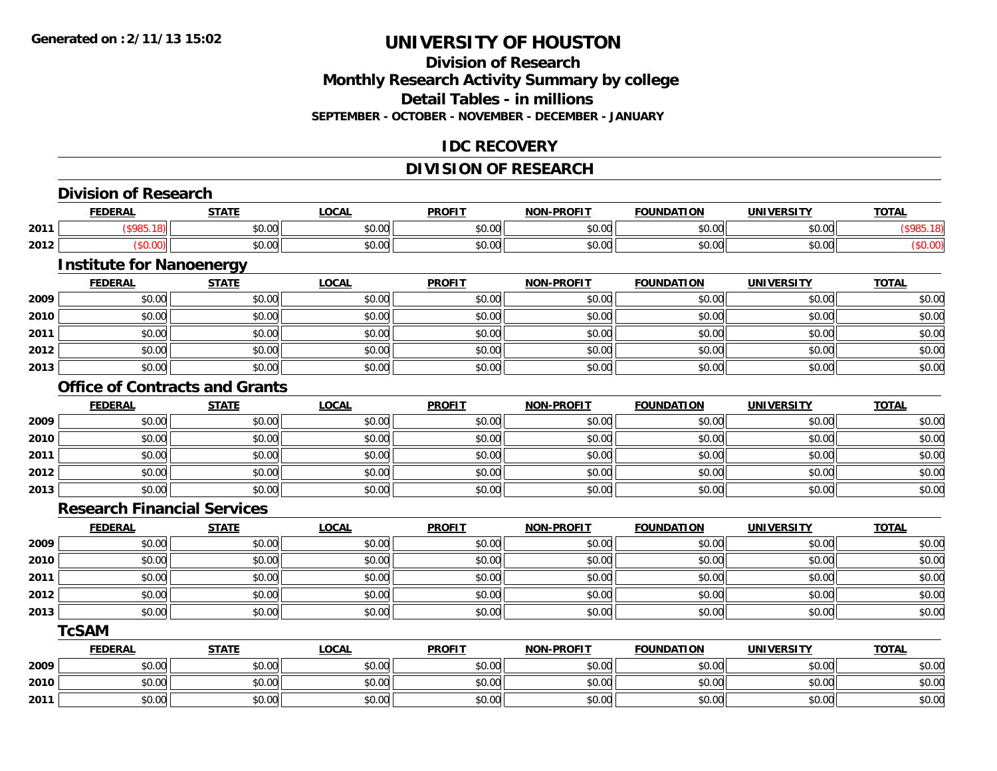#### **Division of ResearchMonthly Research Activity Summary by college Detail Tables - in millions SEPTEMBER - OCTOBER - NOVEMBER - DECEMBER - JANUARY**

#### **IDC RECOVERY**

#### **DIVISION OF RESEARCH**

|      | <b>Division of Research</b>        |                                       |              |               |                   |                   |                   |                   |
|------|------------------------------------|---------------------------------------|--------------|---------------|-------------------|-------------------|-------------------|-------------------|
|      | <b>FEDERAL</b>                     | <b>STATE</b>                          | <b>LOCAL</b> | <b>PROFIT</b> | <b>NON-PROFIT</b> | <b>FOUNDATION</b> | <b>UNIVERSITY</b> | <b>TOTAL</b>      |
| 2011 | (\$985.18)                         | \$0.00                                | \$0.00       | \$0.00        | \$0.00            | \$0.00            | \$0.00            | (\$985.18)        |
| 2012 | (\$0.00)                           | \$0.00                                | \$0.00       | \$0.00        | \$0.00            | \$0.00            | \$0.00            | (\$0.00)          |
|      | <b>Institute for Nanoenergy</b>    |                                       |              |               |                   |                   |                   |                   |
|      | <b>FEDERAL</b>                     | <b>STATE</b>                          | <b>LOCAL</b> | <b>PROFIT</b> | <b>NON-PROFIT</b> | <b>FOUNDATION</b> | <b>UNIVERSITY</b> | <b>TOTAL</b>      |
| 2009 | \$0.00                             | \$0.00                                | \$0.00       | \$0.00        | \$0.00            | \$0.00            | \$0.00            | \$0.00            |
| 2010 | \$0.00                             | \$0.00                                | \$0.00       | \$0.00        | \$0.00            | \$0.00            | \$0.00            | \$0.00            |
| 2011 | \$0.00                             | \$0.00                                | \$0.00       | \$0.00        | \$0.00            | \$0.00            | \$0.00            | \$0.00            |
| 2012 | \$0.00                             | \$0.00                                | \$0.00       | \$0.00        | \$0.00            | \$0.00            | \$0.00            | \$0.00            |
| 2013 | \$0.00                             | \$0.00                                | \$0.00       | \$0.00        | \$0.00            | \$0.00            | \$0.00            | \$0.00            |
|      |                                    | <b>Office of Contracts and Grants</b> |              |               |                   |                   |                   |                   |
|      | <b>FEDERAL</b>                     | <b>STATE</b>                          | <b>LOCAL</b> | <b>PROFIT</b> | NON-PROFIT        | <b>FOUNDATION</b> | <b>UNIVERSITY</b> | <b>TOTAL</b>      |
| 2009 | \$0.00                             | \$0.00                                | \$0.00       | \$0.00        | \$0.00            | \$0.00            | \$0.00            | $\frac{1}{2}0.00$ |
| 2010 | \$0.00                             | \$0.00                                | \$0.00       | \$0.00        | \$0.00            | \$0.00            | \$0.00            | \$0.00            |
| 2011 | \$0.00                             | \$0.00                                | \$0.00       | \$0.00        | \$0.00            | \$0.00            | \$0.00            | \$0.00            |
| 2012 | \$0.00                             | \$0.00                                | \$0.00       | \$0.00        | \$0.00            | \$0.00            | \$0.00            | \$0.00            |
| 2013 | \$0.00                             | \$0.00                                | \$0.00       | \$0.00        | \$0.00            | \$0.00            | \$0.00            | \$0.00            |
|      | <b>Research Financial Services</b> |                                       |              |               |                   |                   |                   |                   |
|      | <b>FEDERAL</b>                     | <b>STATE</b>                          | <b>LOCAL</b> | <b>PROFIT</b> | NON-PROFIT        | <b>FOUNDATION</b> | <b>UNIVERSITY</b> | <b>TOTAL</b>      |
| 2009 | \$0.00                             | \$0.00                                | \$0.00       | \$0.00        | \$0.00            | \$0.00            | \$0.00            | \$0.00            |
| 2010 | \$0.00                             | \$0.00                                | \$0.00       | \$0.00        | \$0.00            | \$0.00            | \$0.00            | \$0.00            |
| 2011 | \$0.00                             | \$0.00                                | \$0.00       | \$0.00        | \$0.00            | \$0.00            | \$0.00            | \$0.00            |
| 2012 | \$0.00                             | \$0.00                                | \$0.00       | \$0.00        | \$0.00            | \$0.00            | \$0.00            | \$0.00            |
| 2013 | \$0.00                             | \$0.00                                | \$0.00       | \$0.00        | \$0.00            | \$0.00            | \$0.00            | \$0.00            |
|      | <b>TcSAM</b>                       |                                       |              |               |                   |                   |                   |                   |
|      | <b>FEDERAL</b>                     | <b>STATE</b>                          | <b>LOCAL</b> | <b>PROFIT</b> | NON-PROFIT        | <b>FOUNDATION</b> | <b>UNIVERSITY</b> | <b>TOTAL</b>      |
| 2009 | \$0.00                             | \$0.00                                | \$0.00       | \$0.00        | \$0.00            | \$0.00            | \$0.00            | \$0.00            |
| 2010 | \$0.00                             | \$0.00                                | \$0.00       | \$0.00        | \$0.00            | \$0.00            | \$0.00            | \$0.00            |
| 2011 | \$0.00                             | \$0.00                                | \$0.00       | \$0.00        | \$0.00            | \$0.00            | \$0.00            | \$0.00            |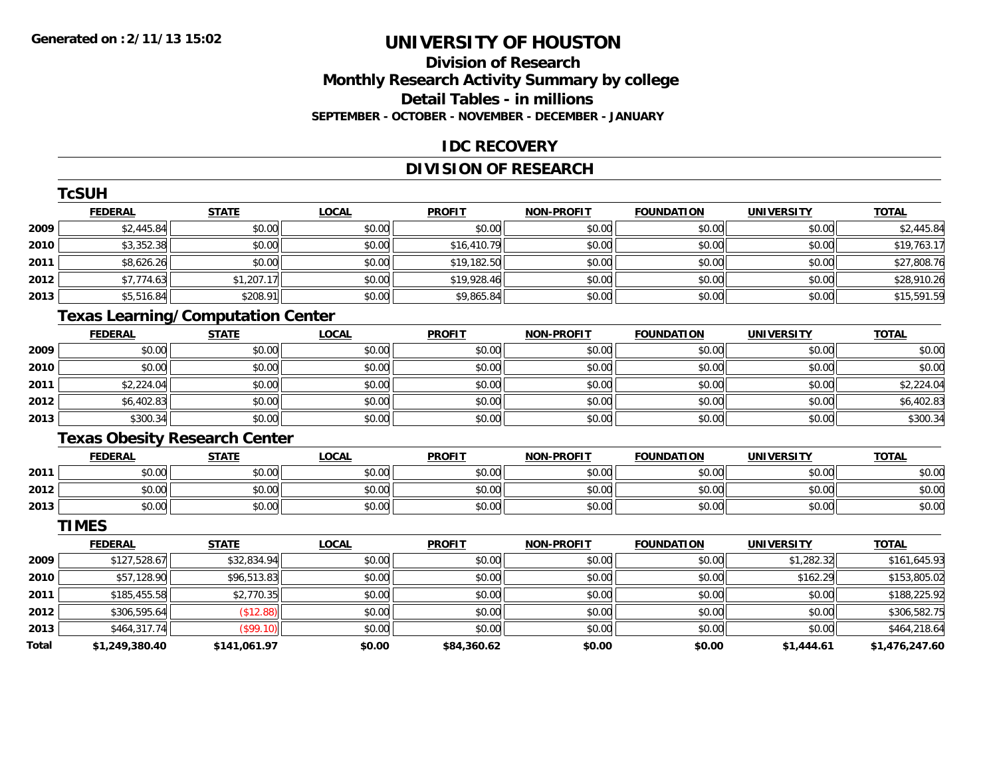**TCSUM** 

# **UNIVERSITY OF HOUSTON**

#### **Division of ResearchMonthly Research Activity Summary by college Detail Tables - in millions SEPTEMBER - OCTOBER - NOVEMBER - DECEMBER - JANUARY**

#### **IDC RECOVERY**

#### **DIVISION OF RESEARCH**

|              | I CSUH                                   |              |              |               |                   |                   |                   |                |
|--------------|------------------------------------------|--------------|--------------|---------------|-------------------|-------------------|-------------------|----------------|
|              | <b>FEDERAL</b>                           | <b>STATE</b> | <b>LOCAL</b> | <b>PROFIT</b> | <b>NON-PROFIT</b> | <b>FOUNDATION</b> | <b>UNIVERSITY</b> | <b>TOTAL</b>   |
| 2009         | \$2,445.84                               | \$0.00       | \$0.00       | \$0.00        | \$0.00            | \$0.00            | \$0.00            | \$2,445.84     |
| 2010         | \$3,352.38                               | \$0.00       | \$0.00       | \$16,410.79   | \$0.00            | \$0.00            | \$0.00            | \$19,763.17    |
| 2011         | \$8,626.26                               | \$0.00       | \$0.00       | \$19,182.50   | \$0.00            | \$0.00            | \$0.00            | \$27,808.76    |
| 2012         | \$7,774.63                               | \$1,207.17   | \$0.00       | \$19,928.46   | \$0.00            | \$0.00            | \$0.00            | \$28,910.26    |
| 2013         | \$5,516.84                               | \$208.91     | \$0.00       | \$9,865.84    | \$0.00            | \$0.00            | \$0.00            | \$15,591.59    |
|              | <b>Texas Learning/Computation Center</b> |              |              |               |                   |                   |                   |                |
|              | <b>FEDERAL</b>                           | <b>STATE</b> | <b>LOCAL</b> | <b>PROFIT</b> | <b>NON-PROFIT</b> | <b>FOUNDATION</b> | <b>UNIVERSITY</b> | <b>TOTAL</b>   |
| 2009         | \$0.00                                   | \$0.00       | \$0.00       | \$0.00        | \$0.00            | \$0.00            | \$0.00            | \$0.00         |
| 2010         | \$0.00                                   | \$0.00       | \$0.00       | \$0.00        | \$0.00            | \$0.00            | \$0.00            | \$0.00         |
| 2011         | \$2,224.04                               | \$0.00       | \$0.00       | \$0.00        | \$0.00            | \$0.00            | \$0.00            | \$2,224.04     |
| 2012         | \$6,402.83                               | \$0.00       | \$0.00       | \$0.00        | \$0.00            | \$0.00            | \$0.00            | \$6,402.83     |
| 2013         | \$300.34                                 | \$0.00       | \$0.00       | \$0.00        | \$0.00            | \$0.00            | \$0.00            | \$300.34       |
|              | <b>Texas Obesity Research Center</b>     |              |              |               |                   |                   |                   |                |
|              | <b>FEDERAL</b>                           | <b>STATE</b> | <b>LOCAL</b> | <b>PROFIT</b> | <b>NON-PROFIT</b> | <b>FOUNDATION</b> | <b>UNIVERSITY</b> | <b>TOTAL</b>   |
| 2011         | \$0.00                                   | \$0.00       | \$0.00       | \$0.00        | \$0.00            | \$0.00            | \$0.00            | \$0.00         |
| 2012         | \$0.00                                   | \$0.00       | \$0.00       | \$0.00        | \$0.00            | \$0.00            | \$0.00            | \$0.00         |
| 2013         | \$0.00                                   | \$0.00       | \$0.00       | \$0.00        | \$0.00            | \$0.00            | \$0.00            | \$0.00         |
|              | <b>TIMES</b>                             |              |              |               |                   |                   |                   |                |
|              | <b>FEDERAL</b>                           | <b>STATE</b> | <b>LOCAL</b> | <b>PROFIT</b> | <b>NON-PROFIT</b> | <b>FOUNDATION</b> | <b>UNIVERSITY</b> | <b>TOTAL</b>   |
| 2009         | \$127,528.67                             | \$32,834.94  | \$0.00       | \$0.00        | \$0.00            | \$0.00            | \$1,282.32        | \$161,645.93   |
| 2010         | \$57,128.90                              | \$96,513.83  | \$0.00       | \$0.00        | \$0.00            | \$0.00            | \$162.29          | \$153,805.02   |
| 2011         | \$185,455.58                             | \$2,770.35   | \$0.00       | \$0.00        | \$0.00            | \$0.00            | \$0.00            | \$188,225.92   |
| 2012         | \$306,595.64                             | (\$12.88)    | \$0.00       | \$0.00        | \$0.00            | \$0.00            | \$0.00            | \$306,582.75   |
| 2013         | \$464,317.74                             | (\$99.10)    | \$0.00       | \$0.00        | \$0.00            | \$0.00            | \$0.00            | \$464,218.64   |
| <b>Total</b> | \$1,249,380.40                           | \$141,061.97 | \$0.00       | \$84,360.62   | \$0.00            | \$0.00            | \$1,444.61        | \$1,476,247.60 |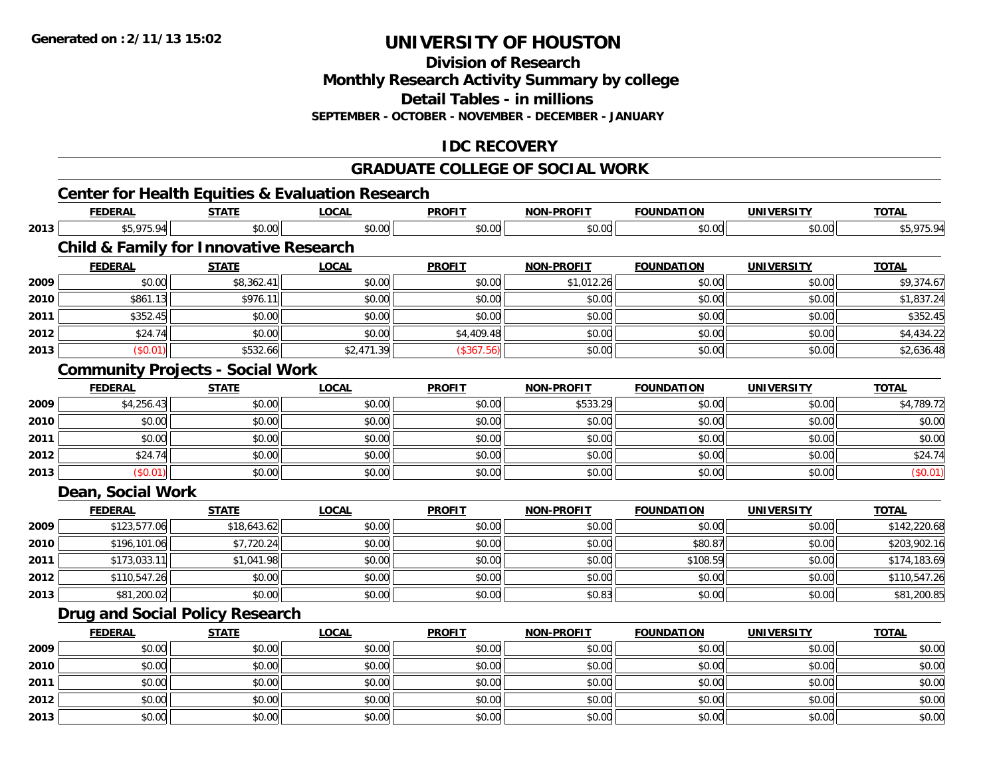**2013**

# **UNIVERSITY OF HOUSTON**

**Division of Research**

**Monthly Research Activity Summary by college**

**Detail Tables - in millions**

**SEPTEMBER - OCTOBER - NOVEMBER - DECEMBER - JANUARY**

#### **IDC RECOVERY**

#### **GRADUATE COLLEGE OF SOCIAL WORK**

#### **Center for Health Equities & Evaluation Research FEDERAL STATE LOCAL PROFIT NON-PROFIT FOUNDATION UNIVERSITY TOTALTOTAL 2013** \$5,975.94 \$0.00 \$0.00 \$0.00 \$0.00 \$0.00 \$0.00 \$5,975.94 **Child & Family for Innovative Research FEDERAL STATE LOCAL PROFIT NON-PROFIT FOUNDATION UNIVERSITY TOTALTOTAL 20099** \$0.00 \$0.00 \$0.00 \$8,362.41 \$0.00 \$0.00 \$0.00 \$0.00 \$0.00 \$0.00 \$0.00 \$9,374.67 **2010** \$861.13 \$976.11 \$0.00 \$0.00 \$0.00 \$0.00 \$0.00 \$1,837.24 **2011** \$352.45 \$0.00 \$0.00 \$0.00 \$0.00 \$0.00 \$0.00 \$352.45 **2012**2 \$24.74|| \$0.00|| \$0.00|| \$4,409.48|| \$0.00|| \$0.00|| \$0.00|| \$4,434.22 **2013** $\textbf{3} \hspace{14mm} |\hspace{14mm}|\hspace{14mm}|\hspace{14mm}|\hspace{14mm}|\hspace{14mm}|\hspace{14mm}|\hspace{14mm}|\hspace{14mm}|\hspace{14mm}|\hspace{14mm}|\hspace{14mm}|\hspace{14mm}|\hspace{14mm}|\hspace{14mm}|\hspace{14mm}|\hspace{14mm}|\hspace{14mm}|\hspace{14mm}|\hspace{14mm}|\hspace{14mm}|\hspace{14mm}|\hspace{14mm}|\hspace{14mm}|\hspace{14mm}|\hspace{14mm}|\hspace{14$ **Community Projects - Social Work FEDERAL STATE LOCAL PROFIT NON-PROFIT FOUNDATION UNIVERSITY TOTAL20099** \$4,256.43 \$50.00 \$0.00 \$0.00 \$0.00 \$0.00 \$0.00 \$0.00 \$533.29 \$533.29 \$0.00 \$0.00 \$0.00 \$4,789.72 **2010**0 \$0.00 \$0.00 \$0.00 \$0.00 \$0.00 \$0.00 \$0.00 \$0.00 \$0.00 \$0.00 \$0.00 \$0.00 \$0.00 \$0.00 \$0.00 \$0.00 \$0.00 **2011** \$0.00 \$0.00 \$0.00 \$0.00 \$0.00 \$0.00 \$0.00 \$0.00 **2012** $\texttt{2} \mid \texttt{3} \mid \texttt{4} \mid \texttt{5} \mid \texttt{5} \mid \texttt{5} \mid \texttt{6} \mid \texttt{7} \mid \texttt{6} \mid \texttt{7} \mid \texttt{7} \mid \texttt{8} \mid \texttt{7} \mid \texttt{8} \mid \texttt{8} \mid \texttt{8} \mid \texttt{9} \mid \texttt{1} \mid \texttt{1} \mid \texttt{1} \mid \texttt{1} \mid \texttt{1} \mid \texttt{1} \mid \texttt{1} \mid \texttt{1} \mid \texttt{1} \mid \texttt{1} \mid \texttt{$ **2013** $\textbf{3} \hspace{14mm} |\hspace{14mm} \text{ $60.01]} \hspace{14mm} |\hspace{14mm} \text{ $60.00]} \hspace{14mm} |\hspace{14mm} \text{ $60.01]} \hspace{14mm}$ **Dean, Social Work FEDERAL STATE LOCAL PROFIT NON-PROFIT FOUNDATION UNIVERSITY TOTALTOTAL 2009** \$123,577.06 \$18,643.62 \$0.00 \$0.00 \$0.00 \$0.00 \$0.00 \$142,220.68 **2010** \$196,101.06 \$7,720.24 \$0.00 \$0.00 \$0.00 \$80.87 \$0.00 \$203,902.16 **2011** \$173,033.11 \$1,041.98 \$0.00 \$0.00 \$0.00 \$108.59 \$0.00 \$174,183.69 **2012** \$110,547.26 \$0.00 \$0.00 \$0.00 \$0.00 \$0.00 \$0.00 \$110,547.26 **2013** $\textbf{3} \quad \textbf{\textcolor{blue}{81,200.02}} \quad \textbf{\textcolor{blue}{81,200.85}} \quad \textbf{\textcolor{blue}{80.00}} \quad \textbf{\textcolor{blue}{80.00}} \quad \textbf{\textcolor{blue}{80.83}} \quad \textbf{\textcolor{blue}{80.83}} \quad \textbf{\textcolor{blue}{80.00}} \quad \textbf{\textcolor{blue}{80.00}} \quad \textbf{\textcolor{blue}{80.83}} \quad \textbf{\textcolor{blue}{80.00}} \quad \textbf{\textcolor{blue}{80.00}} \quad \textbf{\textcolor{blue}{80.00}} \quad$ **Drug and Social Policy Research FEDERAL STATE LOCAL PROFIT NON-PROFIT FOUNDATION UNIVERSITY TOTALTOTAL 2009** \$0.00 \$0.00 \$0.00 \$0.00 \$0.00 \$0.00 \$0.00 \$0.00 **2010** $\, \mathsf{0} \, \vert \qquad \qquad \mathsf{0.00} \vert \qquad \qquad \mathsf{0.00} \vert \qquad \qquad \mathsf{0.00} \vert \qquad \qquad \mathsf{0.00} \vert \qquad \qquad \mathsf{0.00} \vert \qquad \qquad \mathsf{0.00} \vert \qquad \qquad \mathsf{0.00} \vert \qquad \qquad \mathsf{0.00} \vert \qquad \qquad \mathsf{0.00} \vert \qquad \qquad \mathsf{0.00} \vert \qquad \qquad \mathsf{0.01} \vert \qquad \qquad \mathsf{0.01} \vert \qquad \$ **2011** \$0.00 \$0.00 \$0.00 \$0.00 \$0.00 \$0.00 \$0.00 \$0.00 **2012**

2 | \$0.00 \$0.00 \$0.00 \$0.00 \$0.00 \$0.00 \$0.00 \$0.00 \$0.00 \$0.00 \$0.00 \$0.00 \$0.00 \$0.00 \$0.00 \$0.00 \$0.00 \$0.0

3 \$0.00 | \$0.00 | \$0.00 | \$0.00 | \$0.00 | \$0.00 | \$0.00 | \$0.00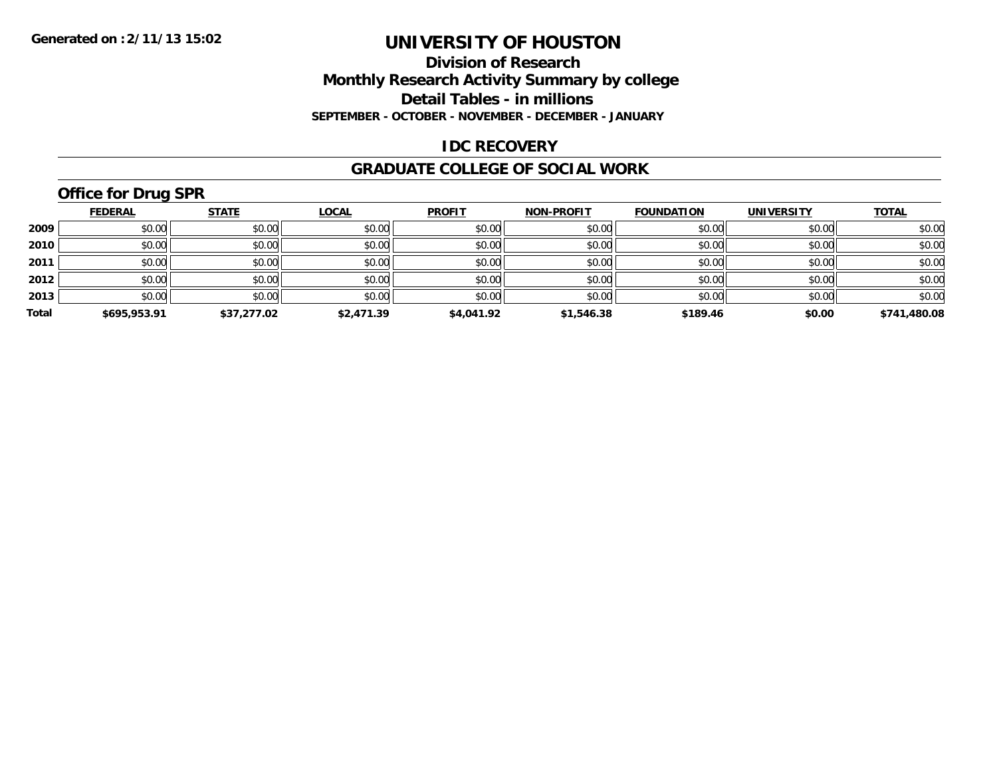#### **Division of Research Monthly Research Activity Summary by college Detail Tables - in millions SEPTEMBER - OCTOBER - NOVEMBER - DECEMBER - JANUARY**

#### **IDC RECOVERY**

#### **GRADUATE COLLEGE OF SOCIAL WORK**

# **Office for Drug SPR**

|       | <b>FEDERAL</b> | <b>STATE</b> | <b>LOCAL</b> | <b>PROFIT</b> | <b>NON-PROFIT</b> | <b>FOUNDATION</b> | <b>UNIVERSITY</b> | <b>TOTAL</b> |
|-------|----------------|--------------|--------------|---------------|-------------------|-------------------|-------------------|--------------|
| 2009  | \$0.00         | \$0.00       | \$0.00       | \$0.00        | \$0.00            | \$0.00            | \$0.00            | \$0.00       |
| 2010  | \$0.00         | \$0.00       | \$0.00       | \$0.00        | \$0.00            | \$0.00            | \$0.00            | \$0.00       |
| 2011  | \$0.00         | \$0.00       | \$0.00       | \$0.00        | \$0.00            | \$0.00            | \$0.00            | \$0.00       |
| 2012  | \$0.00         | \$0.00       | \$0.00       | \$0.00        | \$0.00            | \$0.00            | \$0.00            | \$0.00       |
| 2013  | \$0.00         | \$0.00       | \$0.00       | \$0.00        | \$0.00            | \$0.00            | \$0.00            | \$0.00       |
| Total | \$695,953.91   | \$37,277.02  | \$2,471.39   | \$4,041.92    | \$1,546.38        | \$189.46          | \$0.00            | \$741,480.08 |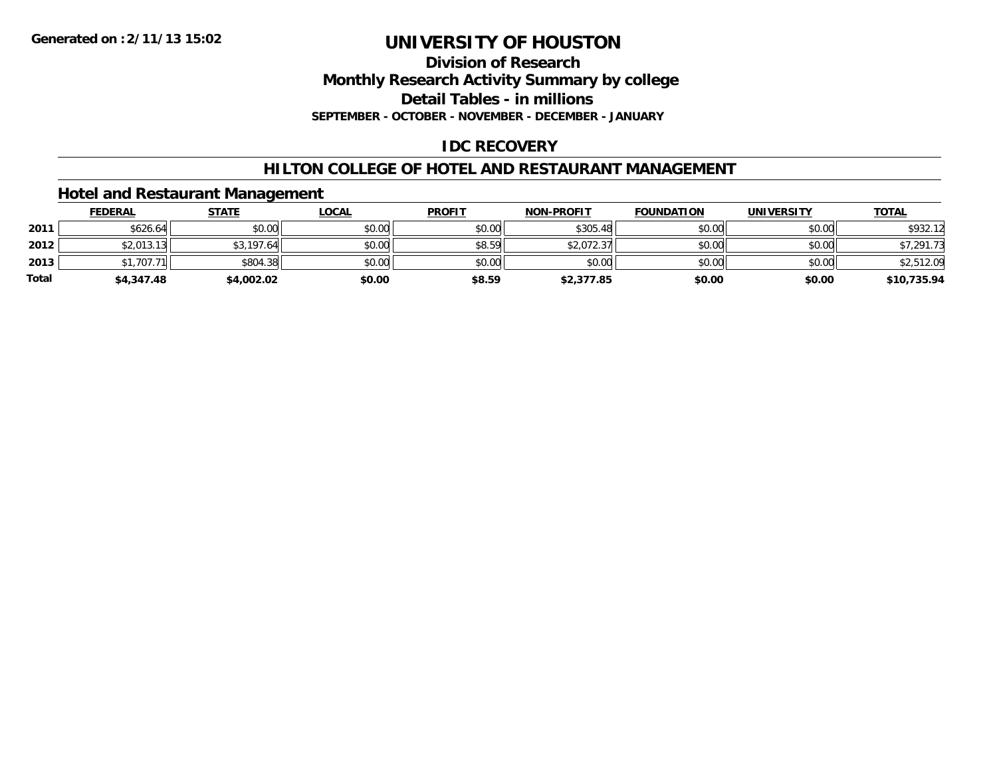#### **Division of ResearchMonthly Research Activity Summary by college Detail Tables - in millions SEPTEMBER - OCTOBER - NOVEMBER - DECEMBER - JANUARY**

#### **IDC RECOVERY**

#### **HILTON COLLEGE OF HOTEL AND RESTAURANT MANAGEMENT**

#### **Hotel and Restaurant Management**

|              | <b>FEDERAL</b> | <b>STATE</b> | <u>LOCAL</u> | <b>PROFIT</b> | <b>NON-PROFIT</b> | <b>FOUNDATION</b> | <b>UNIVERSITY</b> | <b>TOTAL</b> |
|--------------|----------------|--------------|--------------|---------------|-------------------|-------------------|-------------------|--------------|
| 2011         | \$626.64       | \$0.00       | \$0.00       | \$0.00        | \$305.48          | \$0.00            | \$0.00            | \$932.12     |
| 2012         | \$2,013.13     | \$3,197.64   | \$0.00       | \$8.59        | \$2,072.37        | \$0.00            | \$0.00            | \$7,291.73   |
| 2013         | \$1,707.71     | \$804.38     | \$0.00       | \$0.00        | \$0.00            | \$0.00            | \$0.00            | \$2,512.09   |
| <b>Total</b> | \$4,347.48     | \$4,002.02   | \$0.00       | \$8.59        | \$2,377.85        | \$0.00            | \$0.00            | \$10,735.94  |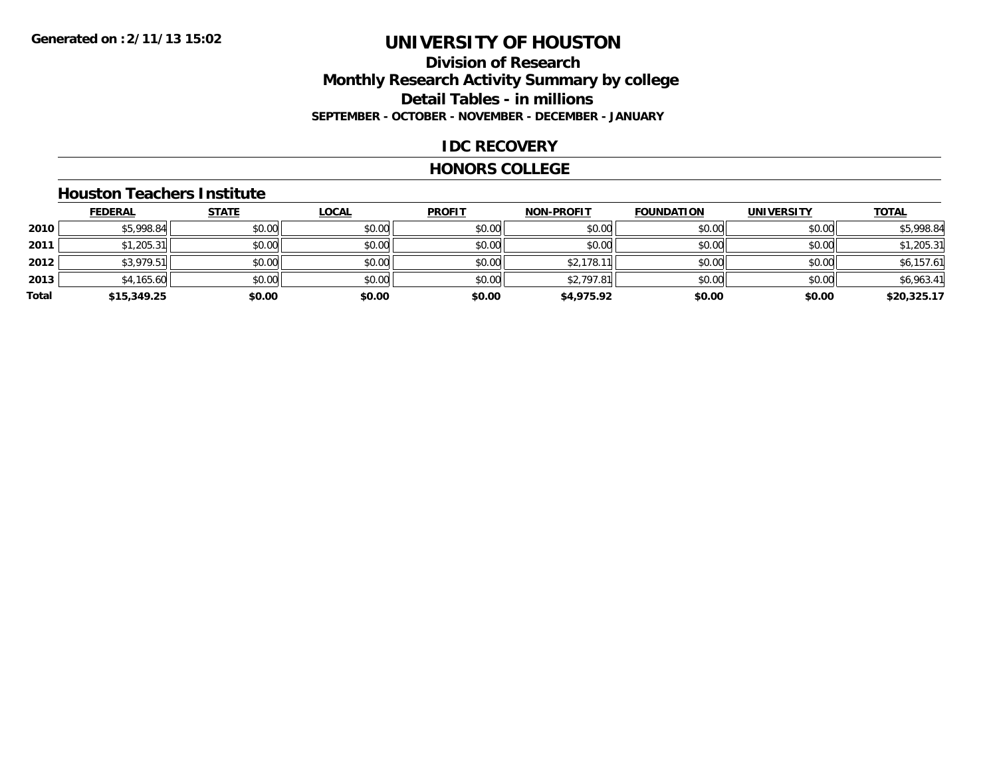#### **Division of Research Monthly Research Activity Summary by college Detail Tables - in millions SEPTEMBER - OCTOBER - NOVEMBER - DECEMBER - JANUARY**

#### **IDC RECOVERY**

#### **HONORS COLLEGE**

#### **Houston Teachers Institute**

|       | <b>FEDERAL</b> | <b>STATE</b> | <b>LOCAL</b> | <b>PROFIT</b> | <b>NON-PROFIT</b> | <b>FOUNDATION</b> | <b>UNIVERSITY</b> | <b>TOTAL</b> |
|-------|----------------|--------------|--------------|---------------|-------------------|-------------------|-------------------|--------------|
| 2010  | \$5,998.84     | \$0.00       | \$0.00       | \$0.00        | \$0.00            | \$0.00            | \$0.00            | \$5,998.84   |
| 2011  | \$1,205.31     | \$0.00       | \$0.00       | \$0.00        | \$0.00            | \$0.00            | \$0.00            | \$1,205.31   |
| 2012  | \$3,979.51     | \$0.00       | \$0.00       | \$0.00        | \$2,178.1         | \$0.00            | \$0.00            | \$6,157.61   |
| 2013  | \$4,165.60     | \$0.00       | \$0.00       | \$0.00        | \$2,797.81        | \$0.00            | \$0.00            | \$6,963.41   |
| Total | \$15,349.25    | \$0.00       | \$0.00       | \$0.00        | \$4,975.92        | \$0.00            | \$0.00            | \$20,325.17  |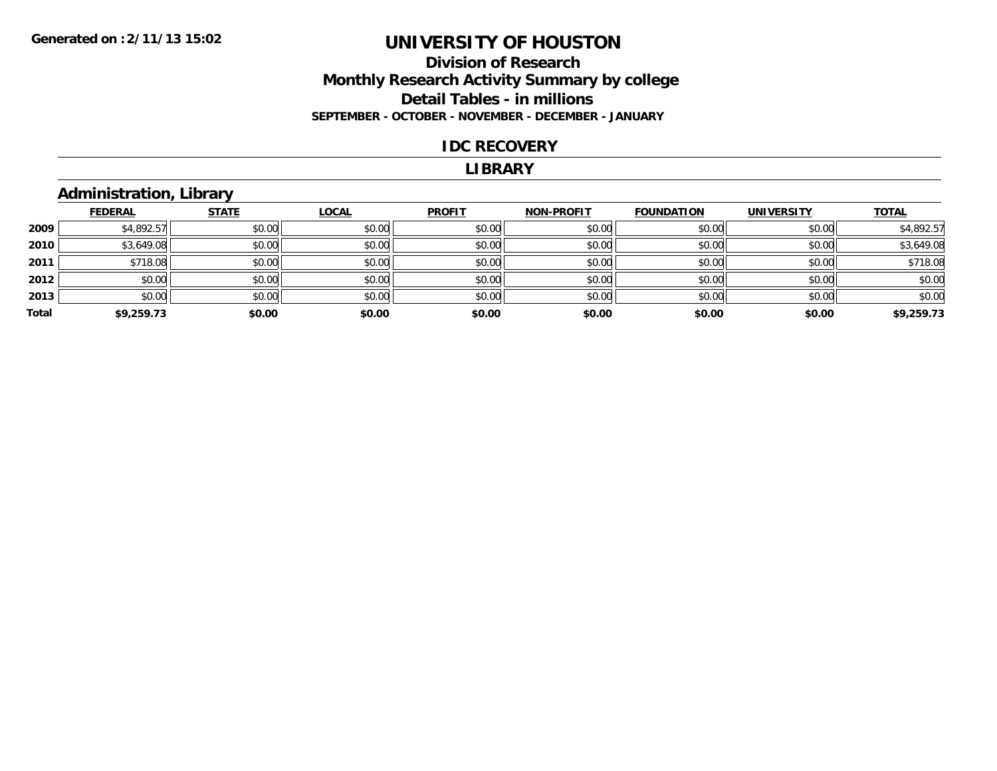#### **Division of Research Monthly Research Activity Summary by college Detail Tables - in millions SEPTEMBER - OCTOBER - NOVEMBER - DECEMBER - JANUARY**

#### **IDC RECOVERY**

#### **LIBRARY**

#### **Administration, Library**

|       | <b>FEDERAL</b> | <b>STATE</b> | <b>LOCAL</b> | <b>PROFIT</b> | <b>NON-PROFIT</b> | <b>FOUNDATION</b> | <b>UNIVERSITY</b> | <b>TOTAL</b> |
|-------|----------------|--------------|--------------|---------------|-------------------|-------------------|-------------------|--------------|
| 2009  | \$4,892.57     | \$0.00       | \$0.00       | \$0.00        | \$0.00            | \$0.00            | \$0.00            | \$4,892.57   |
| 2010  | \$3,649.08     | \$0.00       | \$0.00       | \$0.00        | \$0.00            | \$0.00            | \$0.00            | \$3,649.08   |
| 2011  | \$718.08       | \$0.00       | \$0.00       | \$0.00        | \$0.00            | \$0.00            | \$0.00            | \$718.08     |
| 2012  | \$0.00         | \$0.00       | \$0.00       | \$0.00        | \$0.00            | \$0.00            | \$0.00            | \$0.00       |
| 2013  | \$0.00         | \$0.00       | \$0.00       | \$0.00        | \$0.00            | \$0.00            | \$0.00            | \$0.00       |
| Total | \$9,259.73     | \$0.00       | \$0.00       | \$0.00        | \$0.00            | \$0.00            | \$0.00            | \$9,259.73   |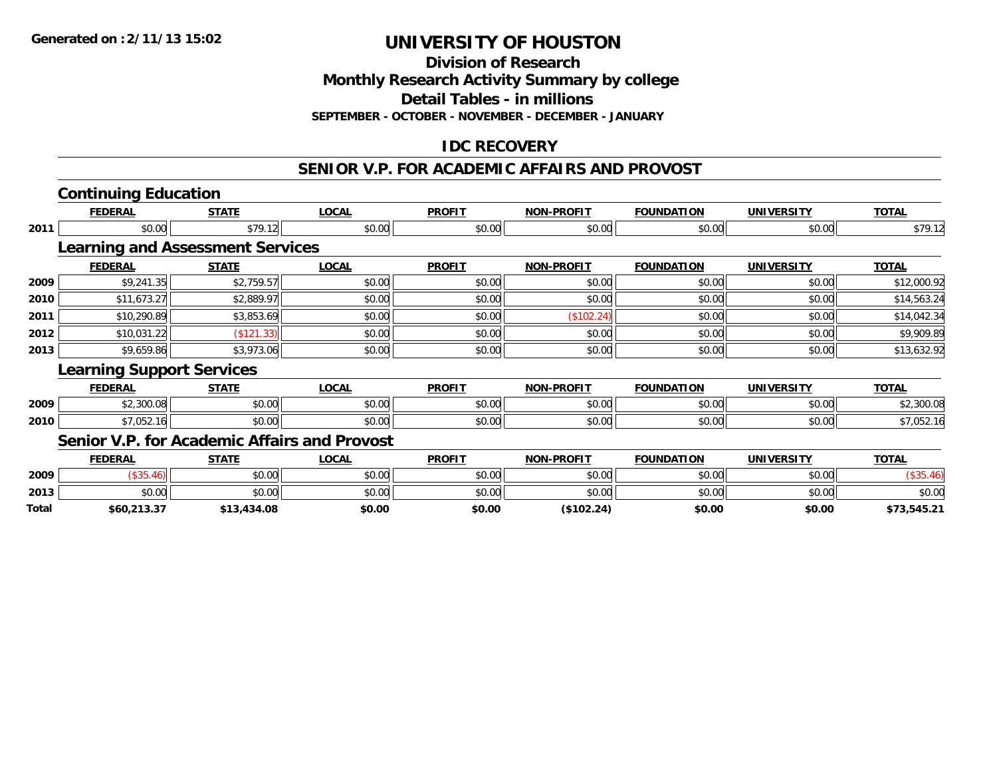**Division of Research**

**Monthly Research Activity Summary by college**

**Detail Tables - in millions**

**SEPTEMBER - OCTOBER - NOVEMBER - DECEMBER - JANUARY**

#### **IDC RECOVERY**

#### **SENIOR V.P. FOR ACADEMIC AFFAIRS AND PROVOST**

# **Continuing Education**

**2013**

**Total**

|      | FEDERAL                                 | <b>STATE</b> | LOCAL                                               | <b>PROFIT</b> | <b>NON-PROFIT</b> | <b>FOUNDATION</b> | UNIVERSITY        | <u>TOTAL</u> |
|------|-----------------------------------------|--------------|-----------------------------------------------------|---------------|-------------------|-------------------|-------------------|--------------|
| 2011 | \$0.00                                  | \$79.12      | \$0.00                                              | \$0.00        | \$0.00            | \$0.00            | \$0.00            | \$79.12      |
|      | <b>Learning and Assessment Services</b> |              |                                                     |               |                   |                   |                   |              |
|      | <b>FEDERAL</b>                          | <b>STATE</b> | <b>LOCAL</b>                                        | <b>PROFIT</b> | <b>NON-PROFIT</b> | <b>FOUNDATION</b> | <b>UNIVERSITY</b> | <b>TOTAL</b> |
| 2009 | \$9,241.35                              | \$2,759.57   | \$0.00                                              | \$0.00        | \$0.00            | \$0.00            | \$0.00            | \$12,000.92  |
| 2010 | \$11,673.27                             | \$2,889.97   | \$0.00                                              | \$0.00        | \$0.00            | \$0.00            | \$0.00            | \$14,563.24  |
| 2011 | \$10,290.89                             | \$3,853.69   | \$0.00                                              | \$0.00        | (\$102.24)        | \$0.00            | \$0.00            | \$14,042.34  |
| 2012 | \$10,031.22                             | (\$121.33)   | \$0.00                                              | \$0.00        | \$0.00            | \$0.00            | \$0.00            | \$9,909.89   |
| 2013 | \$9,659.86                              | \$3,973.06   | \$0.00                                              | \$0.00        | \$0.00            | \$0.00            | \$0.00            | \$13,632.92  |
|      | <b>Learning Support Services</b>        |              |                                                     |               |                   |                   |                   |              |
|      | <b>FEDERAL</b>                          | <b>STATE</b> | <b>LOCAL</b>                                        | <b>PROFIT</b> | <b>NON-PROFIT</b> | <b>FOUNDATION</b> | <b>UNIVERSITY</b> | <b>TOTAL</b> |
| 2009 | \$2,300.08                              | \$0.00       | \$0.00                                              | \$0.00        | \$0.00            | \$0.00            | \$0.00            | \$2,300.08   |
| 2010 | \$7,052.16                              | \$0.00       | \$0.00                                              | \$0.00        | \$0.00            | \$0.00            | \$0.00            | \$7,052.16   |
|      |                                         |              | <b>Senior V.P. for Academic Affairs and Provost</b> |               |                   |                   |                   |              |
|      | <b>FEDERAL</b>                          | <b>STATE</b> | <b>LOCAL</b>                                        | <b>PROFIT</b> | <b>NON-PROFIT</b> | <b>FOUNDATION</b> | <b>UNIVERSITY</b> | <b>TOTAL</b> |
| 2009 | (\$35.46)                               | \$0.00       | \$0.00                                              | \$0.00        | \$0.00            | \$0.00            | \$0.00            | (\$35.46)    |

 $\textbf{3} \mid \textbf{3} \mid \textbf{5} \mid \textbf{5} \mid \textbf{6} \mid \textbf{7} \mid \textbf{8} \mid \textbf{1} \mid \textbf{1} \mid \textbf{1} \mid \textbf{1} \mid \textbf{1} \mid \textbf{1} \mid \textbf{1} \mid \textbf{1} \mid \textbf{1} \mid \textbf{1} \mid \textbf{1} \mid \textbf{1} \mid \textbf{1} \mid \textbf{1} \mid \textbf{1} \mid \textbf{1} \mid \textbf{1} \mid \textbf{1} \mid \textbf{1} \mid \textbf{1} \mid \textbf{$ 

**\$60,213.37 \$13,434.08 \$0.00 \$0.00 (\$102.24) \$0.00 \$0.00 \$73,545.21**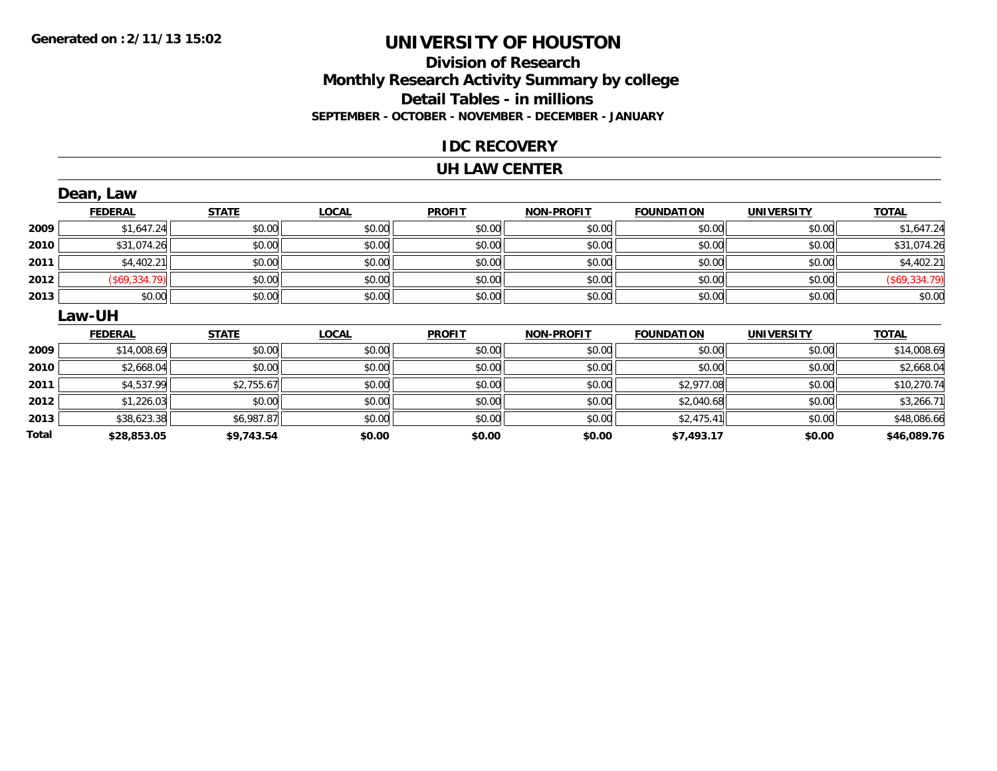#### **Division of Research Monthly Research Activity Summary by college Detail Tables - in millions SEPTEMBER - OCTOBER - NOVEMBER - DECEMBER - JANUARY**

#### **IDC RECOVERY**

#### **UH LAW CENTER**

|       | Dean, Law            |              |              |               |                   |                   |                   |               |
|-------|----------------------|--------------|--------------|---------------|-------------------|-------------------|-------------------|---------------|
|       | <b>FEDERAL</b>       | <b>STATE</b> | <b>LOCAL</b> | <b>PROFIT</b> | <b>NON-PROFIT</b> | <b>FOUNDATION</b> | <b>UNIVERSITY</b> | <b>TOTAL</b>  |
| 2009  | \$1,647.24           | \$0.00       | \$0.00       | \$0.00        | \$0.00            | \$0.00            | \$0.00            | \$1,647.24    |
| 2010  | \$31,074.26          | \$0.00       | \$0.00       | \$0.00        | \$0.00            | \$0.00            | \$0.00            | \$31,074.26   |
| 2011  | \$4,402.21           | \$0.00       | \$0.00       | \$0.00        | \$0.00            | \$0.00            | \$0.00            | \$4,402.21    |
| 2012  | $($ \$69,334.79) $ $ | \$0.00       | \$0.00       | \$0.00        | \$0.00            | \$0.00            | \$0.00            | (\$69,334.79) |
| 2013  | \$0.00               | \$0.00       | \$0.00       | \$0.00        | \$0.00            | \$0.00            | \$0.00            | \$0.00        |
|       | <b>Law-UH</b>        |              |              |               |                   |                   |                   |               |
|       | <b>FEDERAL</b>       | <b>STATE</b> | <b>LOCAL</b> | <b>PROFIT</b> | <b>NON-PROFIT</b> | <b>FOUNDATION</b> | <b>UNIVERSITY</b> | <b>TOTAL</b>  |
| 2009  | \$14,008.69          | \$0.00       | \$0.00       | \$0.00        | \$0.00            | \$0.00            | \$0.00            | \$14,008.69   |
| 2010  | \$2,668.04           | \$0.00       | \$0.00       | \$0.00        | \$0.00            | \$0.00            | \$0.00            | \$2,668.04    |
| 2011  | \$4,537.99           | \$2,755.67   | \$0.00       | \$0.00        | \$0.00            | \$2,977.08        | \$0.00            | \$10,270.74   |
| 2012  | \$1,226.03           | \$0.00       | \$0.00       | \$0.00        | \$0.00            | \$2,040.68        | \$0.00            | \$3,266.71    |
| 2013  | \$38,623.38          | \$6,987.87   | \$0.00       | \$0.00        | \$0.00            | \$2,475.41        | \$0.00            | \$48,086.66   |
| Total | \$28,853.05          | \$9,743.54   | \$0.00       | \$0.00        | \$0.00            | \$7,493.17        | \$0.00            | \$46,089.76   |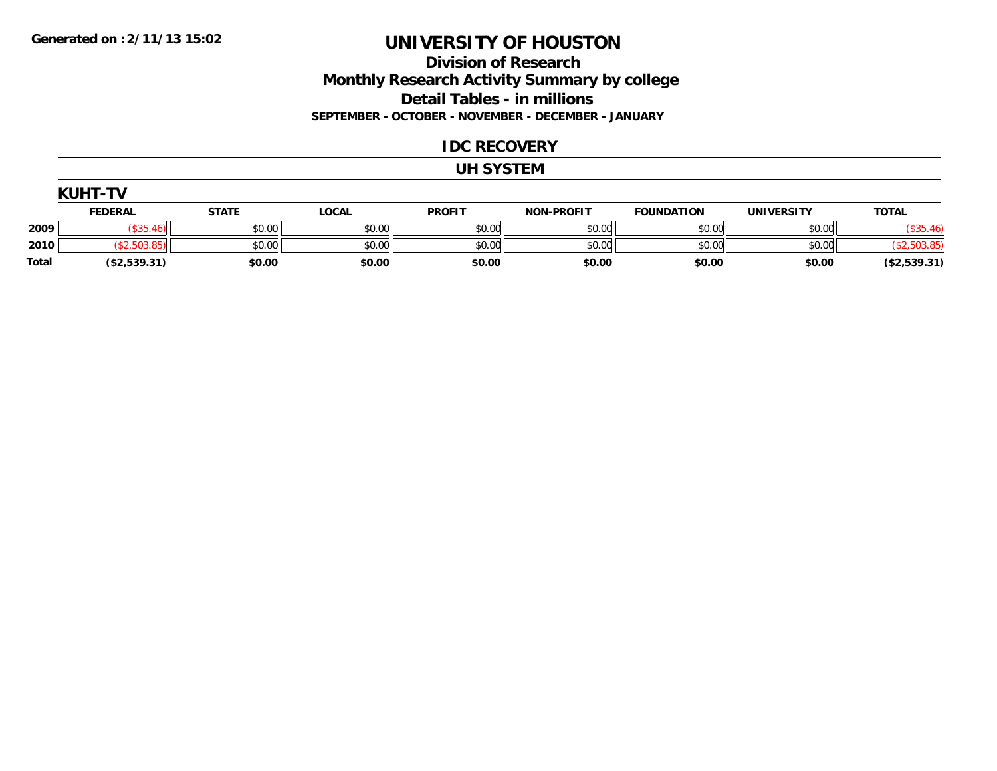#### **Division of Research Monthly Research Activity Summary by college Detail Tables - in millions SEPTEMBER - OCTOBER - NOVEMBER - DECEMBER - JANUARY**

#### **IDC RECOVERY**

#### **UH SYSTEM**

|              | <b>KUHT-TV</b> |              |              |               |                   |                   |                   |              |  |  |
|--------------|----------------|--------------|--------------|---------------|-------------------|-------------------|-------------------|--------------|--|--|
|              | <b>FEDERAL</b> | <b>STATE</b> | <u>LOCAL</u> | <u>PROFIT</u> | <b>NON-PROFIT</b> | <b>FOUNDATION</b> | <b>UNIVERSITY</b> | <b>TOTAL</b> |  |  |
| 2009         | (\$35.46)      | \$0.00       | \$0.00       | \$0.00        | \$0.00            | \$0.00            | \$0.00            | (\$35.46"    |  |  |
| 2010         |                | \$0.00       | \$0.00       | \$0.00        | \$0.00            | \$0.00            | \$0.00            | ,503.85      |  |  |
| <b>Total</b> | (\$2,539.31)   | \$0.00       | \$0.00       | \$0.00        | \$0.00            | \$0.00            | \$0.00            | (\$2,539.31) |  |  |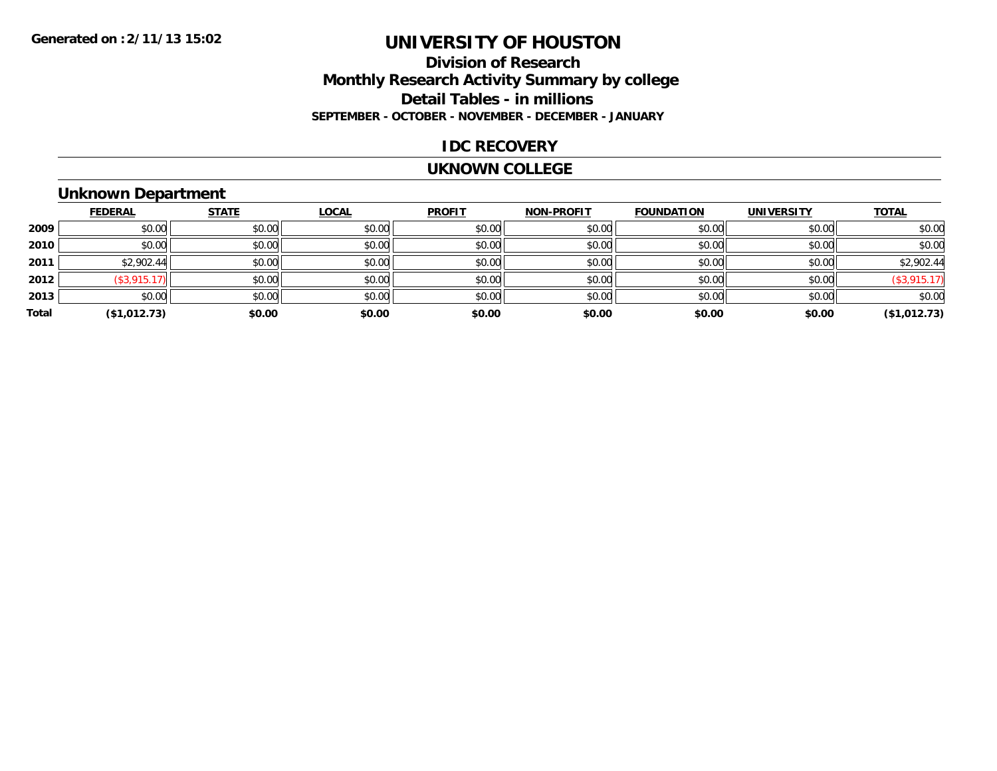#### **Division of Research Monthly Research Activity Summary by college Detail Tables - in millions SEPTEMBER - OCTOBER - NOVEMBER - DECEMBER - JANUARY**

#### **IDC RECOVERY**

#### **UKNOWN COLLEGE**

#### **Unknown Department**

|       | <b>FEDERAL</b>  | <b>STATE</b> | <b>LOCAL</b> | <b>PROFIT</b> | <b>NON-PROFIT</b> | <b>FOUNDATION</b> | <b>UNIVERSITY</b> | <b>TOTAL</b>       |
|-------|-----------------|--------------|--------------|---------------|-------------------|-------------------|-------------------|--------------------|
| 2009  | \$0.00          | \$0.00       | \$0.00       | \$0.00        | \$0.00            | \$0.00            | \$0.00            | \$0.00             |
| 2010  | \$0.00          | \$0.00       | \$0.00       | \$0.00        | \$0.00            | \$0.00            | \$0.00            | \$0.00             |
| 2011  | \$2,902.44      | \$0.00       | \$0.00       | \$0.00        | \$0.00            | \$0.00            | \$0.00            | \$2,902.44         |
| 2012  | $($ \$3,915.17) | \$0.00       | \$0.00       | \$0.00        | \$0.00            | \$0.00            | \$0.00            | $($ \$3,915.17 $)$ |
| 2013  | \$0.00          | \$0.00       | \$0.00       | \$0.00        | \$0.00            | \$0.00            | \$0.00            | \$0.00             |
| Total | (\$1,012.73)    | \$0.00       | \$0.00       | \$0.00        | \$0.00            | \$0.00            | \$0.00            | (\$1,012.73)       |